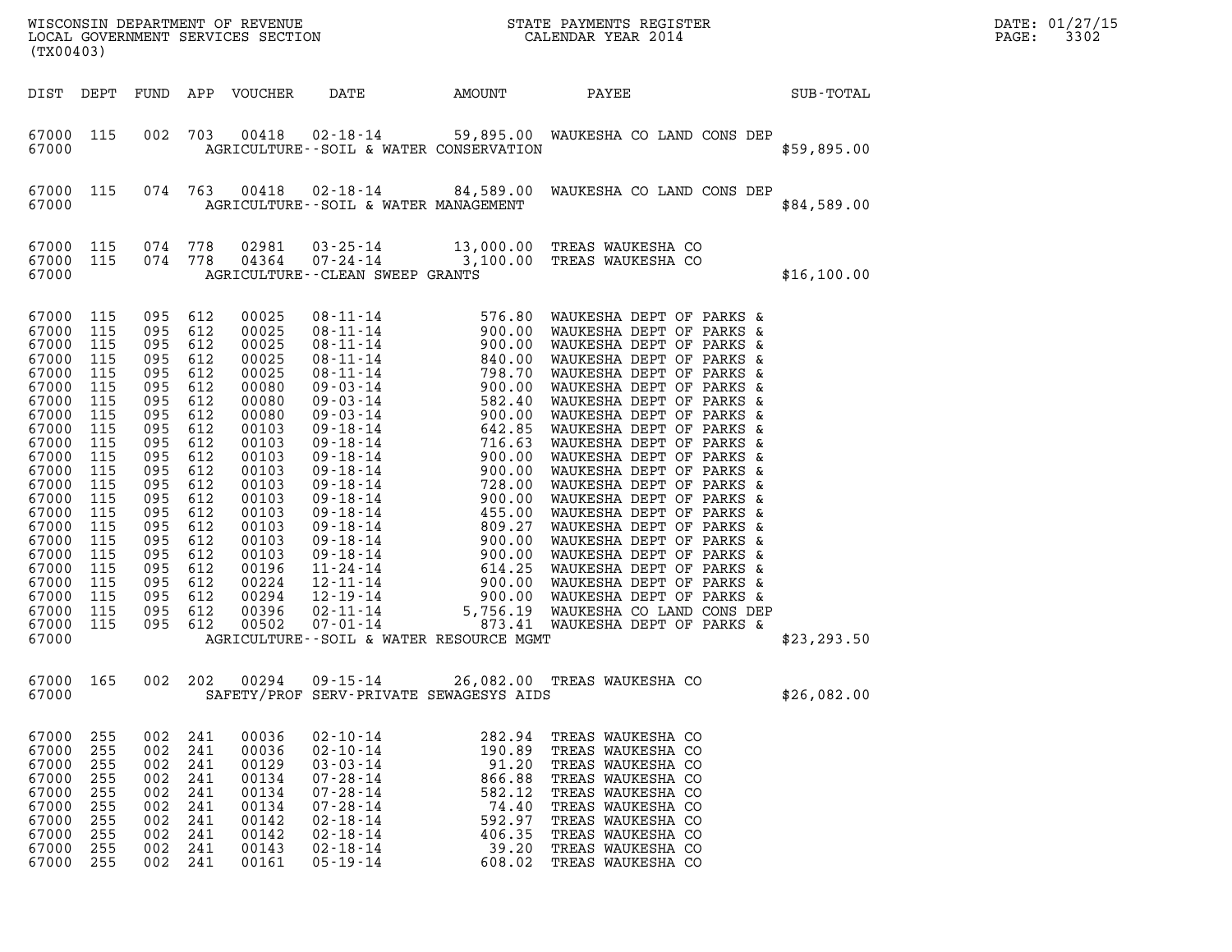| (TX00403)                                                                                                                                                                                                                                |                                                                                                                            |                                                                                                                                                                                                                                                           |                                                                    |                                                                                                                                                                                                             |                                                                                                                                                                                  |                                                                                               | WISCONSIN DEPARTMENT OF REVENUE<br>LOCAL GOVERNMENT SERVICES SECTION CALENDAR YEAR 2014                                                                                                                        |              | DATE: 01/27/15<br>3302<br>$\mathtt{PAGE}$ : |
|------------------------------------------------------------------------------------------------------------------------------------------------------------------------------------------------------------------------------------------|----------------------------------------------------------------------------------------------------------------------------|-----------------------------------------------------------------------------------------------------------------------------------------------------------------------------------------------------------------------------------------------------------|--------------------------------------------------------------------|-------------------------------------------------------------------------------------------------------------------------------------------------------------------------------------------------------------|----------------------------------------------------------------------------------------------------------------------------------------------------------------------------------|-----------------------------------------------------------------------------------------------|----------------------------------------------------------------------------------------------------------------------------------------------------------------------------------------------------------------|--------------|---------------------------------------------|
|                                                                                                                                                                                                                                          |                                                                                                                            |                                                                                                                                                                                                                                                           |                                                                    | DIST DEPT FUND APP VOUCHER                                                                                                                                                                                  | DATE                                                                                                                                                                             | AMOUNT PAYEE                                                                                  |                                                                                                                                                                                                                | SUB-TOTAL    |                                             |
| 67000 115<br>67000                                                                                                                                                                                                                       |                                                                                                                            |                                                                                                                                                                                                                                                           | 002 703                                                            |                                                                                                                                                                                                             | AGRICULTURE--SOIL & WATER CONSERVATION                                                                                                                                           |                                                                                               | 00418  02-18-14  59,895.00  WAUKESHA CO LAND CONS DEP                                                                                                                                                          | \$59,895.00  |                                             |
| 67000                                                                                                                                                                                                                                    | 67000 115                                                                                                                  |                                                                                                                                                                                                                                                           |                                                                    |                                                                                                                                                                                                             | AGRICULTURE--SOIL & WATER MANAGEMENT                                                                                                                                             |                                                                                               | 074 763 00418 02-18-14 84,589.00 WAUKESHA CO LAND CONS DEP                                                                                                                                                     | \$84,589.00  |                                             |
| 67000 115<br>67000                                                                                                                                                                                                                       | 67000 115                                                                                                                  | 074 778                                                                                                                                                                                                                                                   | 074 778                                                            | 02981                                                                                                                                                                                                       | AGRICULTURE - - CLEAN SWEEP GRANTS                                                                                                                                               |                                                                                               | $\begin{tabular}{llllll} 02981 & 03\text{-}25\text{-}14 & 13,000.00 & \text{TREAS WAUKESHA CO \\ 04364 & 07\text{-}24\text{-}14 & 3,100.00 & \text{TREAS WAUKESHA CO \\ \end{tabular}$                         | \$16, 100.00 |                                             |
| 67000 115<br>67000<br>67000<br>67000<br>67000<br>67000<br>67000<br>67000 115<br>67000<br>67000<br>67000<br>67000 115<br>67000<br>67000<br>67000<br>67000<br>67000<br>67000<br>67000<br>67000<br>67000<br>67000 115<br>67000 115<br>67000 | 115<br>115<br>115<br>115<br>115<br>115<br>115<br>115<br>115<br>115<br>115<br>115<br>115<br>115<br>115<br>115<br>115<br>115 | 095 612<br>095 612<br>095 612<br>095 612<br>095 612<br>095 612<br>095 612<br>095 612<br>095 612<br>095 612<br>095 612<br>095 612<br>095 612<br>095 612<br>095 612<br>095 612<br>095 612<br>095 612<br>095 612<br>095 612<br>095 612<br>095 612<br>095 612 |                                                                    | 00025<br>00025<br>00025<br>00025<br>00025<br>00080<br>00080<br>00080<br>00103<br>00103<br>00103<br>00103<br>00103<br>00103<br>00103<br>00103<br>00103<br>00103<br>00196<br>00224<br>00294<br>00396<br>00502 | AGRICULTURE--SOIL & WATER RESOURCE MGMT                                                                                                                                          |                                                                                               |                                                                                                                                                                                                                | \$23, 293.50 |                                             |
| 67000<br>67000                                                                                                                                                                                                                           | 165                                                                                                                        | 002                                                                                                                                                                                                                                                       | 202                                                                | 00294                                                                                                                                                                                                       | $09 - 15 - 14$<br>SAFETY/PROF SERV-PRIVATE SEWAGESYS AIDS                                                                                                                        |                                                                                               | 26,082.00 TREAS WAUKESHA CO                                                                                                                                                                                    | \$26,082.00  |                                             |
| 67000<br>67000<br>67000<br>67000<br>67000<br>67000<br>67000<br>67000<br>67000<br>67000                                                                                                                                                   | 255<br>255<br>255<br>255<br>255<br>255<br>255<br>255<br>255<br>255                                                         | 002<br>002<br>002<br>002<br>002<br>002<br>002<br>002<br>002<br>002                                                                                                                                                                                        | 241<br>241<br>241<br>241<br>241<br>241<br>241<br>241<br>241<br>241 | 00036<br>00036<br>00129<br>00134<br>00134<br>00134<br>00142<br>00142<br>00143<br>00161                                                                                                                      | $02 - 10 - 14$<br>$02 - 10 - 14$<br>$03 - 03 - 14$<br>$07 - 28 - 14$<br>$07 - 28 - 14$<br>$07 - 28 - 14$<br>$02 - 18 - 14$<br>$02 - 18 - 14$<br>$02 - 18 - 14$<br>$05 - 19 - 14$ | 282.94<br>190.89<br>91.20<br>866.88<br>582.12<br>74.40<br>592.97<br>406.35<br>39.20<br>608.02 | TREAS WAUKESHA CO<br>TREAS WAUKESHA CO<br>TREAS WAUKESHA CO<br>TREAS WAUKESHA CO<br>TREAS WAUKESHA CO<br>TREAS WAUKESHA CO<br>TREAS WAUKESHA CO<br>TREAS WAUKESHA CO<br>TREAS WAUKESHA CO<br>TREAS WAUKESHA CO |              |                                             |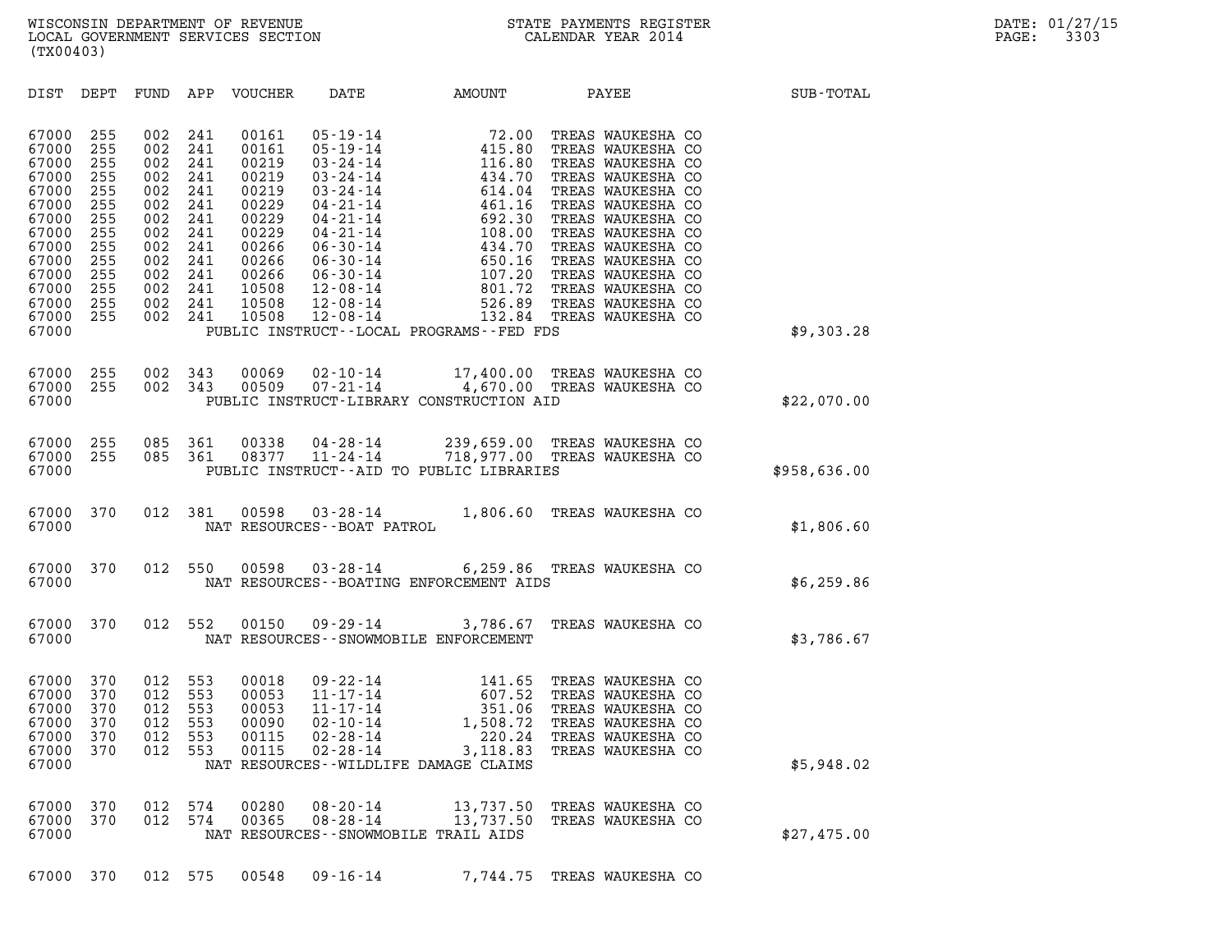| (TX00403)                                                                                                                                                                                                                             |                                                                                                |                                                                                                |                                                                                                                            |                                                                                                                                                                                                                                                          |                                                                                                                                                                                                                           |                                                                                                                                                                                                                                                                                                           |              |  |
|---------------------------------------------------------------------------------------------------------------------------------------------------------------------------------------------------------------------------------------|------------------------------------------------------------------------------------------------|------------------------------------------------------------------------------------------------|----------------------------------------------------------------------------------------------------------------------------|----------------------------------------------------------------------------------------------------------------------------------------------------------------------------------------------------------------------------------------------------------|---------------------------------------------------------------------------------------------------------------------------------------------------------------------------------------------------------------------------|-----------------------------------------------------------------------------------------------------------------------------------------------------------------------------------------------------------------------------------------------------------------------------------------------------------|--------------|--|
| DIST<br>DEPT                                                                                                                                                                                                                          | FUND                                                                                           | APP                                                                                            | VOUCHER                                                                                                                    | DATE                                                                                                                                                                                                                                                     | AMOUNT                                                                                                                                                                                                                    | PAYEE                                                                                                                                                                                                                                                                                                     | SUB-TOTAL    |  |
| 67000<br>255<br>67000<br>255<br>67000<br>255<br>67000<br>255<br>67000<br>255<br>67000<br>255<br>67000<br>255<br>255<br>67000<br>67000<br>255<br>67000<br>255<br>67000<br>255<br>255<br>67000<br>67000<br>255<br>255<br>67000<br>67000 | 002<br>002<br>002<br>002<br>002<br>002<br>002<br>002<br>002<br>002<br>002<br>002<br>002<br>002 | 241<br>241<br>241<br>241<br>241<br>241<br>241<br>241<br>241<br>241<br>241<br>241<br>241<br>241 | 00161<br>00161<br>00219<br>00219<br>00219<br>00229<br>00229<br>00229<br>00266<br>00266<br>00266<br>10508<br>10508<br>10508 | $05 - 19 - 14$<br>$05 - 19 - 14$<br>$03 - 24 - 14$<br>$03 - 24 - 14$<br>$03 - 24 - 14$<br>$04 - 21 - 14$<br>$04 - 21 - 14$<br>$04 - 21 - 14$<br>$06 - 30 - 14$<br>$06 - 30 - 14$<br>$06 - 30 - 14$<br>$12 - 08 - 14$<br>$12 - 08 - 14$<br>$12 - 08 - 14$ | $72.00$<br>$415.80$<br>$116.80$<br>$434.70$<br>$614.04$<br>$461.16$<br>$692.30$<br>$108.00$<br>$434.70$<br>$650.16$<br>$107.20$<br>$801.72$<br>$526.89$<br>$132.84$<br>526.89<br>PUBLIC INSTRUCT--LOCAL PROGRAMS--FED FDS | TREAS WAUKESHA CO<br>TREAS WAUKESHA CO<br>TREAS WAUKESHA CO<br>TREAS WAUKESHA CO<br>TREAS WAUKESHA CO<br>TREAS WAUKESHA CO<br>TREAS WAUKESHA CO<br>TREAS WAUKESHA CO<br>TREAS WAUKESHA CO<br>TREAS WAUKESHA CO<br>TREAS WAUKESHA CO<br>TREAS WAUKESHA CO<br>TREAS WAUKESHA CO<br>132.84 TREAS WAUKESHA CO | \$9,303.28   |  |
| 67000<br>255<br>67000<br>255<br>67000                                                                                                                                                                                                 | 002<br>002                                                                                     | 343<br>343                                                                                     | 00069<br>00509                                                                                                             |                                                                                                                                                                                                                                                          | 02-10-14 17,400.00 TREAS WAUKESHA CO<br>07-21-14 4,670.00 TREAS WAUKESHA CO<br>PUBLIC INSTRUCT-LIBRARY CONSTRUCTION AID                                                                                                   |                                                                                                                                                                                                                                                                                                           | \$22,070.00  |  |
| 67000<br>255<br>67000<br>255<br>67000                                                                                                                                                                                                 | 085<br>085                                                                                     | 361<br>361                                                                                     | 00338<br>08377                                                                                                             | $04 - 28 - 14$<br>$11 - 24 - 14$                                                                                                                                                                                                                         | 718,977.00 TREAS WAUKESHA CO<br>PUBLIC INSTRUCT--AID TO PUBLIC LIBRARIES                                                                                                                                                  | 239,659.00 TREAS WAUKESHA CO                                                                                                                                                                                                                                                                              | \$958,636.00 |  |
| 67000<br>370<br>67000                                                                                                                                                                                                                 | 012                                                                                            | 381                                                                                            | 00598                                                                                                                      | $03 - 28 - 14$<br>NAT RESOURCES - - BOAT PATROL                                                                                                                                                                                                          |                                                                                                                                                                                                                           | 1,806.60 TREAS WAUKESHA CO                                                                                                                                                                                                                                                                                | \$1,806.60   |  |
| 67000<br>370<br>67000                                                                                                                                                                                                                 | 012                                                                                            | 550                                                                                            | 00598                                                                                                                      |                                                                                                                                                                                                                                                          | 03-28-14 6,259.86 TREAS WAUKESHA CO<br>NAT RESOURCES - - BOATING ENFORCEMENT AIDS                                                                                                                                         |                                                                                                                                                                                                                                                                                                           | \$6, 259.86  |  |
| 67000<br>370<br>67000                                                                                                                                                                                                                 | 012                                                                                            | 552                                                                                            | 00150                                                                                                                      | $09 - 29 - 14$                                                                                                                                                                                                                                           | 3,786.67<br>NAT RESOURCES - - SNOWMOBILE ENFORCEMENT                                                                                                                                                                      | TREAS WAUKESHA CO                                                                                                                                                                                                                                                                                         | \$3,786.67   |  |
| 67000<br>370<br>67000<br>370<br>67000<br>370<br>67000<br>370<br>370<br>67000<br>67000<br>370<br>67000                                                                                                                                 | 012<br>012<br>012<br>012<br>012<br>012                                                         | 553<br>553<br>553<br>553<br>553<br>553                                                         | 00018<br>00053<br>00053<br>00090<br>00115<br>00115                                                                         | $09 - 22 - 14$<br>$11 - 17 - 14$<br>$11 - 17 - 14$<br>$02 - 10 - 14$<br>$02 - 28 - 14$<br>$02 - 28 - 14$                                                                                                                                                 | 141.65<br>607.52<br>351.06<br>1,508.72<br>220.24<br>3,118.83<br>NAT RESOURCES--WILDLIFE DAMAGE CLAIMS                                                                                                                     | TREAS WAUKESHA CO<br>TREAS WAUKESHA CO<br>TREAS WAUKESHA CO<br>TREAS WAUKESHA CO<br>TREAS WAUKESHA CO<br>TREAS WAUKESHA CO                                                                                                                                                                                | \$5,948.02   |  |
| 67000<br>370<br>67000<br>370<br>67000                                                                                                                                                                                                 | 012<br>012                                                                                     | 574<br>574                                                                                     | 00280<br>00365                                                                                                             | $08 - 20 - 14$<br>$08 - 28 - 14$                                                                                                                                                                                                                         | 13,737.50<br>NAT RESOURCES--SNOWMOBILE TRAIL AIDS                                                                                                                                                                         | 13,737.50 TREAS WAUKESHA CO<br>TREAS WAUKESHA CO                                                                                                                                                                                                                                                          | \$27,475.00  |  |
| 67000 370                                                                                                                                                                                                                             |                                                                                                | 012 575                                                                                        |                                                                                                                            | 00548 09-16-14                                                                                                                                                                                                                                           |                                                                                                                                                                                                                           | 7,744.75 TREAS WAUKESHA CO                                                                                                                                                                                                                                                                                |              |  |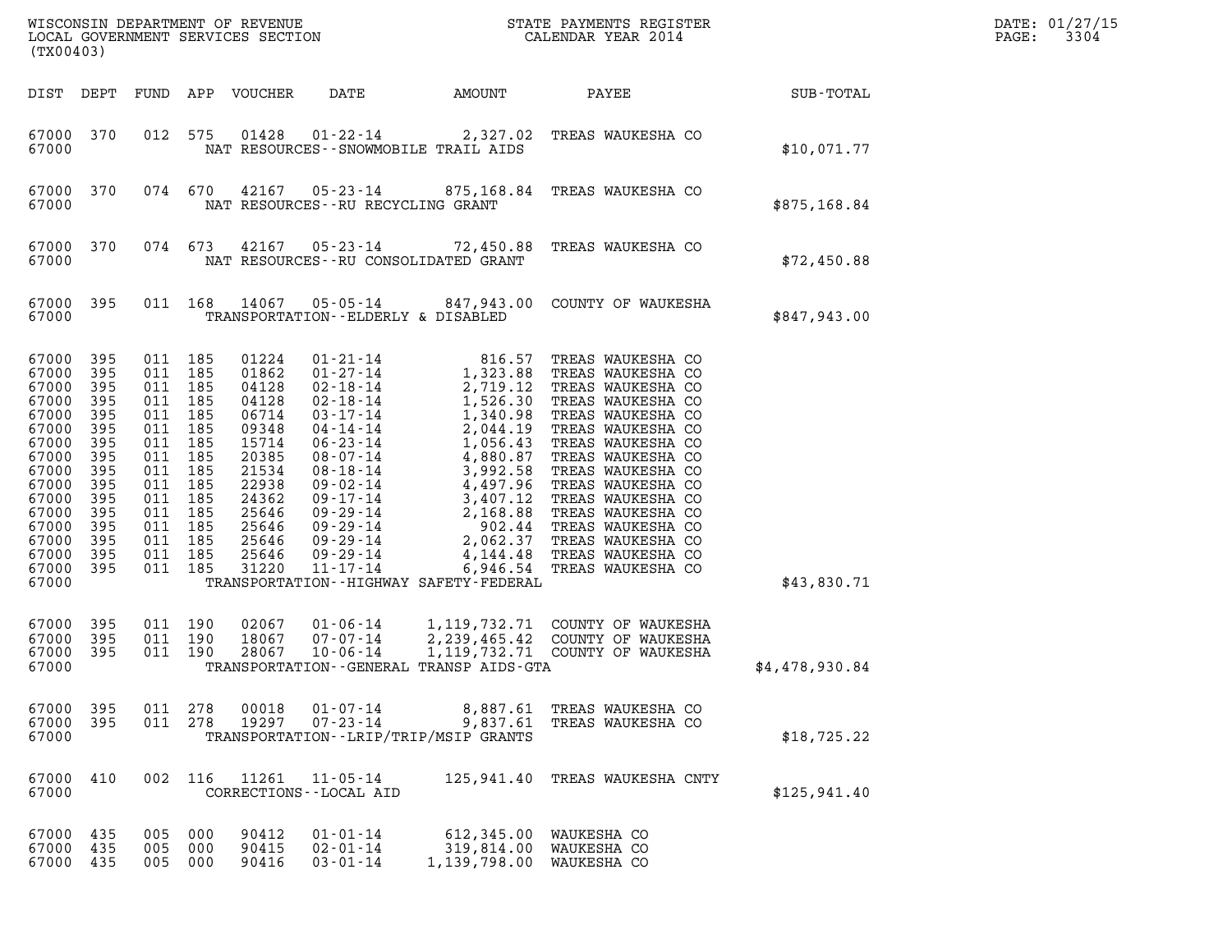| (TX00403)                                                                                                                                                 |                                                                                                           |                                                                                                                                                  |                                               |                                                                                                                                              |                                                                                                                                                                                                                                      |                                                       |                                                                                                                                                                                                                                                                                                                                                            |                | DATE: 01/27/15<br>3304<br>PAGE: |
|-----------------------------------------------------------------------------------------------------------------------------------------------------------|-----------------------------------------------------------------------------------------------------------|--------------------------------------------------------------------------------------------------------------------------------------------------|-----------------------------------------------|----------------------------------------------------------------------------------------------------------------------------------------------|--------------------------------------------------------------------------------------------------------------------------------------------------------------------------------------------------------------------------------------|-------------------------------------------------------|------------------------------------------------------------------------------------------------------------------------------------------------------------------------------------------------------------------------------------------------------------------------------------------------------------------------------------------------------------|----------------|---------------------------------|
| DIST DEPT                                                                                                                                                 |                                                                                                           | FUND                                                                                                                                             |                                               | APP VOUCHER                                                                                                                                  | DATE                                                                                                                                                                                                                                 | AMOUNT                                                | PAYEE                                                                                                                                                                                                                                                                                                                                                      | SUB-TOTAL      |                                 |
| 67000 370<br>67000                                                                                                                                        |                                                                                                           |                                                                                                                                                  | 012 575                                       | 01428                                                                                                                                        | 01-22-14                                                                                                                                                                                                                             | NAT RESOURCES - - SNOWMOBILE TRAIL AIDS               | 2,327.02 TREAS WAUKESHA CO                                                                                                                                                                                                                                                                                                                                 | \$10,071.77    |                                 |
| 67000 370<br>67000                                                                                                                                        |                                                                                                           |                                                                                                                                                  | 074 670                                       |                                                                                                                                              | $42167$ 05-23-14<br>NAT RESOURCES - - RU RECYCLING GRANT                                                                                                                                                                             |                                                       | 875,168.84 TREAS WAUKESHA CO                                                                                                                                                                                                                                                                                                                               | \$875,168.84   |                                 |
| 67000 370<br>67000                                                                                                                                        |                                                                                                           | 074 673                                                                                                                                          |                                               |                                                                                                                                              |                                                                                                                                                                                                                                      | NAT RESOURCES - - RU CONSOLIDATED GRANT               | 42167  05-23-14  72,450.88  TREAS WAUKESHA CO                                                                                                                                                                                                                                                                                                              | \$72,450.88    |                                 |
| 67000 395<br>67000                                                                                                                                        |                                                                                                           | 011 168                                                                                                                                          |                                               |                                                                                                                                              | 14067 05-05-14<br>TRANSPORTATION--ELDERLY & DISABLED                                                                                                                                                                                 |                                                       | 847,943.00 COUNTY OF WAUKESHA                                                                                                                                                                                                                                                                                                                              | \$847,943.00   |                                 |
| 67000<br>67000<br>67000<br>67000<br>67000<br>67000<br>67000<br>67000<br>67000<br>67000<br>67000<br>67000<br>67000<br>67000<br>67000<br>67000 395<br>67000 | 395<br>395<br>395<br>395<br>395<br>395<br>395<br>395<br>395<br>395<br>395<br>- 395<br>395<br>- 395<br>395 | 011 185<br>011<br>011<br>011<br>011 185<br>011<br>011 185<br>011 185<br>011 185<br>011<br>011 185<br>011<br>011 185<br>011<br>011 185<br>011 185 | 185<br>185<br>185<br>185<br>185<br>185<br>185 | 01224<br>01862<br>04128<br>04128<br>06714<br>09348<br>15714<br>20385<br>21534<br>22938<br>24362<br>25646<br>25646<br>25646<br>25646<br>31220 | 01-21-14<br>$01 - 27 - 14$<br>$02 - 18 - 14$<br>$02 - 18 - 14$<br>$03 - 17 - 14$<br>04-14-14<br>$06 - 23 - 14$<br>08-07-14<br>08-18-14<br>09-02-14<br>09-17-14<br>09-29-14<br>09 - 29 - 14<br>09-29-14<br>09-29-14<br>$11 - 17 - 14$ | 816.57<br>TRANSPORTATION - - HIGHWAY SAFETY - FEDERAL | TREAS WAUKESHA CO<br>1,323.88 TREAS WAUKESHA CO<br>1,323.88 TREAS WAUKESHA CO<br>1,526.30 TREAS WAUKESHA CO<br>1,340.98 TREAS WAUKESHA CO<br>1,340.98 TREAS WAUKESHA CO<br>2,044.19 TREAS WAUKESHA CO<br>1,056.43 TREAS WAUKESHA CO<br>4,880.87 TREAS WAUKESHA CO<br>3,992.58 TREAS WAUKESHA C<br>4,144.48 TREAS WAUKESHA CO<br>6,946.54 TREAS WAUKESHA CO | \$43,830.71    |                                 |
| 67000<br>67000<br>67000<br>67000                                                                                                                          | 395<br>395<br>395                                                                                         | 011 190<br>011 190<br>011 190                                                                                                                    |                                               | 02067<br>18067<br>28067                                                                                                                      | $01 - 06 - 14$<br>$07 - 07 - 14$<br>$10 - 06 - 14$                                                                                                                                                                                   | TRANSPORTATION--GENERAL TRANSP AIDS-GTA               | 1,119,732.71 COUNTY OF WAUKESHA<br>2,239,465.42 COUNTY OF WAUKESHA<br>1, 119, 732.71 COUNTY OF WAUKESHA                                                                                                                                                                                                                                                    | \$4,478,930.84 |                                 |
| 67000<br>67000 395<br>67000                                                                                                                               | 395                                                                                                       | 011 278<br>011 278                                                                                                                               |                                               | 00018<br>19297                                                                                                                               | $01 - 07 - 14$<br>$07 - 23 - 14$                                                                                                                                                                                                     | 9,837.61<br>TRANSPORTATION - - LRIP/TRIP/MSIP GRANTS  | 8,887.61 TREAS WAUKESHA CO<br>TREAS WAUKESHA CO                                                                                                                                                                                                                                                                                                            | \$18,725.22    |                                 |
| 67000<br>67000                                                                                                                                            | 410                                                                                                       |                                                                                                                                                  | 002 116                                       | 11261                                                                                                                                        | $11 - 05 - 14$<br>CORRECTIONS - - LOCAL AID                                                                                                                                                                                          | 125,941.40                                            | TREAS WAUKESHA CNTY                                                                                                                                                                                                                                                                                                                                        | \$125,941.40   |                                 |
| 67000 435<br>67000<br>67000 435                                                                                                                           | 435                                                                                                       | 005<br>005<br>005 000                                                                                                                            | 000<br>000                                    | 90412<br>90415<br>90416                                                                                                                      | $01 - 01 - 14$<br>$02 - 01 - 14$<br>$03 - 01 - 14$                                                                                                                                                                                   | 1,139,798.00 WAUKESHA CO                              | 612,345.00 WAUKESHA CO<br>319,814.00 WAUKESHA CO                                                                                                                                                                                                                                                                                                           |                |                                 |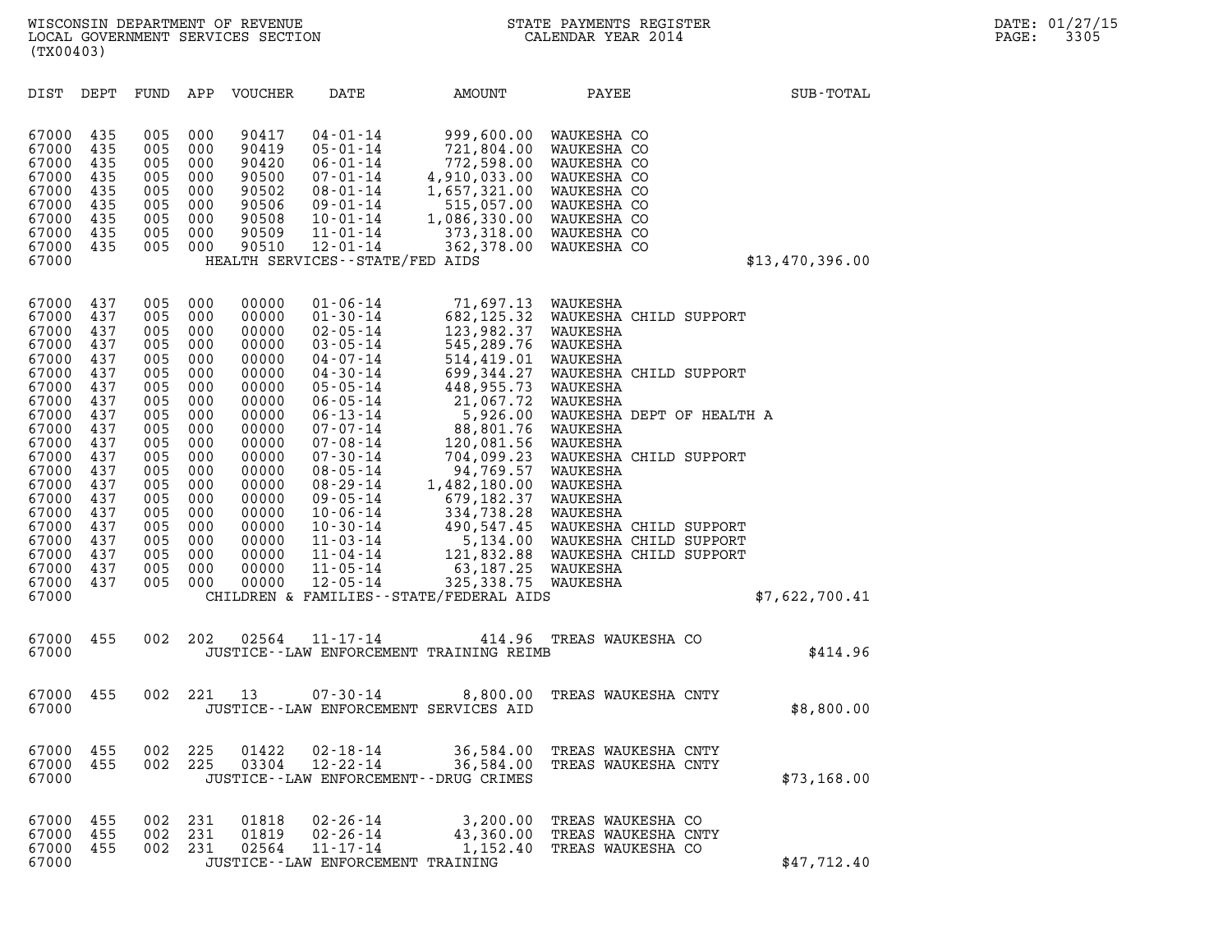| (TX00403)                                                                                                                                                                                          |                                                                                                                                                 |                                                                                                                                                 |                                                                                                                                                 |                                                                                                                                                                                           |                                                                                                                                                                                                                                                                                                                                                                            |                                                                                                                                                                                                                                                                                                                       |                                                                                                                                                                                                                                                                                                                                                                       |                 |
|----------------------------------------------------------------------------------------------------------------------------------------------------------------------------------------------------|-------------------------------------------------------------------------------------------------------------------------------------------------|-------------------------------------------------------------------------------------------------------------------------------------------------|-------------------------------------------------------------------------------------------------------------------------------------------------|-------------------------------------------------------------------------------------------------------------------------------------------------------------------------------------------|----------------------------------------------------------------------------------------------------------------------------------------------------------------------------------------------------------------------------------------------------------------------------------------------------------------------------------------------------------------------------|-----------------------------------------------------------------------------------------------------------------------------------------------------------------------------------------------------------------------------------------------------------------------------------------------------------------------|-----------------------------------------------------------------------------------------------------------------------------------------------------------------------------------------------------------------------------------------------------------------------------------------------------------------------------------------------------------------------|-----------------|
| DIST                                                                                                                                                                                               | DEPT                                                                                                                                            | FUND                                                                                                                                            | APP                                                                                                                                             | VOUCHER                                                                                                                                                                                   | DATE                                                                                                                                                                                                                                                                                                                                                                       | AMOUNT                                                                                                                                                                                                                                                                                                                | PAYEE                                                                                                                                                                                                                                                                                                                                                                 | SUB-TOTAL       |
| 67000<br>67000<br>67000<br>67000<br>67000<br>67000<br>67000<br>67000<br>67000<br>67000                                                                                                             | 435<br>435<br>435<br>435<br>435<br>435<br>435<br>435<br>435                                                                                     | 005<br>005<br>005<br>005<br>005<br>005<br>005<br>005<br>005                                                                                     | 000<br>000<br>000<br>000<br>000<br>000<br>000<br>000<br>000                                                                                     | 90417<br>90419<br>90420<br>90500<br>90502<br>90506<br>90508<br>90509<br>90510                                                                                                             | $04 - 01 - 14$<br>$05 - 01 - 14$<br>$06 - 01 - 14$<br>07-01-14<br>$08 - 01 - 14$<br>09-01-14<br>$10 - 01 - 14$<br>$11 - 01 - 14$<br>$12 - 01 - 14$<br>HEALTH SERVICES--STATE/FED AIDS                                                                                                                                                                                      | 999,600.00<br>721,804.00<br>772,598.00<br>4,910,033.00<br>1,657,321.00<br>515,057.00<br>1,086,330.00 WAUKESHA CO<br>373,318.00 WAUKESHA CO<br>362,378.00 WAUKESHA CO                                                                                                                                                  | WAUKESHA CO<br>WAUKESHA CO<br>WAUKESHA CO<br>WAUKESHA CO<br>WAUKESHA CO<br>WAUKESHA CO                                                                                                                                                                                                                                                                                | \$13,470,396.00 |
| 67000<br>67000<br>67000<br>67000<br>67000<br>67000<br>67000<br>67000<br>67000<br>67000<br>67000<br>67000<br>67000<br>67000<br>67000<br>67000<br>67000<br>67000<br>67000<br>67000<br>67000<br>67000 | 437<br>437<br>437<br>437<br>437<br>437<br>437<br>437<br>437<br>437<br>437<br>437<br>437<br>437<br>437<br>437<br>437<br>437<br>437<br>437<br>437 | 005<br>005<br>005<br>005<br>005<br>005<br>005<br>005<br>005<br>005<br>005<br>005<br>005<br>005<br>005<br>005<br>005<br>005<br>005<br>005<br>005 | 000<br>000<br>000<br>000<br>000<br>000<br>000<br>000<br>000<br>000<br>000<br>000<br>000<br>000<br>000<br>000<br>000<br>000<br>000<br>000<br>000 | 00000<br>00000<br>00000<br>00000<br>00000<br>00000<br>00000<br>00000<br>00000<br>00000<br>00000<br>00000<br>00000<br>00000<br>00000<br>00000<br>00000<br>00000<br>00000<br>00000<br>00000 | $01 - 06 - 14$<br>$01 - 30 - 14$<br>$02 - 05 - 14$<br>$03 - 05 - 14$<br>$04 - 07 - 14$<br>$04 - 30 - 14$<br>$05 - 05 - 14$<br>$06 - 05 - 14$<br>$06 - 13 - 14$<br>$07 - 07 - 14$<br>$07 - 08 - 14$<br>$07 - 30 - 14$<br>$08 - 05 - 14$<br>$08 - 29 - 14$<br>09-05-14<br>10-06-14<br>$10 - 30 - 14$<br>$11 - 03 - 14$<br>$11 - 04 - 14$<br>$11 - 05 - 14$<br>$12 - 05 - 14$ | 71,697.13<br>682,125.32<br>123,982.37<br>545,289.76<br>514,419.01<br>699,344.27<br>448,955.73<br>21,067.72<br>5,926.00<br>88,801.76<br>120,081.56<br>704,099.23<br>94,769.57<br>1,482,180.00<br>679,182.37<br>334,738.28<br>490,547.45<br>63,187.25 WAUKESHA<br>325,338.75<br>CHILDREN & FAMILIES--STATE/FEDERAL AIDS | WAUKESHA<br>WAUKESHA CHILD SUPPORT<br>WAUKESHA<br>WAUKESHA<br>WAUKESHA<br>WAUKESHA CHILD SUPPORT<br>WAUKESHA<br>WAUKESHA<br>WAUKESHA DEPT OF HEALTH A<br>WAUKESHA<br>WAUKESHA<br>WAUKESHA CHILD SUPPORT<br>WAUKESHA<br>WAUKESHA<br>WAUKESHA<br>WAUKESHA<br>WAUKESHA CHILD SUPPORT<br>5,134.00 WAUKESHA CHILD SUPPORT<br>121,832.88 WAUKESHA CHILD SUPPORT<br>WAUKESHA | \$7,622,700.41  |
| 67000<br>67000                                                                                                                                                                                     | 455                                                                                                                                             | 002                                                                                                                                             | 202                                                                                                                                             | 02564                                                                                                                                                                                     | $11 - 17 - 14$                                                                                                                                                                                                                                                                                                                                                             | 414.96<br>JUSTICE--LAW ENFORCEMENT TRAINING REIMB                                                                                                                                                                                                                                                                     | TREAS WAUKESHA CO                                                                                                                                                                                                                                                                                                                                                     | \$414.96        |
| 67000<br>67000                                                                                                                                                                                     | 455                                                                                                                                             | 002                                                                                                                                             | 221                                                                                                                                             | 13                                                                                                                                                                                        | $07 - 30 - 14$<br>JUSTICE--LAW ENFORCEMENT SERVICES AID                                                                                                                                                                                                                                                                                                                    | 8,800.00                                                                                                                                                                                                                                                                                                              | TREAS WAUKESHA CNTY                                                                                                                                                                                                                                                                                                                                                   | \$8,800.00      |
| 67000<br>67000<br>67000                                                                                                                                                                            | 455<br>455                                                                                                                                      | 002<br>002                                                                                                                                      | 225<br>225                                                                                                                                      | 01422<br>03304                                                                                                                                                                            | $02 - 18 - 14$<br>$12 - 22 - 14$<br>JUSTICE - - LAW ENFORCEMENT - - DRUG CRIMES                                                                                                                                                                                                                                                                                            | 36,584.00<br>36,584.00                                                                                                                                                                                                                                                                                                | TREAS WAUKESHA CNTY<br>TREAS WAUKESHA CNTY                                                                                                                                                                                                                                                                                                                            | \$73,168.00     |
| 67000<br>67000<br>67000<br>67000                                                                                                                                                                   | 455<br>455<br>455                                                                                                                               | 002<br>002<br>002                                                                                                                               | 231<br>231<br>231                                                                                                                               | 01818<br>01819<br>02564                                                                                                                                                                   | $02 - 26 - 14$<br>$02 - 26 - 14$<br>$11 - 17 - 14$<br>JUSTICE - - LAW ENFORCEMENT TRAINING                                                                                                                                                                                                                                                                                 | 3,200.00<br>43,360.00<br>1,152.40                                                                                                                                                                                                                                                                                     | TREAS WAUKESHA CO<br>TREAS WAUKESHA CNTY<br>TREAS WAUKESHA CO                                                                                                                                                                                                                                                                                                         | \$47,712.40     |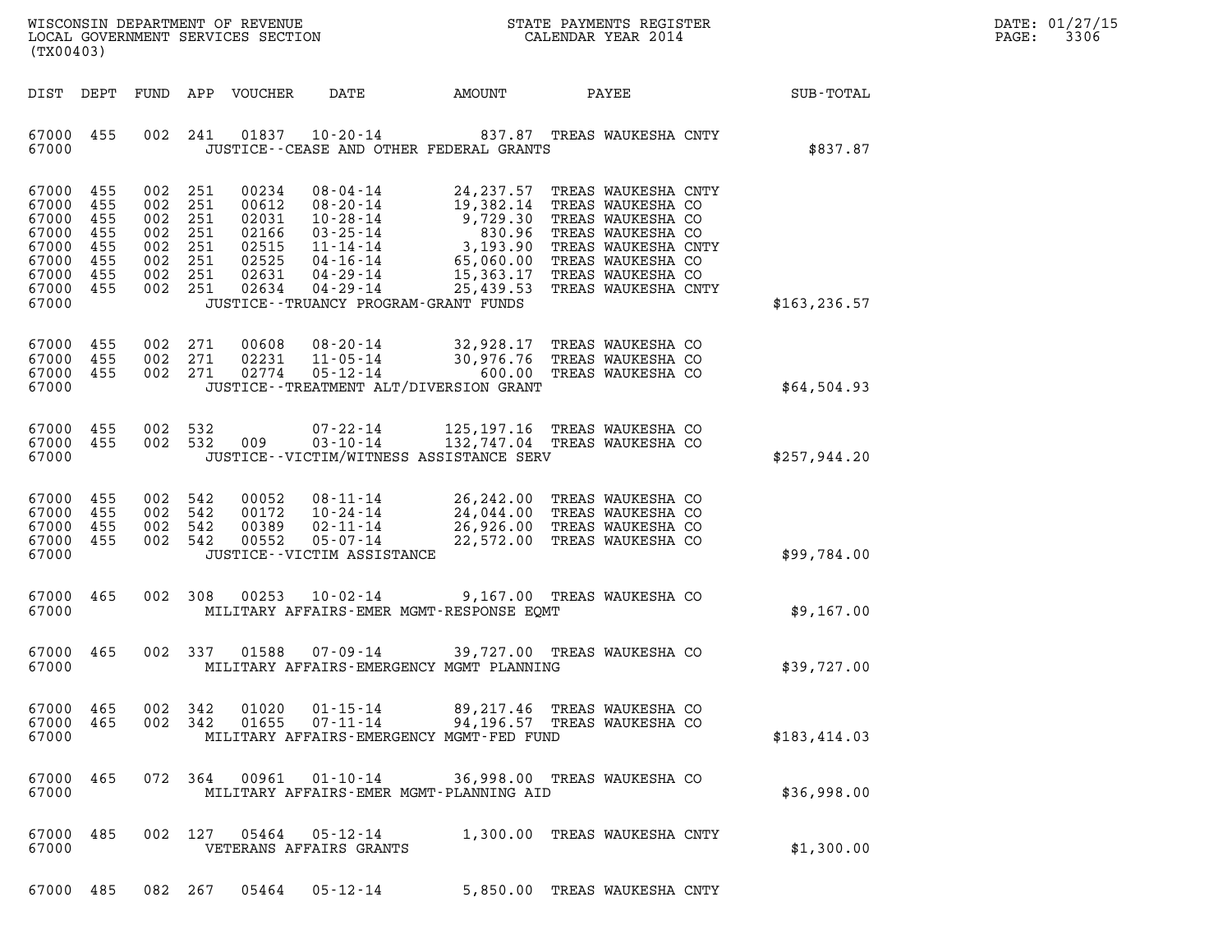| $\mathtt{DATE}$ : | 01/27/15 |
|-------------------|----------|
| PAGE:             | 3306     |

| (TX00403)                                                                         |                                               |                    |                                                                |                                                                                                                                                                                               |        |                                                              |                 | DATE: 01/27/15<br>3306<br>$\mathtt{PAGE}$ : |
|-----------------------------------------------------------------------------------|-----------------------------------------------|--------------------|----------------------------------------------------------------|-----------------------------------------------------------------------------------------------------------------------------------------------------------------------------------------------|--------|--------------------------------------------------------------|-----------------|---------------------------------------------|
| DIST DEPT                                                                         |                                               |                    | FUND APP VOUCHER                                               | DATE                                                                                                                                                                                          | AMOUNT |                                                              | PAYEE SUB-TOTAL |                                             |
| 67000 455<br>67000                                                                |                                               |                    | 002 241                                                        | 01837  10-20-14  837.87  TREAS WAUKESHA CNTY<br>JUSTICE -- CEASE AND OTHER FEDERAL GRANTS                                                                                                     |        |                                                              | \$837.87        |                                             |
| 67000<br>67000<br>67000<br>67000<br>67000<br>67000<br>67000<br>67000 455<br>67000 | 455<br>455<br>455<br>455<br>455<br>455<br>455 | 002 251<br>002 251 | 002 251<br>002 251<br>002 251<br>002 251<br>002 251<br>002 251 | JUSTICE - - TRUANCY PROGRAM - GRANT FUNDS                                                                                                                                                     |        |                                                              | \$163, 236.57   |                                             |
| 67000<br>67000 455<br>67000 455<br>67000                                          | 455                                           |                    | 002 271<br>002 271<br>002 271                                  | 00608 08-20-14 32,928.17 TREAS WAUKESHA CO<br>02231 11-05-14 30,976.76 TREAS WAUKESHA CO<br>02774 05-12-14 600.00 TREAS WAUKESHA CO<br>JUSTICE - - TREATMENT ALT/DIVERSION GRANT              |        |                                                              | \$64,504.93     |                                             |
| 67000<br>67000 455<br>67000                                                       | 455                                           |                    | 002 532<br>002 532 009                                         | $07 - 22 - 14$<br>$03 - 10 - 14$<br>JUSTICE - - VICTIM/WITNESS ASSISTANCE SERV                                                                                                                |        | 125,197.16 TREAS WAUKESHA CO<br>132,747.04 TREAS WAUKESHA CO | \$257,944.20    |                                             |
| 67000 455<br>67000<br>67000 455<br>67000 455<br>67000                             | 455                                           | 002 542<br>002 542 | 002 542<br>00052<br>00172<br>002 542<br>00389<br>00552         | 08-11-14 26,242.00 TREAS WAUKESHA CO<br>10-24-14 24,044.00 TREAS WAUKESHA CO<br>02-11-14 26,926.00 TREAS WAUKESHA CO<br>05-07-14 22,572.00 TREAS WAUKESHA CO<br>JUSTICE - - VICTIM ASSISTANCE |        |                                                              | \$99,784.00     |                                             |
| 67000<br>67000                                                                    | 465                                           |                    | 002 308                                                        | 00253  10-02-14  9,167.00  TREAS WAUKESHA CO<br>MILITARY AFFAIRS-EMER MGMT-RESPONSE EOMT                                                                                                      |        |                                                              | \$9,167.00      |                                             |
| 67000 465<br>67000                                                                |                                               |                    | 002 337                                                        | 01588  07-09-14  39,727.00  TREAS WAUKESHA CO<br>MILITARY AFFAIRS-EMERGENCY MGMT PLANNING                                                                                                     |        |                                                              | \$39,727.00     |                                             |
| 67000<br>67000<br>67000                                                           | 465<br>465                                    |                    | 002 342<br>01020<br>002 342<br>01655                           | $01 - 15 - 14$<br>$07 - 11 - 14$<br>MILITARY AFFAIRS-EMERGENCY MGMT-FED FUND                                                                                                                  |        | 89,217.46 TREAS WAUKESHA CO<br>94,196.57 TREAS WAUKESHA CO   | \$183,414.03    |                                             |
| 67000<br>67000                                                                    | 465                                           |                    | 072 364<br>00961                                               | $01 - 10 - 14$<br>MILITARY AFFAIRS-EMER MGMT-PLANNING AID                                                                                                                                     |        | 36,998.00 TREAS WAUKESHA CO                                  | \$36,998.00     |                                             |
| 67000<br>67000                                                                    | 485                                           | 002                | 127<br>05464                                                   | 05-12-14<br>VETERANS AFFAIRS GRANTS                                                                                                                                                           |        | 1,300.00 TREAS WAUKESHA CNTY                                 | \$1,300.00      |                                             |

67000 485 082 267 05464 05-12-14 5,850.00 TREAS WAUKESHA CNTY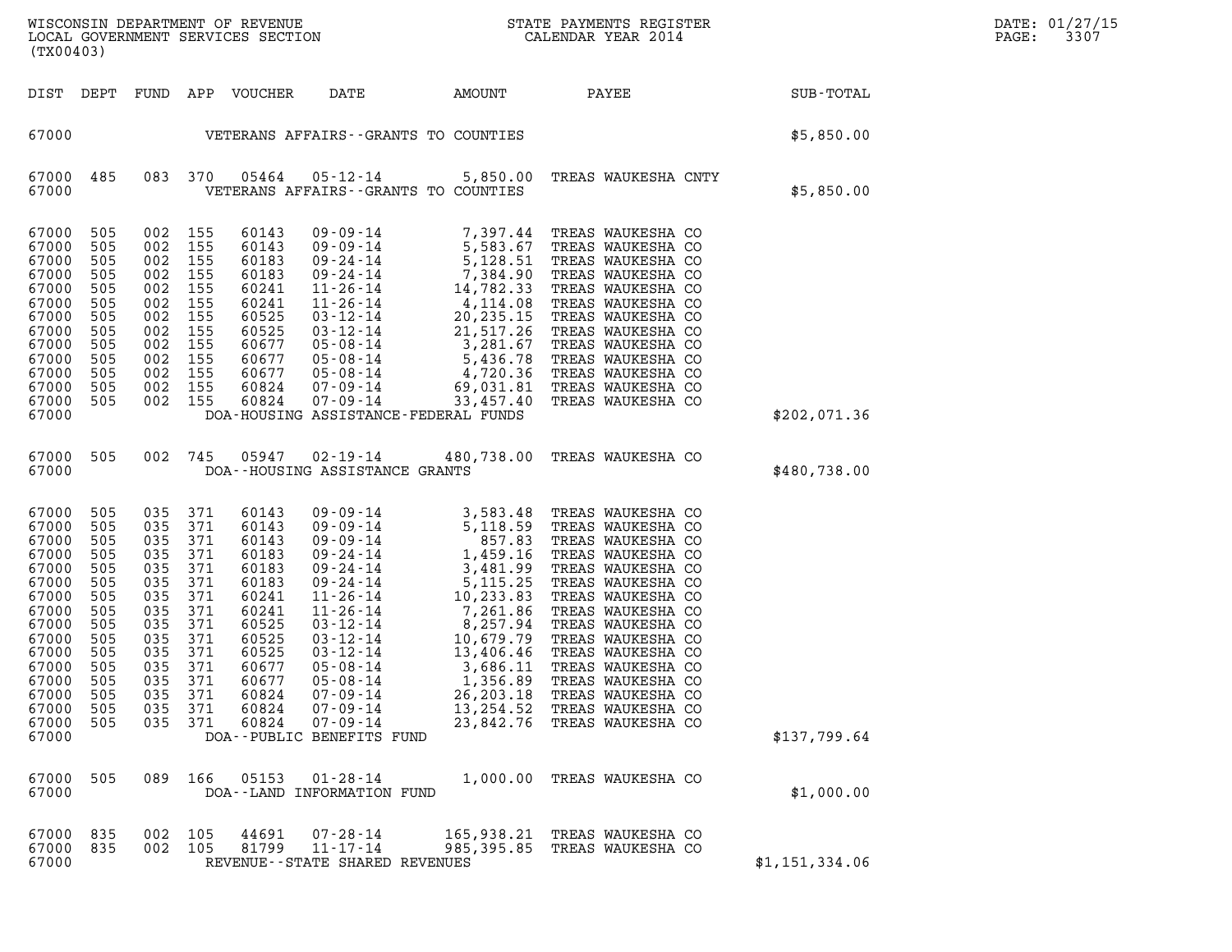| (TX00403)                                                                                                                                                      |                                                                                                                     |                                                                                                                                         |                                                                                                              |                                                                                                                                                       |                                                                                                                                       |                                                                           |                                                                                                                                                                                                                                                                                                                                                                   |                | DATE: 01/27/15<br>PAGE:<br>3307 |
|----------------------------------------------------------------------------------------------------------------------------------------------------------------|---------------------------------------------------------------------------------------------------------------------|-----------------------------------------------------------------------------------------------------------------------------------------|--------------------------------------------------------------------------------------------------------------|-------------------------------------------------------------------------------------------------------------------------------------------------------|---------------------------------------------------------------------------------------------------------------------------------------|---------------------------------------------------------------------------|-------------------------------------------------------------------------------------------------------------------------------------------------------------------------------------------------------------------------------------------------------------------------------------------------------------------------------------------------------------------|----------------|---------------------------------|
|                                                                                                                                                                |                                                                                                                     |                                                                                                                                         |                                                                                                              | DIST DEPT FUND APP VOUCHER                                                                                                                            | DATE                                                                                                                                  | AMOUNT                                                                    | PAYEE                                                                                                                                                                                                                                                                                                                                                             | SUB-TOTAL      |                                 |
| 67000                                                                                                                                                          |                                                                                                                     |                                                                                                                                         |                                                                                                              |                                                                                                                                                       |                                                                                                                                       | VETERANS AFFAIRS--GRANTS TO COUNTIES                                      |                                                                                                                                                                                                                                                                                                                                                                   | \$5,850.00     |                                 |
| 67000 485<br>67000                                                                                                                                             |                                                                                                                     | 083 370                                                                                                                                 |                                                                                                              | 05464                                                                                                                                                 |                                                                                                                                       | $05 - 12 - 14$ 5,850.00<br>VETERANS AFFAIRS -- GRANTS TO COUNTIES         | TREAS WAUKESHA CNTY                                                                                                                                                                                                                                                                                                                                               | \$5,850.00     |                                 |
| 67000<br>67000<br>67000<br>67000<br>67000<br>67000<br>67000<br>67000<br>67000<br>67000<br>67000<br>67000<br>67000<br>67000                                     | 505<br>505<br>505<br>505<br>505<br>505<br>505<br>505<br>505<br>505<br>505<br>505<br>505                             | 002 155<br>002 155<br>002 155<br>002 155<br>002 155<br>002 155<br>002<br>002 155<br>002 155<br>002 155<br>002 155<br>002 155<br>002 155 | 155                                                                                                          | 60143<br>60143<br>60183<br>60183<br>60241<br>60241<br>60525<br>60525<br>60677<br>60677<br>60677<br>60824<br>60824                                     | $07 - 09 - 14$                                                                                                                        | 33,457.40<br>DOA-HOUSING ASSISTANCE-FEDERAL FUNDS                         | 09 - 09 - 14 7, 397.44 TREAS WAUKESHA CO<br>09 - 09 - 14 5, 583.67 TREAS WAUKESHA CO<br>09 - 24 - 14 7, 384.90 TREAS WAUKESHA CO<br>09 - 24 - 14 7, 384.90 TREAS WAUKESHA CO<br>11 - 26 - 14 4, 782.33 TREAS WAUKESHA CO<br>11 - 26 - 14<br>TREAS WAUKESHA CO                                                                                                     | \$202,071.36   |                                 |
| 67000 505<br>67000                                                                                                                                             |                                                                                                                     | 002 745                                                                                                                                 |                                                                                                              | 05947                                                                                                                                                 | 02-19-14<br>DOA--HOUSING ASSISTANCE GRANTS                                                                                            |                                                                           | 480,738.00 TREAS WAUKESHA CO                                                                                                                                                                                                                                                                                                                                      | \$480,738.00   |                                 |
| 67000<br>67000<br>67000<br>67000<br>67000<br>67000<br>67000<br>67000<br>67000<br>67000<br>67000<br>67000<br>67000<br>67000<br>67000<br>67000<br>67000<br>67000 | 505<br>505<br>505<br>505<br>505<br>505<br>505<br>505<br>505<br>505<br>505<br>505<br>505<br>505<br>505<br>505<br>505 | 035<br>035<br>035<br>035<br>035<br>035<br>035<br>035<br>035<br>035<br>035<br>035 371<br>035<br>035<br>035<br>035<br>089                 | 371<br>371<br>371<br>371<br>371<br>371<br>371<br>371<br>371<br>371<br>371<br>371<br>371<br>371<br>371<br>166 | 60143<br>60143<br>60143<br>60183<br>60183<br>60183<br>60241<br>60241<br>60525<br>60525<br>60525<br>60677<br>60677<br>60824<br>60824<br>60824<br>05153 | $05 - 08 - 14$<br>$05 - 08 - 14$<br>$07 - 09 - 14$<br>$07 - 09 - 14$<br>$07 - 09 - 14$<br>DOA--PUBLIC BENEFITS FUND<br>$01 - 28 - 14$ | 3,686.11<br>1,356.89<br>26, 203. 18<br>13,254.52<br>23,842.76<br>1,000.00 | TREAS WAUKESHA CO<br>TREAS WAUKESHA CO<br>TREAS WAUKESHA CO<br>TREAS WAUKESHA CO<br>TREAS WAUKESHA CO<br>TREAS WAUKESHA CO<br>TREAS WAUKESHA CO<br>TREAS WAUKESHA CO<br>TREAS WAUKESHA CO<br>TREAS WAUKESHA CO<br>TREAS WAUKESHA CO<br>TREAS WAUKESHA CO<br>TREAS WAUKESHA CO<br>TREAS WAUKESHA CO<br>TREAS WAUKESHA CO<br>TREAS WAUKESHA CO<br>TREAS WAUKESHA CO | \$137,799.64   |                                 |
| 67000                                                                                                                                                          |                                                                                                                     |                                                                                                                                         |                                                                                                              |                                                                                                                                                       | DOA--LAND INFORMATION FUND                                                                                                            |                                                                           |                                                                                                                                                                                                                                                                                                                                                                   | \$1,000.00     |                                 |
| 67000<br>67000<br>67000                                                                                                                                        | 835<br>835                                                                                                          | 002 105<br>002 105                                                                                                                      |                                                                                                              | 44691<br>81799                                                                                                                                        | $07 - 28 - 14$<br>$11 - 17 - 14$<br>REVENUE - - STATE SHARED REVENUES                                                                 | 165,938.21<br>985,395.85                                                  | TREAS WAUKESHA CO<br>TREAS WAUKESHA CO                                                                                                                                                                                                                                                                                                                            | \$1,151,334.06 |                                 |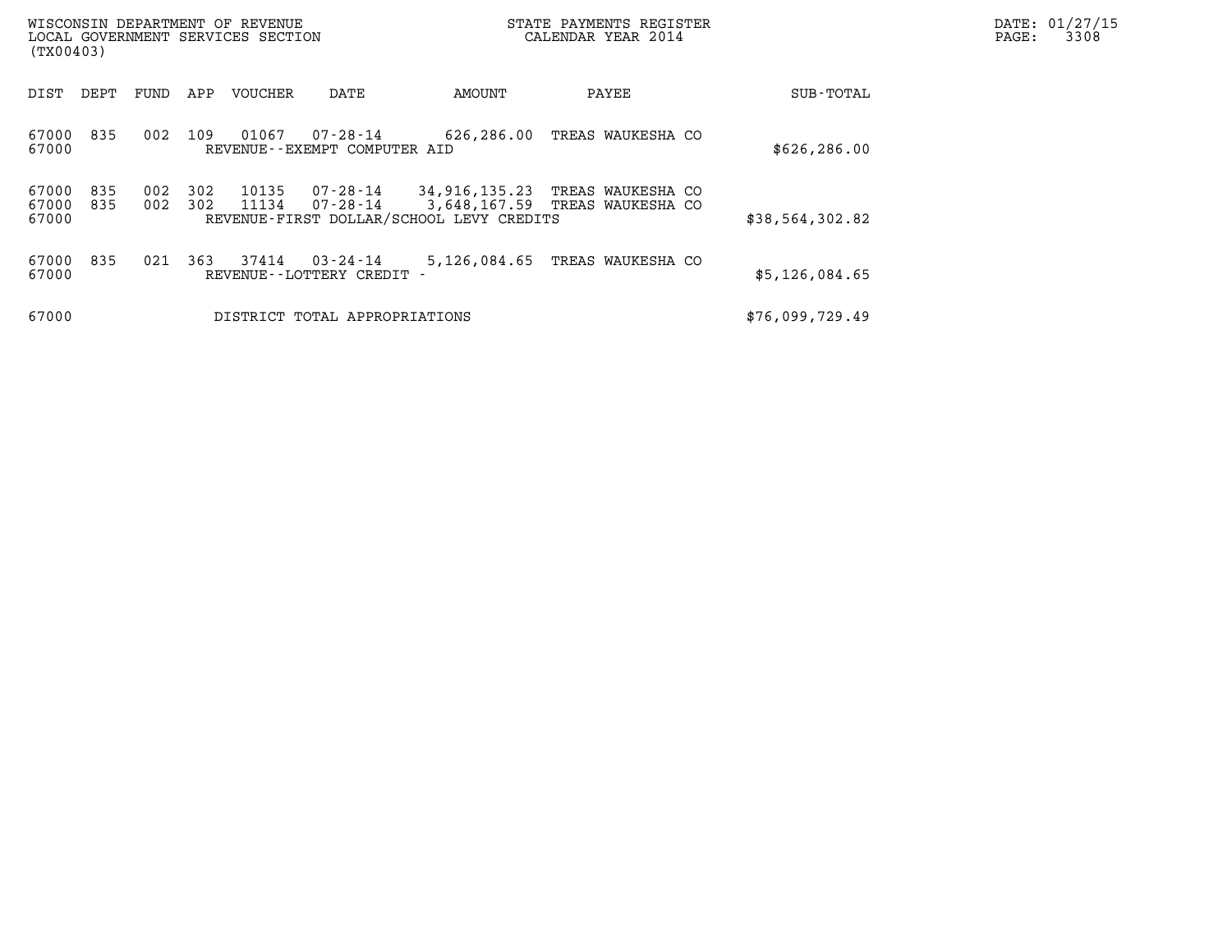| (TX00403)               |            |            |            | WISCONSIN DEPARTMENT OF REVENUE<br>LOCAL GOVERNMENT SERVICES SECTION |                                          |                                                           | STATE PAYMENTS REGISTER<br>CALENDAR YEAR 2014       |                 | DATE: 01/27/15<br>3308<br>PAGE: |
|-------------------------|------------|------------|------------|----------------------------------------------------------------------|------------------------------------------|-----------------------------------------------------------|-----------------------------------------------------|-----------------|---------------------------------|
| DIST                    | DEPT       | FUND       | APP        | VOUCHER                                                              | DATE                                     | AMOUNT                                                    | PAYEE                                               | SUB-TOTAL       |                                 |
| 67000<br>67000          | 835        | 002        | 109        | 01067                                                                | 07-28-14<br>REVENUE--EXEMPT COMPUTER AID | 626,286.00                                                | TREAS WAUKESHA CO                                   | \$626, 286.00   |                                 |
| 67000<br>67000<br>67000 | 835<br>835 | 002<br>002 | 302<br>302 | 10135<br>11134                                                       | 07-28-14<br>07-28-14                     | 34,916,135.23<br>REVENUE-FIRST DOLLAR/SCHOOL LEVY CREDITS | TREAS WAUKESHA CO<br>3,648,167.59 TREAS WAUKESHA CO | \$38,564,302.82 |                                 |
| 67000<br>67000          | 835        | 021        | 363        | 37414                                                                | 03-24-14<br>REVENUE - - LOTTERY CREDIT   | 5,126,084.65                                              | TREAS WAUKESHA CO                                   | \$5,126,084.65  |                                 |
| 67000                   |            |            |            |                                                                      | DISTRICT TOTAL APPROPRIATIONS            |                                                           |                                                     | \$76,099,729.49 |                                 |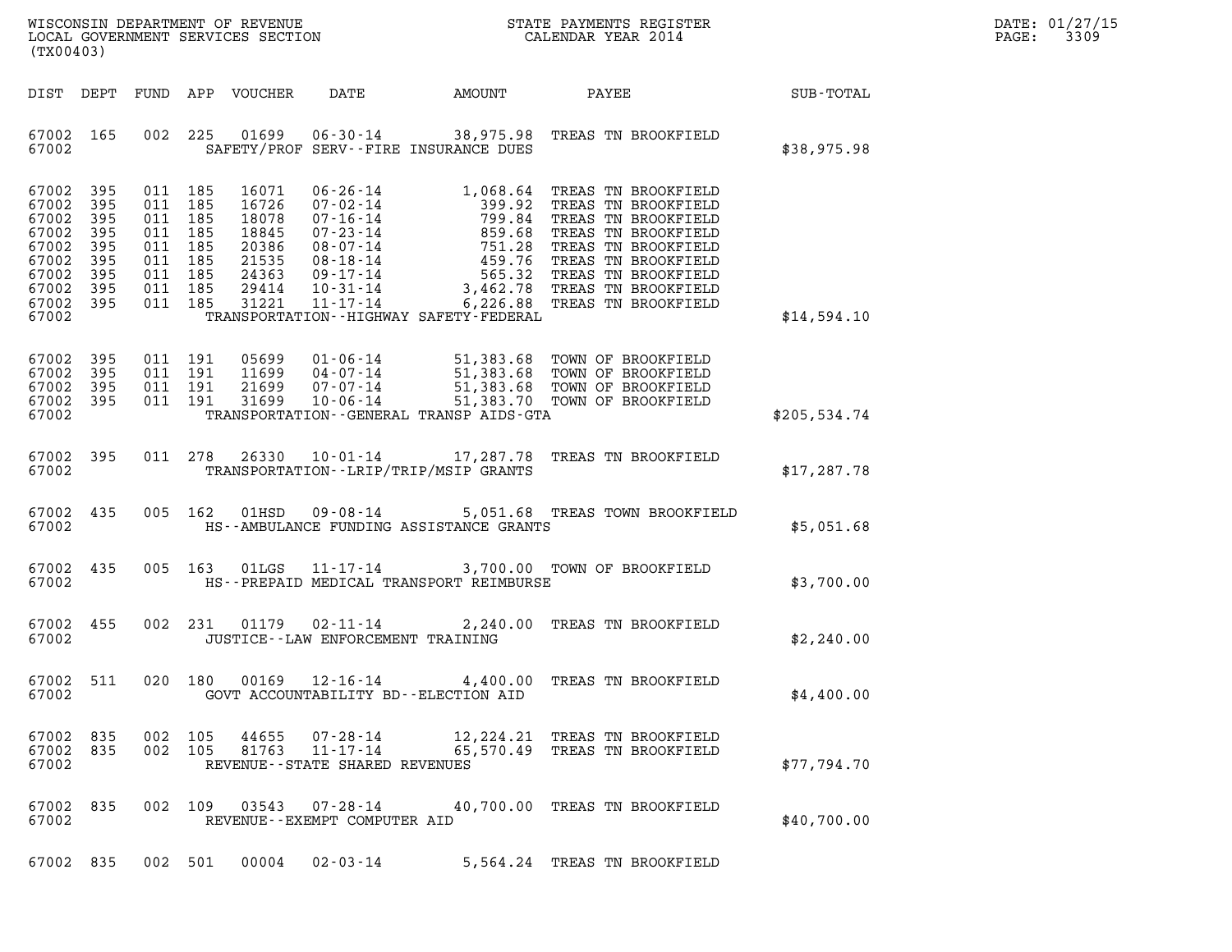| DATE: | 01/27/15 |
|-------|----------|
| PAGE: | 3309     |

| (TX00403)                                                                                  |                                                      |                                                                                                 |                                                                               |                                                                 |                                             |                                                                                                                                                                                                                                                                                                                       |              | DATE: 01/27/15<br>3309<br>PAGE: |
|--------------------------------------------------------------------------------------------|------------------------------------------------------|-------------------------------------------------------------------------------------------------|-------------------------------------------------------------------------------|-----------------------------------------------------------------|---------------------------------------------|-----------------------------------------------------------------------------------------------------------------------------------------------------------------------------------------------------------------------------------------------------------------------------------------------------------------------|--------------|---------------------------------|
| DIST DEPT                                                                                  |                                                      |                                                                                                 | FUND APP VOUCHER                                                              | DATE                                                            | AMOUNT                                      | PAYEE SUB-TOTAL                                                                                                                                                                                                                                                                                                       |              |                                 |
| 67002 165<br>67002                                                                         |                                                      | 002 225                                                                                         | 01699                                                                         |                                                                 | SAFETY/PROF SERV--FIRE INSURANCE DUES       | 06-30-14 38,975.98 TREAS TN BROOKFIELD                                                                                                                                                                                                                                                                                | \$38,975.98  |                                 |
| 67002<br>67002<br>67002<br>67002<br>67002<br>67002<br>67002<br>67002<br>67002 395<br>67002 | 395<br>395<br>395<br>395<br>395<br>395<br>395<br>395 | 011 185<br>011 185<br>011 185<br>011 185<br>011 185<br>011 185<br>011 185<br>011 185<br>011 185 | 16071<br>16726<br>18078<br>18845<br>20386<br>21535<br>24363<br>29414<br>31221 |                                                                 | TRANSPORTATION - - HIGHWAY SAFETY - FEDERAL | 06-26-14<br>07-02-14<br>07-16-14<br>07-16-14<br>07-16-14<br>08-07-14<br>08-18-14<br>08-18-14<br>08-18-14<br>09-17-14<br>09-17-14<br>09-17-14<br>08-18-14<br>09-17-14<br>08-27-28<br>09-17-14<br>08-28<br>09-17-14<br>08-28<br>09-17-14<br>08-28<br>09-17-14<br>08-28<br>09-1<br>11-17-14 6,226.88 TREAS TN BROOKFIELD | \$14,594.10  |                                 |
| 67002<br>67002<br>67002<br>67002 395<br>67002                                              | 395<br>395<br>395                                    | 011 191<br>011 191<br>011 191<br>011 191                                                        | 05699                                                                         |                                                                 | TRANSPORTATION--GENERAL TRANSP AIDS-GTA     | 05699  01-06-14  51,383.68  TOWN OF BROOKFIELD<br>11699  04-07-14  51,383.68  TOWN OF BROOKFIELD<br>21699  07-07-14  51,383.68  TOWN OF BROOKFIELD<br>31699  10-06-14  51,383.70  TOWN OF BROOKFIELD                                                                                                                  | \$205,534.74 |                                 |
| 67002<br>67002                                                                             | 395                                                  | 011 278                                                                                         | 26330                                                                         |                                                                 | TRANSPORTATION--LRIP/TRIP/MSIP GRANTS       | 10-01-14 17,287.78 TREAS TN BROOKFIELD                                                                                                                                                                                                                                                                                | \$17,287.78  |                                 |
| 67002<br>67002                                                                             | 435                                                  | 005 162                                                                                         | 01HSD                                                                         |                                                                 | HS--AMBULANCE FUNDING ASSISTANCE GRANTS     | 09-08-14 5,051.68 TREAS TOWN BROOKFIELD                                                                                                                                                                                                                                                                               | \$5,051.68   |                                 |
| 67002<br>67002                                                                             | 435                                                  | 005 163                                                                                         | 01LGS                                                                         |                                                                 | HS--PREPAID MEDICAL TRANSPORT REIMBURSE     | 11-17-14 3,700.00 TOWN OF BROOKFIELD                                                                                                                                                                                                                                                                                  | \$3,700.00   |                                 |
| 67002<br>67002                                                                             | 455                                                  |                                                                                                 | 002 231 01179                                                                 | JUSTICE -- LAW ENFORCEMENT TRAINING                             |                                             | 02-11-14 2,240.00 TREAS TN BROOKFIELD                                                                                                                                                                                                                                                                                 | \$2,240.00   |                                 |
| 67002 511<br>67002                                                                         |                                                      | 020 180                                                                                         |                                                                               |                                                                 | GOVT ACCOUNTABILITY BD--ELECTION AID        | 00169  12-16-14  4,400.00 TREAS TN BROOKFIELD                                                                                                                                                                                                                                                                         | \$4,400.00   |                                 |
| 67002 835<br>67002 835<br>67002                                                            |                                                      | 002 105<br>002 105                                                                              | 44655<br>81763                                                                | 07-28-14<br>$11 - 17 - 14$<br>REVENUE - - STATE SHARED REVENUES |                                             | 12, 224.21 TREAS TN BROOKFIELD<br>65,570.49 TREAS TN BROOKFIELD                                                                                                                                                                                                                                                       | \$77,794.70  |                                 |
| 67002 835<br>67002                                                                         |                                                      |                                                                                                 | 002 109 03543                                                                 | 07-28-14<br>REVENUE--EXEMPT COMPUTER AID                        |                                             | 40,700.00 TREAS TN BROOKFIELD                                                                                                                                                                                                                                                                                         | \$40,700.00  |                                 |
| 67002 835                                                                                  |                                                      | 002 501                                                                                         | 00004                                                                         | $02 - 03 - 14$                                                  |                                             | 5,564.24 TREAS TN BROOKFIELD                                                                                                                                                                                                                                                                                          |              |                                 |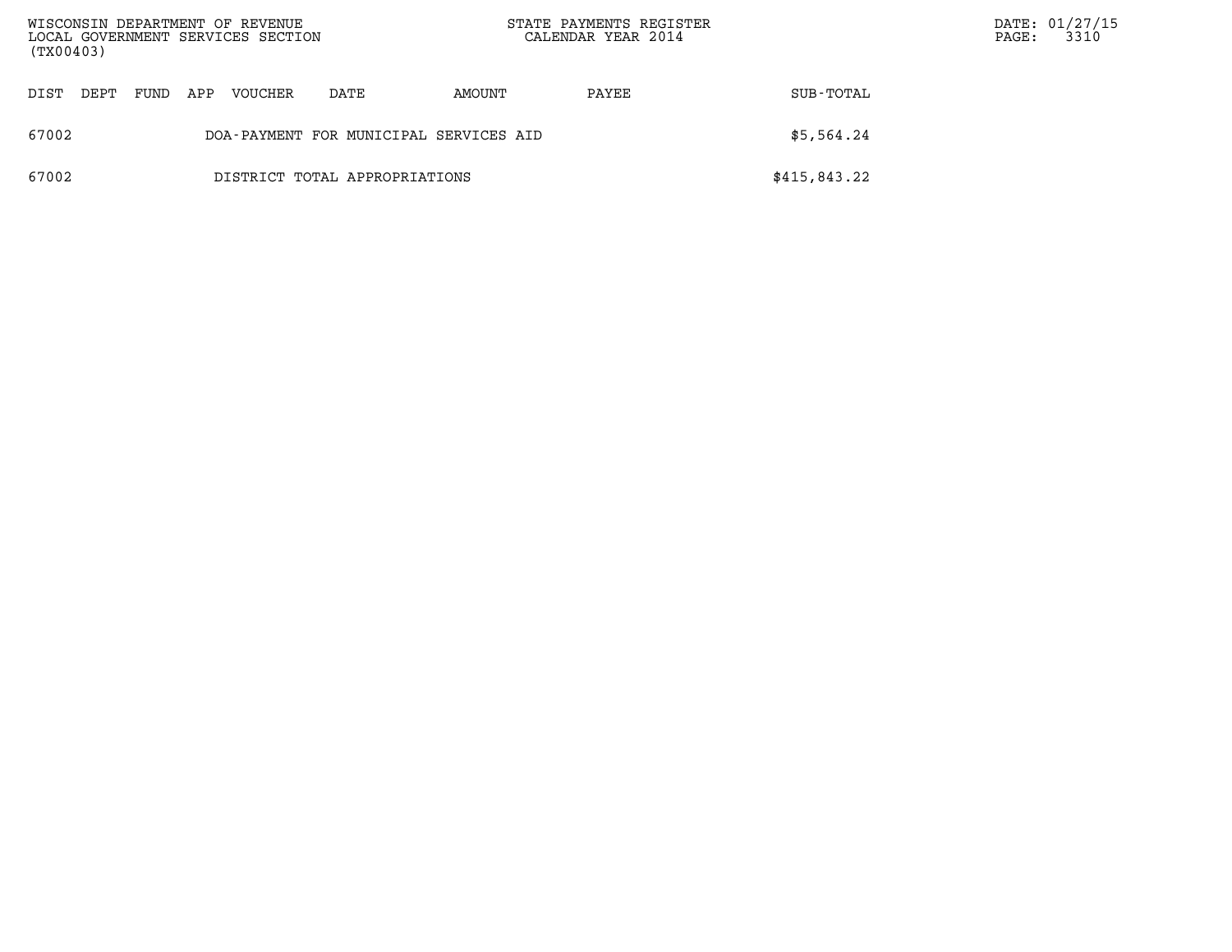| (TX00403) |      |      |     | WISCONSIN DEPARTMENT OF REVENUE<br>LOCAL GOVERNMENT SERVICES SECTION |                                        |        | STATE PAYMENTS REGISTER<br>CALENDAR YEAR 2014 |              | $\mathtt{PAGE}$ : | DATE: 01/27/15<br>3310 |
|-----------|------|------|-----|----------------------------------------------------------------------|----------------------------------------|--------|-----------------------------------------------|--------------|-------------------|------------------------|
| DIST      | DEPT | FUND | APP | <b>VOUCHER</b>                                                       | DATE                                   | AMOUNT | PAYEE                                         | SUB-TOTAL    |                   |                        |
| 67002     |      |      |     |                                                                      | DOA-PAYMENT FOR MUNICIPAL SERVICES AID |        |                                               | \$5,564.24   |                   |                        |
| 67002     |      |      |     |                                                                      | DISTRICT TOTAL APPROPRIATIONS          |        |                                               | \$415,843.22 |                   |                        |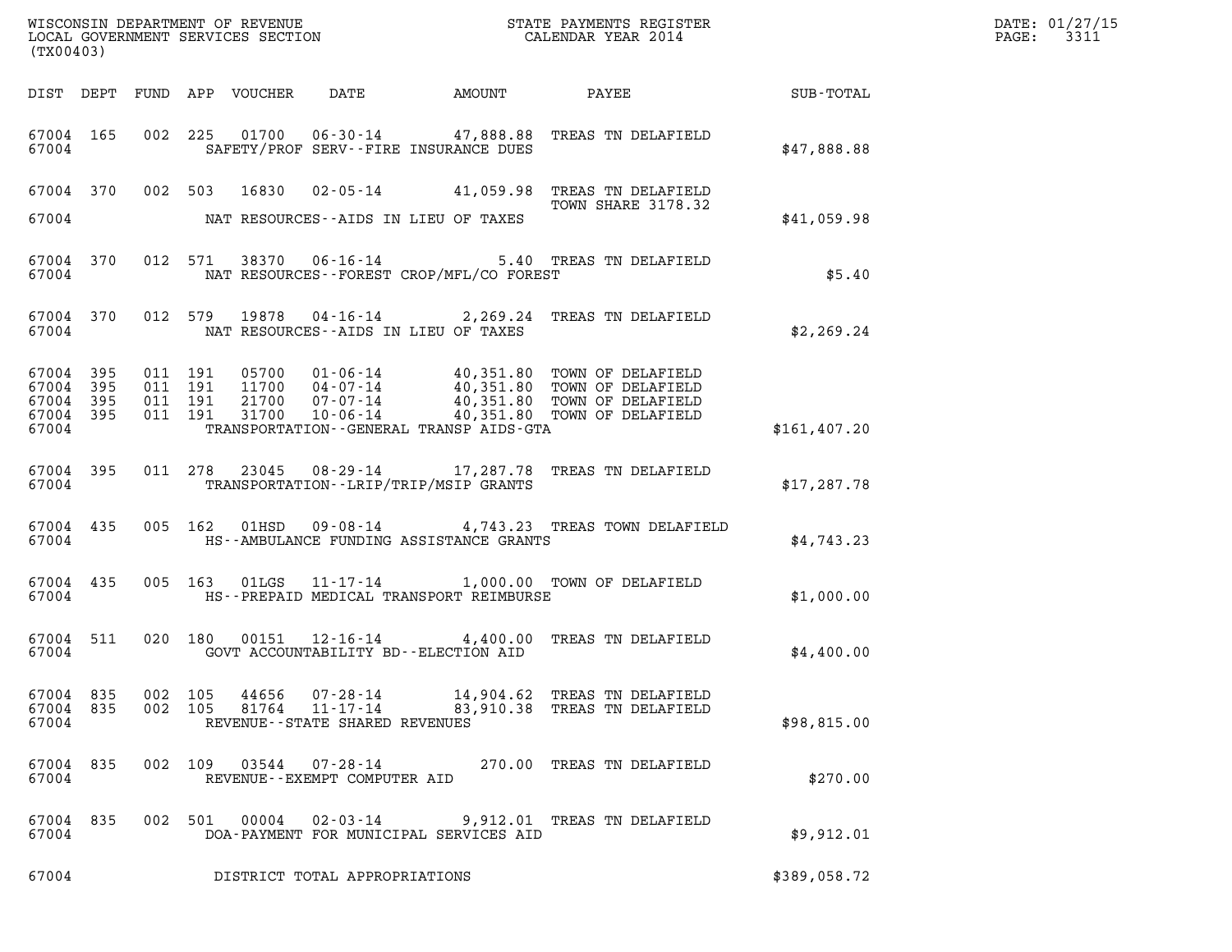| (TX00403)                                 |                          | WISCONSIN DEPARTMENT OF REVENUE<br>LOCAL GOVERNMENT SERVICES SECTION<br>STATE PAYMENTS REGISTER<br>CALENDAR YEAR 2014                                                                                                                                           |               | DATE: 01/27/15<br>PAGE: 3311 |
|-------------------------------------------|--------------------------|-----------------------------------------------------------------------------------------------------------------------------------------------------------------------------------------------------------------------------------------------------------------|---------------|------------------------------|
|                                           |                          | DIST DEPT FUND APP VOUCHER DATE<br>AMOUNT PAYEE                                                                                                                                                                                                                 | SUB-TOTAL     |                              |
| 67004                                     |                          | 67004 165 002 225 01700 06-30-14 47,888.88 TREAS TN DELAFIELD<br>SAFETY/PROF SERV--FIRE INSURANCE DUES                                                                                                                                                          | \$47,888.88   |                              |
| 67004                                     |                          | 67004 370 002 503 16830 02-05-14 41,059.98 TREAS TN DELAFIELD<br>TOWN SHARE 3178.32<br>NAT RESOURCES--AIDS IN LIEU OF TAXES                                                                                                                                     | \$41,059.98   |                              |
| 67004                                     |                          | 67004 370 012 571 38370 06-16-14 5.40 TREAS TN DELAFIELD<br>NAT RESOURCES--FOREST CROP/MFL/CO FOREST                                                                                                                                                            | \$5.40        |                              |
| 67004                                     |                          | 67004 370 012 579 19878 04-16-14 2,269.24 TREAS TN DELAFIELD<br>NAT RESOURCES--AIDS IN LIEU OF TAXES                                                                                                                                                            | \$2,269.24    |                              |
| 67004<br>67004<br>67004<br>67004<br>67004 | 395<br>395<br>395<br>395 | 011 191 05700 01-06-14 40,351.80 TOWN OF DELAFIELD<br>011 191 11700 04-07-14 40,351.80 TOWN OF DELAFIELD<br>011 191 21700 07-07-14 40,351.80 TOWN OF DELAFIELD<br>011 191 31700 10-06-14 40,351.80 TOWN OF DELAFIELD<br>TRANSPORTATION--GENERAL TRANSP AIDS-GTA | \$161, 407.20 |                              |
| 67004                                     |                          | 67004 395 011 278 23045 08-29-14 17,287.78 TREAS TN DELAFIELD<br>TRANSPORTATION - - LRIP/TRIP/MSIP GRANTS                                                                                                                                                       | \$17, 287.78  |                              |
| 67004                                     |                          | 67004 435 005 162 01HSD 09-08-14 4,743.23 TREAS TOWN DELAFIELD<br>HS--AMBULANCE FUNDING ASSISTANCE GRANTS                                                                                                                                                       | \$4,743.23    |                              |
| 67004                                     |                          | 67004 435 005 163 01LGS 11-17-14 1,000.00 TOWN OF DELAFIELD<br>HS--PREPAID MEDICAL TRANSPORT REIMBURSE                                                                                                                                                          | \$1,000.00    |                              |
| 67004                                     |                          | 67004 511 020 180 00151 12-16-14 4,400.00 TREAS TN DELAFIELD<br>GOVT ACCOUNTABILITY BD--ELECTION AID                                                                                                                                                            | \$4,400.00    |                              |
| 67004 835<br>67004 835<br>67004           |                          | 002 105 44656 07-28-14<br>14,904.62 TREAS TN DELAFIELD<br>$11 - 17 - 14$ 83,910.38 TREAS TN DELAFIELD<br>002 105 81764<br>REVENUE--STATE SHARED REVENUES                                                                                                        | \$98,815.00   |                              |
| 67004 835<br>67004                        |                          | 002 109 03544 07-28-14 270.00 TREAS TN DELAFIELD<br>REVENUE--EXEMPT COMPUTER AID                                                                                                                                                                                | \$270.00      |                              |
| 67004 835<br>67004                        |                          | 002 501 00004<br>02-03-14 9,912.01 TREAS TN DELAFIELD<br>DOA-PAYMENT FOR MUNICIPAL SERVICES AID                                                                                                                                                                 | \$9,912.01    |                              |
| 67004                                     |                          | DISTRICT TOTAL APPROPRIATIONS                                                                                                                                                                                                                                   | \$389,058.72  |                              |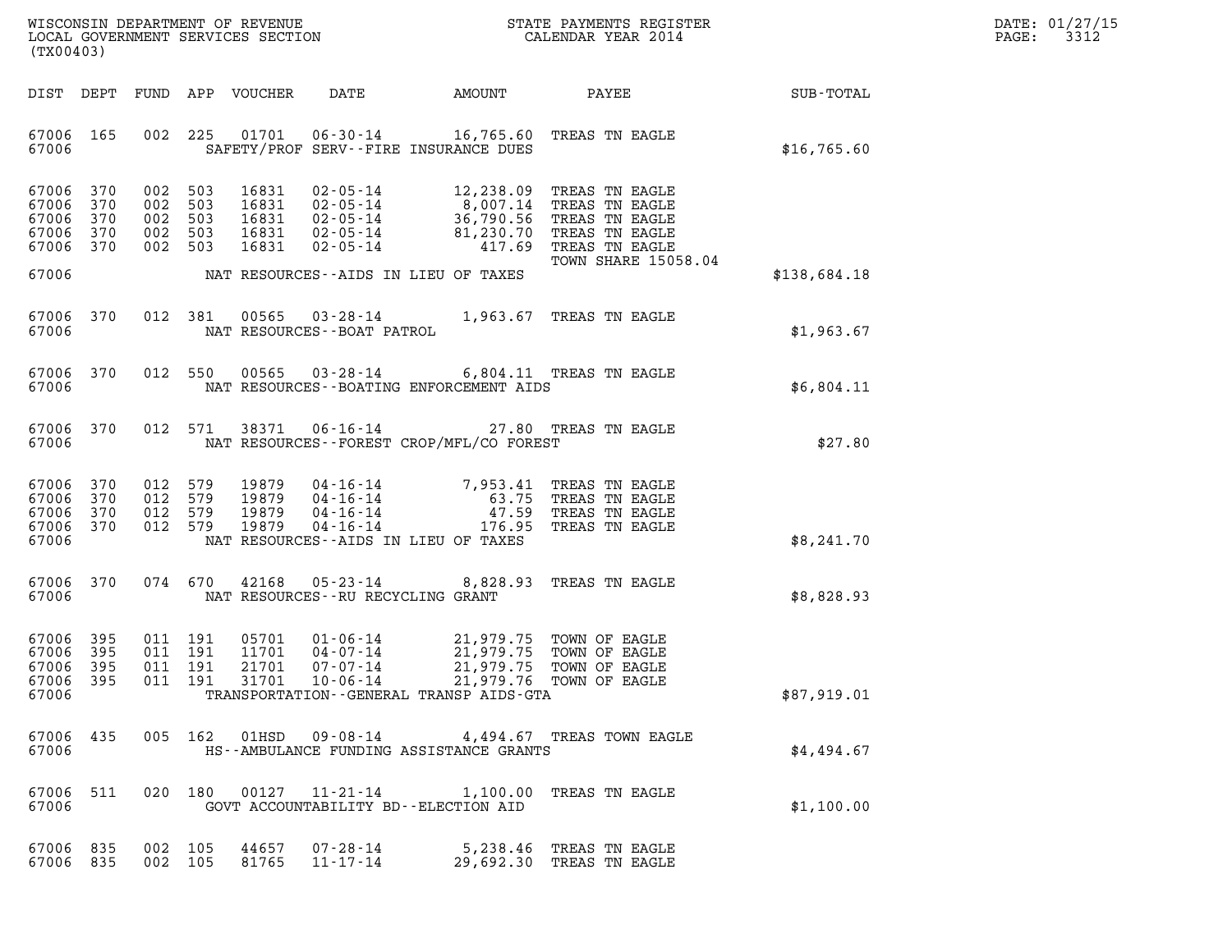| DATE: | 01/27/15 |
|-------|----------|
| PAGE: | 3312     |

| (TX00403)                                             |                   |                                          |         |                                           |                                                                                                                                                                                                                                        |                                                  |              | DATE: 01/27/15<br>3312<br>$\mathtt{PAGE:}$ |
|-------------------------------------------------------|-------------------|------------------------------------------|---------|-------------------------------------------|----------------------------------------------------------------------------------------------------------------------------------------------------------------------------------------------------------------------------------------|--------------------------------------------------|--------------|--------------------------------------------|
|                                                       |                   |                                          |         | DIST DEPT FUND APP VOUCHER                | DATE                                                                                                                                                                                                                                   | AMOUNT PAYEE SUB-TOTAL                           |              |                                            |
| 67006 165<br>67006                                    |                   |                                          |         |                                           | 002 225 01701 06-30-14 16,765.60 TREAS TN EAGLE<br>SAFETY/PROF SERV--FIRE INSURANCE DUES                                                                                                                                               |                                                  | \$16,765.60  |                                            |
| 67006 370<br>67006<br>67006<br>67006<br>67006 370     | 370<br>370<br>370 | 002 503<br>002 503<br>002 503<br>002 503 | 002 503 | 16831<br>16831<br>16831<br>16831<br>16831 | 02-05-14 12,238.09 TREAS TN EAGLE<br>02-05-14 8,007.14 TREAS TN EAGLE<br>02-05-14 36,790.56 TREAS TN EAGLE<br>02-05-14 81,230.70 TREAS TN EAGLE<br>02-05-14 417.69 TREAS TN EAGLE<br>02-05-14 417.69 TREAS TN EAGLE<br>TOWN SHARE 1505 | TOWN SHARE 15058.04                              |              |                                            |
| 67006                                                 |                   |                                          |         |                                           | NAT RESOURCES -- AIDS IN LIEU OF TAXES                                                                                                                                                                                                 |                                                  | \$138,684.18 |                                            |
| 67006                                                 | 67006 370         |                                          |         |                                           | 012 381 00565 03-28-14 1,963.67 TREAS TN EAGLE<br>NAT RESOURCES - - BOAT PATROL                                                                                                                                                        |                                                  | \$1,963.67   |                                            |
| 67006                                                 | 67006 370         |                                          |         |                                           | 012 550 00565 03-28-14 6,804.11 TREAS TN EAGLE<br>NAT RESOURCES--BOATING ENFORCEMENT AIDS                                                                                                                                              |                                                  | \$6,804.11   |                                            |
| 67006                                                 | 67006 370         |                                          |         |                                           | 012 571 38371 06-16-14 27.80 TREAS TN EAGLE<br>NAT RESOURCES--FOREST CROP/MFL/CO FOREST                                                                                                                                                |                                                  | \$27.80      |                                            |
| 67006<br>67006 370<br>67006 370<br>67006 370<br>67006 | 370               | 012 579<br>012 579<br>012 579<br>012 579 |         | 19879                                     | 19879  04-16-14  7,953.41 TREAS TN EAGLE<br>19879  04-16-14  63.75 TREAS TN EAGLE<br>19879  04-16-14  17.59 TREAS TN EAGLE<br>19879  04-16-14  176.95 TREAS TN EAGLE<br>NAT RESOURCES -- AIDS IN LIEU OF TAXES                         |                                                  | \$8,241.70   |                                            |
| 67006                                                 | 67006 370         |                                          |         |                                           | 074 670 42168 05-23-14 8,828.93 TREAS TN EAGLE<br>NAT RESOURCES--RU RECYCLING GRANT                                                                                                                                                    |                                                  | \$8,828.93   |                                            |
| 67006 395<br>67006<br>67006<br>67006 395<br>67006     | 395<br>395        | 011 191<br>011 191                       | 011 191 | 05701<br>11701<br>21701                   | 01-06-14 21,979.75 TOWN OF EAGLE<br>04-07-14 21,979.75 TOWN OF EAGLE<br>07-07-14<br>011  191  31701  10-06-14  21,979.76  TOWN OF EAGLE<br>TRANSPORTATION--GENERAL TRANSP AIDS-GTA                                                     | 21,979.75 TOWN OF EAGLE                          | \$87,919.01  |                                            |
| 67006 435<br>67006                                    |                   |                                          |         |                                           | HS--AMBULANCE FUNDING ASSISTANCE GRANTS                                                                                                                                                                                                | 005 162 01HSD 09-08-14 4,494.67 TREAS TOWN EAGLE | \$4,494.67   |                                            |
| 67006 511<br>67006                                    |                   |                                          |         |                                           | 020 180 00127 11-21-14 1,100.00 TREAS TN EAGLE<br>GOVT ACCOUNTABILITY BD--ELECTION AID                                                                                                                                                 |                                                  | \$1,100.00   |                                            |
| 67006 835<br>67006 835                                |                   | 002 105<br>002 105                       |         | 44657<br>81765                            | 07-28-14 5,238.46 TREAS TN EAGLE<br>11-17-14                                                                                                                                                                                           | 29,692.30 TREAS TN EAGLE                         |              |                                            |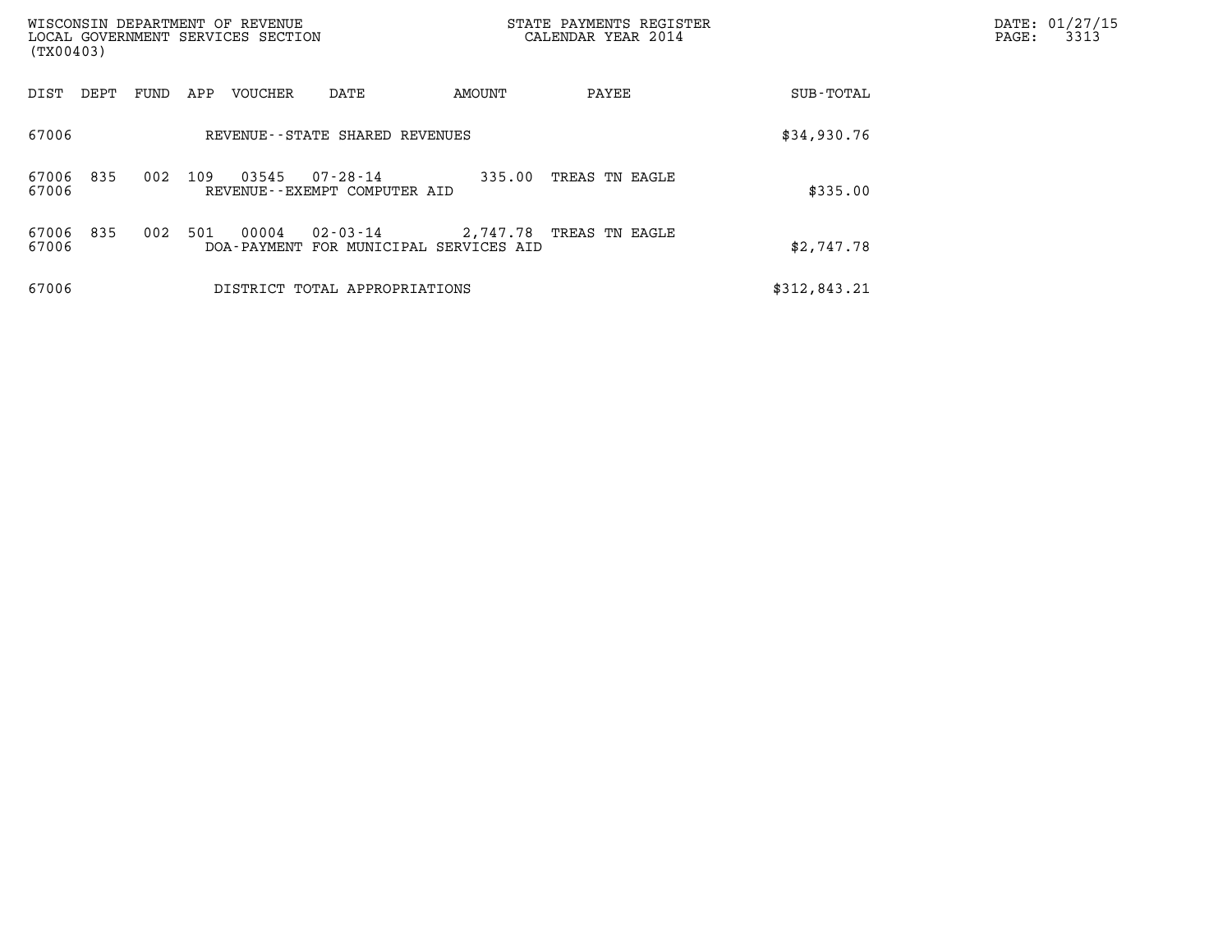| (TX00403)                    | WISCONSIN DEPARTMENT OF REVENUE<br>LOCAL GOVERNMENT SERVICES SECTION | CALENDAR YEAR 2014                                    | STATE PAYMENTS REGISTER    | DATE: 01/27/15<br>3313<br>$\mathtt{PAGE:}$ |
|------------------------------|----------------------------------------------------------------------|-------------------------------------------------------|----------------------------|--------------------------------------------|
| DIST<br>FUND<br>DEPT         | VOUCHER<br>APP<br>DATE                                               | AMOUNT                                                | PAYEE<br>SUB-TOTAL         |                                            |
| 67006                        | REVENUE--STATE SHARED REVENUES                                       |                                                       | \$34,930.76                |                                            |
| 835<br>002<br>67006<br>67006 | 109<br>03545<br>$07 - 28 - 14$<br>REVENUE--EXEMPT COMPUTER AID       | 335.00                                                | TREAS TN EAGLE<br>\$335.00 |                                            |
| 835<br>002<br>67006<br>67006 | 501<br>00004<br>02-03-14<br>DOA-PAYMENT                              | 2,747.78 TREAS TN EAGLE<br>FOR MUNICIPAL SERVICES AID | \$2,747.78                 |                                            |
| 67006                        | DISTRICT TOTAL APPROPRIATIONS                                        |                                                       | \$312,843.21               |                                            |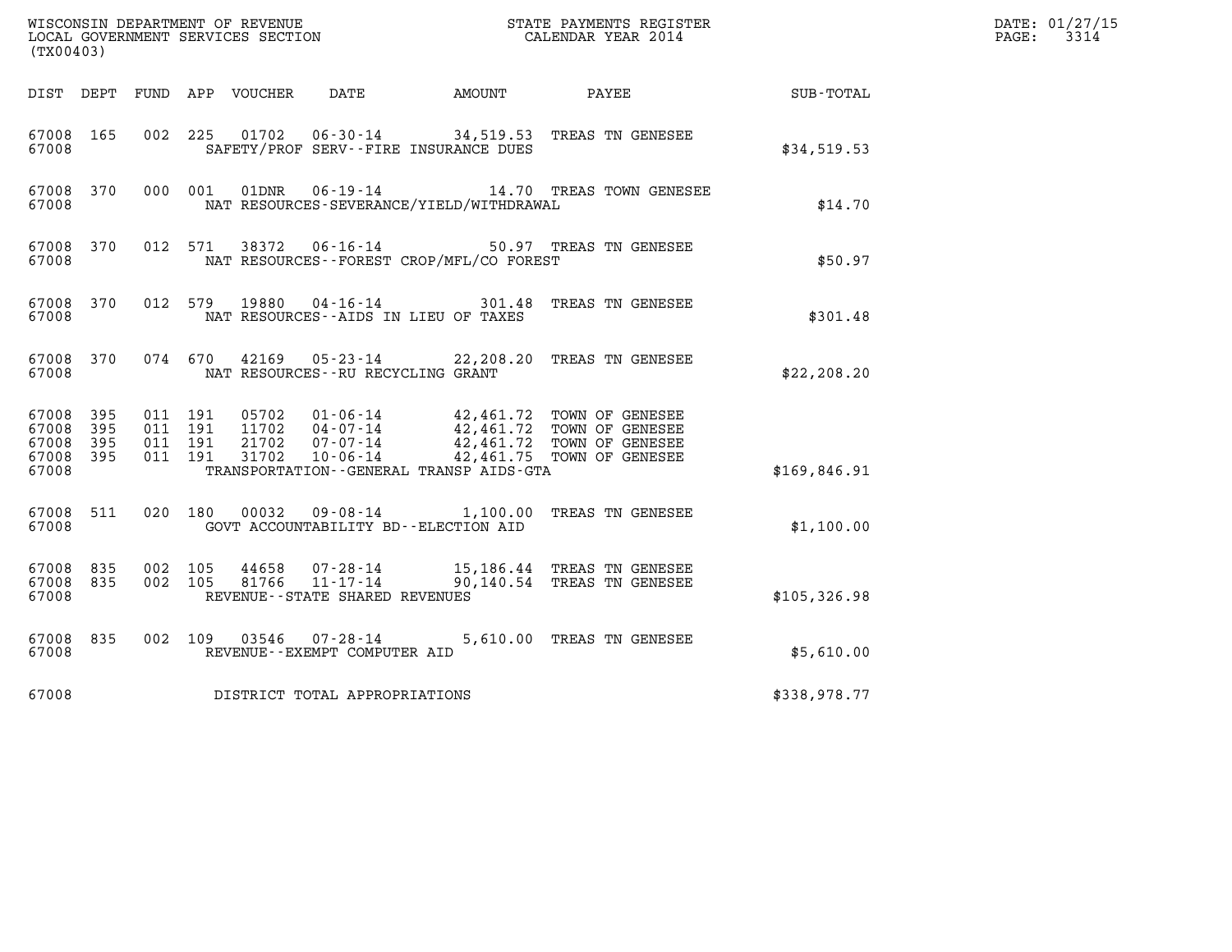| (TX00403)                                |            |                                          |         |                                 |                                                                 |                                              | $\tt WISCONSIM DEPARTMENT OF REVENUE$ $\tt WISCONSIMENT$ SERVICES SECTION $\tt CALENDAR$ YEAR 2014                        |              | DATE: 01/27/15<br>$\mathtt{PAGE}$ :<br>3314 |
|------------------------------------------|------------|------------------------------------------|---------|---------------------------------|-----------------------------------------------------------------|----------------------------------------------|---------------------------------------------------------------------------------------------------------------------------|--------------|---------------------------------------------|
|                                          |            |                                          |         | DIST DEPT FUND APP VOUCHER DATE |                                                                 | AMOUNT                                       | PAYEE                                                                                                                     | SUB-TOTAL    |                                             |
| 67008 165<br>67008                       |            |                                          |         |                                 |                                                                 | SAFETY/PROF SERV--FIRE INSURANCE DUES        | 002 225 01702 06-30-14 34,519.53 TREAS TN GENESEE                                                                         | \$34,519.53  |                                             |
| 67008 370<br>67008                       |            | 000 001                                  |         | 01DNR                           |                                                                 | NAT RESOURCES-SEVERANCE/YIELD/WITHDRAWAL     | 06-19-14 14.70 TREAS TOWN GENESEE                                                                                         | \$14.70      |                                             |
| 67008 370<br>67008                       |            | 012 571                                  |         | 38372                           | $06 - 16 - 14$                                                  | NAT RESOURCES - - FOREST CROP/MFL/CO FOREST  | 50.97 TREAS TN GENESEE                                                                                                    | \$50.97      |                                             |
| 67008 370<br>67008                       |            |                                          | 012 579 | 19880                           | NAT RESOURCES--AIDS IN LIEU OF TAXES                            |                                              |                                                                                                                           | \$301.48     |                                             |
| 67008 370<br>67008                       |            |                                          |         |                                 | NAT RESOURCES - - RU RECYCLING GRANT                            |                                              | 074 670 42169 05-23-14 22,208.20 TREAS TN GENESEE                                                                         | \$22, 208.20 |                                             |
| 67008 395<br>67008<br>67008<br>67008 395 | 395<br>395 | 011 191<br>011 191<br>011 191<br>011 191 |         | 05702<br>21702<br>31702         | 11702  04-07-14<br>$07 - 07 - 14$<br>10-06-14                   | TRANSPORTATION - - GENERAL TRANSP AIDS - GTA | 01-06-14 42,461.72 TOWN OF GENESEE<br>42,461.72 TOWN OF GENESEE<br>42,461.72 TOWN OF GENESEE<br>42,461.75 TOWN OF GENESEE |              |                                             |
| 67008                                    |            |                                          |         |                                 |                                                                 |                                              |                                                                                                                           | \$169,846.91 |                                             |
| 67008 511<br>67008                       |            | 020 180                                  |         | 00032                           | GOVT ACCOUNTABILITY BD--ELECTION AID                            |                                              | 09-08-14 1,100.00 TREAS TN GENESEE                                                                                        | \$1,100.00   |                                             |
| 67008 835<br>67008 835<br>67008          |            | 002 105<br>002 105                       |         | 44658<br>81766                  | 07-28-14<br>$11 - 17 - 14$<br>REVENUE - - STATE SHARED REVENUES |                                              | 15,186.44 TREAS TN GENESEE<br>90,140.54 TREAS TN GENESEE                                                                  | \$105,326.98 |                                             |
| 67008 835<br>67008                       |            | 002 109                                  |         |                                 | REVENUE--EXEMPT COMPUTER AID                                    |                                              | 5,610.00 TREAS TN GENESEE                                                                                                 | \$5,610.00   |                                             |
| 67008                                    |            |                                          |         |                                 | DISTRICT TOTAL APPROPRIATIONS                                   |                                              |                                                                                                                           | \$338,978.77 |                                             |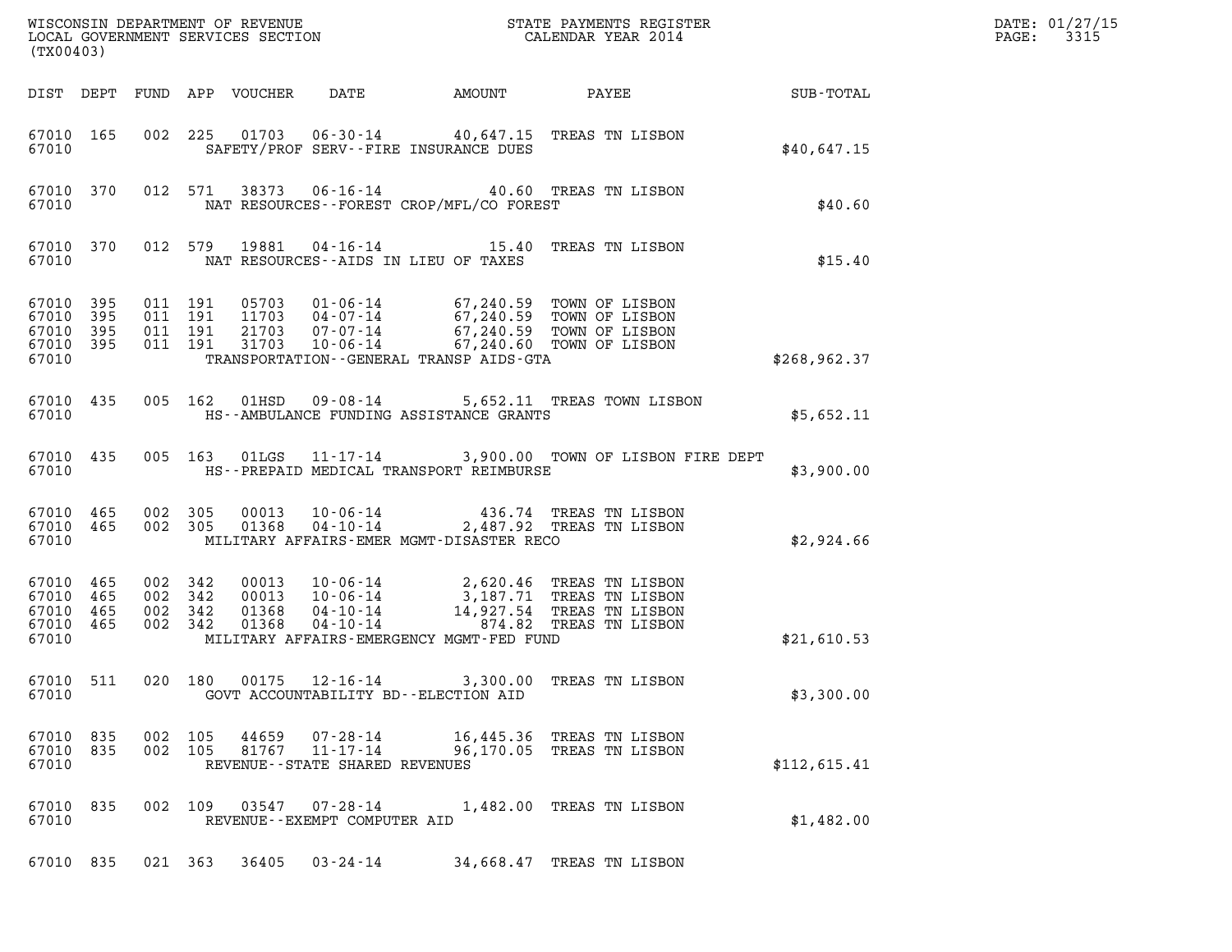| (TX00403)                                             |     |                                          |                                          |                            |                                                        |                                          |                                                                                                                                                                                      |              | DATE: 01/27/15<br>3315<br>$\mathtt{PAGE:}$ |
|-------------------------------------------------------|-----|------------------------------------------|------------------------------------------|----------------------------|--------------------------------------------------------|------------------------------------------|--------------------------------------------------------------------------------------------------------------------------------------------------------------------------------------|--------------|--------------------------------------------|
|                                                       |     |                                          |                                          | DIST DEPT FUND APP VOUCHER | DATE                                                   |                                          | AMOUNT PAYEE SUB-TOTAL                                                                                                                                                               |              |                                            |
| 67010 165<br>67010                                    |     |                                          |                                          |                            |                                                        | SAFETY/PROF SERV--FIRE INSURANCE DUES    | 002 225 01703 06-30-14 40,647.15 TREAS TN LISBON                                                                                                                                     | \$40,647.15  |                                            |
| 67010 370<br>67010                                    |     |                                          |                                          |                            |                                                        | NAT RESOURCES--FOREST CROP/MFL/CO FOREST | 012 571 38373 06-16-14 40.60 TREAS TN LISBON                                                                                                                                         | \$40.60      |                                            |
| 67010 370<br>67010                                    |     |                                          | 012 579                                  | 19881                      |                                                        | NAT RESOURCES--AIDS IN LIEU OF TAXES     | 04-16-14 15.40 TREAS TN LISBON                                                                                                                                                       | \$15.40      |                                            |
| 67010 395<br>67010<br>67010 395<br>67010 395<br>67010 | 395 |                                          | 011 191<br>011 191<br>011 191<br>011 191 |                            |                                                        | TRANSPORTATION--GENERAL TRANSP AIDS-GTA  | 05703  01-06-14  67,240.59  TOWN OF LISBON<br>11703  04-07-14  67,240.59  TOWN OF LISBON<br>21703  07-07-14  67,240.59  TOWN OF LISBON<br>31703  10-06-14  67,240.60  TOWN OF LISBON | \$268,962.37 |                                            |
| 67010 435<br>67010                                    |     |                                          |                                          | 005 162 01HSD              |                                                        | HS--AMBULANCE FUNDING ASSISTANCE GRANTS  | 09-08-14 5,652.11 TREAS TOWN LISBON                                                                                                                                                  | \$5,652.11   |                                            |
| 67010 435<br>67010                                    |     |                                          |                                          |                            |                                                        | HS--PREPAID MEDICAL TRANSPORT REIMBURSE  | 005 163 01LGS 11-17-14 3,900.00 TOWN OF LISBON FIRE DEPT                                                                                                                             | \$3,900.00   |                                            |
| 67010 465<br>67010 465<br>67010                       |     | 002 305                                  | 002 305                                  |                            |                                                        | MILITARY AFFAIRS-EMER MGMT-DISASTER RECO | 00013  10-06-14  436.74  TREAS TN LISBON<br>01368  04-10-14  2,487.92  TREAS TN LISBON                                                                                               | \$2,924.66   |                                            |
| 67010 465<br>67010<br>67010 465<br>67010 465<br>67010 | 465 | 002 342<br>002 342<br>002 342<br>002 342 |                                          |                            |                                                        | MILITARY AFFAIRS-EMERGENCY MGMT-FED FUND | 00013  10-06-14  2,620.46  TREAS TN LISBON<br>00013  10-06-14  3,187.71  TREAS TN LISBON<br>01368  04-10-14  14,927.54  TREAS TN LISBON<br>01368  04-10-14  874.82  TREAS TN LISBON  | \$21,610.53  |                                            |
| 67010<br>67010                                        | 511 |                                          | 020 180                                  |                            |                                                        | GOVT ACCOUNTABILITY BD--ELECTION AID     | 00175  12-16-14  3,300.00  TREAS TN LISBON                                                                                                                                           | \$3,300.00   |                                            |
| 67010 835<br>67010 835<br>67010                       |     | 002 105                                  | 002 105                                  | 44659<br>81767             | 07-28-14<br>11-17-14<br>REVENUE--STATE SHARED REVENUES |                                          | 16,445.36 TREAS TN LISBON<br>96,170.05 TREAS TN LISBON                                                                                                                               | \$112,615.41 |                                            |
| 67010 835<br>67010                                    |     |                                          |                                          | 002 109 03547              | 07-28-14<br>REVENUE--EXEMPT COMPUTER AID               |                                          | 1,482.00 TREAS TN LISBON                                                                                                                                                             | \$1,482.00   |                                            |
| 67010 835                                             |     | 021 363                                  |                                          | 36405                      | $03 - 24 - 14$                                         |                                          | 34,668.47 TREAS TN LISBON                                                                                                                                                            |              |                                            |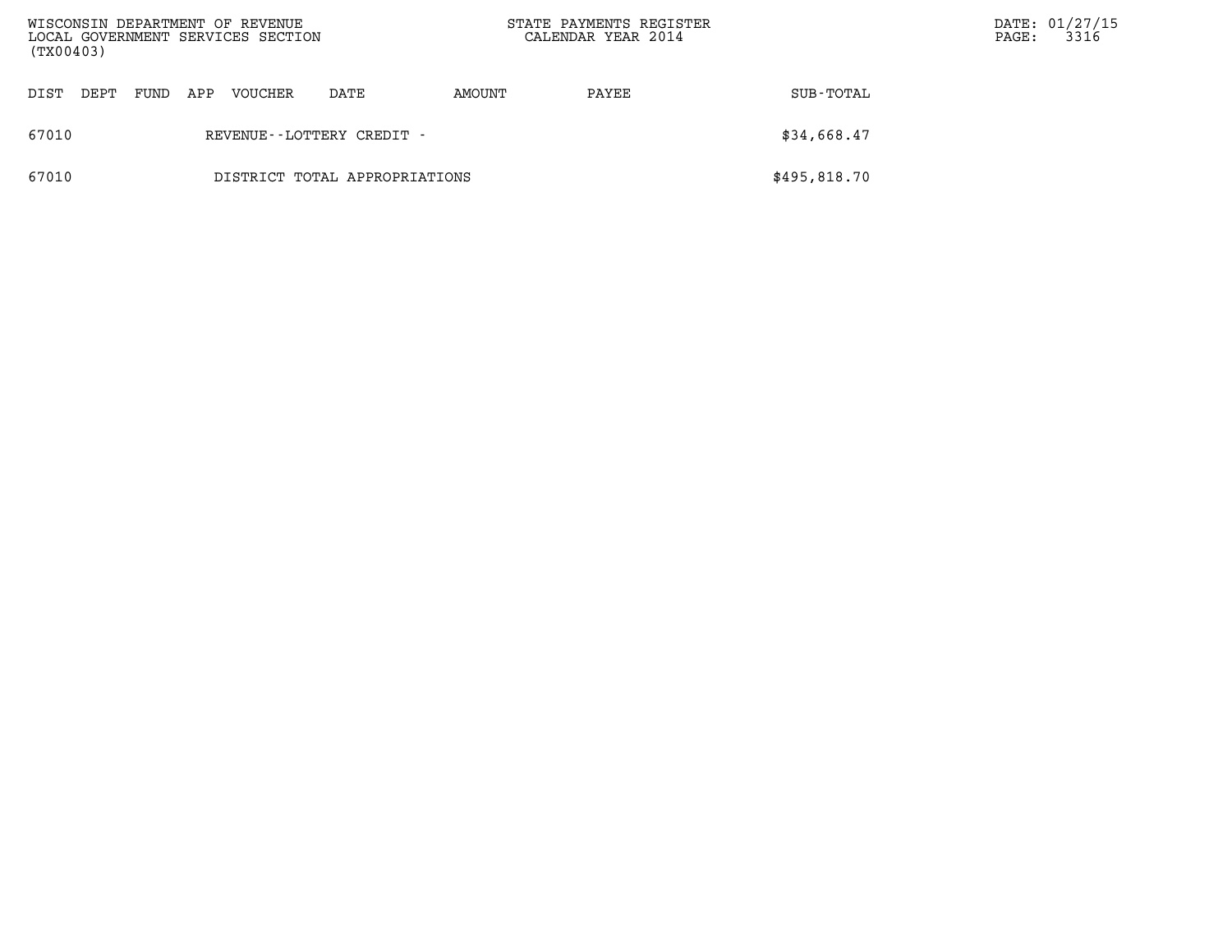| WISCONSIN DEPARTMENT OF REVENUE<br>LOCAL GOVERNMENT SERVICES SECTION<br>(TX00403) |                           |      |     |         |                               | STATE PAYMENTS REGISTER<br>CALENDAR YEAR 2014 |       |              | $\mathtt{PAGE}$ : | DATE: 01/27/15<br>3316 |
|-----------------------------------------------------------------------------------|---------------------------|------|-----|---------|-------------------------------|-----------------------------------------------|-------|--------------|-------------------|------------------------|
| DIST                                                                              | DEPT                      | FUND | APP | VOUCHER | DATE                          | AMOUNT                                        | PAYEE | SUB-TOTAL    |                   |                        |
| 67010                                                                             | REVENUE--LOTTERY CREDIT - |      |     |         |                               |                                               |       | \$34,668.47  |                   |                        |
| 67010                                                                             |                           |      |     |         | DISTRICT TOTAL APPROPRIATIONS |                                               |       | \$495,818.70 |                   |                        |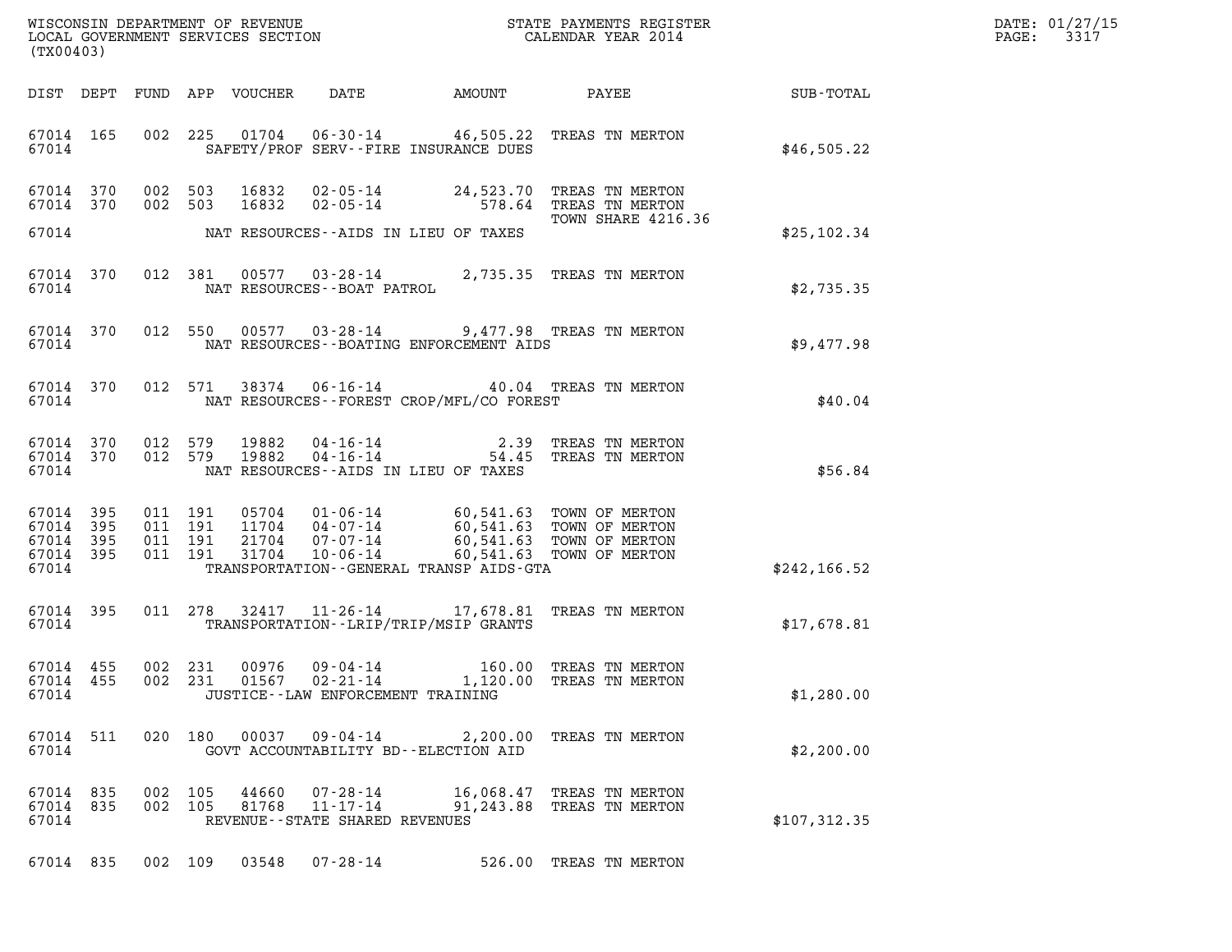| WISCONSIN DEPARTMENT OF REVENUE<br>LOCAL GOVERNMENT SERVICES SECTION | STATE PAYMENTS REGISTER<br>CALENDAR YEAR 2014 | DATE: 01/27/15<br>3317<br>PAGE: |
|----------------------------------------------------------------------|-----------------------------------------------|---------------------------------|

| (TX00403)                                                 |  |                    |                                            |                                            | WISCONSIN DEPARTMENT OF REVENUE<br>LOCAL GOVERNMENT SERVICES SECTION<br>(WYOO403)                                                                                                                                                                   | $\mathbb{R}^n$                                               | DATE: 01/27/15<br>PAGE: 3317 |
|-----------------------------------------------------------|--|--------------------|--------------------------------------------|--------------------------------------------|-----------------------------------------------------------------------------------------------------------------------------------------------------------------------------------------------------------------------------------------------------|--------------------------------------------------------------|------------------------------|
|                                                           |  |                    |                                            |                                            |                                                                                                                                                                                                                                                     | DIST DEPT FUND APP VOUCHER DATE AMOUNT PAYEE PAYER SUB-TOTAL |                              |
|                                                           |  |                    |                                            |                                            | 67014 165 002 225 01704 06-30-14 46,505.22 TREAS TN MERTON<br>67014 SAFETY/PROF SERV--FIRE INSURANCE DUES                                                                                                                                           | \$46,505.22                                                  |                              |
| 67014 370<br>67014 370                                    |  |                    |                                            |                                            | 002 503 16832 02-05-14 24,523.70 TREAS TN MERTON<br>002 503 16832 02-05-14 578.64 TREAS TN MERTON<br>TOWN SHARE 4216.<br>TOWN SHARE 4216.36                                                                                                         |                                                              |                              |
|                                                           |  |                    |                                            | 67014 MAT RESOURCES--AIDS IN LIEU OF TAXES |                                                                                                                                                                                                                                                     | \$25,102.34                                                  |                              |
|                                                           |  |                    | 67014 NAT RESOURCES--BOAT PATROL           |                                            | 67014 370 012 381 00577 03-28-14 2,735.35 TREAS TN MERTON                                                                                                                                                                                           | \$2,735.35                                                   |                              |
|                                                           |  |                    |                                            |                                            | 67014 370 012 550 00577 03-28-14 9,477.98 TREAS TN MERTON<br>67014 NAT RESOURCES--BOATING ENFORCEMENT AIDS                                                                                                                                          | \$9,477.98                                                   |                              |
|                                                           |  |                    |                                            |                                            | $\begin{array}{cccccc} 67014 & 370 & 012 & 571 & 38374 & 06\text{-}16\text{-}14 & & 40.04 & \text{TREAS TN MERTON} \\ 67014 & & \text{NAT RESOURCES}-\text{FOREST CROP/MFL/CO FOREST} \end{array}$                                                  | \$40.04                                                      |                              |
|                                                           |  |                    | 67014 NAT RESOURCES--AIDS IN LIEU OF TAXES |                                            | $67014$ 370 012 579 19882 04-16-14 2.39 TREAS TN MERTON $67014$ 370 012 579 19882 04-16-14 54.45 TREAS TN MERTON                                                                                                                                    | \$56.84                                                      |                              |
| 67014 395<br>67014 395<br>67014 395<br>67014 395<br>67014 |  |                    |                                            |                                            | 011 191 05704 01-06-14 60,541.63 TOWN OF MERTON<br>011 191 11704 04-07-14 60,541.63 TOWN OF MERTON<br>011 191 21704 07-07-14 60,541.63 TOWN OF MERTON<br>011 191 31704 10-06-14 60,541.63 TOWN OF MERTON<br>TRANSPORTATION--GENERAL TRANSP AIDS-GTA | \$242, 166.52                                                |                              |
|                                                           |  |                    |                                            |                                            | 67014 395 011 278 32417 11-26-14 17,678.81 TREAS TN MERTON<br>67014 TRANSPORTATION - LRIP/TRIP/MSIP GRANTS                                                                                                                                          | \$17,678.81                                                  |                              |
| 67014 455<br>67014 455<br>67014                           |  |                    | JUSTICE - - LAW ENFORCEMENT TRAINING       |                                            | 002 231 00976 09-04-14 160.00 TREAS TN MERTON<br>002 231 01567 02-21-14 1,120.00 TREAS TN MERTON                                                                                                                                                    | \$1,280.00                                                   |                              |
| 67014 511<br>67014                                        |  |                    | GOVT ACCOUNTABILITY BD--ELECTION AID       |                                            | 020 180 00037 09-04-14 2,200.00 TREAS TN MERTON                                                                                                                                                                                                     | \$2,200.00                                                   |                              |
| 67014 835<br>67014 835<br>67014                           |  | 002 105<br>002 105 | REVENUE--STATE SHARED REVENUES             | 81768 11-17-14 91,243.88                   | 44660  07-28-14   16,068.47   TREAS TN MERTON<br>TREAS TN MERTON                                                                                                                                                                                    | \$107,312.35                                                 |                              |
| 67014 835                                                 |  | 002 109            | 03548 07-28-14                             |                                            | 526.00 TREAS TN MERTON                                                                                                                                                                                                                              |                                                              |                              |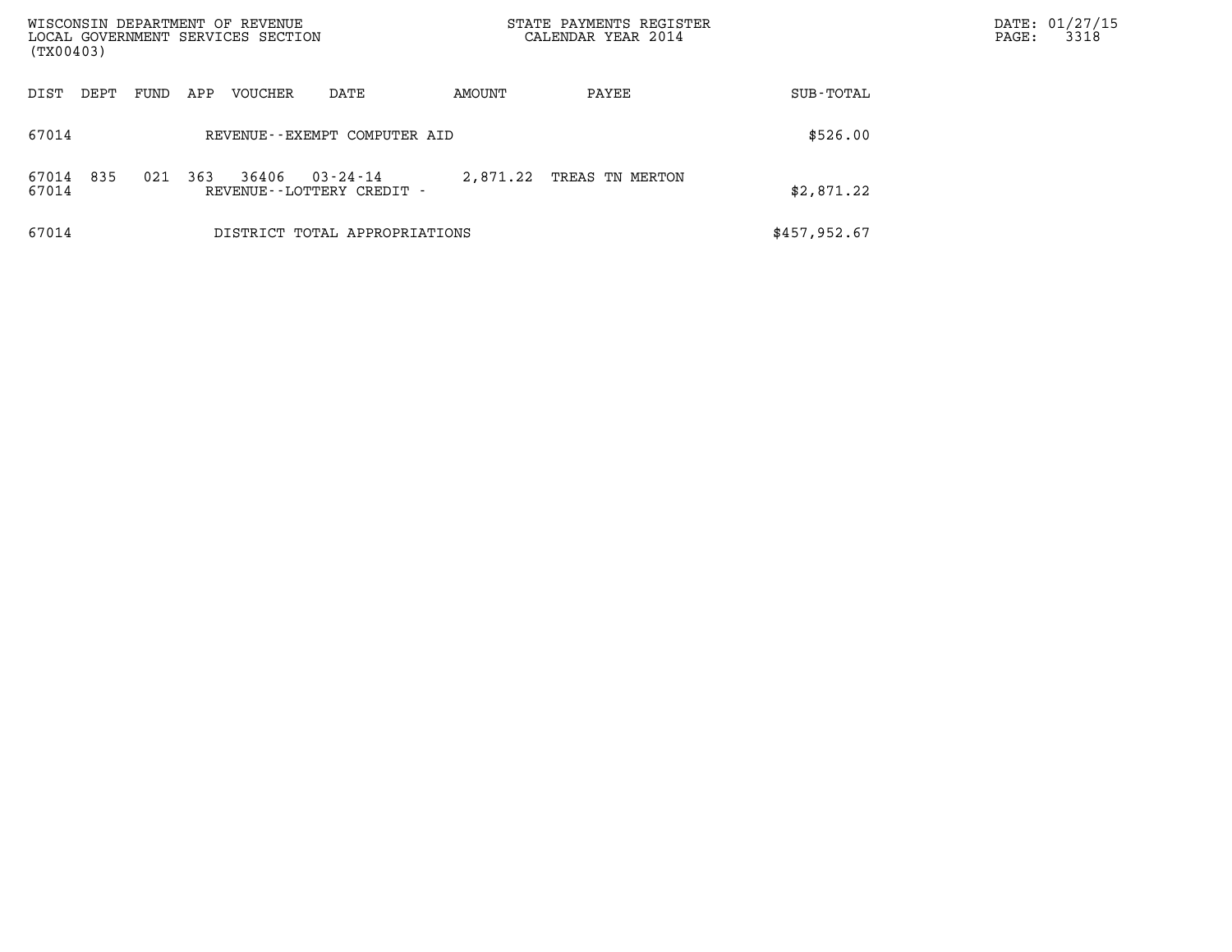| WISCONSIN DEPARTMENT OF REVENUE<br>LOCAL GOVERNMENT SERVICES SECTION<br>(TX00403) |      |     |         |                                       |          | STATE PAYMENTS REGISTER<br>CALENDAR YEAR 2014 | DATE: 01/27/15<br>3318<br>$\mathtt{PAGE}$ : |  |
|-----------------------------------------------------------------------------------|------|-----|---------|---------------------------------------|----------|-----------------------------------------------|---------------------------------------------|--|
|                                                                                   |      |     |         |                                       |          |                                               |                                             |  |
| DIST<br>DEPT                                                                      | FUND | APP | VOUCHER | DATE                                  | AMOUNT   | PAYEE                                         | SUB-TOTAL                                   |  |
| 67014                                                                             |      |     |         | REVENUE--EXEMPT COMPUTER AID          | \$526.00 |                                               |                                             |  |
| 835<br>67014<br>67014                                                             | 021  | 363 | 36406   | 03-24-14<br>REVENUE--LOTTERY CREDIT - | 2,871.22 | TREAS TN MERTON                               | \$2,871.22                                  |  |
| 67014                                                                             |      |     |         | DISTRICT TOTAL APPROPRIATIONS         |          |                                               | \$457,952.67                                |  |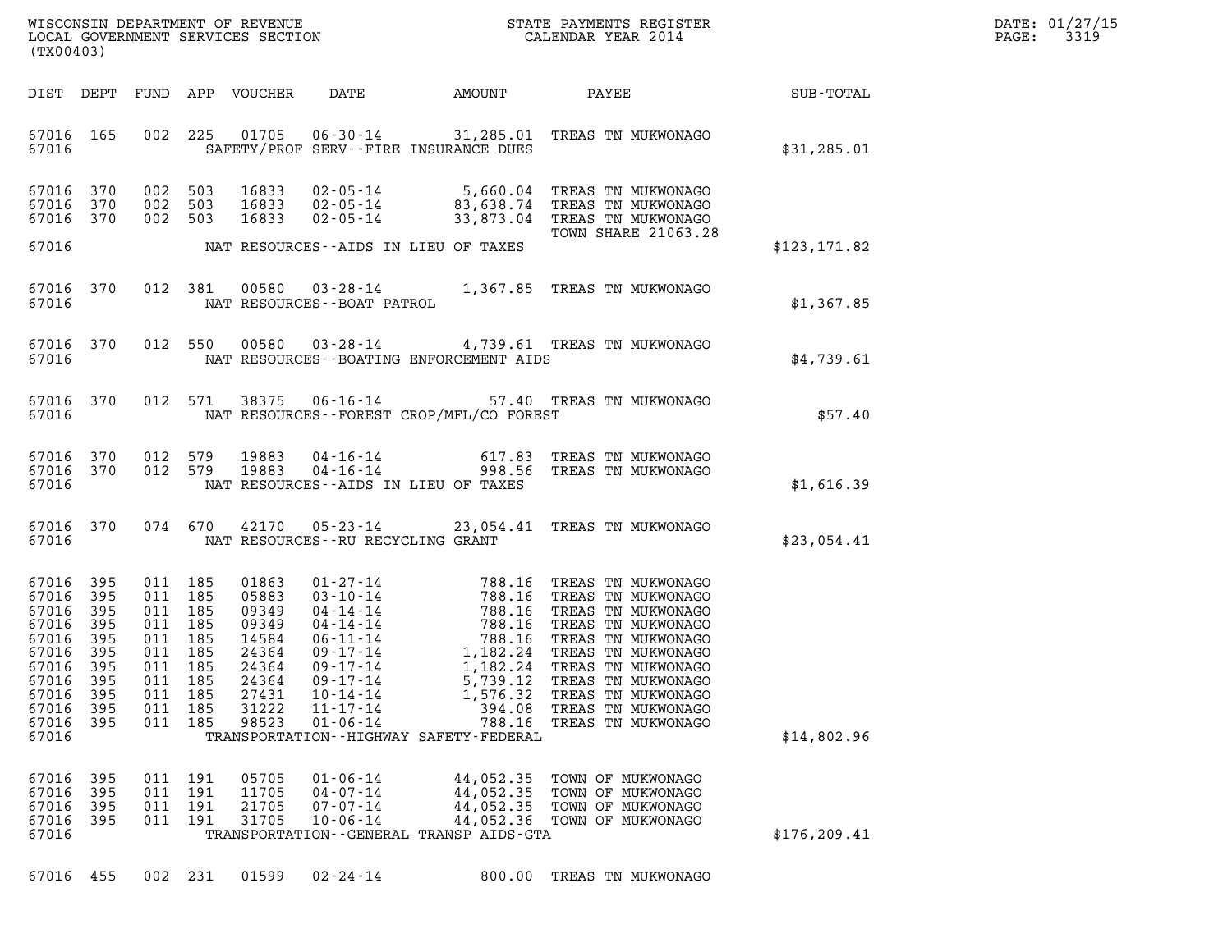| DATE: | 01/27/15 |
|-------|----------|
| PAGE: | 3319     |

| (TX00403)                                                                                                |                                                                           |                                                                                                   |                                 |                                                                                                 |                                                                                                                                                                                                                                                                                                                                                                  |                                                                                  |                                                                                                                                                                                                                                                                         |               | DATE: 01/27/15<br>3319<br>PAGE: |
|----------------------------------------------------------------------------------------------------------|---------------------------------------------------------------------------|---------------------------------------------------------------------------------------------------|---------------------------------|-------------------------------------------------------------------------------------------------|------------------------------------------------------------------------------------------------------------------------------------------------------------------------------------------------------------------------------------------------------------------------------------------------------------------------------------------------------------------|----------------------------------------------------------------------------------|-------------------------------------------------------------------------------------------------------------------------------------------------------------------------------------------------------------------------------------------------------------------------|---------------|---------------------------------|
| DIST DEPT                                                                                                |                                                                           | FUND                                                                                              |                                 | APP VOUCHER                                                                                     | DATE                                                                                                                                                                                                                                                                                                                                                             | AMOUNT                                                                           | PAYEE                                                                                                                                                                                                                                                                   | SUB-TOTAL     |                                 |
| 67016 165<br>67016                                                                                       |                                                                           |                                                                                                   | 002 225                         | 01705                                                                                           | SAFETY/PROF SERV--FIRE INSURANCE DUES                                                                                                                                                                                                                                                                                                                            |                                                                                  | 06-30-14 31,285.01 TREAS TN MUKWONAGO                                                                                                                                                                                                                                   | \$31,285.01   |                                 |
| 67016 370<br>67016<br>67016 370                                                                          | 370                                                                       | 002 503<br>002 503<br>002 503                                                                     |                                 | 16833<br>16833<br>16833                                                                         | $02 - 05 - 14$<br>$02 - 05 - 14$                                                                                                                                                                                                                                                                                                                                 |                                                                                  | 02-05-14 5,660.04 TREAS TN MUKWONAGO<br>83,638.74 TREAS TN MUKWONAGO<br>33,873.04 TREAS TN MUKWONAGO<br><b>TOWN SHARE 21063.28</b>                                                                                                                                      |               |                                 |
| 67016                                                                                                    |                                                                           |                                                                                                   |                                 |                                                                                                 | NAT RESOURCES--AIDS IN LIEU OF TAXES                                                                                                                                                                                                                                                                                                                             |                                                                                  |                                                                                                                                                                                                                                                                         | \$123, 171.82 |                                 |
| 67016 370<br>67016                                                                                       |                                                                           | 012 381                                                                                           |                                 | 00580                                                                                           | NAT RESOURCES - - BOAT PATROL                                                                                                                                                                                                                                                                                                                                    |                                                                                  | 03-28-14 1,367.85 TREAS TN MUKWONAGO                                                                                                                                                                                                                                    | \$1,367.85    |                                 |
| 67016 370<br>67016                                                                                       |                                                                           | 012 550                                                                                           |                                 | 00580                                                                                           | NAT RESOURCES--BOATING ENFORCEMENT AIDS                                                                                                                                                                                                                                                                                                                          |                                                                                  | 03-28-14 4,739.61 TREAS TN MUKWONAGO                                                                                                                                                                                                                                    | \$4,739.61    |                                 |
| 67016 370<br>67016                                                                                       |                                                                           | 012 571                                                                                           |                                 | 38375                                                                                           | $06 - 16 - 14$<br>NAT RESOURCES--FOREST CROP/MFL/CO FOREST                                                                                                                                                                                                                                                                                                       |                                                                                  | 57.40 TREAS TN MUKWONAGO                                                                                                                                                                                                                                                | \$57.40       |                                 |
| 67016 370<br>67016 370<br>67016                                                                          |                                                                           | 012 579<br>012 579                                                                                |                                 | 19883<br>19883                                                                                  | NAT RESOURCES -- AIDS IN LIEU OF TAXES                                                                                                                                                                                                                                                                                                                           |                                                                                  | 04-16-14 617.83 TREAS TN MUKWONAGO<br>04-16-14 998.56 TREAS TN MUKWONAGO                                                                                                                                                                                                | \$1,616.39    |                                 |
| 67016 370<br>67016                                                                                       |                                                                           | 074 670                                                                                           |                                 | 42170                                                                                           | NAT RESOURCES -- RU RECYCLING GRANT                                                                                                                                                                                                                                                                                                                              |                                                                                  | 05-23-14 23,054.41 TREAS TN MUKWONAGO                                                                                                                                                                                                                                   | \$23,054.41   |                                 |
| 67016<br>67016<br>67016<br>67016<br>67016<br>67016<br>67016<br>67016<br>67016<br>67016<br>67016<br>67016 | 395<br>395<br>395<br>395<br>395<br>395<br>395<br>395<br>395<br>395<br>395 | 011 185<br>011 185<br>011 185<br>011<br>011 185<br>011 185<br>011 185<br>011<br>011<br>011<br>011 | 185<br>185<br>185<br>185<br>185 | 01863<br>05883<br>09349<br>09349<br>14584<br>24364<br>24364<br>24364<br>27431<br>31222<br>98523 | $\begin{array}{ll} 01\hbox{-}\,27\hbox{-}14 \\ 03\hbox{-}10\hbox{-}14 \\ 04\hbox{-}14\hbox{-}14 \\ 04\hbox{-}14\hbox{-}14 \\ 05\hbox{-}11\hbox{-}14 \\ 06\hbox{-}11\hbox{-}14 \\ 09\hbox{-}17\hbox{-}14 \\ \end{array}$<br>$09 - 17 - 14$<br>$09 - 17 - 14$<br>$10 - 14 - 14$<br>$11 - 17 - 14$<br>$01 - 06 - 14$<br>TRANSPORTATION - - HIGHWAY SAFETY - FEDERAL | 788.16<br>788.16<br>788.16<br>788.16<br>5,739.12<br>1,576.32<br>394.08<br>788.16 | 788.16 TREAS TN MUKWONAGO<br>TREAS TN MUKWONAGO<br>TREAS TN MUKWONAGO<br>TREAS TN MUKWONAGO<br>TREAS TN MUKWONAGO<br>1,182.24 TREAS TN MUKWONAGO<br>1,182.24 TREAS TN MUKWONAGO<br>TREAS TN MUKWONAGO<br>TREAS TN MUKWONAGO<br>TREAS TN MUKWONAGO<br>TREAS TN MUKWONAGO | \$14,802.96   |                                 |
| 67016<br>67016<br>67016<br>67016<br>67016                                                                | 395<br>395<br>395<br>395                                                  | 011<br>011<br>011<br>011 191                                                                      | 191<br>191<br>191               | 05705<br>11705<br>21705<br>31705                                                                | $01 - 06 - 14$<br>$04 - 07 - 14$<br>$07 - 07 - 14$<br>$10 - 06 - 14$<br>TRANSPORTATION--GENERAL TRANSP AIDS-GTA                                                                                                                                                                                                                                                  | 44,052.35<br>44,052.35<br>44,052.35<br>44,052.36                                 | TOWN OF MUKWONAGO<br>TOWN OF MUKWONAGO<br>TOWN OF MUKWONAGO<br>TOWN OF MUKWONAGO                                                                                                                                                                                        | \$176, 209.41 |                                 |
| 67016 455                                                                                                |                                                                           | 002 231                                                                                           |                                 | 01599                                                                                           | $02 - 24 - 14$                                                                                                                                                                                                                                                                                                                                                   |                                                                                  | 800.00 TREAS TN MUKWONAGO                                                                                                                                                                                                                                               |               |                                 |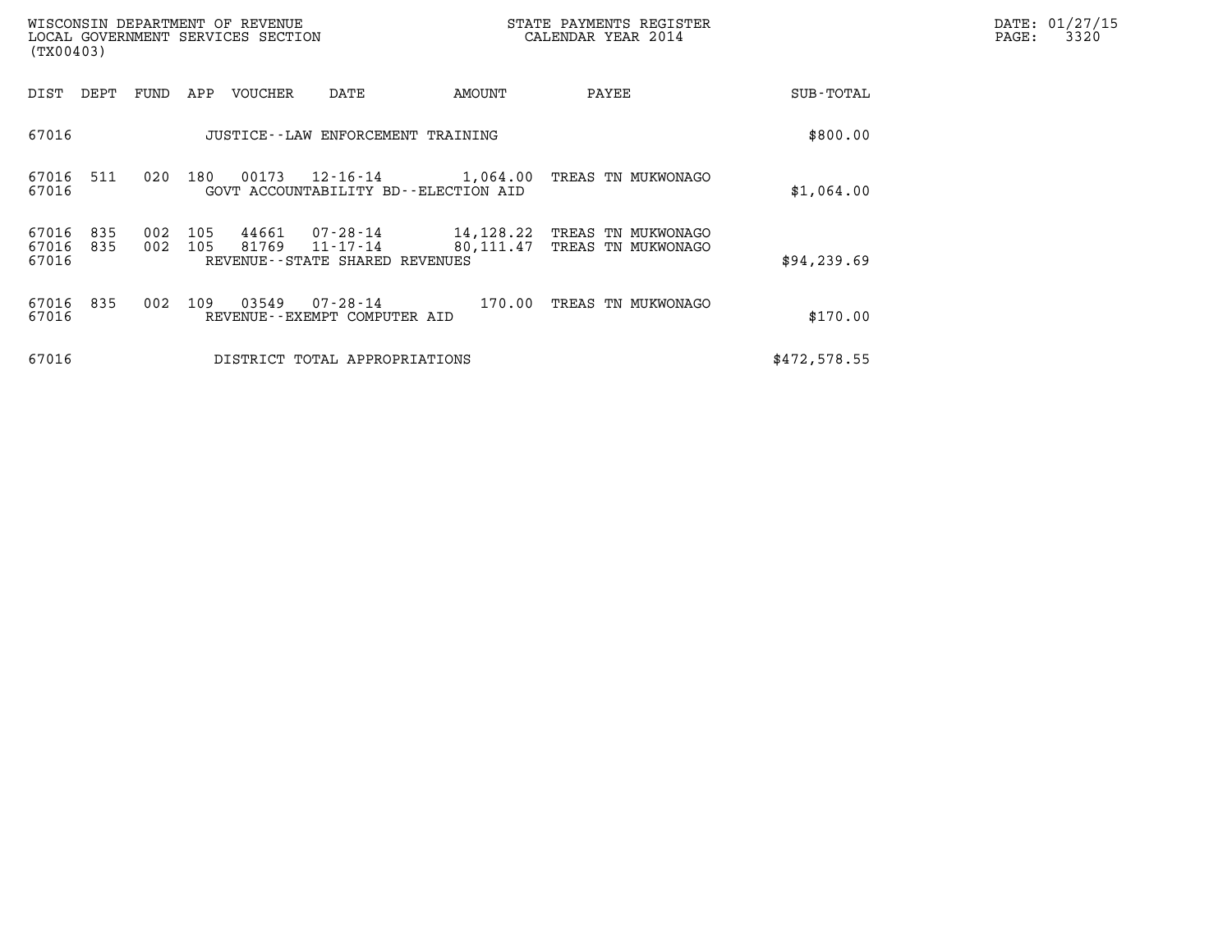| WISCONSIN DEPARTMENT OF REVENUE<br>LOCAL GOVERNMENT SERVICES SECTION<br>(TX00403) |            |            |         |                                                              |                        | DATE: 01/27/15<br>PAGE:<br>3320          |              |  |
|-----------------------------------------------------------------------------------|------------|------------|---------|--------------------------------------------------------------|------------------------|------------------------------------------|--------------|--|
| DEPT<br>DIST                                                                      | FUND       | APP        | VOUCHER | DATE                                                         | AMOUNT                 | PAYEE                                    | SUB-TOTAL    |  |
| 67016                                                                             |            |            |         | JUSTICE - - LAW ENFORCEMENT TRAINING                         |                        |                                          | \$800.00     |  |
| 511<br>67016<br>67016                                                             | 020        | 180        | 00173   | GOVT ACCOUNTABILITY BD--ELECTION AID                         |                        | 12-16-14 1,064.00 TREAS TN MUKWONAGO     | \$1,064.00   |  |
| 67016<br>835<br>67016<br>835<br>67016                                             | 002<br>002 | 105<br>105 | 81769   | 44661 07-28-14<br>11-17-14<br>REVENUE--STATE SHARED REVENUES | 14,128.22<br>80,111.47 | TREAS TN MUKWONAGO<br>TREAS TN MUKWONAGO | \$94, 239.69 |  |
| 67016<br>835<br>67016                                                             | 002        | 109        | 03549   | 07-28-14<br>REVENUE--EXEMPT COMPUTER AID                     | 170.00                 | TREAS TN MUKWONAGO                       | \$170.00     |  |
| 67016                                                                             |            |            |         | DISTRICT TOTAL APPROPRIATIONS                                |                        |                                          | \$472,578.55 |  |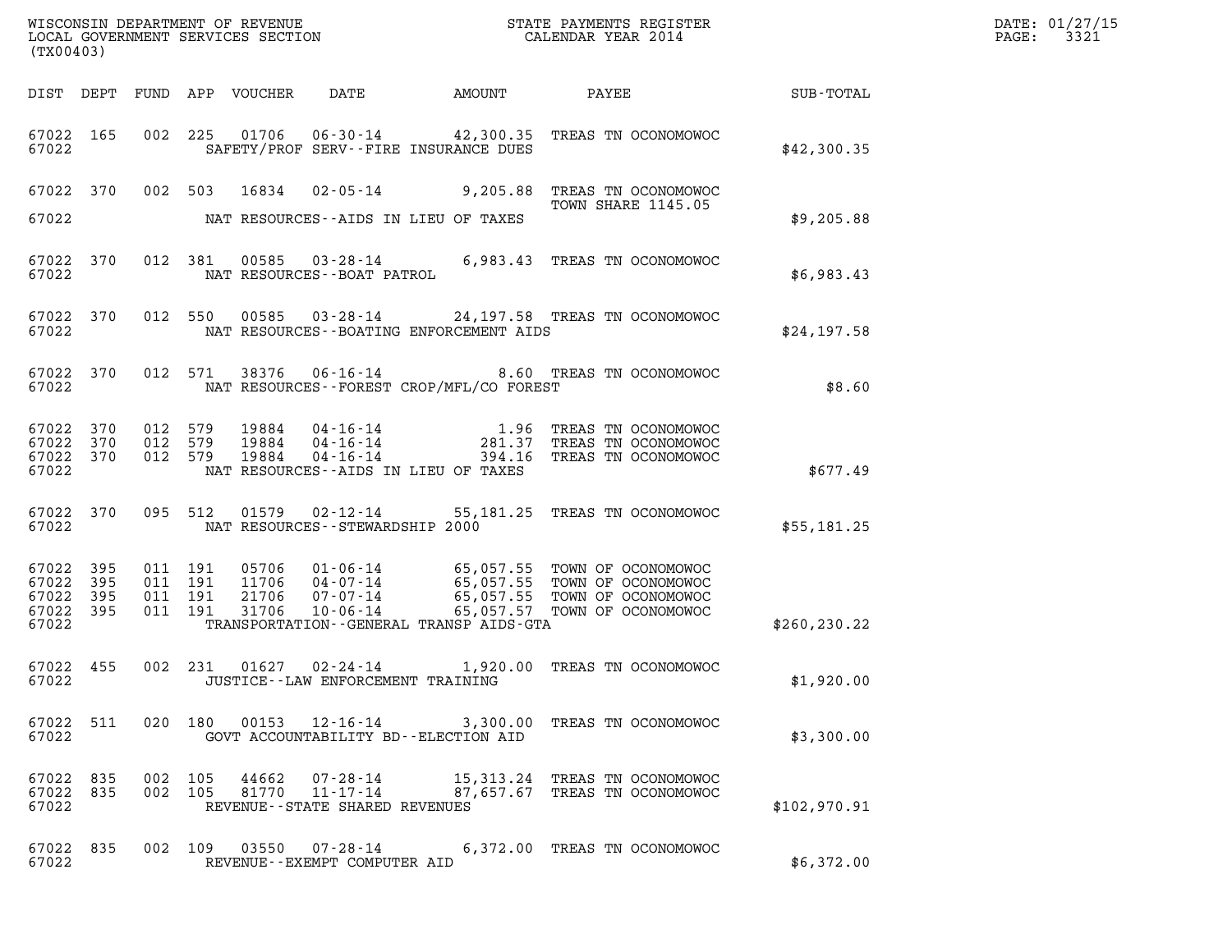| (TX00403)                                             |           |                                          |         |                            |                                                        |                                          |                                                                                                                                                                                    |               | DATE: 01/27/15<br>3321<br>$\mathtt{PAGE:}$ |
|-------------------------------------------------------|-----------|------------------------------------------|---------|----------------------------|--------------------------------------------------------|------------------------------------------|------------------------------------------------------------------------------------------------------------------------------------------------------------------------------------|---------------|--------------------------------------------|
|                                                       |           |                                          |         | DIST DEPT FUND APP VOUCHER | DATE                                                   | AMOUNT                                   | PAYEE SUB-TOTAL                                                                                                                                                                    |               |                                            |
| 67022 165<br>67022                                    |           |                                          |         |                            |                                                        | SAFETY/PROF SERV--FIRE INSURANCE DUES    | 002 225 01706 06-30-14 42,300.35 TREAS TN OCONOMOWOC                                                                                                                               | \$42,300.35   |                                            |
|                                                       |           |                                          |         | 67022 370 002 503 16834    |                                                        |                                          | 02-05-14 9,205.88 TREAS TN OCONOMOWOC<br>TOWN SHARE 1145.05                                                                                                                        |               |                                            |
| 67022                                                 |           |                                          |         |                            |                                                        | NAT RESOURCES--AIDS IN LIEU OF TAXES     |                                                                                                                                                                                    | \$9,205.88    |                                            |
| 67022 370<br>67022                                    |           |                                          | 012 381 |                            | NAT RESOURCES--BOAT PATROL                             |                                          | 00585  03-28-14   6,983.43   TREAS TN OCONOMOWOC                                                                                                                                   | \$6,983.43    |                                            |
| 67022 370<br>67022                                    |           |                                          | 012 550 |                            |                                                        | NAT RESOURCES--BOATING ENFORCEMENT AIDS  | 00585  03-28-14  24,197.58  TREAS TN OCONOMOWOC                                                                                                                                    | \$24,197.58   |                                            |
| 67022 370<br>67022                                    |           |                                          | 012 571 |                            |                                                        | NAT RESOURCES--FOREST CROP/MFL/CO FOREST | 38376  06-16-14  8.60 TREAS TN OCONOMOWOC                                                                                                                                          | \$8.60        |                                            |
| 67022 370<br>67022 370<br>67022 370<br>67022          |           | 012 579<br>012 579<br>012 579            |         | 19884<br>19884<br>19884    |                                                        | NAT RESOURCES--AIDS IN LIEU OF TAXES     | 04-16-14 1.96 TREAS TN OCONOMOWOC<br>04-16-14 281.37 TREAS TN OCONOMOWOC<br>04-16-14 394.16 TREAS TN OCONOMOWOC                                                                    | \$677.49      |                                            |
| 67022 370<br>67022                                    |           | 095 512                                  |         | 01579                      | NAT RESOURCES - - STEWARDSHIP 2000                     |                                          | 02-12-14 55,181.25 TREAS TN OCONOMOWOC                                                                                                                                             | \$55,181.25   |                                            |
| 67022 395<br>67022 395<br>67022<br>67022 395<br>67022 | 395       | 011 191<br>011 191<br>011 191<br>011 191 |         | 31706                      |                                                        | TRANSPORTATION--GENERAL TRANSP AIDS-GTA  | 05706 01-06-14 65,057.55 TOWN OF OCONOMOWOC<br>11706 04-07-14 65,057.55 TOWN OF OCONOMOWOC<br>21706 07-07-14 65,057.55 TOWN OF OCONOMOWOC<br>10-06-14 65,057.57 TOWN OF OCONOMOWOC | \$260, 230.22 |                                            |
| 67022 455<br>67022                                    |           |                                          | 002 231 | 01627                      | $02 - 24 - 14$<br>JUSTICE - - LAW ENFORCEMENT TRAINING |                                          | 1,920.00 TREAS TN OCONOMOWOC                                                                                                                                                       | \$1,920.00    |                                            |
| 67022 511<br>67022                                    |           |                                          |         |                            |                                                        | GOVT ACCOUNTABILITY BD--ELECTION AID     | 020 180 00153 12-16-14 3,300.00 TREAS TN OCONOMOWOC                                                                                                                                | \$3,300.00    |                                            |
| 67022                                                 | 67022 835 | 67022 835 002 105<br>002 105             |         | 44662                      | REVENUE - - STATE SHARED REVENUES                      |                                          | 07-28-14 15,313.24 TREAS TN OCONOMOWOC<br>81770  11-17-14  87,657.67  TREAS TN OCONOMOWOC                                                                                          | \$102,970.91  |                                            |
| 67022 835<br>67022                                    |           |                                          |         |                            | REVENUE--EXEMPT COMPUTER AID                           |                                          | 002 109 03550 07-28-14 6,372.00 TREAS TN OCONOMOWOC                                                                                                                                | \$6,372.00    |                                            |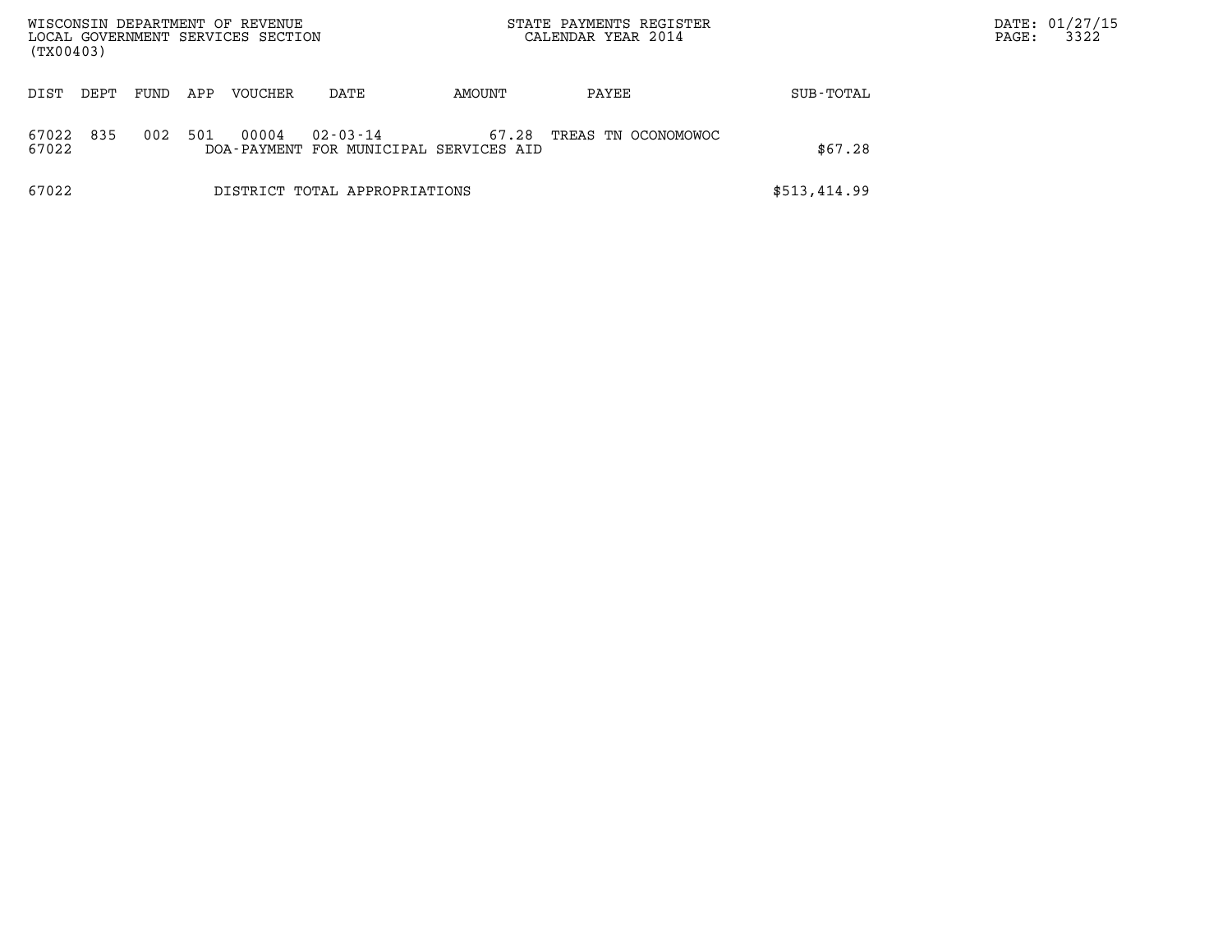| WISCONSIN DEPARTMENT OF REVENUE<br>LOCAL GOVERNMENT SERVICES SECTION<br>(TX00403) |                                                                                 |  |  |                               |  | STATE PAYMENTS REGISTER<br>CALENDAR YEAR 2014 |              | DATE: 01/27/15<br>3322<br>PAGE: |
|-----------------------------------------------------------------------------------|---------------------------------------------------------------------------------|--|--|-------------------------------|--|-----------------------------------------------|--------------|---------------------------------|
| DIST<br>DEPT                                                                      | FUND<br>APP<br><b>VOUCHER</b><br>AMOUNT<br>DATE                                 |  |  |                               |  | PAYEE                                         |              |                                 |
| 835<br>67022<br>67022                                                             | 501<br>00004<br>002<br>$02 - 03 - 14$<br>DOA-PAYMENT FOR MUNICIPAL SERVICES AID |  |  |                               |  | TREAS TN OCONOMOWOC                           | \$67.28      |                                 |
| 67022                                                                             |                                                                                 |  |  | DISTRICT TOTAL APPROPRIATIONS |  |                                               | \$513,414.99 |                                 |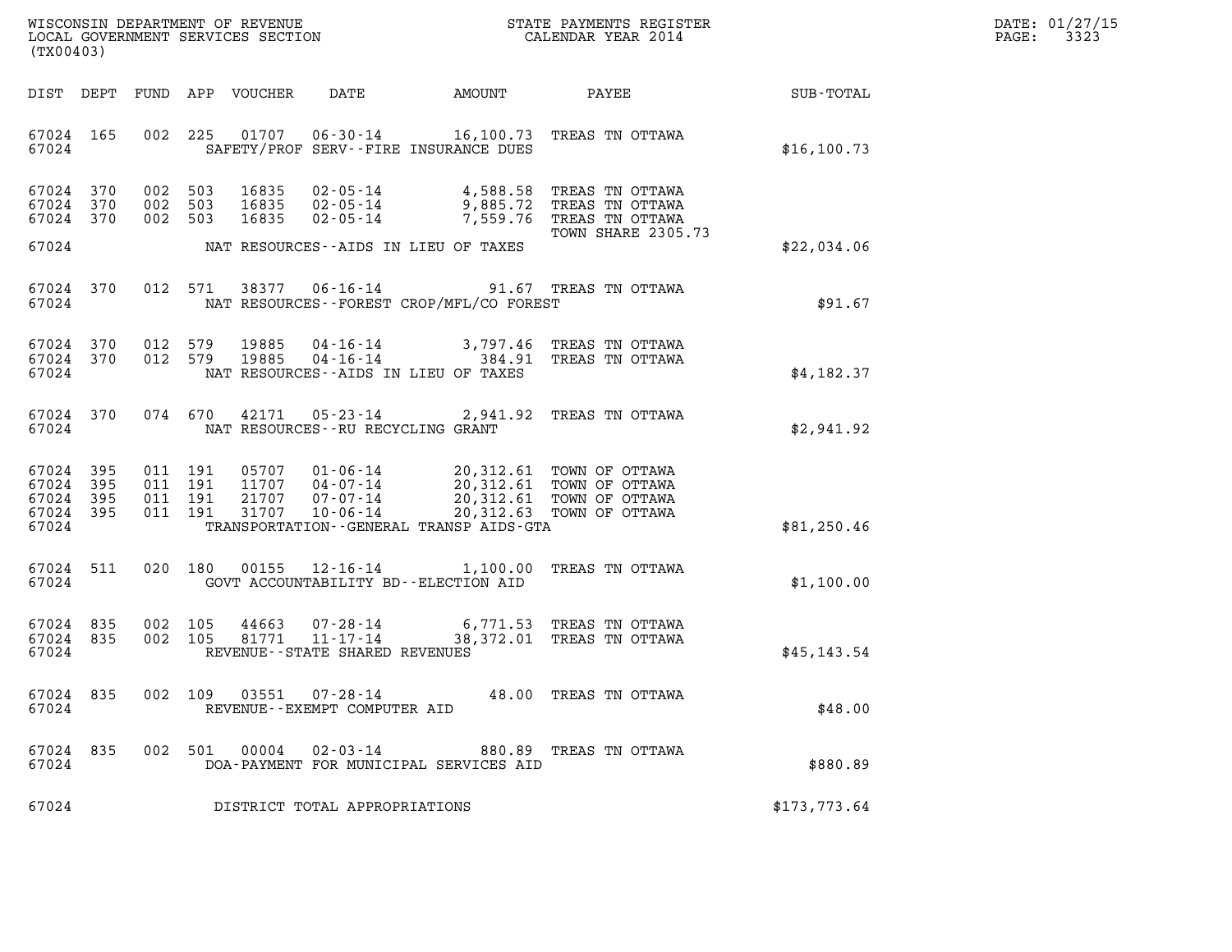| DATE: | 01/27/15 |
|-------|----------|
| PAGE: | 3323     |

| (TX00403)                                             |     |  |                               |                            |                                                |                                             |                                                                                                                                                                                                                                                                                                                                       |                 | DATE: 01/27/15<br>PAGE: 3323 |
|-------------------------------------------------------|-----|--|-------------------------------|----------------------------|------------------------------------------------|---------------------------------------------|---------------------------------------------------------------------------------------------------------------------------------------------------------------------------------------------------------------------------------------------------------------------------------------------------------------------------------------|-----------------|------------------------------|
|                                                       |     |  |                               | DIST DEPT FUND APP VOUCHER | DATE                                           | AMOUNT                                      |                                                                                                                                                                                                                                                                                                                                       | PAYEE SUB-TOTAL |                              |
| 67024 165<br>67024                                    |     |  |                               |                            |                                                | SAFETY/PROF SERV--FIRE INSURANCE DUES       | 002 225 01707 06-30-14 16,100.73 TREAS TN OTTAWA                                                                                                                                                                                                                                                                                      | \$16, 100.73    |                              |
| 67024 370<br>67024 370<br>67024 370                   |     |  | 002 503<br>002 503<br>002 503 |                            |                                                |                                             | 16835 02-05-14 4,588.58 TREAS TN OTTAWA<br>16835 02-05-14 9,885.72 TREAS TN OTTAWA<br>16835 02-05-14 7,559.76 TREAS TN OTTAWA                                                                                                                                                                                                         |                 |                              |
| 67024                                                 |     |  |                               |                            |                                                | NAT RESOURCES--AIDS IN LIEU OF TAXES        | TOWN SHARE 2305.73                                                                                                                                                                                                                                                                                                                    | \$22,034.06     |                              |
| 67024 370<br>67024                                    |     |  |                               |                            |                                                | NAT RESOURCES - - FOREST CROP/MFL/CO FOREST | 012 571 38377 06-16-14 91.67 TREAS TN OTTAWA                                                                                                                                                                                                                                                                                          | \$91.67         |                              |
| 67024 370<br>67024 370<br>67024                       |     |  |                               |                            |                                                | NAT RESOURCES--AIDS IN LIEU OF TAXES        | $\begin{array}{cccc} 012 & 579 & 19885 & 04\text{ -}16\text{ -}14 & 3,797.46 & \text{TREAS TN OTTAWA} \\ 012 & 579 & 19885 & 04\text{ -}16\text{ -}14 & 384.91 & \text{TREAS TN OTTAWA} \end{array}$                                                                                                                                  | \$4.182.37      |                              |
| 67024 370<br>67024                                    |     |  |                               |                            | NAT RESOURCES -- RU RECYCLING GRANT            |                                             | 074 670 42171 05-23-14 2,941.92 TREAS TN OTTAWA                                                                                                                                                                                                                                                                                       | \$2,941.92      |                              |
| 67024 395<br>67024<br>67024 395<br>67024 395<br>67024 | 395 |  |                               |                            |                                                | TRANSPORTATION--GENERAL TRANSP AIDS-GTA     | $\begin{array}{cccc} 011 & 191 & 05707 & 01\cdot 06\cdot 14 & 20\,, 312\, .61 & \text{TOWN OF OTTAWA} \\ 011 & 191 & 11707 & 04\cdot 07\cdot 14 & 20\,, 312\, .61 & \text{TOWN OF OTTAWA} \\ 011 & 191 & 21707 & 07\cdot 07\cdot 14 & 20\,, 312\, .61 & \text{TOWN OF OTTAWA} \\ 011 & 191 & 31707 & 10\cdot 06\cdot 14 & 20\,, 312\$ | \$81,250.46     |                              |
| 67024 511                                             |     |  |                               | 020 180 00155              |                                                |                                             | 12-16-14 1,100.00 TREAS TN OTTAWA                                                                                                                                                                                                                                                                                                     |                 |                              |
| 67024                                                 |     |  |                               |                            |                                                | GOVT ACCOUNTABILITY BD--ELECTION AID        |                                                                                                                                                                                                                                                                                                                                       | \$1,100.00      |                              |
| 67024 835<br>67024 835<br>67024                       |     |  |                               |                            | REVENUE--STATE SHARED REVENUES                 |                                             | $\begin{array}{cccc} 002 & 105 & 44663 & 07\text{-}28\text{-}14 & 6,771.53 & \text{TREAS TN OTTAWA} \\ 002 & 105 & 81771 & 11\text{-}17\text{-}14 & 38,372.01 & \text{TREAS TN OTTAWA} \end{array}$                                                                                                                                   | \$45, 143.54    |                              |
| 67024 835<br>67024                                    |     |  |                               | 002 109 03551              | $07 - 28 - 14$<br>REVENUE--EXEMPT COMPUTER AID |                                             | 48.00 TREAS TN OTTAWA                                                                                                                                                                                                                                                                                                                 | \$48.00         |                              |
| 67024 835<br>67024                                    |     |  |                               | 002 501 00004              | 02-03-14                                       | DOA-PAYMENT FOR MUNICIPAL SERVICES AID      | 880.89 TREAS TN OTTAWA                                                                                                                                                                                                                                                                                                                | \$880.89        |                              |
| 67024                                                 |     |  |                               |                            | DISTRICT TOTAL APPROPRIATIONS                  |                                             |                                                                                                                                                                                                                                                                                                                                       | \$173,773.64    |                              |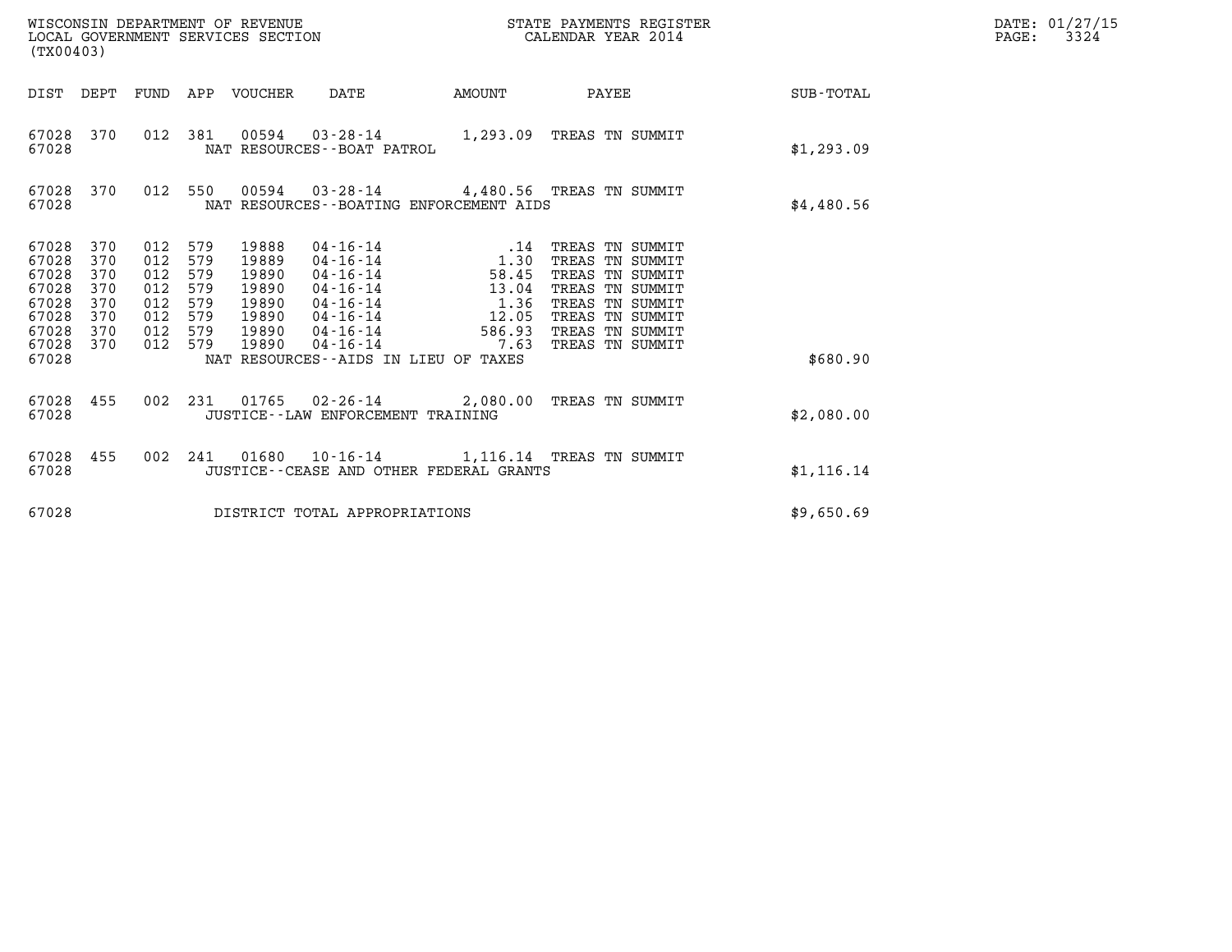| (TX00403)                                                                                                                             |                                                          | WISCONSIN DEPARTMENT OF REVENUE<br>LOCAL GOVERNMENT SERVICES SECTION                                                                                                                                                                                                |                                                                  | STATE PAYMENTS REGISTER<br>CALENDAR YEAR 2014                                                                                                        |            | DATE: 01/27/15<br>PAGE:<br>3324 |
|---------------------------------------------------------------------------------------------------------------------------------------|----------------------------------------------------------|---------------------------------------------------------------------------------------------------------------------------------------------------------------------------------------------------------------------------------------------------------------------|------------------------------------------------------------------|------------------------------------------------------------------------------------------------------------------------------------------------------|------------|---------------------------------|
| DIST DEPT                                                                                                                             | FUND                                                     | APP VOUCHER<br>DATE                                                                                                                                                                                                                                                 | AMOUNT                                                           | PAYEE                                                                                                                                                | SUB-TOTAL  |                                 |
| 67028 370<br>67028                                                                                                                    | 012 381                                                  | 00594<br>03-28-14 1,293.09 TREAS TN SUMMIT<br>NAT RESOURCES - - BOAT PATROL                                                                                                                                                                                         |                                                                  |                                                                                                                                                      | \$1,293.09 |                                 |
| 67028 370<br>67028                                                                                                                    | 012 550                                                  | 00594  03-28-14  4,480.56  TREAS TN SUMMIT<br>NAT RESOURCES - - BOATING ENFORCEMENT AIDS                                                                                                                                                                            |                                                                  |                                                                                                                                                      | \$4,480.56 |                                 |
| 67028<br>370<br>67028<br>370<br>67028<br>370<br>67028<br>370<br>67028<br>370<br>67028<br>370<br>67028<br>370<br>67028<br>370<br>67028 | 012<br>012<br>012<br>012<br>012<br>012<br>012<br>012 579 | 579<br>19888<br>04-16-14<br>579<br>19889<br>$04 - 16 - 14$<br>579<br>19890<br>04-16-14<br>579<br>19890<br>04-16-14<br>579<br>19890<br>04-16-14<br>579<br>19890<br>04-16-14<br>579<br>19890<br>04-16-14<br>19890<br>04-16-14<br>NAT RESOURCES--AIDS IN LIEU OF TAXES | .14<br>1.30<br>58.45<br>13.04<br>1.36<br>12.05<br>586.93<br>7.63 | TREAS TN SUMMIT<br>TREAS TN SUMMIT<br>TREAS TN SUMMIT<br>TREAS TN SUMMIT<br>TREAS TN SUMMIT<br>TREAS TN SUMMIT<br>TREAS TN SUMMIT<br>TREAS TN SUMMIT | \$680.90   |                                 |
| 67028<br>455<br>67028                                                                                                                 | 002 231                                                  | 01765 02-26-14 2,080.00 TREAS TN SUMMIT<br>JUSTICE - - LAW ENFORCEMENT TRAINING                                                                                                                                                                                     |                                                                  |                                                                                                                                                      | \$2,080.00 |                                 |
| 67028<br>455<br>67028                                                                                                                 |                                                          | 002 241 01680 10-16-14 1,116.14 TREAS TN SUMMIT<br>JUSTICE - - CEASE AND OTHER FEDERAL GRANTS                                                                                                                                                                       |                                                                  |                                                                                                                                                      | \$1,116.14 |                                 |
| 67028                                                                                                                                 |                                                          | DISTRICT TOTAL APPROPRIATIONS                                                                                                                                                                                                                                       |                                                                  |                                                                                                                                                      | \$9,650.69 |                                 |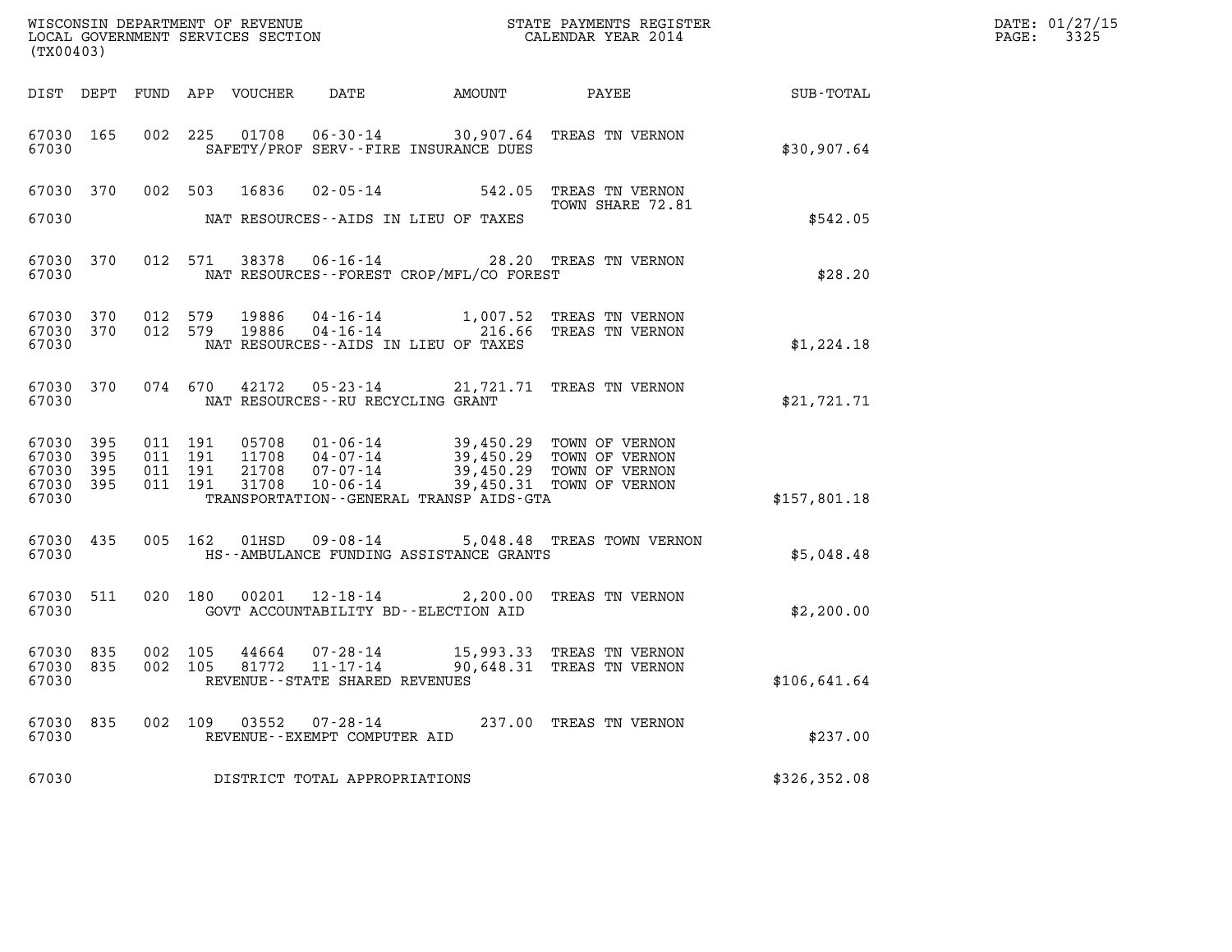| DATE: | 01/27/15 |
|-------|----------|
| PAGE: | 3325     |

| (TX00403)                                             |                        |                                          |  |                            |                                                                 |                                             |                                                                                                                                                                                  |                 | DATE: 01/27/15<br>3325<br>$\mathtt{PAGE:}$ |
|-------------------------------------------------------|------------------------|------------------------------------------|--|----------------------------|-----------------------------------------------------------------|---------------------------------------------|----------------------------------------------------------------------------------------------------------------------------------------------------------------------------------|-----------------|--------------------------------------------|
|                                                       |                        |                                          |  | DIST DEPT FUND APP VOUCHER | DATE                                                            | AMOUNT                                      |                                                                                                                                                                                  | PAYEE SUB-TOTAL |                                            |
| 67030 165<br>67030                                    |                        |                                          |  |                            |                                                                 | SAFETY/PROF SERV--FIRE INSURANCE DUES       | 002 225 01708 06-30-14 30,907.64 TREAS TN VERNON                                                                                                                                 | \$30,907.64     |                                            |
| 67030                                                 |                        |                                          |  | 67030 370 002 503 16836    |                                                                 | NAT RESOURCES--AIDS IN LIEU OF TAXES        | 02-05-14 542.05 TREAS TN VERNON<br>TOWN SHARE 72.81                                                                                                                              | \$542.05        |                                            |
| 67030                                                 | 67030 370              |                                          |  |                            |                                                                 | NAT RESOURCES - - FOREST CROP/MFL/CO FOREST | 012 571 38378 06-16-14 28.20 TREAS TN VERNON                                                                                                                                     | \$28.20         |                                            |
| 67030                                                 | 67030 370<br>67030 370 | 012 579<br>012 579                       |  | 19886<br>19886             |                                                                 | NAT RESOURCES -- AIDS IN LIEU OF TAXES      | 04-16-14 1,007.52 TREAS TN VERNON<br>04-16-14 216.66 TREAS TN VERNON                                                                                                             | \$1,224.18      |                                            |
| 67030                                                 |                        |                                          |  |                            | NAT RESOURCES - - RU RECYCLING GRANT                            |                                             | 67030 370 074 670 42172 05-23-14 21,721.71 TREAS TN VERNON                                                                                                                       | \$21,721.71     |                                            |
| 67030 395<br>67030<br>67030 395<br>67030 395<br>67030 | 395                    | 011 191<br>011 191<br>011 191<br>011 191 |  |                            |                                                                 | TRANSPORTATION--GENERAL TRANSP AIDS-GTA     | 05708  01-06-14  39,450.29 TOWN OF VERNON<br>11708  04-07-14  39,450.29 TOWN OF VERNON<br>21708  07-07-14  39,450.29 TOWN OF VERNON<br>31708  10-06-14  39,450.31 TOWN OF VERNON | \$157,801.18    |                                            |
| 67030                                                 | 67030 435              |                                          |  |                            |                                                                 | HS--AMBULANCE FUNDING ASSISTANCE GRANTS     | 005 162 01HSD 09-08-14 5,048.48 TREAS TOWN VERNON                                                                                                                                | \$5,048.48      |                                            |
| 67030                                                 | 67030 511              |                                          |  |                            |                                                                 | GOVT ACCOUNTABILITY BD--ELECTION AID        | 020 180 00201 12-18-14 2,200.00 TREAS TN VERNON                                                                                                                                  | \$2,200.00      |                                            |
| 67030 835<br>67030 835<br>67030                       |                        | 002 105<br>002 105                       |  | 44664<br>81772             | 07-28-14<br>$11 - 17 - 14$<br>REVENUE - - STATE SHARED REVENUES |                                             | 15,993.33 TREAS TN VERNON<br>90,648.31 TREAS TN VERNON                                                                                                                           | \$106,641.64    |                                            |
| 67030<br>67030                                        | 835                    | 002 109                                  |  | 03552                      | 07-28-14<br>REVENUE--EXEMPT COMPUTER AID                        |                                             | 237.00 TREAS TN VERNON                                                                                                                                                           | \$237.00        |                                            |
| 67030                                                 |                        |                                          |  |                            | DISTRICT TOTAL APPROPRIATIONS                                   |                                             |                                                                                                                                                                                  | \$326,352.08    |                                            |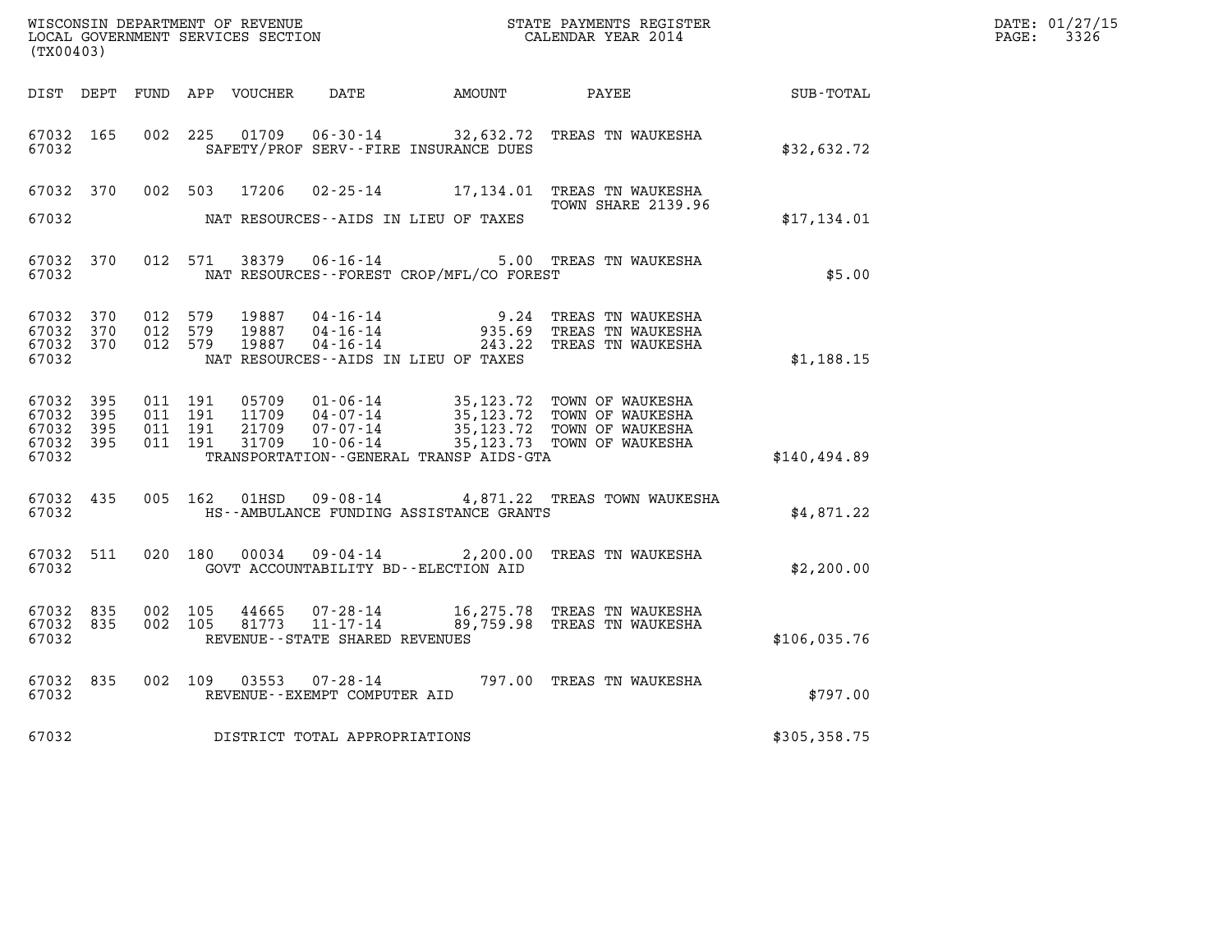| (TX00403)                                         |               |                               |         |                                  |                                   |                                          |                                                                                                                                                          |               | DATE: 01/27/15<br>$\mathtt{PAGE:}$<br>3326 |
|---------------------------------------------------|---------------|-------------------------------|---------|----------------------------------|-----------------------------------|------------------------------------------|----------------------------------------------------------------------------------------------------------------------------------------------------------|---------------|--------------------------------------------|
|                                                   |               |                               |         |                                  |                                   |                                          |                                                                                                                                                          |               |                                            |
| 67032 165<br>67032                                |               |                               | 002 225 |                                  |                                   | SAFETY/PROF SERV--FIRE INSURANCE DUES    | 01709  06-30-14  32,632.72  TREAS TN WAUKESHA                                                                                                            | \$32,632.72   |                                            |
| 67032 370                                         |               |                               | 002 503 | 17206                            |                                   |                                          | 02-25-14 17,134.01 TREAS TN WAUKESHA<br><b>TOWN SHARE 2139.96</b>                                                                                        |               |                                            |
| 67032                                             |               |                               |         |                                  |                                   | NAT RESOURCES--AIDS IN LIEU OF TAXES     |                                                                                                                                                          | \$17,134.01   |                                            |
| 67032 370<br>67032                                |               |                               | 012 571 |                                  | 38379 06-16-14                    | NAT RESOURCES--FOREST CROP/MFL/CO FOREST | 5.00 TREAS TN WAUKESHA                                                                                                                                   | \$5.00        |                                            |
| 67032 370<br>67032 370<br>67032 370<br>67032      |               | 012 579<br>012 579<br>012 579 |         | 19887<br>19887<br>19887          |                                   | NAT RESOURCES--AIDS IN LIEU OF TAXES     | 04-16-14 9.24 TREAS TN WAUKESHA<br>04-16-14 935.69 TREAS TN WAUKESHA<br>04-16-14 243.22 TREAS TN WAUKESHA                                                | \$1,188.15    |                                            |
| 67032 395<br>67032<br>67032<br>67032 395<br>67032 | -395<br>- 395 | 011 191<br>011 191<br>011 191 | 011 191 | 05709<br>11709<br>21709<br>31709 |                                   | TRANSPORTATION--GENERAL TRANSP AIDS-GTA  | 01-06-14 35,123.72 TOWN OF WAUKESHA<br>04-07-14 35,123.72 TOWN OF WAUKESHA<br>07-07-14 35,123.72 TOWN OF WAUKESHA<br>10-06-14 35,123.73 TOWN OF WAUKESHA | \$140,494.89  |                                            |
| 67032 435<br>67032                                |               |                               | 005 162 | 01HSD                            |                                   | HS--AMBULANCE FUNDING ASSISTANCE GRANTS  | 09-08-14 4,871.22 TREAS TOWN WAUKESHA                                                                                                                    | \$4,871.22    |                                            |
| 67032 511<br>67032                                |               |                               | 020 180 | 00034                            |                                   | GOVT ACCOUNTABILITY BD--ELECTION AID     | 09-04-14 2,200.00 TREAS TN WAUKESHA                                                                                                                      | \$2,200.00    |                                            |
| 67032 835<br>67032 835<br>67032                   |               | 002 105                       | 002 105 | 44665<br>81773                   | REVENUE - - STATE SHARED REVENUES |                                          | 11-17-14 89,759.98 TREAS TN WAUKESHA                                                                                                                     | \$106,035.76  |                                            |
| 67032 835<br>67032                                |               |                               |         |                                  | REVENUE--EXEMPT COMPUTER AID      |                                          | 002 109 03553 07-28-14 797.00 TREAS TN WAUKESHA                                                                                                          | \$797.00      |                                            |
| 67032                                             |               |                               |         |                                  | DISTRICT TOTAL APPROPRIATIONS     |                                          |                                                                                                                                                          | \$305, 358.75 |                                            |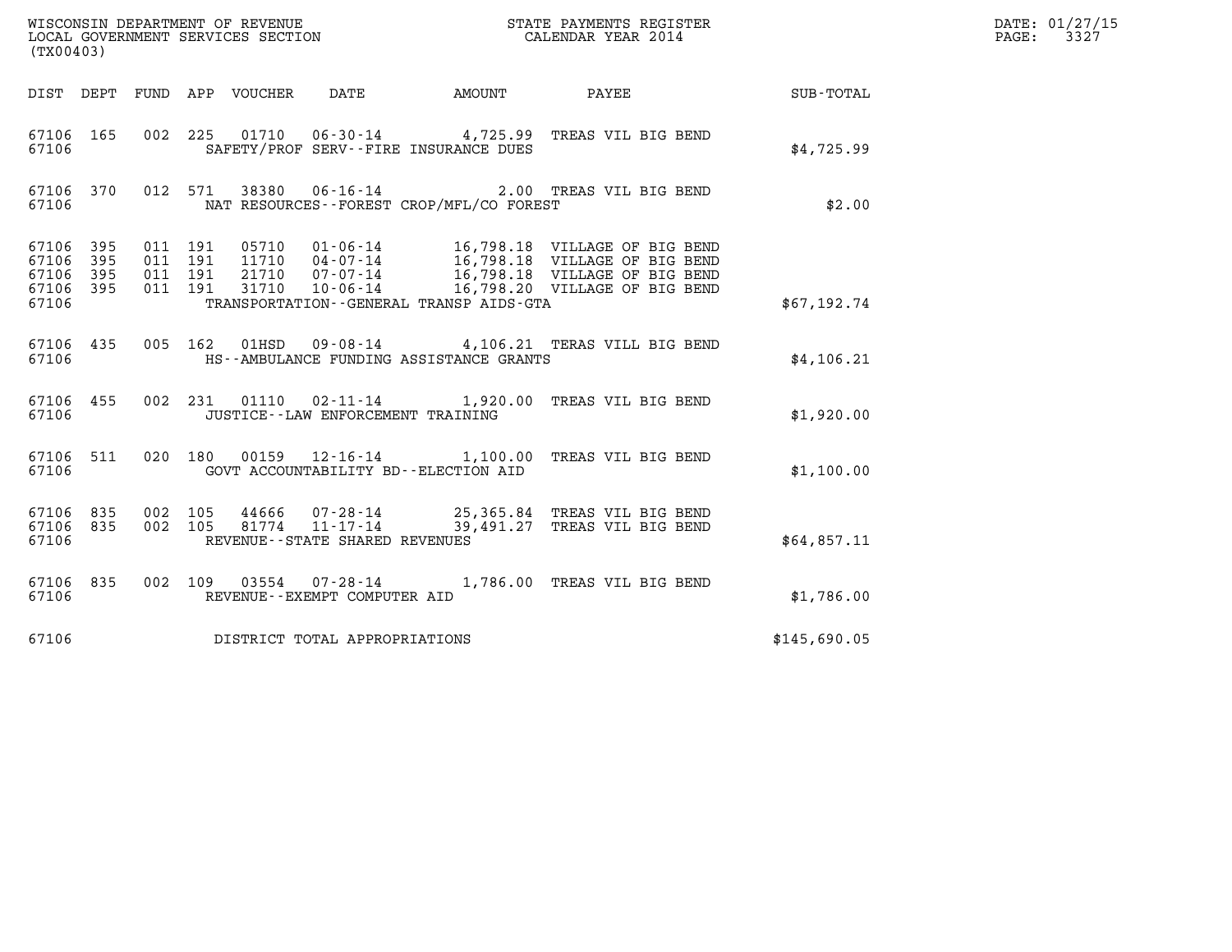| (TX00403)                                     |                   |                               |                               |                                      |                                          |                                                                                                                                                                                              |                        | DATE: 01/27/15<br>$\mathtt{PAGE:}$<br>3327 |
|-----------------------------------------------|-------------------|-------------------------------|-------------------------------|--------------------------------------|------------------------------------------|----------------------------------------------------------------------------------------------------------------------------------------------------------------------------------------------|------------------------|--------------------------------------------|
|                                               |                   |                               | DIST DEPT FUND APP VOUCHER    | DATE                                 |                                          |                                                                                                                                                                                              | AMOUNT PAYEE SUB-TOTAL |                                            |
| 67106 165<br>67106                            |                   | 002 225                       |                               |                                      | SAFETY/PROF SERV--FIRE INSURANCE DUES    | 01710  06-30-14  4,725.99  TREAS VIL BIG BEND                                                                                                                                                | \$4,725.99             |                                            |
| 67106 370<br>67106                            |                   |                               | 012 571                       |                                      | NAT RESOURCES--FOREST CROP/MFL/CO FOREST | 38380  06-16-14  2.00 TREAS VIL BIG BEND                                                                                                                                                     | \$2.00                 |                                            |
| 67106 395<br>67106<br>67106<br>67106<br>67106 | 395<br>395<br>395 | 011 191<br>011 191<br>011 191 | 011 191                       |                                      | TRANSPORTATION--GENERAL TRANSP AIDS-GTA  | 05710 01-06-14 16,798.18 VILLAGE OF BIG BEND<br>11710 04-07-14 16,798.18 VILLAGE OF BIG BEND<br>21710 07-07-14 16,798.18 VILLAGE OF BIG BEND<br>31710 10-06-14 16,798.20 VILLAGE OF BIG BEND | \$67,192.74            |                                            |
| 67106 435<br>67106                            |                   |                               |                               |                                      | HS--AMBULANCE FUNDING ASSISTANCE GRANTS  | 005 162 01HSD 09-08-14 4,106.21 TERAS VILL BIG BEND                                                                                                                                          | \$4,106.21             |                                            |
| 67106 455<br>67106                            |                   |                               |                               | JUSTICE - - LAW ENFORCEMENT TRAINING |                                          | 002 231 01110 02-11-14 1,920.00 TREAS VIL BIG BEND                                                                                                                                           | \$1,920.00             |                                            |
| 67106 511<br>67106                            |                   |                               |                               |                                      | GOVT ACCOUNTABILITY BD--ELECTION AID     | 020 180 00159 12-16-14 1,100.00 TREAS VIL BIG BEND                                                                                                                                           | \$1,100.00             |                                            |
| 67106 835<br>67106 835<br>67106               |                   | 002 105<br>002 105            |                               | REVENUE - - STATE SHARED REVENUES    |                                          | 44666  07-28-14  25,365.84  TREAS VIL BIG BEND<br>81774  11-17-14  39,491.27  TREAS VIL BIG BEND                                                                                             | \$64,857.11            |                                            |
| 67106 835<br>67106                            |                   |                               | 002 109                       | REVENUE--EXEMPT COMPUTER AID         |                                          | 03554  07-28-14   1,786.00 TREAS VIL BIG BEND                                                                                                                                                | \$1,786.00             |                                            |
| 67106                                         |                   |                               | DISTRICT TOTAL APPROPRIATIONS |                                      |                                          |                                                                                                                                                                                              | \$145,690.05           |                                            |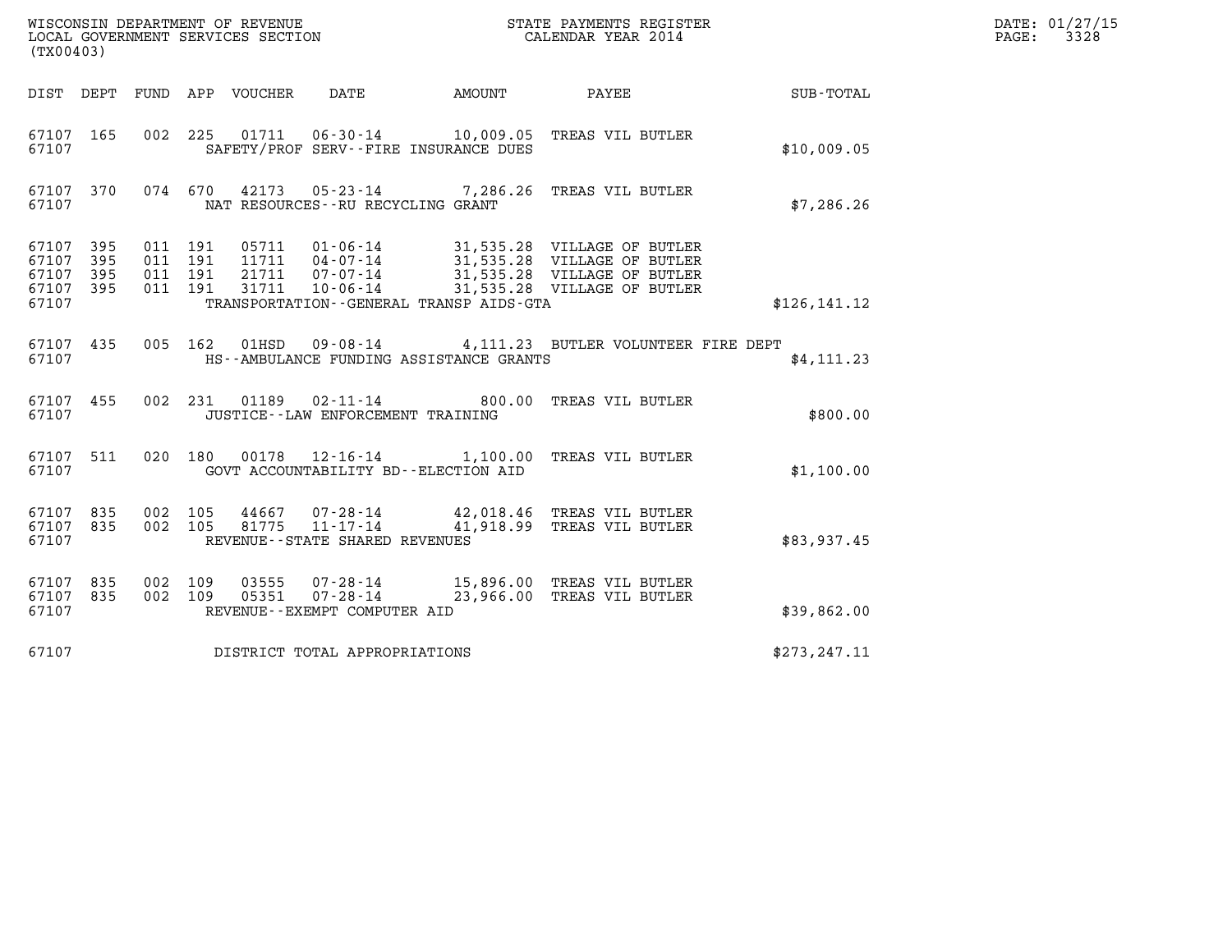| (TX00403)                                 |                          |                                          |         |                            | WISCONSIN DEPARTMENT OF REVENUE<br>LOCAL GOVERNMENT SERVICES SECTION |                                         | STATE PAYMENTS REGISTER<br>CALENDAR YEAR 2014                                                                            |               | DATE: 01/27/15<br>3328<br>$\mathtt{PAGE}$ : |
|-------------------------------------------|--------------------------|------------------------------------------|---------|----------------------------|----------------------------------------------------------------------|-----------------------------------------|--------------------------------------------------------------------------------------------------------------------------|---------------|---------------------------------------------|
|                                           |                          |                                          |         | DIST DEPT FUND APP VOUCHER | DATE                                                                 | AMOUNT                                  | PAYEE                                                                                                                    | SUB-TOTAL     |                                             |
| 67107 165<br>67107                        |                          | 002 225                                  |         |                            |                                                                      | SAFETY/PROF SERV--FIRE INSURANCE DUES   | 01711  06-30-14    10,009.05    TREAS    VIL BUTLER                                                                      | \$10,009.05   |                                             |
| 67107 370<br>67107                        |                          |                                          |         | 074 670 42173              | NAT RESOURCES--RU RECYCLING GRANT                                    |                                         | 05-23-14 7,286.26 TREAS VIL BUTLER                                                                                       | \$7,286.26    |                                             |
| 67107<br>67107<br>67107<br>67107<br>67107 | 395<br>395<br>395<br>395 | 011 191<br>011 191<br>011 191<br>011 191 |         | 05711<br>21711<br>31711    | $01 - 06 - 14$<br>11711  04-07-14<br>07-07-14<br>$10 - 06 - 14$      | TRANSPORTATION--GENERAL TRANSP AIDS-GTA | 31,535.28 VILLAGE OF BUTLER<br>31,535.28 VILLAGE OF BUTLER<br>31,535.28 VILLAGE OF BUTLER<br>31,535.28 VILLAGE OF BUTLER | \$126, 141.12 |                                             |
| 67107 435<br>67107                        |                          |                                          | 005 162 | 01HSD                      |                                                                      | HS--AMBULANCE FUNDING ASSISTANCE GRANTS | 09-08-14 4,111.23 BUTLER VOLUNTEER FIRE DEPT                                                                             | \$4,111.23    |                                             |
| 67107 455<br>67107                        |                          |                                          | 002 231 |                            | 01189   02-11-14<br>JUSTICE - - LAW ENFORCEMENT TRAINING             |                                         | 800.00 TREAS VIL BUTLER                                                                                                  | \$800.00      |                                             |
| 67107 511<br>67107                        |                          |                                          | 020 180 | 00178                      | $12 - 16 - 14$                                                       | GOVT ACCOUNTABILITY BD--ELECTION AID    | 1,100.00 TREAS VIL BUTLER                                                                                                | \$1,100.00    |                                             |
| 67107 835<br>67107 835<br>67107           |                          | 002 105<br>002 105                       |         | 44667<br>81775             | 07-28-14<br>$11 - 17 - 14$<br>REVENUE - - STATE SHARED REVENUES      |                                         | 42,018.46 TREAS VIL BUTLER<br>41,918.99 TREAS VIL BUTLER                                                                 | \$83,937.45   |                                             |
| 67107 835<br>67107 835<br>67107           |                          | 002<br>002 109                           | 109     | 03555<br>05351             | 07-28-14<br>07-28-14<br>REVENUE - - EXEMPT COMPUTER AID              |                                         | 15,896.00 TREAS VIL BUTLER<br>23,966.00 TREAS VIL BUTLER                                                                 | \$39,862.00   |                                             |
| 67107                                     |                          |                                          |         |                            | DISTRICT TOTAL APPROPRIATIONS                                        |                                         |                                                                                                                          | \$273, 247.11 |                                             |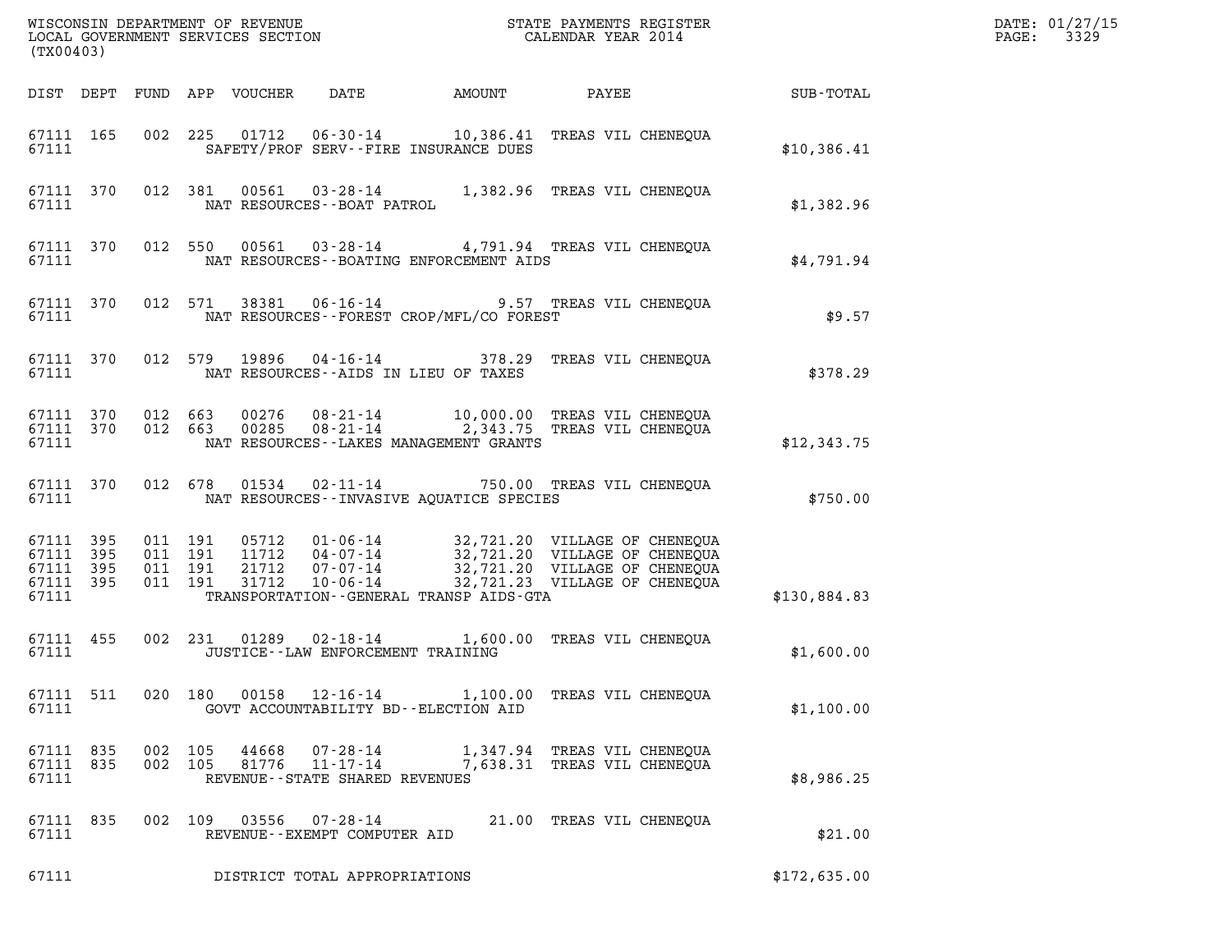| (TX00403)                                                 |                    |  |                                          |                |                                                                 |                                            |                                                                                                                                                                                                           |                                                    | DATE: 01/27/15<br>3329<br>$\mathtt{PAGE:}$ |
|-----------------------------------------------------------|--------------------|--|------------------------------------------|----------------|-----------------------------------------------------------------|--------------------------------------------|-----------------------------------------------------------------------------------------------------------------------------------------------------------------------------------------------------------|----------------------------------------------------|--------------------------------------------|
|                                                           |                    |  |                                          |                |                                                                 |                                            |                                                                                                                                                                                                           | DIST DEPT FUND APP VOUCHER DATE AMOUNT PAYEE TOTAL |                                            |
| 67111                                                     | 67111 165          |  |                                          |                |                                                                 | SAFETY/PROF SERV--FIRE INSURANCE DUES      | 002 225 01712 06-30-14 10,386.41 TREAS VIL CHENEQUA                                                                                                                                                       | \$10,386.41                                        |                                            |
|                                                           |                    |  |                                          |                |                                                                 |                                            | $67111$ 370 012 381 00561 03-28-14 1,382.96 TREAS VIL CHENEQUA 67111 NAT RESOURCES--BOAT PATROL                                                                                                           | \$1,382.96                                         |                                            |
| 67111                                                     |                    |  |                                          |                |                                                                 | NAT RESOURCES - - BOATING ENFORCEMENT AIDS | 67111 370 012 550 00561 03-28-14 4,791.94 TREAS VIL CHENEQUA                                                                                                                                              | \$4,791.94                                         |                                            |
| 67111                                                     |                    |  |                                          |                |                                                                 | NAT RESOURCES--FOREST CROP/MFL/CO FOREST   | 67111 370 012 571 38381 06-16-14 9.57 TREAS VIL CHENEQUA                                                                                                                                                  | \$9.57                                             |                                            |
| 67111                                                     |                    |  |                                          |                |                                                                 | NAT RESOURCES--AIDS IN LIEU OF TAXES       | 67111 370 012 579 19896 04-16-14 378.29 TREAS VIL CHENEQUA                                                                                                                                                | \$378.29                                           |                                            |
|                                                           | 67111              |  |                                          |                |                                                                 | NAT RESOURCES - LAKES MANAGEMENT GRANTS    | $\begin{array}{cccc} 67111 & 370 & 012 & 663 & 00276 & 08-21-14 & 10,000.00 & \text{TREAS VII CHENEQUA} \\ 67111 & 370 & 012 & 663 & 00285 & 08-21-14 & 2,343.75 & \text{TREAS VII CHENEQUA} \end{array}$ | \$12,343.75                                        |                                            |
|                                                           | 67111 370<br>67111 |  |                                          |                |                                                                 | NAT RESOURCES -- INVASIVE AQUATICE SPECIES | 012 678 01534 02-11-14 750.00 TREAS VIL CHENEQUA                                                                                                                                                          | \$750.00                                           |                                            |
| 67111 395<br>67111 395<br>67111 395<br>67111 395<br>67111 |                    |  | 011 191<br>011 191<br>011 191<br>011 191 |                |                                                                 | TRANSPORTATION--GENERAL TRANSP AIDS-GTA    | 05712  01-06-14  32,721.20  VILLAGE OF CHENEQUA<br>11712  04-07-14  32,721.20  VILLAGE OF CHENEQUA<br>21712  07-07-14  32,721.20  VILLAGE OF CHENEQUA<br>31712  10-06-14  32,721.23  VILLAGE OF CHENEQUA  | \$130.884.83                                       |                                            |
| 67111                                                     | 67111 455          |  |                                          |                | JUSTICE - - LAW ENFORCEMENT TRAINING                            |                                            | 002 231 01289 02-18-14 1,600.00 TREAS VIL CHENEQUA                                                                                                                                                        | \$1,600.00                                         |                                            |
| 67111 511<br>67111                                        |                    |  |                                          |                | 020 180 00158 12-16-14                                          | GOVT ACCOUNTABILITY BD--ELECTION AID       | 1,100.00 TREAS VIL CHENEOUA                                                                                                                                                                               | \$1,100.00                                         |                                            |
| 67111 835<br>67111 835<br>67111                           |                    |  | 002 105<br>002 105                       | 44668<br>81776 | 07-28-14<br>$11 - 17 - 14$<br>REVENUE - - STATE SHARED REVENUES |                                            | 1,347.94 TREAS VIL CHENEQUA<br>7,638.31 TREAS VIL CHENEQUA                                                                                                                                                | \$8,986.25                                         |                                            |
| 67111 835<br>67111                                        |                    |  | 002 109                                  |                | 03556 07-28-14<br>REVENUE--EXEMPT COMPUTER AID                  |                                            | 21.00 TREAS VIL CHENEQUA                                                                                                                                                                                  | \$21.00                                            |                                            |
| 67111                                                     |                    |  |                                          |                | DISTRICT TOTAL APPROPRIATIONS                                   |                                            |                                                                                                                                                                                                           | \$172,635.00                                       |                                            |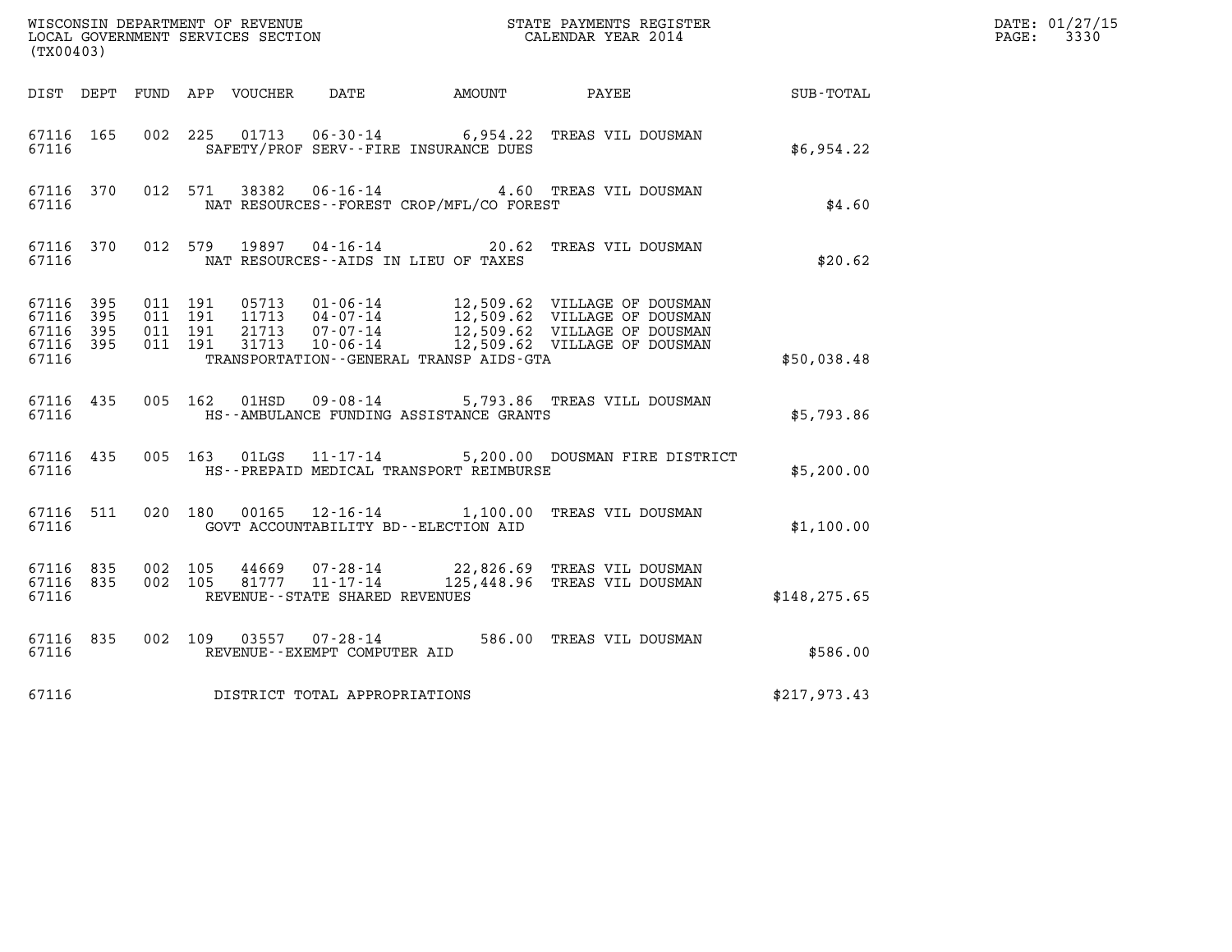| (TX00403)                                                 |           |                               |         |               |                                                        |                                              |                                                                                                                                                                                          |               | DATE: 01/27/15<br>$\mathtt{PAGE:}$<br>3330 |
|-----------------------------------------------------------|-----------|-------------------------------|---------|---------------|--------------------------------------------------------|----------------------------------------------|------------------------------------------------------------------------------------------------------------------------------------------------------------------------------------------|---------------|--------------------------------------------|
|                                                           |           |                               |         |               |                                                        | DIST DEPT FUND APP VOUCHER DATE AMOUNT PAYEE |                                                                                                                                                                                          | SUB-TOTAL     |                                            |
| 67116 165<br>67116                                        |           |                               |         |               |                                                        | SAFETY/PROF SERV--FIRE INSURANCE DUES        | 002 225 01713 06-30-14 6,954.22 TREAS VIL DOUSMAN                                                                                                                                        | \$6,954.22    |                                            |
| 67116                                                     | 67116 370 |                               |         | 012 571 38382 |                                                        | NAT RESOURCES - - FOREST CROP/MFL/CO FOREST  | 06-16-14 4.60 TREAS VIL DOUSMAN                                                                                                                                                          | \$4.60        |                                            |
| 67116                                                     | 67116 370 |                               |         | 012 579 19897 |                                                        | NAT RESOURCES--AIDS IN LIEU OF TAXES         | 04-16-14 20.62 TREAS VIL DOUSMAN                                                                                                                                                         | \$20.62       |                                            |
| 67116 395<br>67116 395<br>67116 395<br>67116 395<br>67116 |           | 011 191<br>011 191<br>011 191 | 011 191 |               |                                                        | TRANSPORTATION--GENERAL TRANSP AIDS-GTA      | 05713 01-06-14 12,509.62 VILLAGE OF DOUSMAN<br>11713 04-07-14 12,509.62 VILLAGE OF DOUSMAN<br>21713 07-07-14 12,509.62 VILLAGE OF DOUSMAN<br>31713 10-06-14 12,509.62 VILLAGE OF DOUSMAN | \$50,038.48   |                                            |
| 67116 435<br>67116                                        |           |                               |         |               |                                                        | HS--AMBULANCE FUNDING ASSISTANCE GRANTS      | 005 162 01HSD 09-08-14 5,793.86 TREAS VILL DOUSMAN                                                                                                                                       | \$5,793.86    |                                            |
| 67116                                                     | 67116 435 |                               | 005 163 |               |                                                        | HS--PREPAID MEDICAL TRANSPORT REIMBURSE      | 01LGS  11-17-14  5,200.00 DOUSMAN FIRE DISTRICT                                                                                                                                          | \$5,200.00    |                                            |
| 67116                                                     | 67116 511 |                               | 020 180 |               |                                                        | GOVT ACCOUNTABILITY BD--ELECTION AID         | 00165  12-16-14  1,100.00  TREAS VIL DOUSMAN                                                                                                                                             | \$1,100.00    |                                            |
| 67116 835<br>67116 835<br>67116                           |           | 002 105<br>002 105            |         |               | REVENUE - - STATE SHARED REVENUES                      |                                              | $31777$ $11 - 17 - 14$ $125.448$ $165$ $1777$ $11 - 17 - 14$ $125.448$ $16$ mpma $175 - 14$                                                                                              | \$148, 275.65 |                                            |
| 67116 835<br>67116                                        |           |                               |         |               | 002 109 03557 07-28-14<br>REVENUE--EXEMPT COMPUTER AID |                                              | 586.00 TREAS VIL DOUSMAN                                                                                                                                                                 | \$586.00      |                                            |
| 67116                                                     |           |                               |         |               | DISTRICT TOTAL APPROPRIATIONS                          |                                              |                                                                                                                                                                                          | \$217,973.43  |                                            |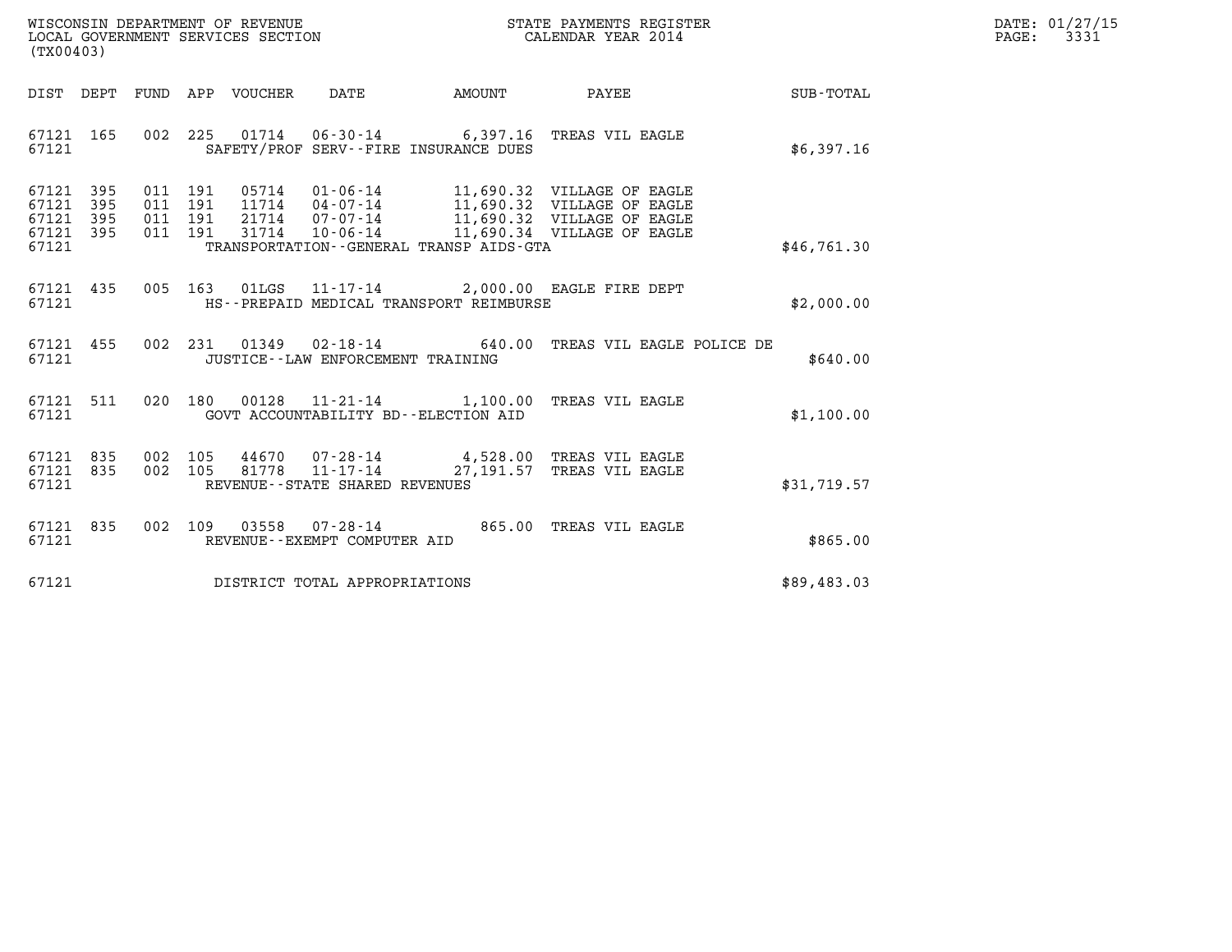| WISCONSIN DEPARTMENT OF REVENUE   | STATE PAYMENTS REGISTER | DATE: 01/27/15 |
|-----------------------------------|-------------------------|----------------|
| LOCAL GOVERNMENT SERVICES SECTION | CALENDAR YEAR 2014      | 3331<br>PAGE:  |

| (TX00403)                                                 |  |  |                                     |                                          |                                                                                                     |             | DATE: 01/27/15<br>$\mathtt{PAGE:}$<br>3331 |
|-----------------------------------------------------------|--|--|-------------------------------------|------------------------------------------|-----------------------------------------------------------------------------------------------------|-------------|--------------------------------------------|
|                                                           |  |  |                                     |                                          |                                                                                                     | SUB-TOTAL   |                                            |
| 67121 165<br>67121                                        |  |  |                                     | SAFETY/PROF SERV--FIRE INSURANCE DUES    | 002 225 01714 06-30-14 6,397.16 TREAS VIL EAGLE                                                     | \$6,397.16  |                                            |
| 67121 395<br>67121 395<br>67121 395<br>67121 395<br>67121 |  |  |                                     | TRANSPORTATION - GENERAL TRANSP AIDS-GTA |                                                                                                     | \$46,761.30 |                                            |
| 67121                                                     |  |  |                                     | HS--PREPAID MEDICAL TRANSPORT REIMBURSE  | 67121 435 005 163 01LGS 11-17-14 2,000.00 EAGLE FIRE DEPT                                           | \$2,000.00  |                                            |
| 67121 455<br>67121                                        |  |  |                                     | JUSTICE--LAW ENFORCEMENT TRAINING        | 002 231 01349 02-18-14 640.00 TREAS VIL EAGLE POLICE DE                                             | \$640.00    |                                            |
| 67121                                                     |  |  |                                     | GOVT ACCOUNTABILITY BD--ELECTION AID     | 67121 511 020 180 00128 11-21-14 1,100.00 TREAS VIL EAGLE                                           | \$1,100.00  |                                            |
| 67121 835<br>67121 835<br>67121                           |  |  | REVENUE--STATE SHARED REVENUES      |                                          | 002 105 44670 07-28-14 4,528.00 TREAS VIL EAGLE<br>002 105 81778 11-17-14 27,191.57 TREAS VIL EAGLE | \$31,719.57 |                                            |
| 67121 835<br>67121                                        |  |  | REVENUE--EXEMPT COMPUTER AID        |                                          | 002 109 03558 07-28-14 865.00 TREAS VIL EAGLE                                                       | \$865.00    |                                            |
|                                                           |  |  | 67121 DISTRICT TOTAL APPROPRIATIONS |                                          |                                                                                                     | \$89,483.03 |                                            |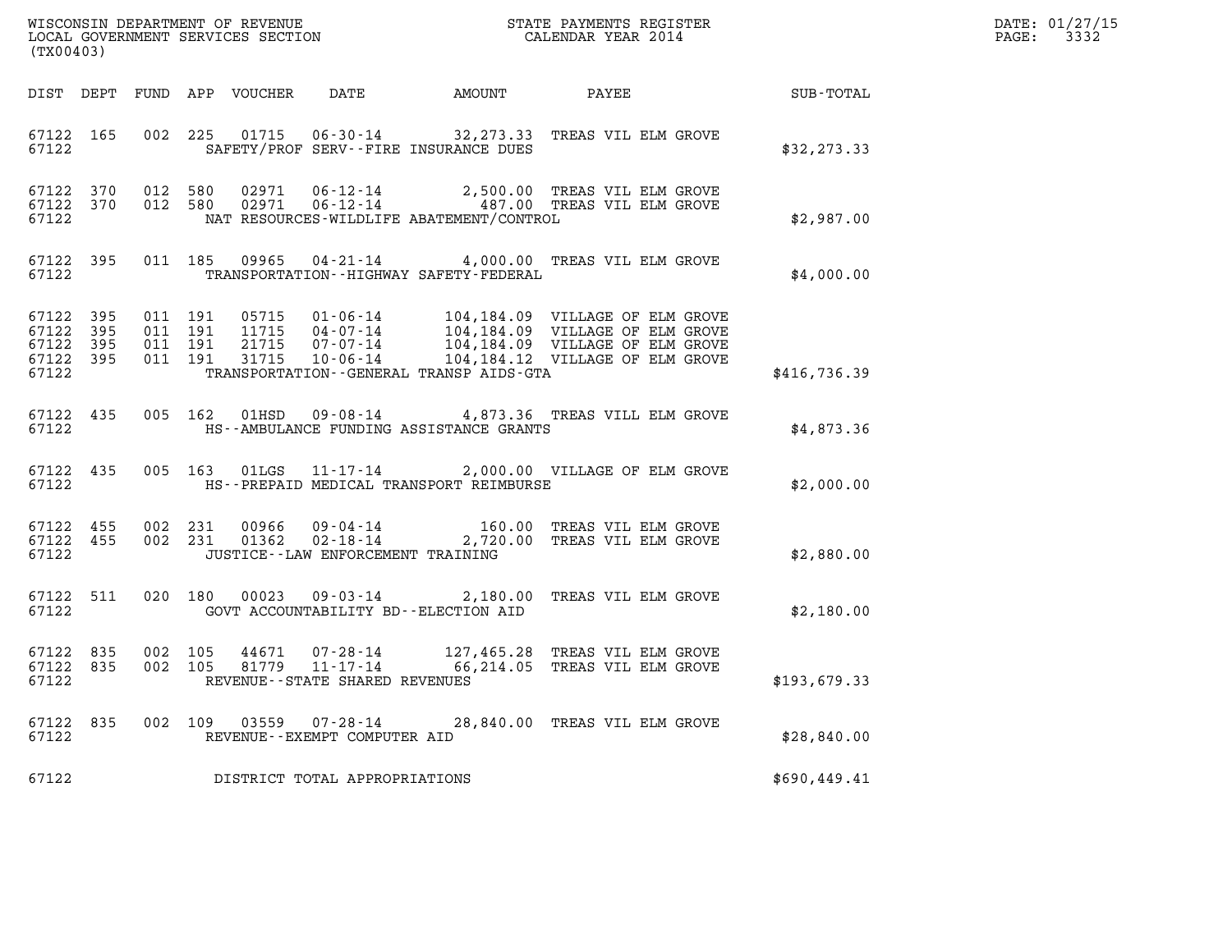| (TX00403)                                    |           |                    |                    |                                                                    |                                          |                                                                                                                                                                                                                                                                  |              | DATE: 01/27/15<br>PAGE: 3332 |
|----------------------------------------------|-----------|--------------------|--------------------|--------------------------------------------------------------------|------------------------------------------|------------------------------------------------------------------------------------------------------------------------------------------------------------------------------------------------------------------------------------------------------------------|--------------|------------------------------|
|                                              |           |                    |                    |                                                                    |                                          |                                                                                                                                                                                                                                                                  |              |                              |
| 67122                                        |           |                    |                    |                                                                    | SAFETY/PROF SERV--FIRE INSURANCE DUES    | 67122 165 002 225 01715 06-30-14 32,273.33 TREAS VIL ELM GROVE                                                                                                                                                                                                   | \$32, 273.33 |                              |
| 67122                                        |           |                    |                    |                                                                    | NAT RESOURCES-WILDLIFE ABATEMENT/CONTROL | $\begin{array}{cccc} 67122 & 370 & 012 & 580 & 02971 & 06\,\text{-}12\,\text{-}14 & 2\,,500\,\text{-}00 & \text{TREAS VIL ELM GROVE} \\ 67122 & 370 & 012 & 580 & 02971 & 06\,\text{-}12\,\text{-}14 & 487\,\text{-}00 & \text{TREAS VIL ELM GROVE} \end{array}$ | \$2,987.00   |                              |
| 67122 395<br>67122                           |           |                    |                    |                                                                    | TRANSPORTATION -- HIGHWAY SAFETY-FEDERAL | 011 185 09965 04-21-14 4,000.00 TREAS VIL ELM GROVE                                                                                                                                                                                                              | \$4,000.00   |                              |
| 67122 395<br>67122 395<br>67122 395<br>67122 | 67122 395 | 011 191<br>011 191 | 011 191<br>011 191 |                                                                    | TRANSPORTATION--GENERAL TRANSP AIDS-GTA  | 05715  01-06-14  104,184.09  VILLAGE OF ELM GROVE<br>11715  04-07-14  104,184.09  VILLAGE OF ELM GROVE<br>21715  07-07-14  104,184.09  VILLAGE OF ELM GROVE<br>31715  10-06-14  104,184.12  VILLAGE OF ELM GROVE                                                 | \$416,736.39 |                              |
| 67122 435<br>67122                           |           |                    |                    |                                                                    | HS--AMBULANCE FUNDING ASSISTANCE GRANTS  | 005 162 01HSD 09-08-14 4,873.36 TREAS VILL ELM GROVE                                                                                                                                                                                                             | \$4,873.36   |                              |
| 67122                                        |           |                    |                    |                                                                    | HS--PREPAID MEDICAL TRANSPORT REIMBURSE  | 67122 435 005 163 01LGS 11-17-14 2,000.00 VILLAGE OF ELM GROVE                                                                                                                                                                                                   | \$2,000.00   |                              |
| 67122                                        |           |                    |                    | JUSTICE--LAW ENFORCEMENT TRAINING                                  |                                          | 67122 455 002 231 00966 09-04-14 160.00 TREAS VIL ELM GROVE 67122 455 002 231 01362 02-18-14 2,720.00 TREAS VIL ELM GROVE                                                                                                                                        | \$2,880.00   |                              |
|                                              | 67122 511 |                    |                    |                                                                    |                                          | 020 180 00023 09-03-14 2,180.00 TREAS VIL ELM GROVE                                                                                                                                                                                                              | \$2,180.00   |                              |
| 67122 835<br>67122 835<br>67122              |           | 002 105<br>002 105 |                    | 44671 07-28-14<br>81779 11-17-14<br>REVENUE--STATE SHARED REVENUES |                                          | 127,465.28 TREAS VIL ELM GROVE<br>66,214.05 TREAS VIL ELM GROVE                                                                                                                                                                                                  | \$193,679.33 |                              |
| 67122 835<br>67122                           |           |                    |                    | REVENUE - - EXEMPT COMPUTER AID                                    |                                          | 002 109 03559 07-28-14 28,840.00 TREAS VIL ELM GROVE                                                                                                                                                                                                             | \$28,840.00  |                              |
| 67122                                        |           |                    |                    | DISTRICT TOTAL APPROPRIATIONS                                      |                                          |                                                                                                                                                                                                                                                                  | \$690,449.41 |                              |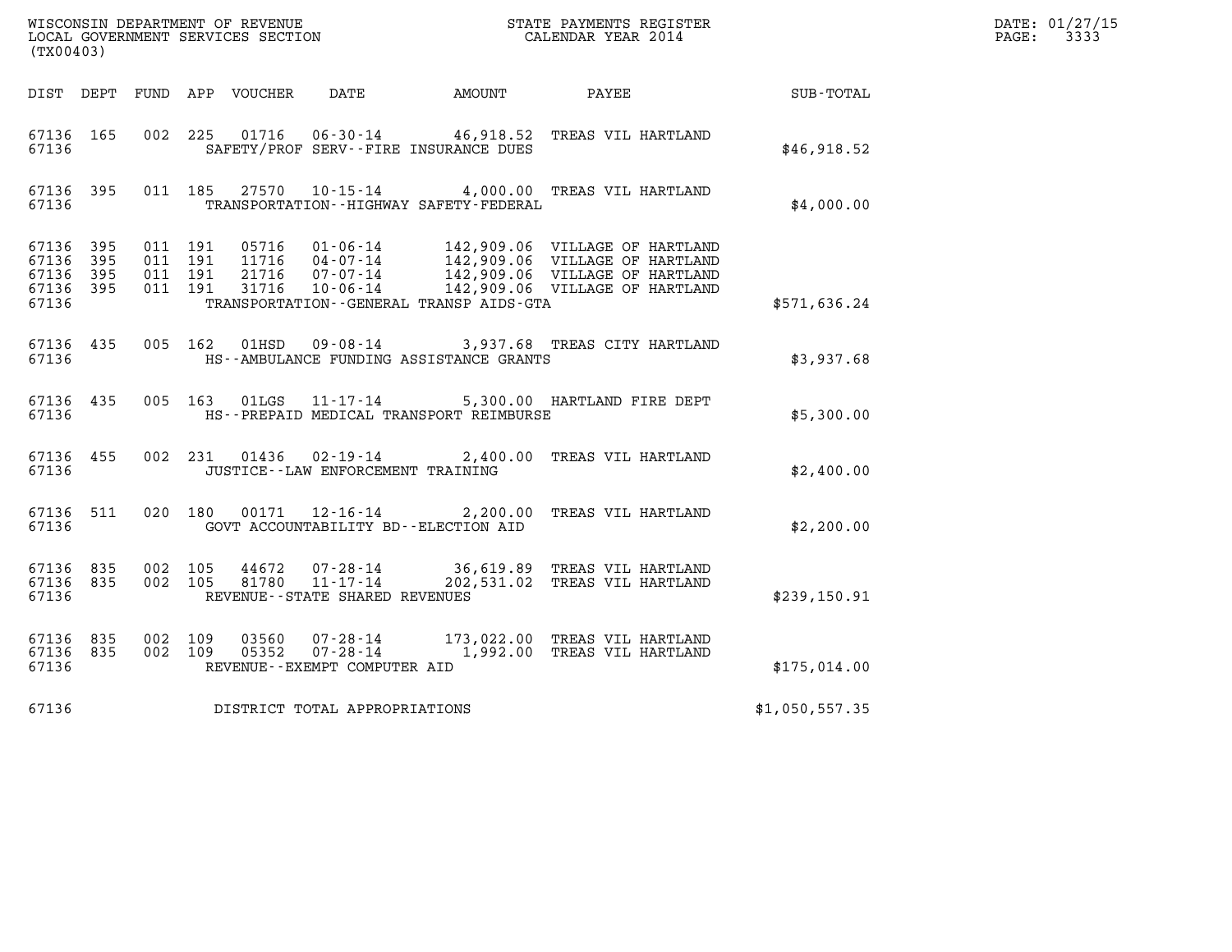| (TX00403)                                                 |           |                                          |                |                                                                                   |                                              | DATE: 01/27/15<br>PAGE: 3333                                                                                                                                                                                 |                  |  |
|-----------------------------------------------------------|-----------|------------------------------------------|----------------|-----------------------------------------------------------------------------------|----------------------------------------------|--------------------------------------------------------------------------------------------------------------------------------------------------------------------------------------------------------------|------------------|--|
|                                                           |           |                                          |                |                                                                                   | DIST DEPT FUND APP VOUCHER DATE AMOUNT PAYEE |                                                                                                                                                                                                              | <b>SUB-TOTAL</b> |  |
| 67136 165<br>67136                                        |           |                                          |                |                                                                                   | SAFETY/PROF SERV--FIRE INSURANCE DUES        | 002 225 01716 06-30-14 46,918.52 TREAS VIL HARTLAND                                                                                                                                                          | \$46,918.52      |  |
| 67136 395<br>67136                                        |           |                                          |                |                                                                                   | TRANSPORTATION - - HIGHWAY SAFETY - FEDERAL  | 011 185 27570 10-15-14 4,000.00 TREAS VIL HARTLAND                                                                                                                                                           | \$4,000.00       |  |
| 67136 395<br>67136 395<br>67136 395<br>67136 395<br>67136 |           | 011 191<br>011 191<br>011 191<br>011 191 |                |                                                                                   | TRANSPORTATION - - GENERAL TRANSP AIDS - GTA | 05716  01-06-14  142,909.06  VILLAGE OF HARTLAND<br>11716  04-07-14  142,909.06  VILLAGE OF HARTLAND<br>21716  07-07-14  142,909.06  VILLAGE OF HARTLAND<br>31716  10-06-14  142,909.06  VILLAGE OF HARTLAND | \$571,636.24     |  |
| 67136                                                     | 67136 435 |                                          |                |                                                                                   | HS--AMBULANCE FUNDING ASSISTANCE GRANTS      | 005 162 01HSD 09-08-14 3,937.68 TREAS CITY HARTLAND                                                                                                                                                          | \$3,937.68       |  |
| 67136                                                     | 67136 435 |                                          |                |                                                                                   | HS--PREPAID MEDICAL TRANSPORT REIMBURSE      | 005 163 01LGS 11-17-14 5,300.00 HARTLAND FIRE DEPT                                                                                                                                                           | \$5,300.00       |  |
| 67136                                                     | 67136 455 |                                          |                | JUSTICE -- LAW ENFORCEMENT TRAINING                                               |                                              | 002 231 01436 02-19-14 2,400.00 TREAS VIL HARTLAND                                                                                                                                                           | \$2,400.00       |  |
| 67136 511<br>67136                                        |           |                                          |                | 020 180 00171 12-16-14                                                            | GOVT ACCOUNTABILITY BD--ELECTION AID         | 2,200.00 TREAS VIL HARTLAND                                                                                                                                                                                  | \$2,200.00       |  |
| 67136 835<br>67136                                        | 67136 835 | 002 105<br>002 105                       |                | $81780$ $11 - \overline{17} - \overline{14}$<br>REVENUE - - STATE SHARED REVENUES |                                              | 44672  07-28-14  36,619.89  TREAS VIL HARTLAND<br>202,531.02 TREAS VIL HARTLAND                                                                                                                              | \$239,150.91     |  |
| 67136 835<br>67136 835<br>67136                           |           | 002 109<br>002 109                       | 03560<br>05352 | REVENUE--EXEMPT COMPUTER AID                                                      |                                              | 07-28-14 173,022.00 TREAS VIL HARTLAND<br>07-28-14 1,992.00 TREAS VIL HARTLAND                                                                                                                               | \$175,014.00     |  |
| 67136                                                     |           |                                          |                | DISTRICT TOTAL APPROPRIATIONS                                                     |                                              |                                                                                                                                                                                                              | \$1,050,557.35   |  |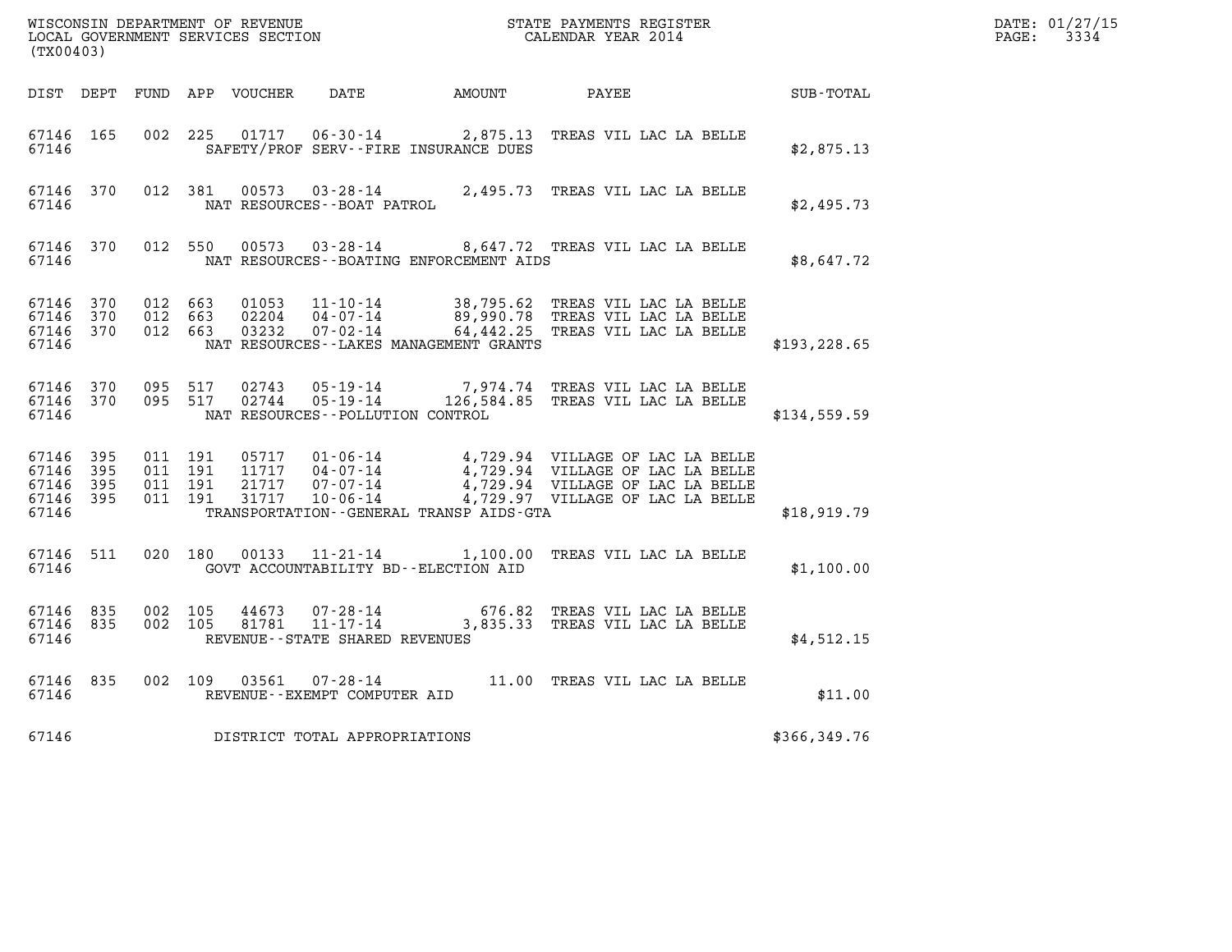|                                                   |                |                               |                                          |                         |                                                     |                                              |                                                                                                                                                                                                              |               | DATE: 01/27/15<br>$\mathtt{PAGE:}$<br>3334 |
|---------------------------------------------------|----------------|-------------------------------|------------------------------------------|-------------------------|-----------------------------------------------------|----------------------------------------------|--------------------------------------------------------------------------------------------------------------------------------------------------------------------------------------------------------------|---------------|--------------------------------------------|
| (TX00403)                                         |                |                               |                                          |                         |                                                     |                                              |                                                                                                                                                                                                              |               |                                            |
|                                                   |                |                               |                                          |                         |                                                     | DIST DEPT FUND APP VOUCHER DATE AMOUNT PAYEE |                                                                                                                                                                                                              | SUB-TOTAL     |                                            |
| 67146 165<br>67146                                |                |                               | 002 225                                  |                         |                                                     | SAFETY/PROF SERV--FIRE INSURANCE DUES        | 01717  06-30-14  2,875.13  TREAS VIL LAC LA BELLE                                                                                                                                                            | \$2,875.13    |                                            |
| 67146 370<br>67146                                |                |                               | 012 381                                  | 00573                   | NAT RESOURCES - - BOAT PATROL                       |                                              | 03-28-14 2,495.73 TREAS VIL LAC LA BELLE                                                                                                                                                                     | \$2,495.73    |                                            |
| 67146 370<br>67146                                |                |                               |                                          |                         |                                                     | NAT RESOURCES--BOATING ENFORCEMENT AIDS      | 012 550 00573 03-28-14 8,647.72 TREAS VIL LAC LA BELLE                                                                                                                                                       | \$8,647.72    |                                            |
| 67146 370<br>67146 370<br>67146<br>67146          | 370            | 012 663<br>012 663<br>012 663 |                                          | 01053<br>02204<br>03232 | 04-07-14<br>07-02-14                                | NAT RESOURCES--LAKES MANAGEMENT GRANTS       | 11-10-14 38,795.62 TREAS VIL LAC LA BELLE<br>04-07-14 89,990.78 TREAS VIL LAC LA BELLE<br>64,442.25 TREAS VIL LAC LA BELLE                                                                                   | \$193, 228.65 |                                            |
| 67146 370<br>67146 370<br>67146                   |                |                               | 095 517<br>095 517                       |                         | NAT RESOURCES - - POLLUTION CONTROL                 |                                              | 02743  05-19-14  7,974.74  TREAS VIL LAC LA BELLE<br>02744  05-19-14  126,584.85  TREAS VIL LAC LA BELLE                                                                                                     | \$134,559.59  |                                            |
| 67146 395<br>67146<br>67146<br>67146 395<br>67146 | - 395<br>- 395 |                               | 011 191<br>011 191<br>011 191<br>011 191 | 21717<br>31717          |                                                     | TRANSPORTATION - - GENERAL TRANSP AIDS - GTA | 05717  01-06-14  4,729.94  VILLAGE OF LAC LA BELLE<br>11717  04-07-14  4,729.94  VILLAGE OF LAC LA BELLE<br>$07 - 07 - 14$ $4,729.94$ VILLAGE OF LAC LA BELLE<br>10-06-14 $4,729.97$ VILLAGE OF LAC LA BELLE | \$18,919.79   |                                            |
| 67146 511<br>67146                                |                |                               | 020 180                                  | 00133                   | $11 - 21 - 14$                                      | GOVT ACCOUNTABILITY BD--ELECTION AID         | 1,100.00 TREAS VIL LAC LA BELLE                                                                                                                                                                              | \$1,100.00    |                                            |
| 67146 835<br>67146 835<br>67146                   |                |                               | 002 105<br>002 105                       | 44673<br>81781          | $07 - 28 - 14$<br>REVENUE - - STATE SHARED REVENUES |                                              | 676.82 TREAS VIL LAC LA BELLE<br>11-17-14 3,835.33 TREAS VIL LAC LA BELLE                                                                                                                                    | \$4,512.15    |                                            |
| 67146 835<br>67146                                |                |                               |                                          |                         | REVENUE--EXEMPT COMPUTER AID                        |                                              | 002 109 03561 07-28-14 11.00 TREAS VIL LAC LA BELLE                                                                                                                                                          | \$11.00       |                                            |
| 67146                                             |                |                               |                                          |                         | DISTRICT TOTAL APPROPRIATIONS                       |                                              |                                                                                                                                                                                                              | \$366,349.76  |                                            |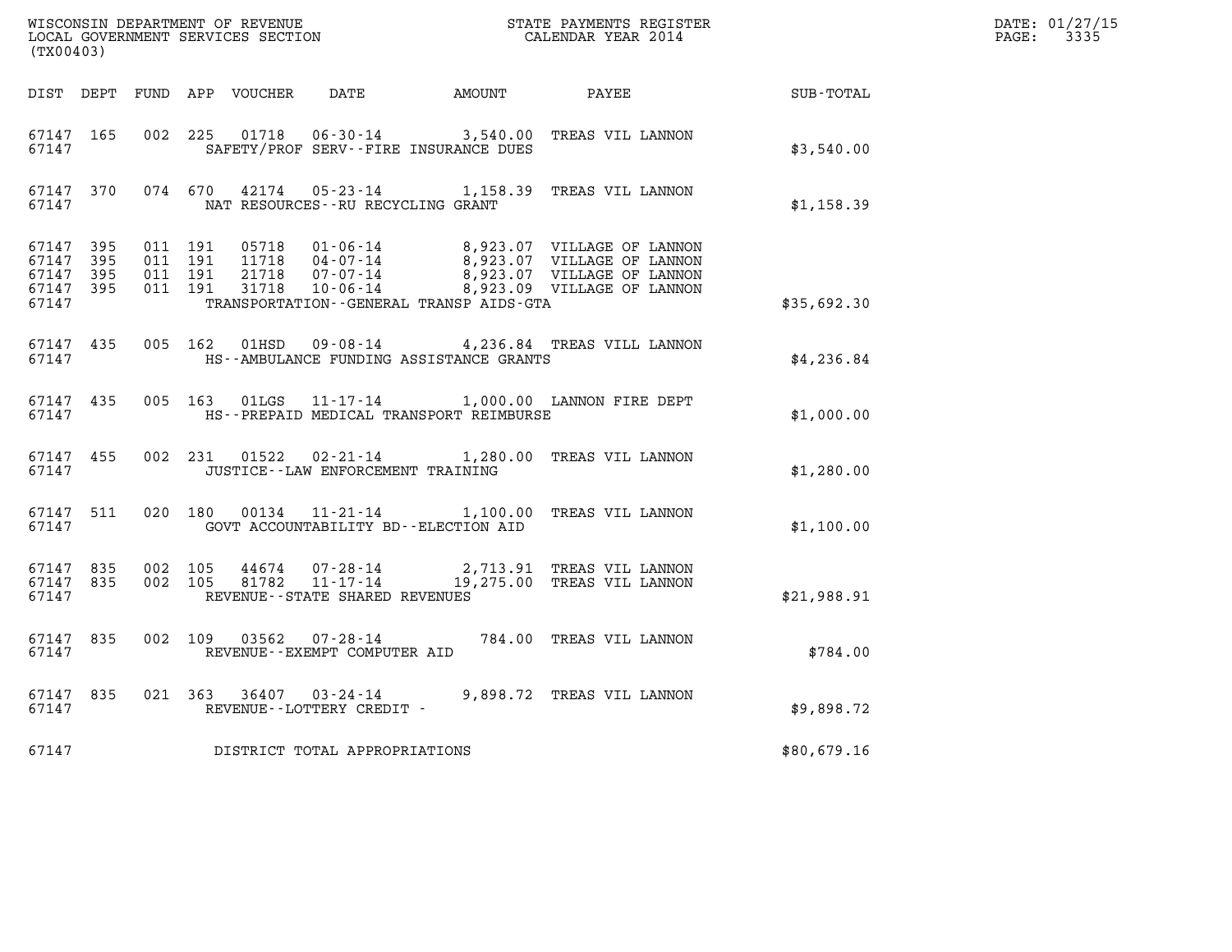| (TX00403)                                             |     |                   |                               |                                         |                                                                                                                                                                                              |             | DATE: 01/27/15<br>$\mathtt{PAGE}$ :<br>3335 |
|-------------------------------------------------------|-----|-------------------|-------------------------------|-----------------------------------------|----------------------------------------------------------------------------------------------------------------------------------------------------------------------------------------------|-------------|---------------------------------------------|
|                                                       |     |                   |                               |                                         | DIST DEPT FUND APP VOUCHER DATE AMOUNT PAYEE PAYER SUB-TOTAL                                                                                                                                 |             |                                             |
| 67147 165<br>67147                                    |     |                   |                               | SAFETY/PROF SERV--FIRE INSURANCE DUES   | 002 225 01718 06-30-14 3,540.00 TREAS VIL LANNON                                                                                                                                             | \$3,540.00  |                                             |
| 67147                                                 |     |                   |                               | NAT RESOURCES--RU RECYCLING GRANT       | 67147 370 074 670 42174 05-23-14 1,158.39 TREAS VIL LANNON                                                                                                                                   | \$1,158.39  |                                             |
| 67147 395<br>67147 395<br>67147<br>67147 395<br>67147 | 395 | 011 191           | 011 191<br>011 191<br>011 191 | TRANSPORTATION--GENERAL TRANSP AIDS-GTA | 05718  01-06-14  8,923.07  VILLAGE OF LANNON<br>11718  04-07-14  8,923.07  VILLAGE OF LANNON<br>21718  07-07-14  8,923.07  VILLAGE OF LANNON<br>31718  10-06-14  8,923.09  VILLAGE OF LANNON | \$35,692.30 |                                             |
| 67147                                                 |     |                   |                               | HS--AMBULANCE FUNDING ASSISTANCE GRANTS | 67147 435 005 162 01HSD 09-08-14 4,236.84 TREAS VILL LANNON                                                                                                                                  | \$4,236.84  |                                             |
| 67147 435<br>67147                                    |     |                   |                               | HS--PREPAID MEDICAL TRANSPORT REIMBURSE | 005 163 01LGS 11-17-14 1,000.00 LANNON FIRE DEPT                                                                                                                                             | \$1,000.00  |                                             |
| 67147 455<br>67147                                    |     |                   |                               | JUSTICE - - LAW ENFORCEMENT TRAINING    | 002 231 01522 02-21-14 1,280.00 TREAS VIL LANNON                                                                                                                                             | \$1,280.00  |                                             |
| 67147                                                 |     |                   |                               | GOVT ACCOUNTABILITY BD--ELECTION AID    | 67147 511 020 180 00134 11-21-14 1,100.00 TREAS VIL LANNON                                                                                                                                   | \$1,100.00  |                                             |
| 67147 835<br>67147                                    |     | 67147 835 002 105 |                               | REVENUE--STATE SHARED REVENUES          | 002 105 44674 07-28-14 2,713.91 TREAS VIL LANNON<br>002 105 81782 11-17-14 19,275.00 TREAS VIL LANNON                                                                                        | \$21,988.91 |                                             |
| 67147 835<br>67147                                    |     |                   |                               | REVENUE--EXEMPT COMPUTER AID            | 002 109 03562 07-28-14 784.00 TREAS VIL LANNON                                                                                                                                               | \$784.00    |                                             |
| 67147 835<br>67147                                    |     |                   |                               | REVENUE - - LOTTERY CREDIT -            | 021 363 36407 03-24-14 9,898.72 TREAS VIL LANNON                                                                                                                                             | \$9,898.72  |                                             |
| 67147                                                 |     |                   |                               | DISTRICT TOTAL APPROPRIATIONS           |                                                                                                                                                                                              | \$80,679.16 |                                             |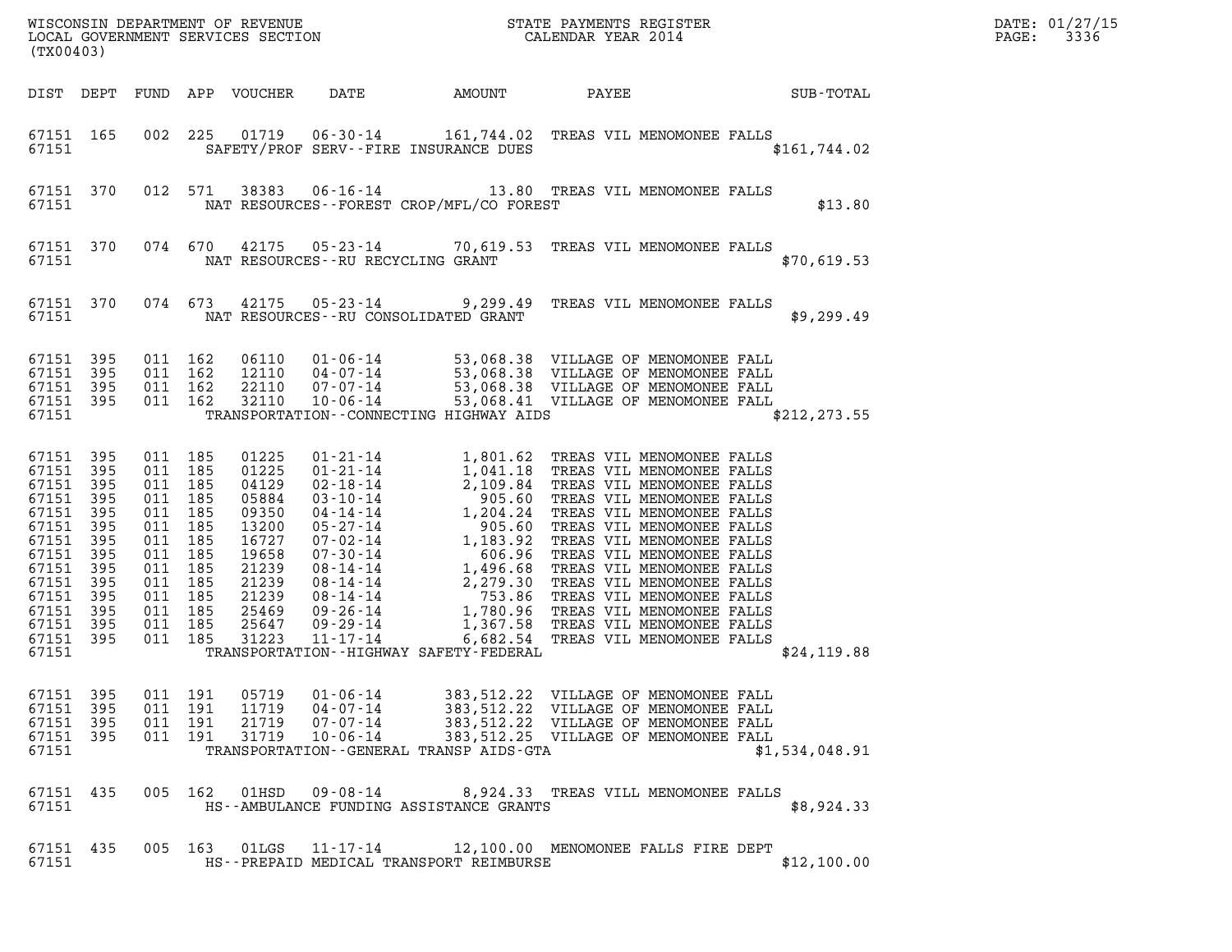| (TX00403)                                                                                                                                           |                                                                    |                                                                                                                                                    |         |                                                                                                                                                                           |                      |        |                                                                                                                                                                                                     |  |                 | DATE: 01/27/15<br>3336<br>$\mathtt{PAGE:}$ |
|-----------------------------------------------------------------------------------------------------------------------------------------------------|--------------------------------------------------------------------|----------------------------------------------------------------------------------------------------------------------------------------------------|---------|---------------------------------------------------------------------------------------------------------------------------------------------------------------------------|----------------------|--------|-----------------------------------------------------------------------------------------------------------------------------------------------------------------------------------------------------|--|-----------------|--------------------------------------------|
| DIST DEPT                                                                                                                                           |                                                                    |                                                                                                                                                    |         | FUND APP VOUCHER                                                                                                                                                          | DATE                 | AMOUNT |                                                                                                                                                                                                     |  | PAYEE SUB-TOTAL |                                            |
| 67151 165<br>67151                                                                                                                                  |                                                                    |                                                                                                                                                    |         |                                                                                                                                                                           |                      |        | 002 225 01719 06-30-14 161,744.02 TREAS VIL MENOMONEE FALLS<br>SAFETY/PROF SERV--FIRE INSURANCE DUES                                                                                                |  | \$161,744.02    |                                            |
| 67151                                                                                                                                               | 67151 370                                                          | 012 571                                                                                                                                            |         | NAT RESOURCES - - FOREST CROP/MFL/CO FOREST                                                                                                                               |                      |        | 38383  06-16-14   13.80   TREAS VIL MENOMONEE FALLS                                                                                                                                                 |  | \$13.80         |                                            |
| 67151                                                                                                                                               | 67151 370                                                          |                                                                                                                                                    | 074 670 | NAT RESOURCES -- RU RECYCLING GRANT                                                                                                                                       |                      |        | 42175 05-23-14 70,619.53 TREAS VIL MENOMONEE FALLS                                                                                                                                                  |  | \$70,619.53     |                                            |
| 67151                                                                                                                                               | 67151 370                                                          |                                                                                                                                                    | 074 673 | NAT RESOURCES--RU CONSOLIDATED GRANT                                                                                                                                      |                      |        | 42175  05-23-14  9,299.49  TREAS VIL MENOMONEE FALLS                                                                                                                                                |  | \$9,299.49      |                                            |
| 67151 395<br>67151<br>67151 395<br>67151 395<br>67151                                                                                               | 395                                                                | 011 162<br>011 162<br>011 162<br>011 162                                                                                                           |         | 06110<br>12110<br>22110<br>32110<br>TRANSPORTATION - - CONNECTING HIGHWAY AIDS                                                                                            |                      |        | 01-06-14 53,068.38 VILLAGE OF MENOMONEE FALL<br>04-07-14 53,068.38 VILLAGE OF MENOMONEE FALL<br>07-07-14 53,068.38 VILLAGE OF MENOMONEE FALL<br>10-06-14 53,068.41 VILLAGE OF MENOMONEE FALL        |  | \$212, 273.55   |                                            |
| 67151 395<br>67151 395<br>67151<br>67151<br>67151<br>67151<br>67151<br>67151<br>67151<br>67151<br>67151<br>67151<br>67151 395<br>67151 395<br>67151 | 395<br>395<br>395<br>395<br>395<br>395<br>395<br>395<br>395<br>395 | 011 185<br>011 185<br>011 185<br>011 185<br>011 185<br>011 185<br>011<br>011 185<br>011 185<br>011 185<br>011 185<br>011 185<br>011 185<br>011 185 | 185     | 01225<br>01225<br>04129<br>05884<br>09350<br>13200<br>16727<br>19658<br>21239<br>21239<br>21239<br>25469<br>25647<br>31223<br>TRANSPORTATION - - HIGHWAY SAFETY - FEDERAL | $11 - 17 - 14$       |        | 6,682.54 TREAS VIL MENOMONEE FALLS                                                                                                                                                                  |  | \$24,119.88     |                                            |
| 67151 395<br>67151 395<br>67151 395<br>67151 395<br>67151                                                                                           |                                                                    | 011 191<br>011 191<br>011 191<br>011 191                                                                                                           |         | 05719<br>11719  04 - 07 - 14<br>21719<br>31719<br>TRANSPORTATION--GENERAL TRANSP AIDS-GTA                                                                                 | 01-06-14<br>07-07-14 |        | 383,512.22 VILLAGE OF MENOMONEE FALL<br>04-07-14<br>07-07-14 383,512.22 VILLAGE OF MENOMONEE FALL<br>07-07-14 383,512.22 VILLAGE OF MENOMONEE FALL<br>10-06-14 383,512.25 VILLAGE OF MENOMONEE FALL |  | \$1,534,048.91  |                                            |
| 67151 435<br>67151                                                                                                                                  |                                                                    |                                                                                                                                                    |         | HS--AMBULANCE FUNDING ASSISTANCE GRANTS                                                                                                                                   |                      |        | 005 162 01HSD 09-08-14 8,924.33 TREAS VILL MENOMONEE FALLS                                                                                                                                          |  | \$8,924.33      |                                            |
| 67151 435<br>67151                                                                                                                                  |                                                                    |                                                                                                                                                    |         | HS--PREPAID MEDICAL TRANSPORT REIMBURSE                                                                                                                                   |                      |        | 005 163 01LGS 11-17-14 12,100.00 MENOMONEE FALLS FIRE DEPT                                                                                                                                          |  | \$12,100.00     |                                            |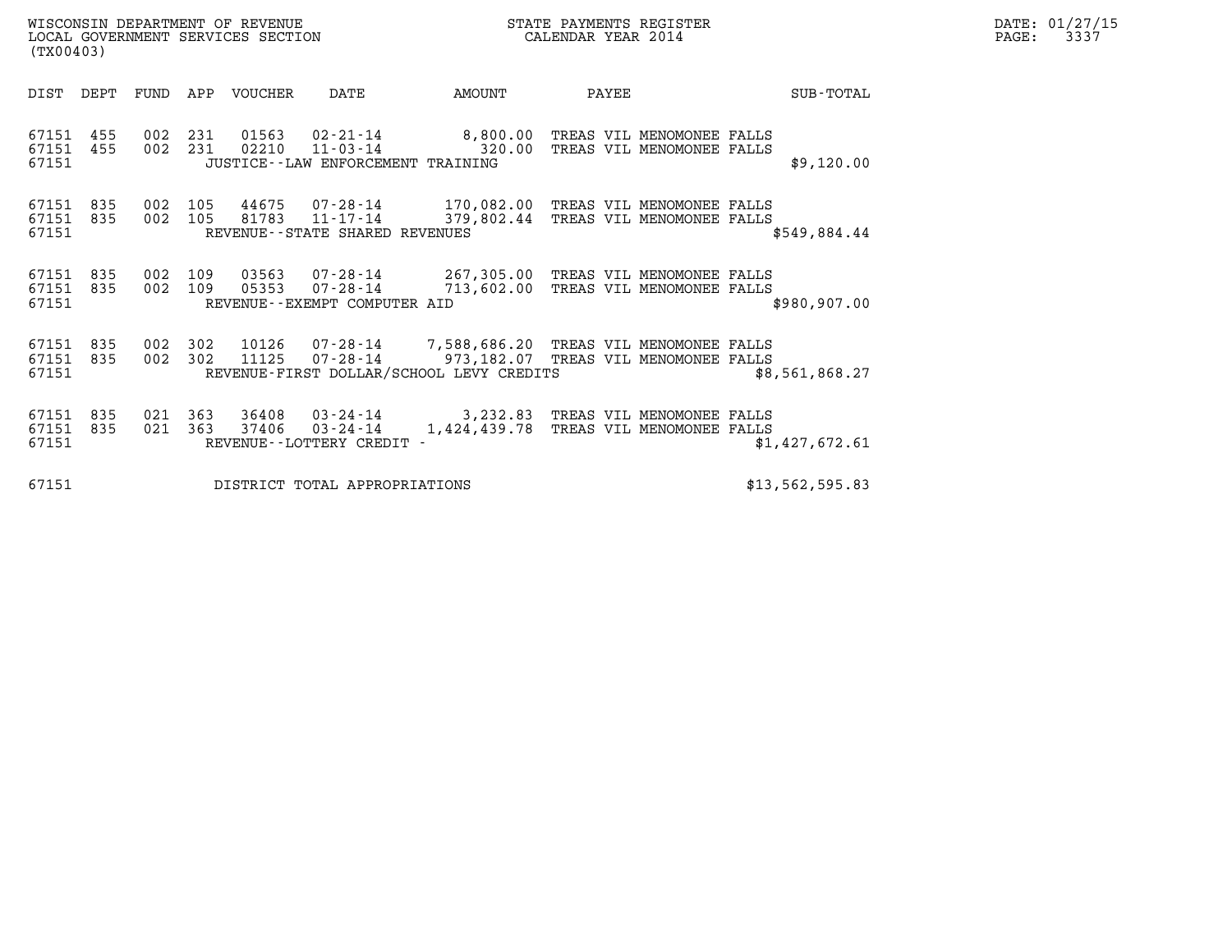| (TX00403)                       |     |                    | WISCONSIN DEPARTMENT OF REVENUE<br>LOCAL GOVERNMENT SERVICES SECTION |                                                |                                                                                                                                                      | STATE PAYMENTS REGISTER<br>CALENDAR YEAR 2014 |                 | DATE: 01/27/15<br>$\mathtt{PAGE:}$<br>3337 |
|---------------------------------|-----|--------------------|----------------------------------------------------------------------|------------------------------------------------|------------------------------------------------------------------------------------------------------------------------------------------------------|-----------------------------------------------|-----------------|--------------------------------------------|
| DIST DEPT                       |     |                    | FUND APP VOUCHER                                                     | DATE                                           | AMOUNT                                                                                                                                               | PAYEE                                         | SUB-TOTAL       |                                            |
| 67151<br>67151 455<br>67151     | 455 | 002 231<br>002 231 |                                                                      | JUSTICE -- LAW ENFORCEMENT TRAINING            | 01563 02-21-14 8,800.00 TREAS VIL MENOMONEE FALLS<br>02210  11-03-14  320.00 TREAS VIL MENOMONEE FALLS                                               |                                               | \$9,120.00      |                                            |
| 67151<br>67151 835<br>67151     | 835 | 002 105<br>002 105 |                                                                      | REVENUE--STATE SHARED REVENUES                 | 44675 07-28-14 170,082.00 TREAS VIL MENOMONEE FALLS<br>81783  11-17-14  379,802.44  TREAS VIL MENOMONEE FALLS                                        |                                               | \$549,884.44    |                                            |
| 67151 835<br>67151 835<br>67151 |     | 002 109<br>002 109 | 03563<br>05353                                                       | REVENUE--EXEMPT COMPUTER AID                   | 07-28-14 267,305.00 TREAS VIL MENOMONEE FALLS<br>07-28-14 713,602.00 TREAS VIL MENOMONEE FALLS                                                       |                                               | \$980,907.00    |                                            |
| 67151<br>67151 835<br>67151     | 835 | 002 302<br>002 302 | 11125                                                                |                                                | 10126  07-28-14  7,588,686.20 TREAS VIL MENOMONEE FALLS<br>07-28-14 973,182.07 TREAS VIL MENOMONEE FALLS<br>REVENUE-FIRST DOLLAR/SCHOOL LEVY CREDITS |                                               | \$8,561,868.27  |                                            |
| 67151<br>67151 835<br>67151     | 835 | 021 363<br>021 363 | 36408<br>37406                                                       | $03 - 24 - 14$<br>REVENUE - - LOTTERY CREDIT - | 03-24-14 3,232.83 TREAS VIL MENOMONEE FALLS                                                                                                          | 1,424,439.78 TREAS VIL MENOMONEE FALLS        | \$1,427,672.61  |                                            |
| 67151                           |     |                    |                                                                      | DISTRICT TOTAL APPROPRIATIONS                  |                                                                                                                                                      |                                               | \$13,562,595.83 |                                            |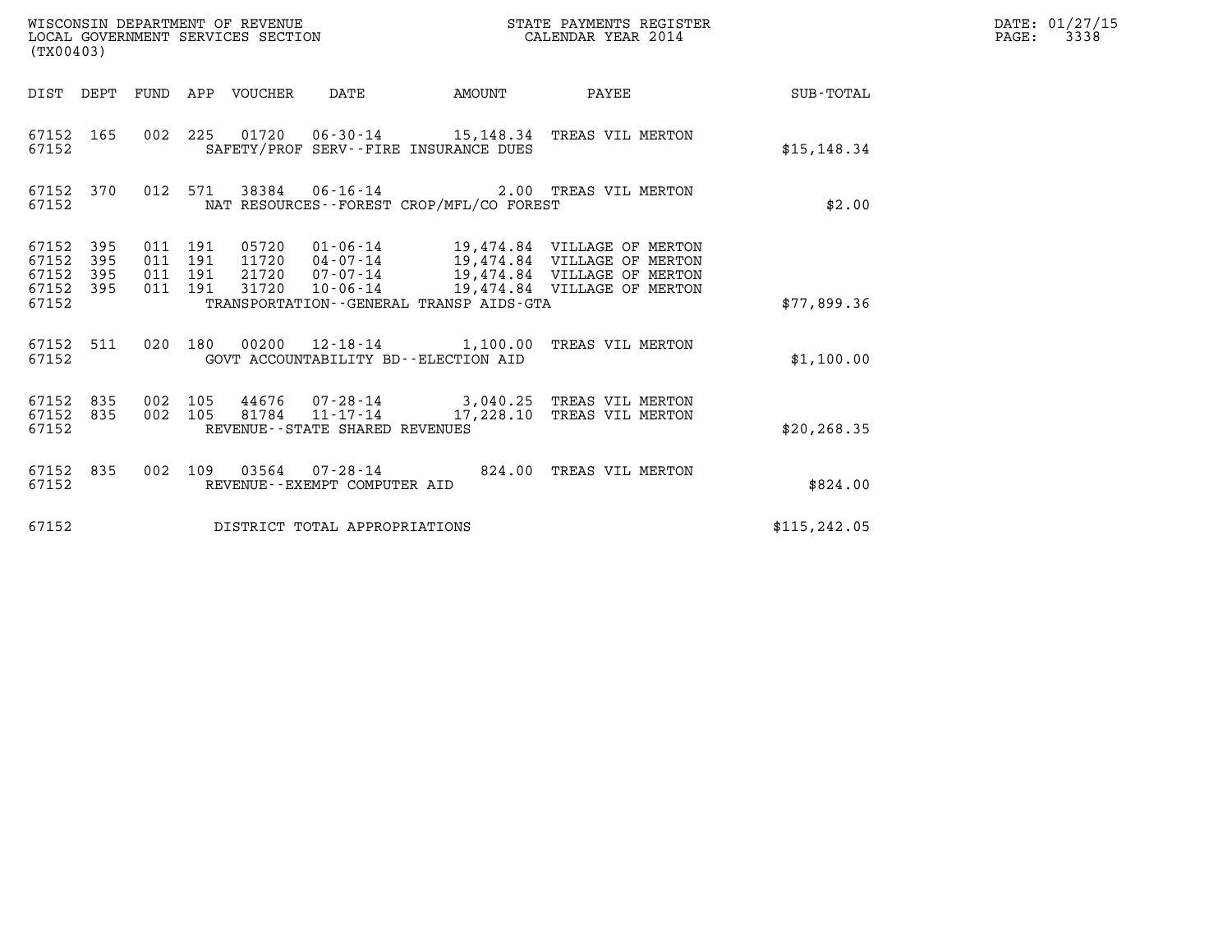| WISCONSIN DEPARTMENT OF REVENUE<br>LOCAL GOVERNMENT SERVICES SECTION<br>(TX00403) |                       |                       |                |                                                             |                                              | DATE: 01/27/15<br>$\mathtt{PAGE:}$<br>3338                                                                                                                            |                 |  |
|-----------------------------------------------------------------------------------|-----------------------|-----------------------|----------------|-------------------------------------------------------------|----------------------------------------------|-----------------------------------------------------------------------------------------------------------------------------------------------------------------------|-----------------|--|
| DIST DEPT FUND APP VOUCHER DATE                                                   |                       |                       |                |                                                             | <b>AMOUNT</b>                                |                                                                                                                                                                       | PAYEE SUB-TOTAL |  |
| 67152 165<br>67152                                                                |                       |                       |                |                                                             | SAFETY/PROF SERV--FIRE INSURANCE DUES        | 002 225 01720 06-30-14 15,148.34 TREAS VIL MERTON                                                                                                                     | \$15, 148.34    |  |
| 67152 370<br>67152                                                                |                       | 012 571               |                |                                                             | NAT RESOURCES--FOREST CROP/MFL/CO FOREST     | 38384   06-16-14   2.00   TREAS VIL MERTON                                                                                                                            | \$2.00          |  |
| 67152 395<br>395<br>67152<br>67152<br>395<br>395<br>67152<br>67152                | 011 191<br>011<br>011 | 191<br>191<br>011 191 | 21720<br>31720 | $07 - 07 - 14$                                              | TRANSPORTATION - - GENERAL TRANSP AIDS - GTA | 05720  01-06-14  19,474.84  VILLAGE OF MERTON<br>11720  04-07-14  19,474.84  VILLAGE OF MERTON<br>19,474.84 VILLAGE OF MERTON<br>10-06-14 19,474.84 VILLAGE OF MERTON | \$77,899.36     |  |
| 67152 511<br>67152                                                                |                       |                       |                | GOVT ACCOUNTABILITY BD--ELECTION AID                        |                                              | 020 180 00200 12-18-14 1,100.00 TREAS VIL MERTON                                                                                                                      | \$1,100.00      |  |
| 67152 835<br>67152 835<br>67152                                                   | 002 105<br>002 105    |                       |                | $81784$ $11 - 17 - 14$<br>REVENUE - - STATE SHARED REVENUES |                                              | 44676  07-28-14  3,040.25  TREAS VIL MERTON<br>17,228.10 TREAS VIL MERTON                                                                                             | \$20, 268.35    |  |
| 67152 835<br>67152                                                                |                       |                       |                | REVENUE--EXEMPT COMPUTER AID                                |                                              | 002 109 03564 07-28-14 824.00 TREAS VIL MERTON                                                                                                                        | \$824.00        |  |
| 67152                                                                             |                       |                       |                | DISTRICT TOTAL APPROPRIATIONS                               |                                              |                                                                                                                                                                       | \$115, 242.05   |  |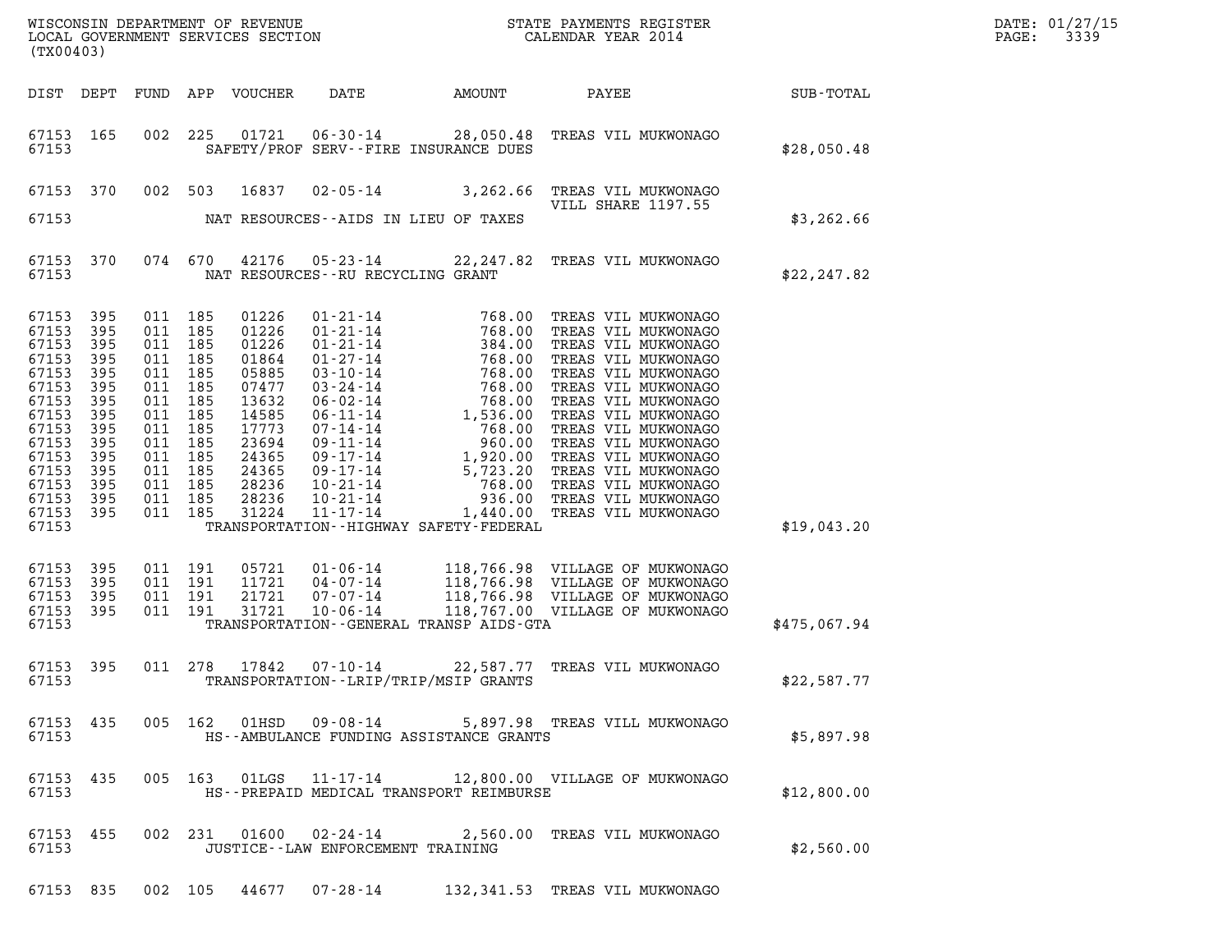| DATE: | 01/27/15 |
|-------|----------|
| PAGE: | 3339     |

| (TX00403)                                                                                                                                    |                                                                                                       |                                                                                                                                                                   |                                                                                                                                     |                                      |                                             |                                                                                                                                                                              |              | DATE: 01/27/15<br>$\mathtt{PAGE:}$<br>3339 |
|----------------------------------------------------------------------------------------------------------------------------------------------|-------------------------------------------------------------------------------------------------------|-------------------------------------------------------------------------------------------------------------------------------------------------------------------|-------------------------------------------------------------------------------------------------------------------------------------|--------------------------------------|---------------------------------------------|------------------------------------------------------------------------------------------------------------------------------------------------------------------------------|--------------|--------------------------------------------|
|                                                                                                                                              |                                                                                                       |                                                                                                                                                                   | DIST DEPT FUND APP VOUCHER                                                                                                          | DATE                                 |                                             | AMOUNT PAYEE SUB-TOTAL                                                                                                                                                       |              |                                            |
| 67153 165<br>67153                                                                                                                           |                                                                                                       |                                                                                                                                                                   |                                                                                                                                     |                                      | SAFETY/PROF SERV--FIRE INSURANCE DUES       | 002 225 01721 06-30-14 28,050.48 TREAS VIL MUKWONAGO                                                                                                                         | \$28,050.48  |                                            |
| 67153 370                                                                                                                                    |                                                                                                       |                                                                                                                                                                   |                                                                                                                                     |                                      |                                             | 002 503 16837 02-05-14 3,262.66 TREAS VIL MUKWONAGO<br>VILL SHARE 1197.55                                                                                                    |              |                                            |
| 67153                                                                                                                                        |                                                                                                       |                                                                                                                                                                   |                                                                                                                                     | NAT RESOURCES--AIDS IN LIEU OF TAXES |                                             |                                                                                                                                                                              | \$3,262.66   |                                            |
| 67153 370<br>67153                                                                                                                           |                                                                                                       |                                                                                                                                                                   |                                                                                                                                     | NAT RESOURCES--RU RECYCLING GRANT    |                                             | 074 670 42176 05-23-14 22,247.82 TREAS VIL MUKWONAGO                                                                                                                         | \$22, 247.82 |                                            |
| 67153<br>67153<br>67153<br>67153<br>67153<br>67153<br>67153<br>67153<br>67153<br>67153<br>67153<br>67153<br>67153<br>67153<br>67153<br>67153 | 395<br>395<br>395<br>395<br>395<br>395<br>395<br>395<br>395<br>395<br>395<br>395<br>395<br>395<br>395 | 011 185<br>011 185<br>011 185<br>011 185<br>011 185<br>011 185<br>011 185<br>011 185<br>011 185<br>011 185<br>011 185<br>011 185<br>011 185<br>011 185<br>011 185 | 01226<br>01226<br>01226<br>01864<br>05885<br>07477<br>13632<br>14585<br>17773<br>23694<br>24365<br>24365<br>28236<br>28236<br>31224 |                                      | TRANSPORTATION - - HIGHWAY SAFETY - FEDERAL |                                                                                                                                                                              | \$19,043.20  |                                            |
| 67153<br>67153<br>67153<br>67153<br>67153                                                                                                    | 395<br>395<br>395<br>395                                                                              | 011 191<br>011 191<br>011 191<br>011 191                                                                                                                          | 05721<br>11721<br>21721<br>31721                                                                                                    |                                      | TRANSPORTATION--GENERAL TRANSP AIDS-GTA     | 01-06-14 118,766.98 VILLAGE OF MUKWONAGO<br>04-07-14 118,766.98 VILLAGE OF MUKWONAGO<br>07-07-14 118,766.98 VILLAGE OF MUKWONAGO<br>10-06-14 118,767.00 VILLAGE OF MUKWONAGO | \$475,067.94 |                                            |
| 67153                                                                                                                                        |                                                                                                       |                                                                                                                                                                   |                                                                                                                                     | 67153 395 011 278 17842 07-10-14     | TRANSPORTATION - - LRIP/TRIP/MSIP GRANTS    | 22,587.77 TREAS VIL MUKWONAGO                                                                                                                                                | \$22,587.77  |                                            |
| 67153 435<br>67153                                                                                                                           |                                                                                                       |                                                                                                                                                                   |                                                                                                                                     |                                      | HS--AMBULANCE FUNDING ASSISTANCE GRANTS     | 005 162 01HSD 09-08-14 5,897.98 TREAS VILL MUKWONAGO                                                                                                                         | \$5,897.98   |                                            |
| 67153 435<br>67153                                                                                                                           |                                                                                                       |                                                                                                                                                                   |                                                                                                                                     |                                      | HS--PREPAID MEDICAL TRANSPORT REIMBURSE     | 005 163 01LGS 11-17-14 12,800.00 VILLAGE OF MUKWONAGO                                                                                                                        | \$12,800.00  |                                            |
| 67153 455<br>67153                                                                                                                           |                                                                                                       |                                                                                                                                                                   |                                                                                                                                     | JUSTICE - - LAW ENFORCEMENT TRAINING |                                             | 002  231  01600  02-24-14  2,560.00 TREAS VIL MUKWONAGO                                                                                                                      | \$2,560.00   |                                            |

67153 835 002 105 44677 07-28-14 132,341.53 TREAS VIL MUKWONAGO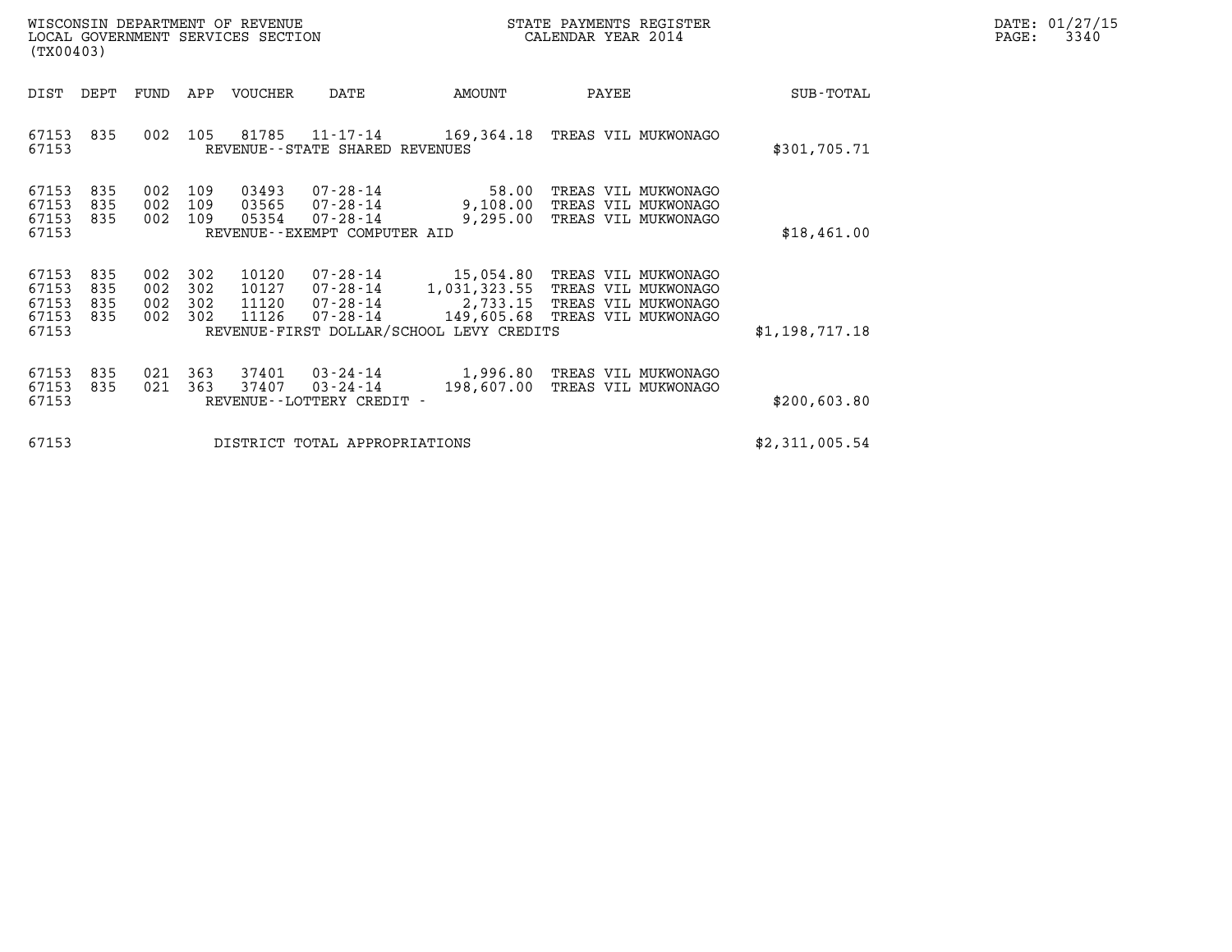| WISCONSIN DEPARTMENT OF REVENUE   | STATE PAYMENTS REGISTER | DATE: 01/27/15 |
|-----------------------------------|-------------------------|----------------|
| LOCAL GOVERNMENT SERVICES SECTION | CALENDAR YEAR 2014      | 3340<br>PAGE:  |

| (TX00403)                                 |                          |                          |                          | WISCONSIN DEPARTMENT OF REVENUE<br>LOCAL GOVERNMENT SERVICES SECTION |                                                                           | STATE PAYMENTS REGISTER<br>CALENDAR YEAR 2014                                     |                                                                                                     |                |
|-------------------------------------------|--------------------------|--------------------------|--------------------------|----------------------------------------------------------------------|---------------------------------------------------------------------------|-----------------------------------------------------------------------------------|-----------------------------------------------------------------------------------------------------|----------------|
| DIST                                      | DEPT                     | FUND                     | APP                      | VOUCHER                                                              | DATE                                                                      | AMOUNT                                                                            | PAYEE                                                                                               | SUB-TOTAL      |
| 67153<br>67153                            | 835                      | 002                      | 105                      | 81785                                                                | 11-17-14<br>REVENUE - - STATE SHARED REVENUES                             | 169,364.18                                                                        | TREAS VIL MUKWONAGO                                                                                 | \$301,705.71   |
| 67153<br>67153<br>67153<br>67153          | 835<br>835<br>835        | 002<br>002<br>002        | 109<br>109<br>109        | 03493<br>03565<br>05354                                              | 07-28-14<br>07-28-14<br>$07 - 28 - 14$<br>REVENUE - - EXEMPT COMPUTER AID | 58.00<br>9,108.00<br>9,295.00                                                     | TREAS VIL MUKWONAGO<br>TREAS VIL MUKWONAGO<br>TREAS VIL MUKWONAGO                                   | \$18,461.00    |
| 67153<br>67153<br>67153<br>67153<br>67153 | 835<br>835<br>835<br>835 | 002<br>002<br>002<br>002 | 302<br>302<br>302<br>302 | 10120<br>10127<br>11120<br>11126                                     | 07-28-14<br>07-28-14<br>07-28-14<br>07-28-14                              | 15,054.80<br>1,031,323.55<br>2,733.15<br>REVENUE-FIRST DOLLAR/SCHOOL LEVY CREDITS | TREAS VIL MUKWONAGO<br>TREAS VIL MUKWONAGO<br>TREAS VIL MUKWONAGO<br>149,605.68 TREAS VIL MUKWONAGO | \$1,198,717.18 |
| 67153<br>67153<br>67153                   | 835<br>835               | 021<br>021               | 363<br>363               | 37401<br>37407                                                       | 03-24-14<br>$03 - 24 - 14$<br>REVENUE - - LOTTERY CREDIT -                | 1,996.80<br>198,607.00                                                            | TREAS VIL MUKWONAGO<br>TREAS VIL MUKWONAGO                                                          | \$200,603.80   |
| 67153                                     |                          |                          |                          |                                                                      | DISTRICT TOTAL APPROPRIATIONS                                             |                                                                                   |                                                                                                     | \$2,311,005.54 |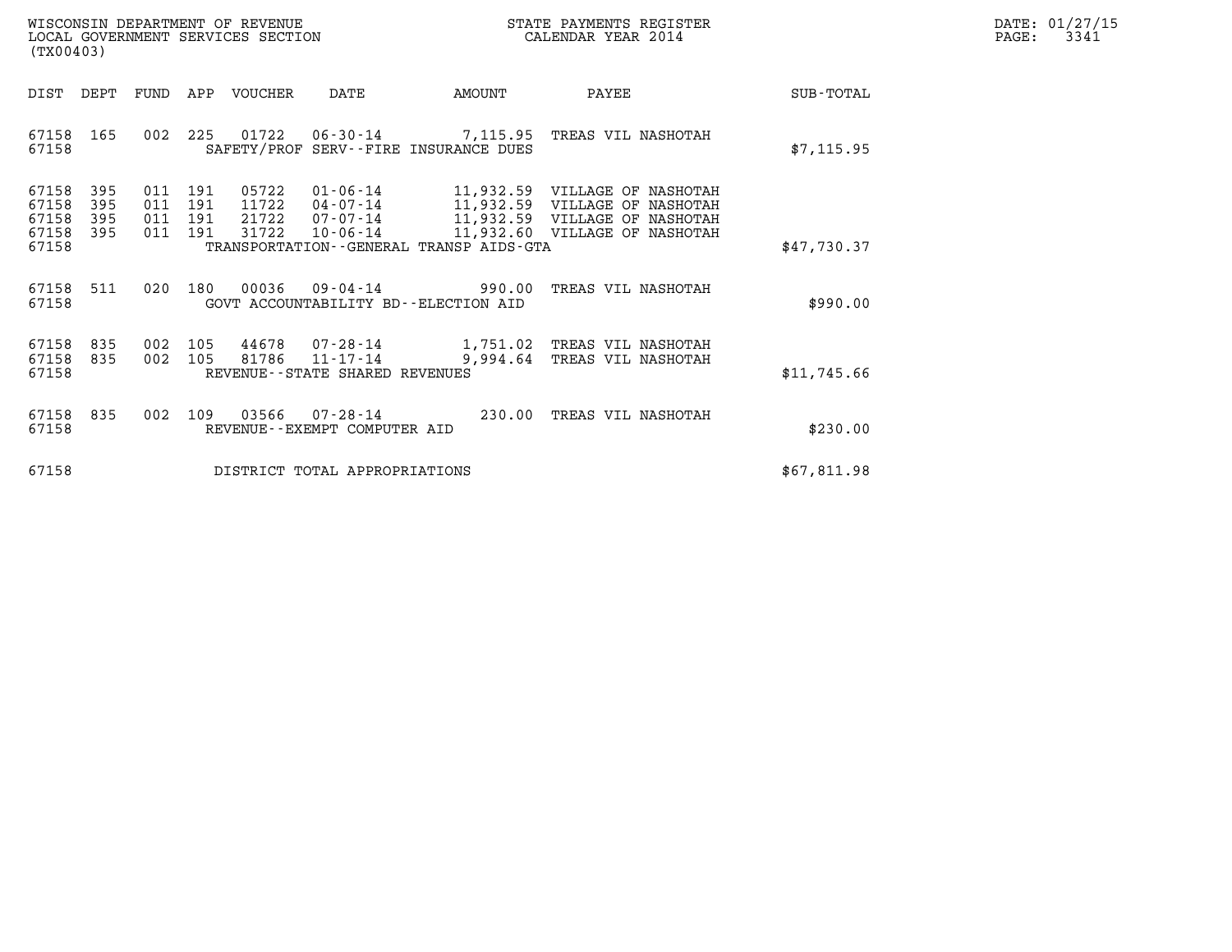| WISCONSIN DEPARTMENT OF REVENUE   | STATE PAYMENTS REGISTER | DATE: 01/27/15 |
|-----------------------------------|-------------------------|----------------|
| LOCAL GOVERNMENT SERVICES SECTION | CALENDAR YEAR 2014      | 3341<br>PAGE:  |

| (TX00403)                                 |                          |                          |                          | WISCONSIN DEPARTMENT OF REVENUE<br>LOCAL GOVERNMENT SERVICES SECTION |                                                                 |                                                            | STATE PAYMENTS REGISTER<br>CALENDAR YEAR 2014                                                                          |             |
|-------------------------------------------|--------------------------|--------------------------|--------------------------|----------------------------------------------------------------------|-----------------------------------------------------------------|------------------------------------------------------------|------------------------------------------------------------------------------------------------------------------------|-------------|
| DIST                                      | DEPT                     | <b>FUND</b>              | APP                      | VOUCHER                                                              | DATE                                                            | AMOUNT                                                     | PAYEE                                                                                                                  | SUB-TOTAL   |
| 67158<br>67158                            | 165                      | 002                      | 225                      | 01722                                                                |                                                                 | 06-30-14 7,115.95<br>SAFETY/PROF SERV--FIRE INSURANCE DUES | TREAS VIL NASHOTAH                                                                                                     | \$7, 115.95 |
| 67158<br>67158<br>67158<br>67158<br>67158 | 395<br>395<br>395<br>395 | 011<br>011<br>011<br>011 | 191<br>191<br>191<br>191 | 05722<br>11722<br>21722<br>31722                                     | $01 - 06 - 14$<br>04-07-14<br>07-07-14<br>$10 - 06 - 14$        | 11,932.59<br>TRANSPORTATION - - GENERAL TRANSP AIDS - GTA  | 11,932.59 VILLAGE OF NASHOTAH<br>VILLAGE OF NASHOTAH<br>11,932.59 VILLAGE OF NASHOTAH<br>11,932.60 VILLAGE OF NASHOTAH | \$47,730.37 |
|                                           |                          |                          |                          |                                                                      |                                                                 |                                                            |                                                                                                                        |             |
| 67158<br>67158                            | 511                      | 020                      | 180                      | 00036                                                                | $09 - 04 - 14$                                                  | 990.00<br>GOVT ACCOUNTABILITY BD--ELECTION AID             | TREAS VIL NASHOTAH                                                                                                     | \$990.00    |
| 67158<br>67158<br>67158                   | 835<br>835               | 002<br>002               | 105<br>105               | 44678<br>81786                                                       | 07-28-14<br>$11 - 17 - 14$<br>REVENUE - - STATE SHARED REVENUES | 1,751.02<br>9,994.64                                       | TREAS VIL NASHOTAH<br>TREAS VIL NASHOTAH                                                                               | \$11,745.66 |
| 67158<br>67158                            | 835                      | 002                      | 109                      | 03566                                                                | $07 - 28 - 14$<br>REVENUE - - EXEMPT COMPUTER AID               | 230.00                                                     | TREAS VIL NASHOTAH                                                                                                     | \$230.00    |
| 67158                                     |                          |                          |                          |                                                                      | DISTRICT TOTAL APPROPRIATIONS                                   |                                                            |                                                                                                                        | \$67,811.98 |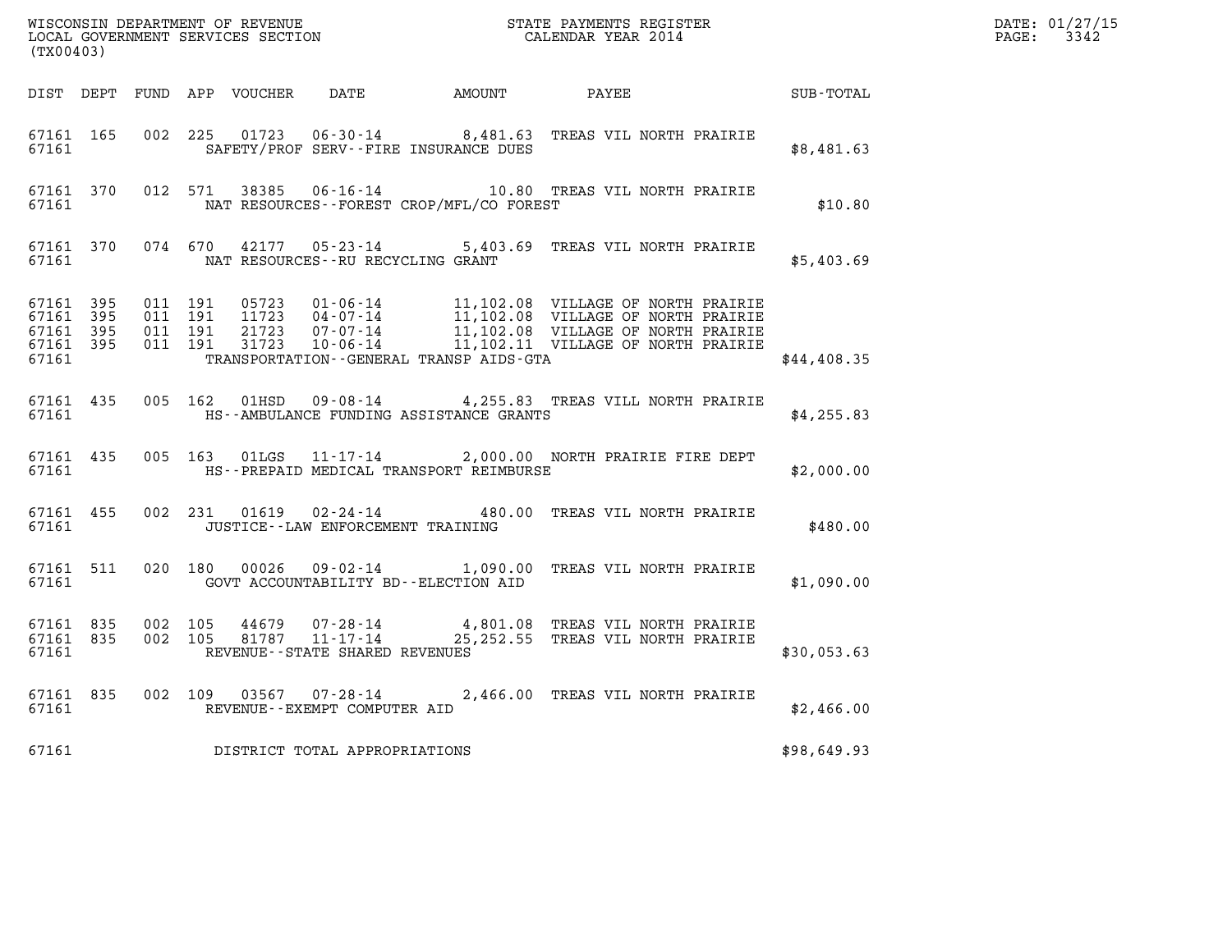| (TX00403) |  |  |                                         |                                                 |                                                                                                                                                                                                                                                                                            |             | $\begin{array}{cccc}\n\texttt{DATE:} & 01/27/1 \\ \texttt{PAGE:} & 3342\n\end{array}$<br>DATE: 01/27/15 |
|-----------|--|--|-----------------------------------------|-------------------------------------------------|--------------------------------------------------------------------------------------------------------------------------------------------------------------------------------------------------------------------------------------------------------------------------------------------|-------------|---------------------------------------------------------------------------------------------------------|
|           |  |  |                                         |                                                 | DIST DEPT FUND APP VOUCHER DATE AMOUNT PAYEE PATE SUB-TOTAL                                                                                                                                                                                                                                |             |                                                                                                         |
|           |  |  |                                         | 67161 SAFETY/PROF SERV--FIRE INSURANCE DUES     | 67161 165 002 225 01723 06-30-14 8,481.63 TREAS VIL NORTH PRAIRIE                                                                                                                                                                                                                          | \$8,481.63  |                                                                                                         |
|           |  |  |                                         | 67161 MAT RESOURCES - FOREST CROP/MFL/CO FOREST | 67161 370 012 571 38385 06-16-14 10.80 TREAS VIL NORTH PRAIRIE                                                                                                                                                                                                                             | \$10.80     |                                                                                                         |
|           |  |  | 67161 NAT RESOURCES--RU RECYCLING GRANT |                                                 | 67161 370 074 670 42177 05-23-14 5,403.69 TREAS VIL NORTH PRAIRIE                                                                                                                                                                                                                          | \$5,403.69  |                                                                                                         |
|           |  |  |                                         |                                                 | 67161 395 011 191 05723 01-06-14 11,102.08 VILLAGE OF NORTH PRAIRIE<br>67161 395 011 191 11723 04-07-14 11,102.08 VILLAGE OF NORTH PRAIRIE<br>67161 395 011 191 21723 07-07-14 11,102.08 VILLAGE OF NORTH PRAIRIE<br>67161 395 011 191<br>67161 TRANSPORTATION - GENERAL TRANSP AIDS - GTA | \$44,408.35 |                                                                                                         |
|           |  |  |                                         |                                                 | 67161 435 005 162 01HSD 09-08-14 4,255.83 TREAS VILL NORTH PRAIRIE                                                                                                                                                                                                                         | \$4,255.83  |                                                                                                         |
|           |  |  |                                         | 67161 MES-PREPAID MEDICAL TRANSPORT REIMBURSE   | 67161 435 005 163 01LGS 11-17-14 2,000.00 NORTH PRAIRIE FIRE DEPT                                                                                                                                                                                                                          | \$2,000.00  |                                                                                                         |
|           |  |  |                                         |                                                 | 67161 455 002 231 01619 02-24-14 480.00 TREAS VIL NORTH PRAIRIE                                                                                                                                                                                                                            | \$480.00    |                                                                                                         |
|           |  |  |                                         |                                                 | 67161 511 020 180 00026 09-02-14 1,090.00 TREAS VIL NORTH PRAIRIE                                                                                                                                                                                                                          | \$1,090.00  |                                                                                                         |
|           |  |  | 67161 REVENUE--STATE SHARED REVENUES    |                                                 | 67161 835 002 105 44679 07-28-14 4,801.08 TREAS VIL NORTH PRAIRIE<br>67161 835 002 105 81787 11-17-14 25,252.55 TREAS VIL NORTH PRAIRIE                                                                                                                                                    | \$30,053.63 |                                                                                                         |
|           |  |  | 67161 REVENUE - EXEMPT COMPUTER AID     |                                                 | 67161 835 002 109 03567 07-28-14 2,466.00 TREAS VIL NORTH PRAIRIE                                                                                                                                                                                                                          | \$2,466.00  |                                                                                                         |
|           |  |  | 67161 DISTRICT TOTAL APPROPRIATIONS     |                                                 |                                                                                                                                                                                                                                                                                            | \$98,649.93 |                                                                                                         |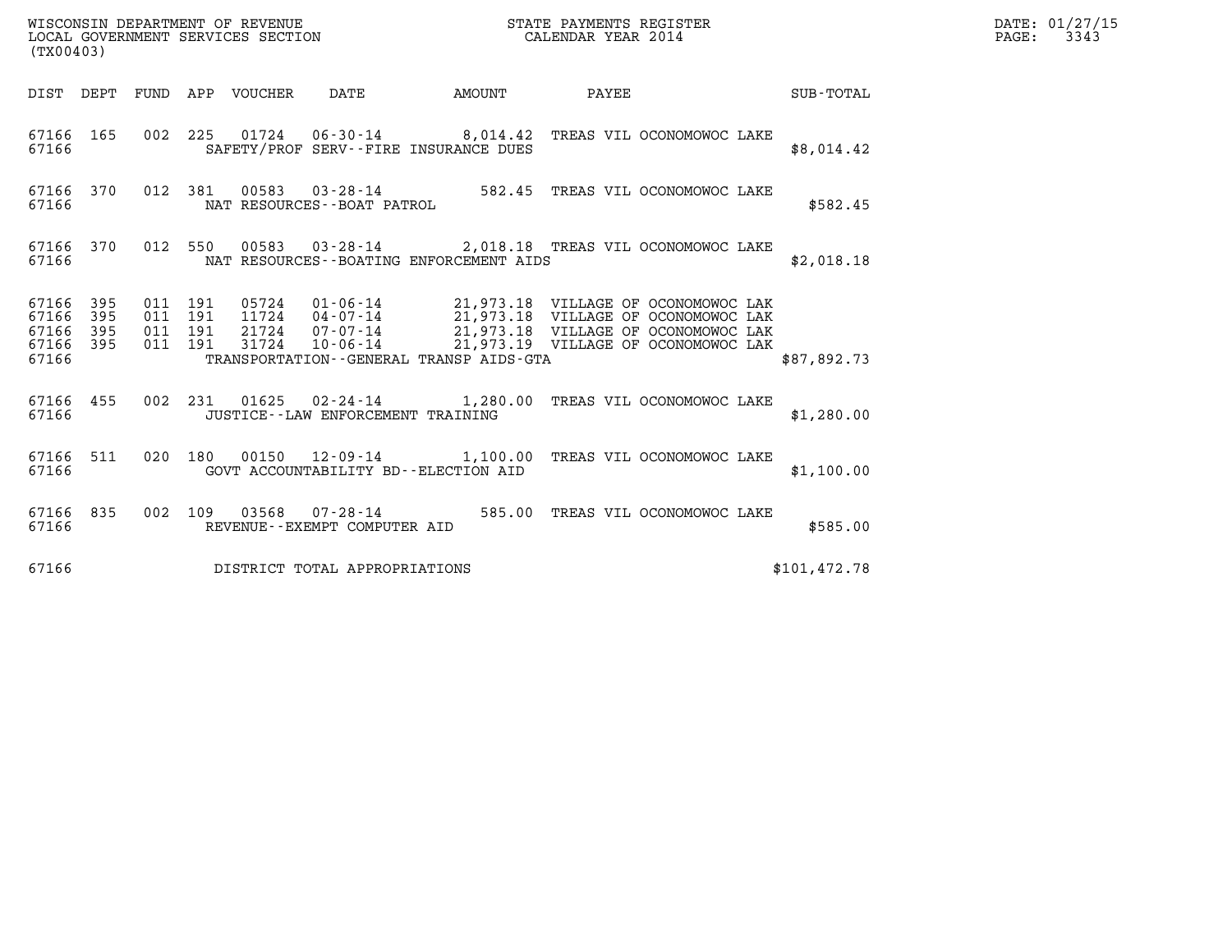| WISCONSIN DEPARTMENT OF REVENUE<br>LOCAL GOVERNMENT SERVICES SECTION | STATE PAYMENTS REGISTER<br>CALENDAR YEAR 2014 | DATE: 01/27/15<br>3343<br>$\mathtt{PAGE}$ : |
|----------------------------------------------------------------------|-----------------------------------------------|---------------------------------------------|

|                                                       | (TX00403) |  |  |  |                                     |                                            |                                                                                                                                                                                                                                                                                                                                                 |              | DATE: 01/27/15<br>$\mathtt{PAGE:}$<br>3343 |
|-------------------------------------------------------|-----------|--|--|--|-------------------------------------|--------------------------------------------|-------------------------------------------------------------------------------------------------------------------------------------------------------------------------------------------------------------------------------------------------------------------------------------------------------------------------------------------------|--------------|--------------------------------------------|
|                                                       |           |  |  |  |                                     |                                            | DIST DEPT FUND APP VOUCHER DATE AMOUNT PAYEE SUB-TOTAL                                                                                                                                                                                                                                                                                          |              |                                            |
| 67166                                                 |           |  |  |  |                                     | SAFETY/PROF SERV--FIRE INSURANCE DUES      | 67166 165 002 225 01724 06-30-14 8,014.42 TREAS VIL OCONOMOWOC LAKE                                                                                                                                                                                                                                                                             | \$8,014.42   |                                            |
| 67166                                                 |           |  |  |  | NAT RESOURCES--BOAT PATROL          |                                            | 67166 370 012 381 00583 03-28-14 582.45 TREAS VIL OCONOMOWOC LAKE                                                                                                                                                                                                                                                                               | \$582.45     |                                            |
| 67166                                                 |           |  |  |  |                                     | NAT RESOURCES--BOATING ENFORCEMENT AIDS    | 67166 370 012 550 00583 03-28-14 2,018.18 TREAS VIL OCONOMOWOC LAKE                                                                                                                                                                                                                                                                             | \$2,018.18   |                                            |
| 67166 395<br>67166<br>67166 395<br>67166 395<br>67166 | 395       |  |  |  |                                     | TRANSPORTATION - - GENERAL TRANSP AIDS-GTA | $\begin{array}{cccccc} 011 & 191 & 05724 & 01\cdot 06\cdot 14 & 21,973.18 & \text{VILLAGE OF OCONOMOWOC LAK} \\ 011 & 191 & 11724 & 04\cdot 07\cdot 14 & 21,973.18 & \text{VILLAGE OF OCONOMOWOC LAK} \\ 011 & 191 & 21724 & 07\cdot 07\cdot 14 & 21,973.18 & \text{VILLAGE OF OCONOMOWOC LAK} \\ 011 & 191 & 31724 & 10\cdot 06\cdot 14 & 21,$ | \$87,892.73  |                                            |
| 67166                                                 |           |  |  |  |                                     | JUSTICE - - LAW ENFORCEMENT TRAINING       | 67166 455 002 231 01625 02-24-14 1,280.00 TREAS VIL OCONOMOWOC LAKE                                                                                                                                                                                                                                                                             | \$1,280.00   |                                            |
| 67166 511<br>67166                                    |           |  |  |  |                                     | GOVT ACCOUNTABILITY BD--ELECTION AID       | 020 180 00150 12-09-14 1,100.00 TREAS VIL OCONOMOWOC LAKE                                                                                                                                                                                                                                                                                       | \$1,100.00   |                                            |
| 67166 835<br>67166                                    |           |  |  |  |                                     |                                            | 002   109   03568   07-28-14   585.00 TREAS VIL OCONOMOWOC LAKE   REVENUE--EXEMPT COMPUTER AID                                                                                                                                                                                                                                                  | \$585.00     |                                            |
|                                                       |           |  |  |  | 67166 DISTRICT TOTAL APPROPRIATIONS |                                            |                                                                                                                                                                                                                                                                                                                                                 | \$101,472.78 |                                            |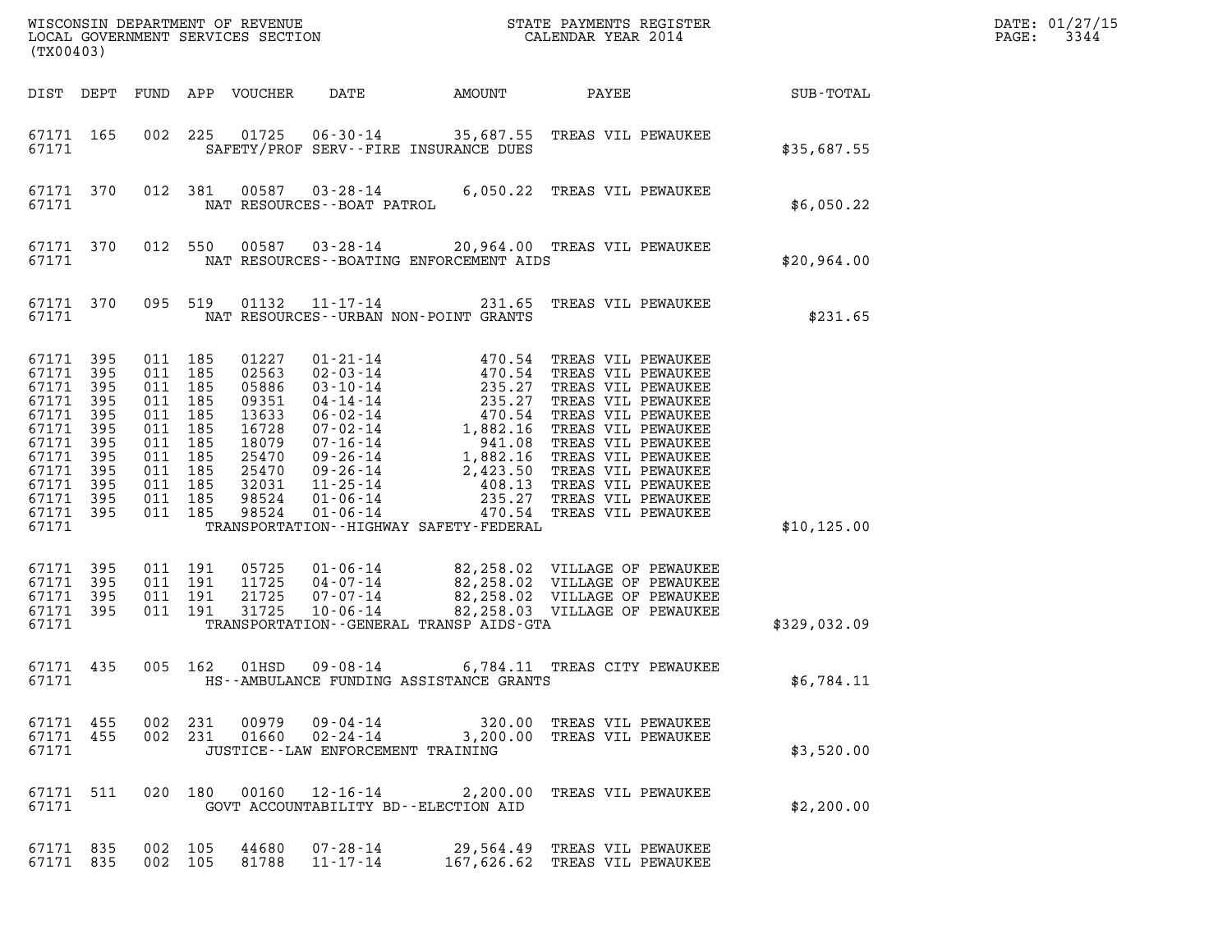| (TX00403)                                                                                                                 |                                                                    |                                                                                                          |                                        |                                                                                                          |                                                                                                                                                                                  |                                                       |                                                                                                                                                                                                                                                                                                                                |              | DATE: 01/27/15<br>3344<br>PAGE: |
|---------------------------------------------------------------------------------------------------------------------------|--------------------------------------------------------------------|----------------------------------------------------------------------------------------------------------|----------------------------------------|----------------------------------------------------------------------------------------------------------|----------------------------------------------------------------------------------------------------------------------------------------------------------------------------------|-------------------------------------------------------|--------------------------------------------------------------------------------------------------------------------------------------------------------------------------------------------------------------------------------------------------------------------------------------------------------------------------------|--------------|---------------------------------|
|                                                                                                                           |                                                                    |                                                                                                          |                                        | DIST DEPT FUND APP VOUCHER                                                                               | DATE                                                                                                                                                                             | AMOUNT                                                | PAYEE                                                                                                                                                                                                                                                                                                                          | SUB-TOTAL    |                                 |
| 67171 165<br>67171                                                                                                        |                                                                    | 002                                                                                                      | 225                                    | 01725                                                                                                    |                                                                                                                                                                                  | SAFETY/PROF SERV--FIRE INSURANCE DUES                 | 06-30-14 35,687.55 TREAS VIL PEWAUKEE                                                                                                                                                                                                                                                                                          | \$35,687.55  |                                 |
| 67171 370<br>67171                                                                                                        |                                                                    | 012 381                                                                                                  |                                        | 00587                                                                                                    | NAT RESOURCES - - BOAT PATROL                                                                                                                                                    |                                                       | 03-28-14 6,050.22 TREAS VIL PEWAUKEE                                                                                                                                                                                                                                                                                           | \$6,050.22   |                                 |
| 67171 370<br>67171                                                                                                        |                                                                    | 012 550                                                                                                  |                                        | 00587                                                                                                    |                                                                                                                                                                                  | NAT RESOURCES--BOATING ENFORCEMENT AIDS               | 03-28-14 20,964.00 TREAS VIL PEWAUKEE                                                                                                                                                                                                                                                                                          | \$20,964.00  |                                 |
| 67171 370<br>67171                                                                                                        |                                                                    | 095 519                                                                                                  |                                        | 01132                                                                                                    | $11 - 17 - 14$                                                                                                                                                                   | 231.65<br>NAT RESOURCES - - URBAN NON-POINT GRANTS    | TREAS VIL PEWAUKEE                                                                                                                                                                                                                                                                                                             | \$231.65     |                                 |
| 67171 395<br>67171<br>67171<br>67171<br>67171<br>67171<br>67171<br>67171<br>67171<br>67171<br>67171<br>67171 395<br>67171 | 395<br>395<br>395<br>395<br>395<br>395<br>395<br>395<br>395<br>395 | 011 185<br>011<br>011<br>011<br>011<br>011<br>011 185<br>011 185<br>011 185<br>011<br>011 185<br>011 185 | 185<br>185<br>185<br>185<br>185<br>185 | 01227<br>02563<br>05886<br>09351<br>13633<br>16728<br>18079<br>25470<br>25470<br>32031<br>98524<br>98524 | $01 - 21 - 14$<br>$02 - 03 - 14$<br>$03 - 10 - 14$<br>04-14-14<br>06-02-14<br>07-02-14<br>07-16-14<br>09-26-14<br>09-26-14<br>$11 - 25 - 14$<br>$01 - 06 - 14$<br>$01 - 06 - 14$ | 470.54<br>TRANSPORTATION - - HIGHWAY SAFETY - FEDERAL | TREAS VIL PEWAUKEE<br>470.54 TREAS VIL PEWAUKEE<br>470.54 TREAS VIL PEWAUKEE<br>235.27 TREAS VIL PEWAUKEE<br>235.27 TREAS VIL PEWAUKEE<br>470.54 TREAS VIL PEWAUKEE<br>1,882.16 TREAS VIL PEWAUKEE<br>941.08 TREAS VIL PEWAUKEE<br>1,882.16 TREAS VIL PEWAUKEE<br>2,<br>235.27 TREAS VIL PEWAUKEE<br>470.54 TREAS VIL PEWAUKEE | \$10, 125.00 |                                 |
| 67171 395<br>67171<br>67171<br>67171 395<br>67171                                                                         | 395<br>395                                                         | 011 191<br>011 191<br>011 191<br>011 191                                                                 |                                        | 05725<br>11725<br>21725<br>31725                                                                         | $01 - 06 - 14$<br>$04 - 07 - 14$<br>$07 - 07 - 14$<br>$10 - 06 - 14$                                                                                                             | TRANSPORTATION--GENERAL TRANSP AIDS-GTA               | 82,258.02 VILLAGE OF PEWAUKEE<br>82,258.02 VILLAGE OF PEWAUKEE<br>82,258.02 VILLAGE OF PEWAUKEE<br>82,258.03 VILLAGE OF PEWAUKEE                                                                                                                                                                                               | \$329,032.09 |                                 |
| 67171 435<br>67171                                                                                                        |                                                                    | 005 162                                                                                                  |                                        | 01HSD                                                                                                    | $09 - 08 - 14$                                                                                                                                                                   | HS--AMBULANCE FUNDING ASSISTANCE GRANTS               | 6,784.11 TREAS CITY PEWAUKEE                                                                                                                                                                                                                                                                                                   | \$6,784.11   |                                 |
| 67171 455<br>67171 455<br>67171                                                                                           |                                                                    | 002 231<br>002 231                                                                                       |                                        |                                                                                                          | JUSTICE - - LAW ENFORCEMENT TRAINING                                                                                                                                             |                                                       |                                                                                                                                                                                                                                                                                                                                | \$3,520.00   |                                 |
| 67171 511<br>67171                                                                                                        |                                                                    |                                                                                                          | 020 180                                |                                                                                                          |                                                                                                                                                                                  | GOVT ACCOUNTABILITY BD--ELECTION AID                  | 00160  12-16-14  2,200.00  TREAS VIL PEWAUKEE                                                                                                                                                                                                                                                                                  | \$2,200.00   |                                 |
| 67171 835<br>67171 835                                                                                                    |                                                                    | 002 105<br>002 105                                                                                       |                                        | 44680<br>81788                                                                                           | 07-28-14<br>$11 - 17 - 14$                                                                                                                                                       |                                                       | 29,564.49 TREAS VIL PEWAUKEE<br>167,626.62 TREAS VIL PEWAUKEE                                                                                                                                                                                                                                                                  |              |                                 |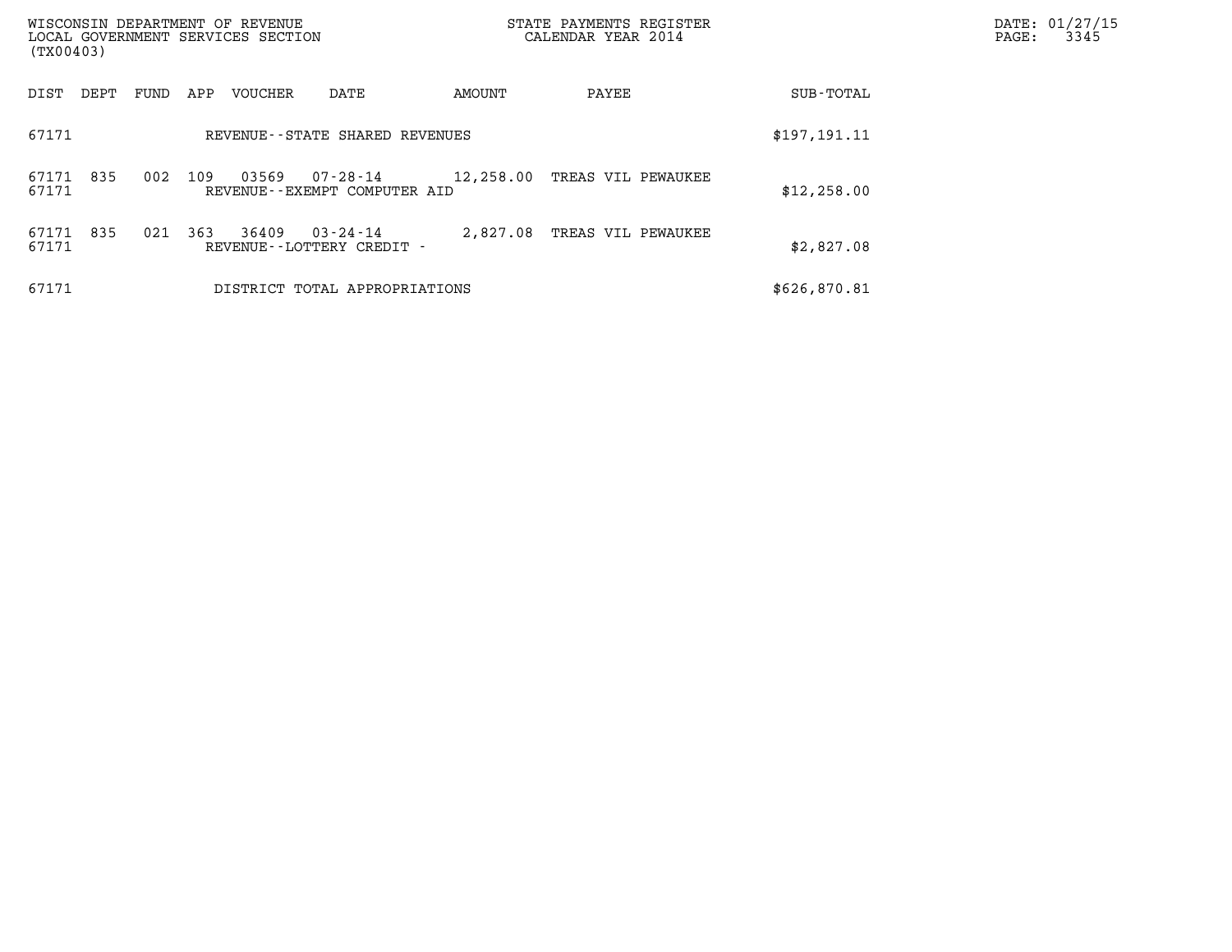| WISCONSIN DEPARTMENT OF REVENUE<br>(TX00403) | LOCAL GOVERNMENT SERVICES SECTION                              | STATE PAYMENTS REGISTER<br>CALENDAR YEAR 2014 |              | DATE: 01/27/15<br>$\mathtt{PAGE}$ :<br>3345 |
|----------------------------------------------|----------------------------------------------------------------|-----------------------------------------------|--------------|---------------------------------------------|
| DIST<br>FUND<br>DEPT                         | APP<br>VOUCHER<br>DATE                                         | AMOUNT<br>PAYEE                               | SUB-TOTAL    |                                             |
| 67171                                        | REVENUE - - STATE SHARED REVENUES                              |                                               | \$197,191.11 |                                             |
| 835<br>002<br>67171<br>67171                 | 109<br>03569<br>$07 - 28 - 14$<br>REVENUE--EXEMPT COMPUTER AID | 12,258.00 TREAS VIL PEWAUKEE                  | \$12,258.00  |                                             |
| 835<br>67171<br>021<br>67171                 | 363<br>36409<br>$03 - 24 - 14$<br>REVENUE--LOTTERY CREDIT -    | 2,827.08<br>TREAS VIL PEWAUKEE                | \$2,827.08   |                                             |
| 67171                                        | DISTRICT TOTAL APPROPRIATIONS                                  |                                               | \$626,870.81 |                                             |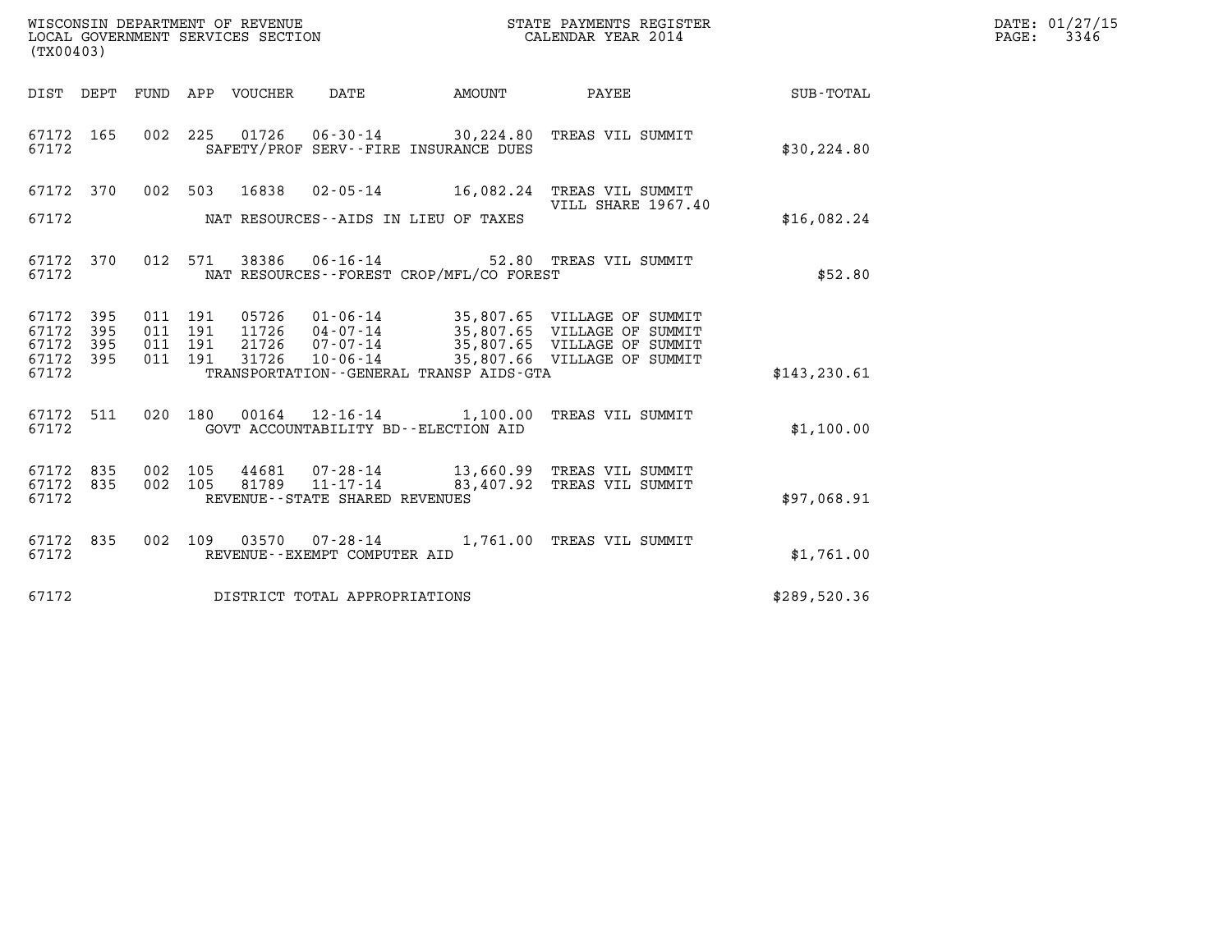| (TX00403)                       |           |                    |         |                                              |                                                                                                |               | DATE: 01/27/15<br>$\mathtt{PAGE:}$<br>3346 |
|---------------------------------|-----------|--------------------|---------|----------------------------------------------|------------------------------------------------------------------------------------------------|---------------|--------------------------------------------|
|                                 |           |                    |         |                                              | DIST DEPT FUND APP VOUCHER DATE AMOUNT PAYEE TOTAL                                             |               |                                            |
| 67172 165<br>67172              |           |                    |         | SAFETY/PROF SERV--FIRE INSURANCE DUES        | 002 225 01726 06-30-14 30,224.80 TREAS VIL SUMMIT                                              | \$30, 224.80  |                                            |
|                                 |           |                    |         |                                              | 67172 370 002 503 16838 02-05-14 16,082.24 TREAS VIL SUMMIT                                    |               |                                            |
| 67172                           |           |                    |         | NAT RESOURCES--AIDS IN LIEU OF TAXES         | VILL SHARE 1967.40                                                                             | \$16,082.24   |                                            |
| 67172                           | 67172 370 |                    |         | NAT RESOURCES--FOREST CROP/MFL/CO FOREST     | 012 571 38386 06-16-14 52.80 TREAS VIL SUMMIT                                                  | \$52.80       |                                            |
| 67172 395<br>67172              | 395       | 011 191<br>011 191 |         |                                              | 05726  01-06-14  35,807.65  VILLAGE OF SUMMIT<br>11726  04-07-14  35,807.65  VILLAGE OF SUMMIT |               |                                            |
| 67172<br>67172 395              | 395       | 011 191<br>011 191 |         |                                              | 21726  07-07-14  35,807.65  VILLAGE OF SUMMIT<br>31726  10-06-14  35,807.66  VILLAGE OF SUMMIT |               |                                            |
| 67172                           |           |                    |         | TRANSPORTATION - - GENERAL TRANSP AIDS - GTA |                                                                                                | \$143, 230.61 |                                            |
| 67172                           | 67172 511 |                    | 020 180 | GOVT ACCOUNTABILITY BD--ELECTION AID         | 00164  12-16-14  1,100.00  TREAS VIL SUMMIT                                                    | \$1,100.00    |                                            |
| 67172 835<br>67172 835<br>67172 |           | 002 105<br>002 105 |         | REVENUE - - STATE SHARED REVENUES            | 44681 07-28-14 13,660.99 TREAS VIL SUMMIT<br>81789  11-17-14  83,407.92  TREAS VIL SUMMIT      | \$97,068.91   |                                            |
| 67172 835<br>67172              |           |                    |         | REVENUE--EXEMPT COMPUTER AID                 | 002 109 03570 07-28-14 1,761.00 TREAS VIL SUMMIT                                               | \$1,761.00    |                                            |
| 67172                           |           |                    |         | DISTRICT TOTAL APPROPRIATIONS                |                                                                                                | \$289,520.36  |                                            |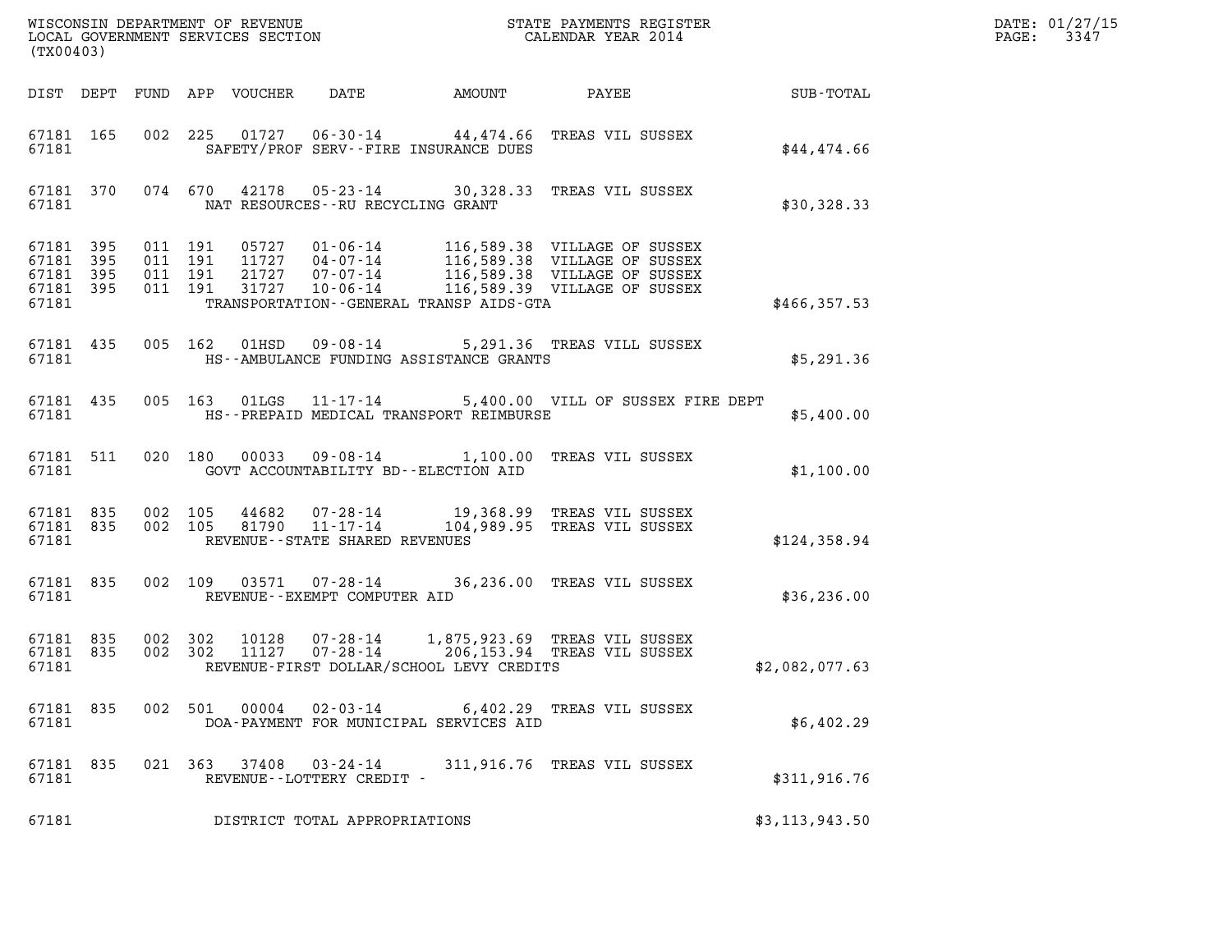| (TX00403)                                                 |           |                               |         |                            |                                                          |                                          |                                                                                                                                                                                                      |                  | DATE: 01/27/15<br>3347<br>$\mathtt{PAGE:}$ |
|-----------------------------------------------------------|-----------|-------------------------------|---------|----------------------------|----------------------------------------------------------|------------------------------------------|------------------------------------------------------------------------------------------------------------------------------------------------------------------------------------------------------|------------------|--------------------------------------------|
|                                                           |           |                               |         | DIST DEPT FUND APP VOUCHER | DATE                                                     | AMOUNT                                   | PAYEE                                                                                                                                                                                                | <b>SUB-TOTAL</b> |                                            |
| 67181                                                     | 67181 165 |                               |         |                            |                                                          | SAFETY/PROF SERV--FIRE INSURANCE DUES    | 002 225 01727 06-30-14 44,474.66 TREAS VIL SUSSEX                                                                                                                                                    | \$44,474.66      |                                            |
| 67181                                                     |           |                               |         |                            | NAT RESOURCES - - RU RECYCLING GRANT                     |                                          | 67181 370 074 670 42178 05-23-14 30,328.33 TREAS VIL SUSSEX                                                                                                                                          | \$30,328.33      |                                            |
| 67181 395<br>67181 395<br>67181 395<br>67181 395<br>67181 |           | 011 191<br>011 191<br>011 191 | 011 191 |                            |                                                          | TRANSPORTATION--GENERAL TRANSP AIDS-GTA  | 05727  01-06-14  116,589.38  VILLAGE OF SUSSEX<br>11727  04-07-14  116,589.38  VILLAGE OF SUSSEX<br>21727  07-07-14  116,589.38  VILLAGE OF SUSSEX<br>31727  10-06-14  116,589.39  VILLAGE OF SUSSEX | \$466,357.53     |                                            |
| 67181 435<br>67181                                        |           |                               |         |                            |                                                          | HS--AMBULANCE FUNDING ASSISTANCE GRANTS  | 005 162 01HSD 09-08-14 5,291.36 TREAS VILL SUSSEX                                                                                                                                                    | \$5,291.36       |                                            |
| 67181                                                     | 67181 435 |                               |         |                            |                                                          | HS--PREPAID MEDICAL TRANSPORT REIMBURSE  | 005 163 01LGS 11-17-14 5,400.00 VILL OF SUSSEX FIRE DEPT                                                                                                                                             | \$5,400.00       |                                            |
| 67181 511<br>67181                                        |           |                               |         |                            |                                                          | GOVT ACCOUNTABILITY BD--ELECTION AID     | 020 180 00033 09-08-14 1,100.00 TREAS VIL SUSSEX                                                                                                                                                     | \$1,100.00       |                                            |
| 67181 835<br>67181                                        | 67181 835 | 002 105                       |         |                            | 002 105 81790 11-17-14<br>REVENUE--STATE SHARED REVENUES |                                          | 44682 07-28-14 19,368.99 TREAS VIL SUSSEX<br>104,989.95 TREAS VIL SUSSEX                                                                                                                             | \$124,358.94     |                                            |
| 67181                                                     | 67181 835 |                               |         |                            | REVENUE--EXEMPT COMPUTER AID                             |                                          | 002 109 03571 07-28-14 36,236.00 TREAS VIL SUSSEX                                                                                                                                                    | \$36, 236.00     |                                            |
| 67181 835<br>67181                                        |           | 67181 835 002 302<br>002 302  |         |                            | 10128  07-28-14                                          | REVENUE-FIRST DOLLAR/SCHOOL LEVY CREDITS | 1,875,923.69 TREAS VIL SUSSEX<br>11127  07-28-14  206,153.94  TREAS VIL SUSSEX                                                                                                                       | \$2,082,077.63   |                                            |
| 67181 835<br>67181                                        |           |                               | 002 501 | 00004                      | $02 - 03 - 14$                                           | DOA-PAYMENT FOR MUNICIPAL SERVICES AID   | 6,402.29 TREAS VIL SUSSEX                                                                                                                                                                            | \$6,402.29       |                                            |
| 67181 835<br>67181                                        |           |                               | 021 363 | 37408                      | 03-24-14<br>REVENUE--LOTTERY CREDIT -                    |                                          | 311,916.76 TREAS VIL SUSSEX                                                                                                                                                                          | \$311,916.76     |                                            |
| 67181                                                     |           |                               |         |                            | DISTRICT TOTAL APPROPRIATIONS                            |                                          |                                                                                                                                                                                                      | \$3, 113, 943.50 |                                            |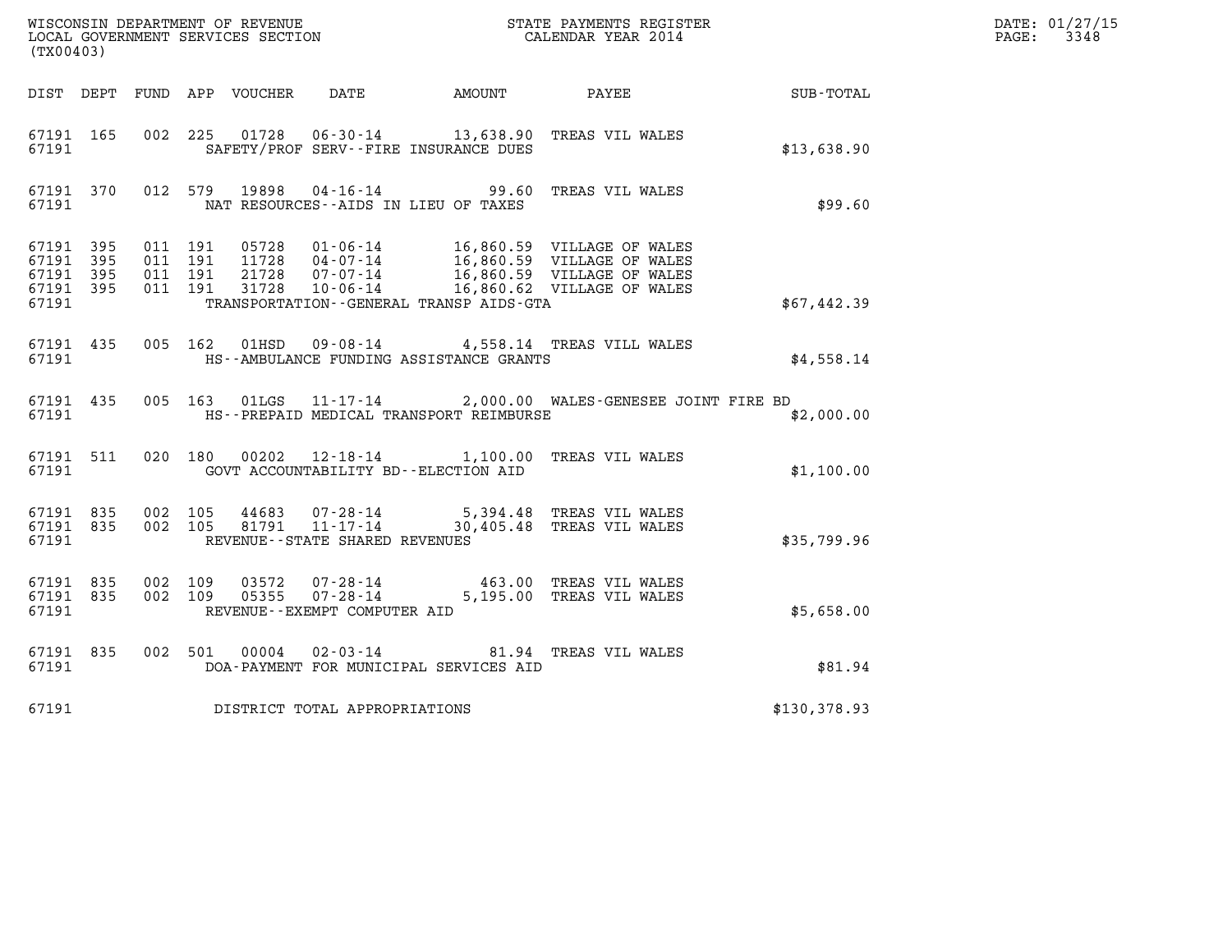|                                                       | WISCONSIN DEPARTMENT OF REVENUE<br>LOCAL GOVERNMENT SERVICES SECTION<br>CALENDAR YEAR 2014<br>(TX00403) |                                          |         |               |                                                     |                                         |                                                                                                                                                                                              |              | DATE: 01/27/15<br>$\mathtt{PAGE:}$<br>3348 |
|-------------------------------------------------------|---------------------------------------------------------------------------------------------------------|------------------------------------------|---------|---------------|-----------------------------------------------------|-----------------------------------------|----------------------------------------------------------------------------------------------------------------------------------------------------------------------------------------------|--------------|--------------------------------------------|
|                                                       |                                                                                                         |                                          |         |               |                                                     |                                         | DIST DEPT FUND APP VOUCHER DATE AMOUNT PAYEE SUB-TOTAL                                                                                                                                       |              |                                            |
| 67191 165<br>67191                                    |                                                                                                         |                                          |         | 002 225 01728 |                                                     | SAFETY/PROF SERV--FIRE INSURANCE DUES   | 06-30-14 13,638.90 TREAS VIL WALES                                                                                                                                                           | \$13,638.90  |                                            |
| 67191 370<br>67191                                    |                                                                                                         |                                          | 012 579 | 19898         |                                                     | NAT RESOURCES -- AIDS IN LIEU OF TAXES  | 04-16-14 99.60 TREAS VIL WALES                                                                                                                                                               | \$99.60      |                                            |
| 67191 395<br>67191<br>67191 395<br>67191 395<br>67191 | - 395                                                                                                   | 011 191<br>011 191<br>011 191<br>011 191 |         |               |                                                     | TRANSPORTATION--GENERAL TRANSP AIDS-GTA | 05728  01-06-14  16,860.59  VILLAGE OF WALES<br>11728  04-07-14  16,860.59  VILLAGE OF WALES<br>21728  07-07-14  16,860.59  VILLAGE OF WALES<br>11728  10-06-14  16,860.62  VILLAGE OF WALES | \$67,442.39  |                                            |
| 67191                                                 | 67191 435                                                                                               |                                          | 005 162 |               |                                                     | HS--AMBULANCE FUNDING ASSISTANCE GRANTS | 01HSD 09-08-14 4,558.14 TREAS VILL WALES                                                                                                                                                     | \$4.558.14   |                                            |
| 67191                                                 | 67191 435                                                                                               |                                          |         |               |                                                     | HS--PREPAID MEDICAL TRANSPORT REIMBURSE | 005 163 01LGS 11-17-14 2,000.00 WALES-GENESEE JOINT FIRE BD                                                                                                                                  | \$2,000.00   |                                            |
| 67191                                                 | 67191 511                                                                                               |                                          |         |               |                                                     | GOVT ACCOUNTABILITY BD--ELECTION AID    | 020 180 00202 12-18-14 1,100.00 TREAS VIL WALES                                                                                                                                              | \$1,100.00   |                                            |
| 67191 835<br>67191                                    | 67191 835                                                                                               | 002 105<br>002 105                       |         | 44683         | 81791 11-17-14<br>REVENUE - - STATE SHARED REVENUES |                                         | 07-28-14 5,394.48 TREAS VIL WALES<br>30,405.48 TREAS VIL WALES                                                                                                                               | \$35,799.96  |                                            |
| 67191 835<br>67191 835<br>67191                       |                                                                                                         | 002 109<br>002 109                       |         | 03572         | REVENUE--EXEMPT COMPUTER AID                        |                                         | 07-28-14 463.00 TREAS VIL WALES<br>05355  07-28-14  5,195.00  TREAS VIL WALES                                                                                                                | \$5,658.00   |                                            |
| 67191 835<br>67191                                    |                                                                                                         |                                          | 002 501 | 00004         | $02 - 03 - 14$                                      | DOA-PAYMENT FOR MUNICIPAL SERVICES AID  | 81.94 TREAS VIL WALES                                                                                                                                                                        | \$81.94      |                                            |
| 67191                                                 |                                                                                                         |                                          |         |               | DISTRICT TOTAL APPROPRIATIONS                       |                                         |                                                                                                                                                                                              | \$130,378.93 |                                            |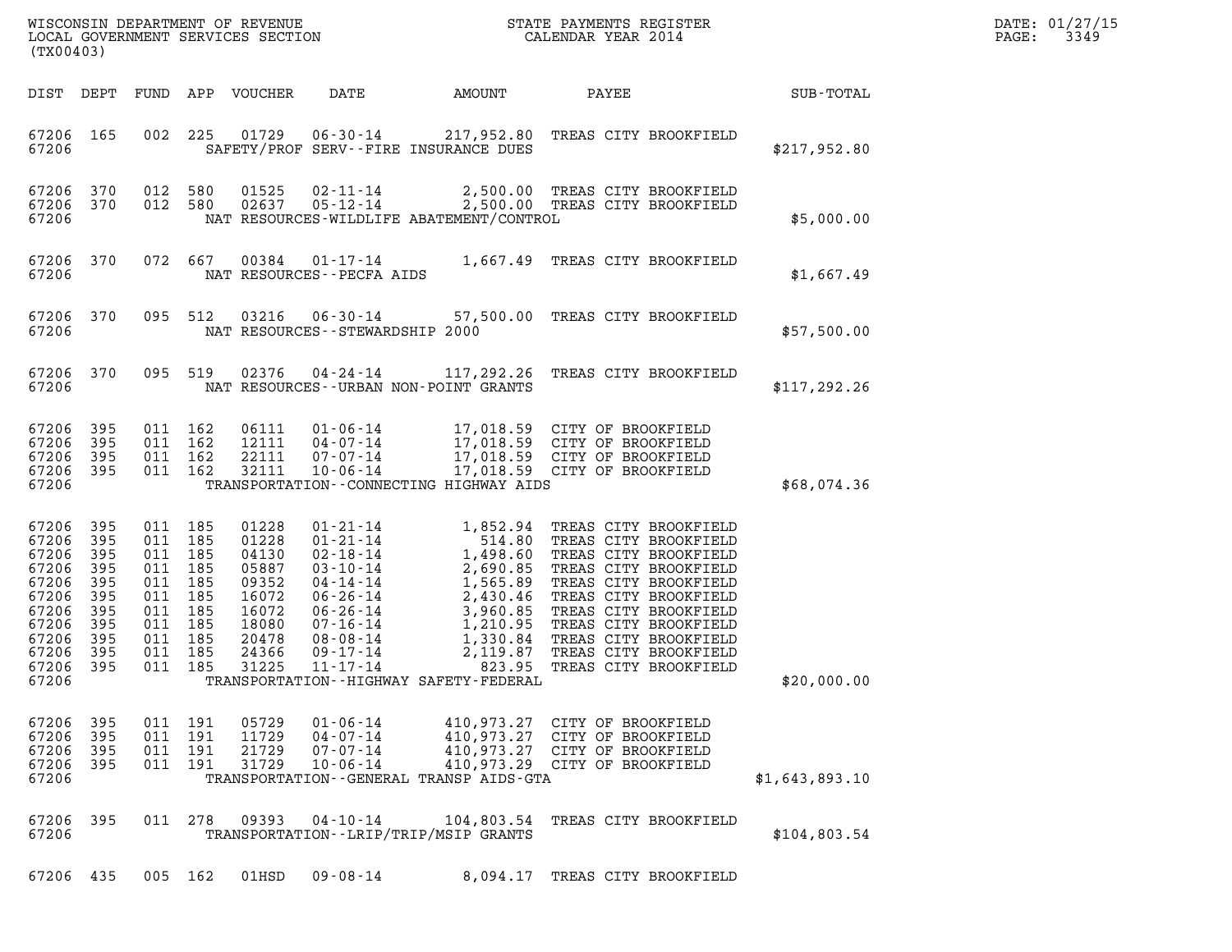| DATE: | 01/27/15 |
|-------|----------|
| PAGE: | 3349     |

| (TX00403)                                                                                                |                                                                           |                                                                                                                       |                                          |                                                                                                 |                                                                |                                             |                                                                                                                                                                                                                                                                          |                  | DATE: 01/27/15<br>3349<br>$\mathtt{PAGE:}$ |
|----------------------------------------------------------------------------------------------------------|---------------------------------------------------------------------------|-----------------------------------------------------------------------------------------------------------------------|------------------------------------------|-------------------------------------------------------------------------------------------------|----------------------------------------------------------------|---------------------------------------------|--------------------------------------------------------------------------------------------------------------------------------------------------------------------------------------------------------------------------------------------------------------------------|------------------|--------------------------------------------|
|                                                                                                          |                                                                           |                                                                                                                       |                                          | DIST DEPT FUND APP VOUCHER                                                                      | DATE                                                           | AMOUNT                                      | PAYEE                                                                                                                                                                                                                                                                    | <b>SUB-TOTAL</b> |                                            |
| 67206 165<br>67206                                                                                       |                                                                           |                                                                                                                       |                                          |                                                                                                 |                                                                | SAFETY/PROF SERV--FIRE INSURANCE DUES       | 002 225 01729 06-30-14 217,952.80 TREAS CITY BROOKFIELD                                                                                                                                                                                                                  | \$217,952.80     |                                            |
| 67206 370<br>67206 370<br>67206                                                                          |                                                                           | 012 580                                                                                                               | 012 580                                  |                                                                                                 |                                                                | NAT RESOURCES-WILDLIFE ABATEMENT/CONTROL    | 01525  02-11-14  2,500.00 TREAS CITY BROOKFIELD<br>02637  05-12-14  2,500.00 TREAS CITY BROOKFIELD                                                                                                                                                                       | \$5,000.00       |                                            |
| 67206 370<br>67206                                                                                       |                                                                           |                                                                                                                       | 072 667                                  |                                                                                                 | NAT RESOURCES - - PECFA AIDS                                   |                                             | 00384  01-17-14  1,667.49  TREAS CITY BROOKFIELD                                                                                                                                                                                                                         | \$1,667.49       |                                            |
| 67206 370<br>67206                                                                                       |                                                                           |                                                                                                                       | 095 512                                  |                                                                                                 | NAT RESOURCES - - STEWARDSHIP 2000                             |                                             | 03216  06-30-14  57,500.00  TREAS CITY BROOKFIELD                                                                                                                                                                                                                        | \$57,500.00      |                                            |
| 67206 370<br>67206                                                                                       |                                                                           | 095 519                                                                                                               |                                          |                                                                                                 |                                                                | NAT RESOURCES - - URBAN NON-POINT GRANTS    |                                                                                                                                                                                                                                                                          | \$117, 292.26    |                                            |
| 67206<br>67206<br>67206<br>67206 395<br>67206                                                            | 395<br>395<br>395                                                         | 011 162<br>011 162<br>011 162<br>011 162                                                                              |                                          | 32111                                                                                           | 10-06-14                                                       | TRANSPORTATION--CONNECTING HIGHWAY AIDS     | 06111  01-06-14  17,018.59  CITY OF BROOKFIELD<br>12111  04-07-14  17,018.59  CITY OF BROOKFIELD<br>22111  07-07-14  17,018.59  CITY OF BROOKFIELD<br>17,018.59 CITY OF BROOKFIELD                                                                                       | \$68,074.36      |                                            |
| 67206<br>67206<br>67206<br>67206<br>67206<br>67206<br>67206<br>67206<br>67206<br>67206<br>67206<br>67206 | 395<br>395<br>395<br>395<br>395<br>395<br>395<br>395<br>395<br>395<br>395 | 011 185<br>011 185<br>011 185<br>011 185<br>011 185<br>011 185<br>011 185<br>011 185<br>011 185<br>011 185<br>011 185 |                                          | 01228<br>01228<br>04130<br>05887<br>09352<br>16072<br>16072<br>18080<br>20478<br>24366<br>31225 | 11-17-14                                                       | TRANSPORTATION - - HIGHWAY SAFETY - FEDERAL | 01-21-14 1,852.94 TREAS CITY BROOKFIELD<br>01-21-14 514.80 TREAS CITY BROOKFIELD<br>02-18-14 1,498.60 TREAS CITY BROOKFIELD<br>03-10-14 2,690.85 TREAS CITY BROOKFIELD<br>04-14-14 1,565.89 TREAS CITY BROOKFIELD<br>06-26-14 2,430.46 T<br>823.95 TREAS CITY BROOKFIELD | \$20,000.00      |                                            |
| 67206 395<br>67206 395<br>67206 395<br>67206 395<br>67206                                                |                                                                           |                                                                                                                       | 011 191<br>011 191<br>011 191<br>011 191 | 05729<br>11729<br>21729<br>31729                                                                | $01 - 06 - 14$<br>$04 - 07 - 14$<br>07-07-14<br>$10 - 06 - 14$ | TRANSPORTATION--GENERAL TRANSP AIDS-GTA     | 410,973.27 CITY OF BROOKFIELD<br>410,973.27 CITY OF BROOKFIELD<br>410,973.27 CITY OF BROOKFIELD<br>410,973.29 CITY OF BROOKFIELD                                                                                                                                         | \$1,643,893.10   |                                            |
| 67206 395<br>67206                                                                                       |                                                                           |                                                                                                                       | 011 278                                  | 09393                                                                                           | $04 - 10 - 14$                                                 | TRANSPORTATION - - LRIP/TRIP/MSIP GRANTS    | 104,803.54 TREAS CITY BROOKFIELD                                                                                                                                                                                                                                         | \$104,803.54     |                                            |
| 67206 435                                                                                                |                                                                           |                                                                                                                       | 005 162                                  | $01$ HSD                                                                                        | $09 - 08 - 14$                                                 |                                             | 8,094.17 TREAS CITY BROOKFIELD                                                                                                                                                                                                                                           |                  |                                            |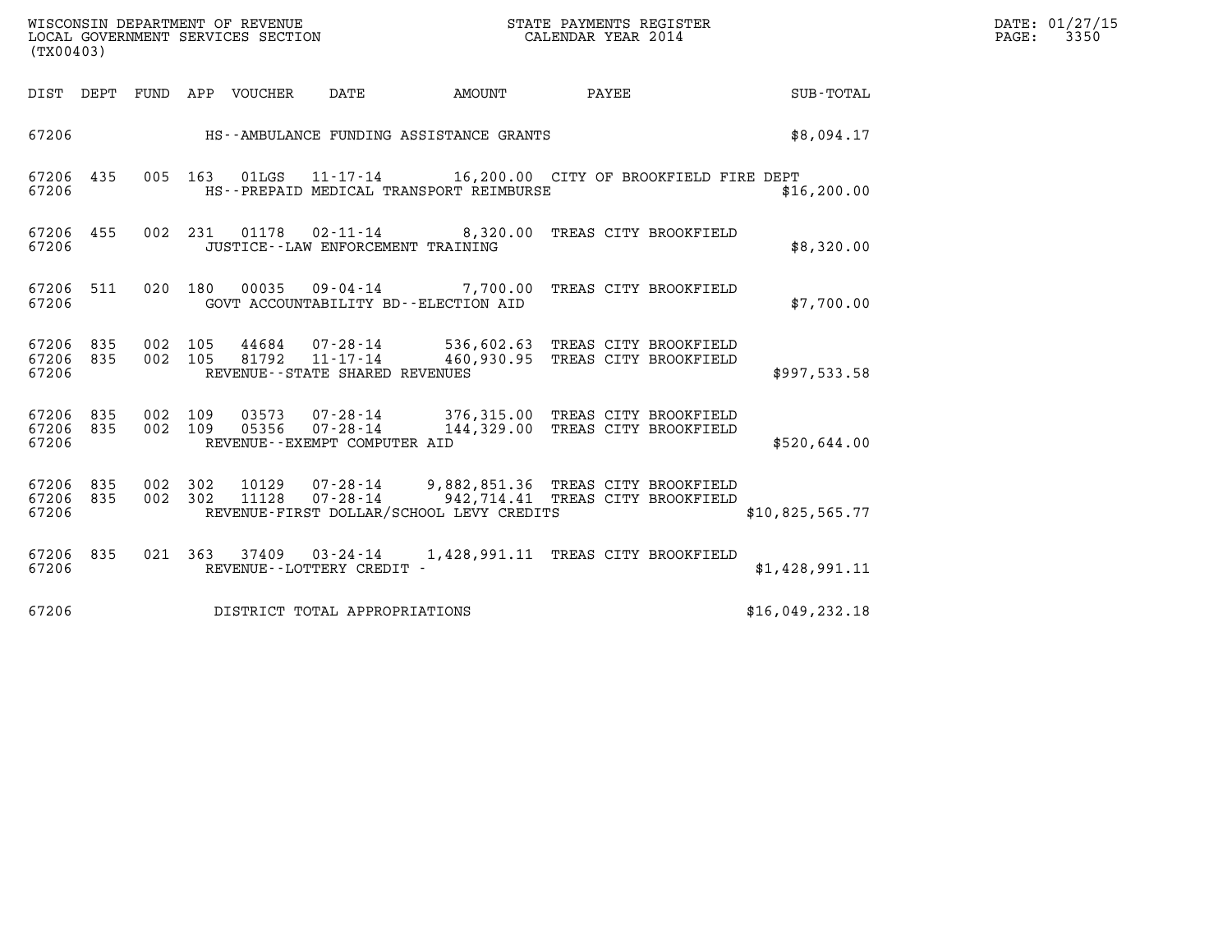| WISCONSIN DEPARTMENT OF REVENUE   | STATE PAYMENTS REGISTER | DATE: 01/27/15 |
|-----------------------------------|-------------------------|----------------|
| LOCAL GOVERNMENT SERVICES SECTION | CALENDAR YEAR 2014      | 3350<br>PAGE:  |

| (TX00403)                             |            |                                                                                                                                                                     |                  |
|---------------------------------------|------------|---------------------------------------------------------------------------------------------------------------------------------------------------------------------|------------------|
| DIST<br>DEPT                          | FUND       | APP<br>VOUCHER<br>DATE<br>AMOUNT<br>PAYEE                                                                                                                           | <b>SUB-TOTAL</b> |
| 67206                                 |            | HS--AMBULANCE FUNDING ASSISTANCE GRANTS                                                                                                                             | \$8,094.17       |
| 67206<br>435<br>67206                 | 005        | 163<br>01LGS 11-17-14 16,200.00 CITY OF BROOKFIELD FIRE DEPT<br>HS--PREPAID MEDICAL TRANSPORT REIMBURSE                                                             | \$16, 200.00     |
| 67206<br>455<br>67206                 | 002        | 231<br>01178<br>02-11-14 8,320.00 TREAS CITY BROOKFIELD<br>JUSTICE - - LAW ENFORCEMENT TRAINING                                                                     | \$8,320.00       |
| 511<br>67206<br>67206                 | 020        | 180<br>00035<br>09-04-14 7,700.00 TREAS CITY BROOKFIELD<br>GOVT ACCOUNTABILITY BD--ELECTION AID                                                                     | \$7,700.00       |
| 835<br>67206<br>835<br>67206<br>67206 | 002<br>002 | 105<br>536,602.63 TREAS CITY BROOKFIELD<br>44684 07-28-14<br>105<br>81792  11-17-14  460,930.95  TREAS CITY BROOKFIELD<br>REVENUE - - STATE SHARED REVENUES         | \$997,533.58     |
| 67206<br>835<br>67206<br>835<br>67206 | 002<br>002 | 109<br>03573<br>07-28-14 376,315.00 TREAS CITY BROOKFIELD<br>109<br>07-28-14<br>144,329.00 TREAS CITY BROOKFIELD<br>05356<br>REVENUE--EXEMPT COMPUTER AID           | \$520,644.00     |
| 835<br>67206<br>835<br>67206<br>67206 | 002<br>002 | 302<br>10129  07-28-14  9,882,851.36 TREAS CITY BROOKFIELD<br>302<br>11128<br>07-28-14 942,714.41 TREAS CITY BROOKFIELD<br>REVENUE-FIRST DOLLAR/SCHOOL LEVY CREDITS | \$10,825,565.77  |
| 835<br>67206<br>67206                 | 021        | 363<br>37409<br>03-24-14 1,428,991.11 TREAS CITY BROOKFIELD<br>REVENUE - - LOTTERY CREDIT -                                                                         | \$1,428,991.11   |
| 67206                                 |            | DISTRICT TOTAL APPROPRIATIONS                                                                                                                                       | \$16,049,232.18  |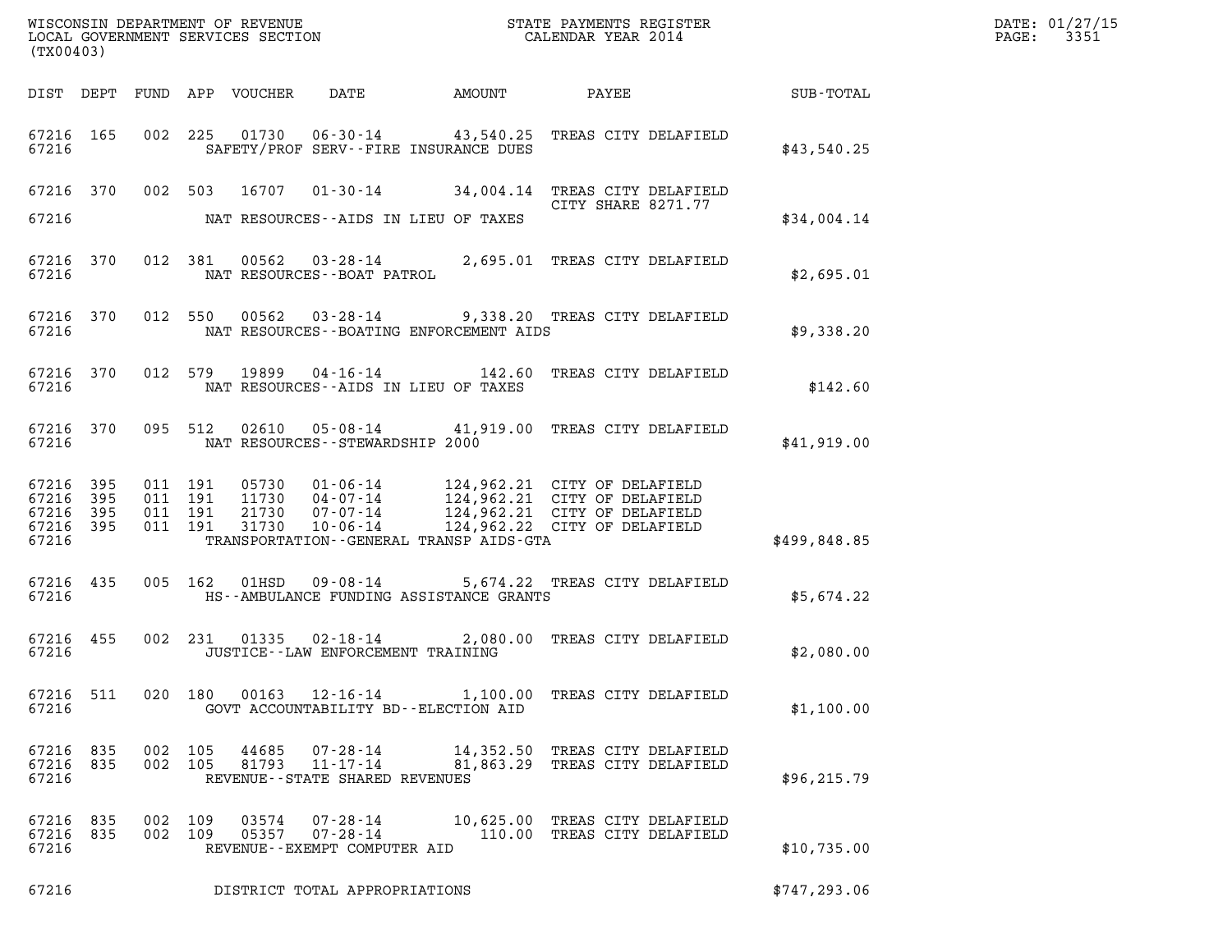| (TX00403)                                                 |  |                    |                                      |                                                                 |                                            |                                                                                       |               | DATE: 01/27/15<br>3351<br>$\mathtt{PAGE:}$ |
|-----------------------------------------------------------|--|--------------------|--------------------------------------|-----------------------------------------------------------------|--------------------------------------------|---------------------------------------------------------------------------------------|---------------|--------------------------------------------|
|                                                           |  |                    |                                      |                                                                 |                                            | DIST DEPT FUND APP VOUCHER DATE AMOUNT PAYEE SUB-TOTAL                                |               |                                            |
| 67216 165<br>67216                                        |  |                    |                                      |                                                                 | SAFETY/PROF SERV--FIRE INSURANCE DUES      | 002 225 01730 06-30-14 43,540.25 TREAS CITY DELAFIELD                                 | \$43,540.25   |                                            |
| 67216                                                     |  |                    |                                      | NAT RESOURCES--AIDS IN LIEU OF TAXES                            |                                            | 67216 370 002 503 16707 01-30-14 34,004.14 TREAS CITY DELAFIELD<br>CITY SHARE 8271.77 | \$34,004.14   |                                            |
| 67216 370<br>67216                                        |  |                    |                                      | NAT RESOURCES--BOAT PATROL                                      |                                            | 012 381 00562 03-28-14 2,695.01 TREAS CITY DELAFIELD                                  | \$2,695.01    |                                            |
| 67216 370<br>67216                                        |  |                    |                                      |                                                                 | NAT RESOURCES - - BOATING ENFORCEMENT AIDS | 012 550 00562 03-28-14 9,338.20 TREAS CITY DELAFIELD                                  | \$9,338.20    |                                            |
| 67216 370<br>67216                                        |  |                    |                                      | NAT RESOURCES--AIDS IN LIEU OF TAXES                            |                                            | 012 579 19899 04-16-14 142.60 TREAS CITY DELAFIELD                                    | \$142.60      |                                            |
| 67216 370<br>67216                                        |  |                    |                                      | NAT RESOURCES -- STEWARDSHIP 2000                               |                                            | 095 512 02610 05-08-14 41,919.00 TREAS CITY DELAFIELD                                 | \$41,919.00   |                                            |
| 67216 395<br>67216 395<br>67216 395<br>67216 395<br>67216 |  |                    |                                      |                                                                 | TRANSPORTATION--GENERAL TRANSP AIDS-GTA    |                                                                                       | \$499,848.85  |                                            |
| 67216 435<br>67216                                        |  |                    |                                      |                                                                 | HS--AMBULANCE FUNDING ASSISTANCE GRANTS    | 005 162 01HSD 09-08-14 5,674.22 TREAS CITY DELAFIELD                                  | \$5,674.22    |                                            |
| 67216 455<br>67216                                        |  |                    |                                      | JUSTICE - - LAW ENFORCEMENT TRAINING                            |                                            | 002 231 01335 02-18-14 2,080.00 TREAS CITY DELAFIELD                                  | \$2,080.00    |                                            |
| 67216 511<br>67216                                        |  |                    |                                      | 020 180 00163 12–16–14<br>GOVT ACCOUNTABILITY BD--ELECTION AID  |                                            | 1,100.00 TREAS CITY DELAFIELD                                                         | \$1,100.00    |                                            |
| 67216 835<br>67216 835<br>67216                           |  |                    | 002 105<br>44685<br>002 105<br>81793 | 07-28-14<br>$11 - 17 - 14$<br>REVENUE - - STATE SHARED REVENUES |                                            | 14,352.50 TREAS CITY DELAFIELD<br>81,863.29 TREAS CITY DELAFIELD                      | \$96, 215.79  |                                            |
| 67216 835<br>67216 835<br>67216                           |  | 002 109<br>002 109 | 03574<br>05357                       | REVENUE--EXEMPT COMPUTER AID                                    |                                            | 07-28-14 10,625.00 TREAS CITY DELAFIELD<br>07-28-14 110.00 TREAS CITY DELAFIELD       | \$10,735.00   |                                            |
| 67216                                                     |  |                    |                                      | DISTRICT TOTAL APPROPRIATIONS                                   |                                            |                                                                                       | \$747, 293.06 |                                            |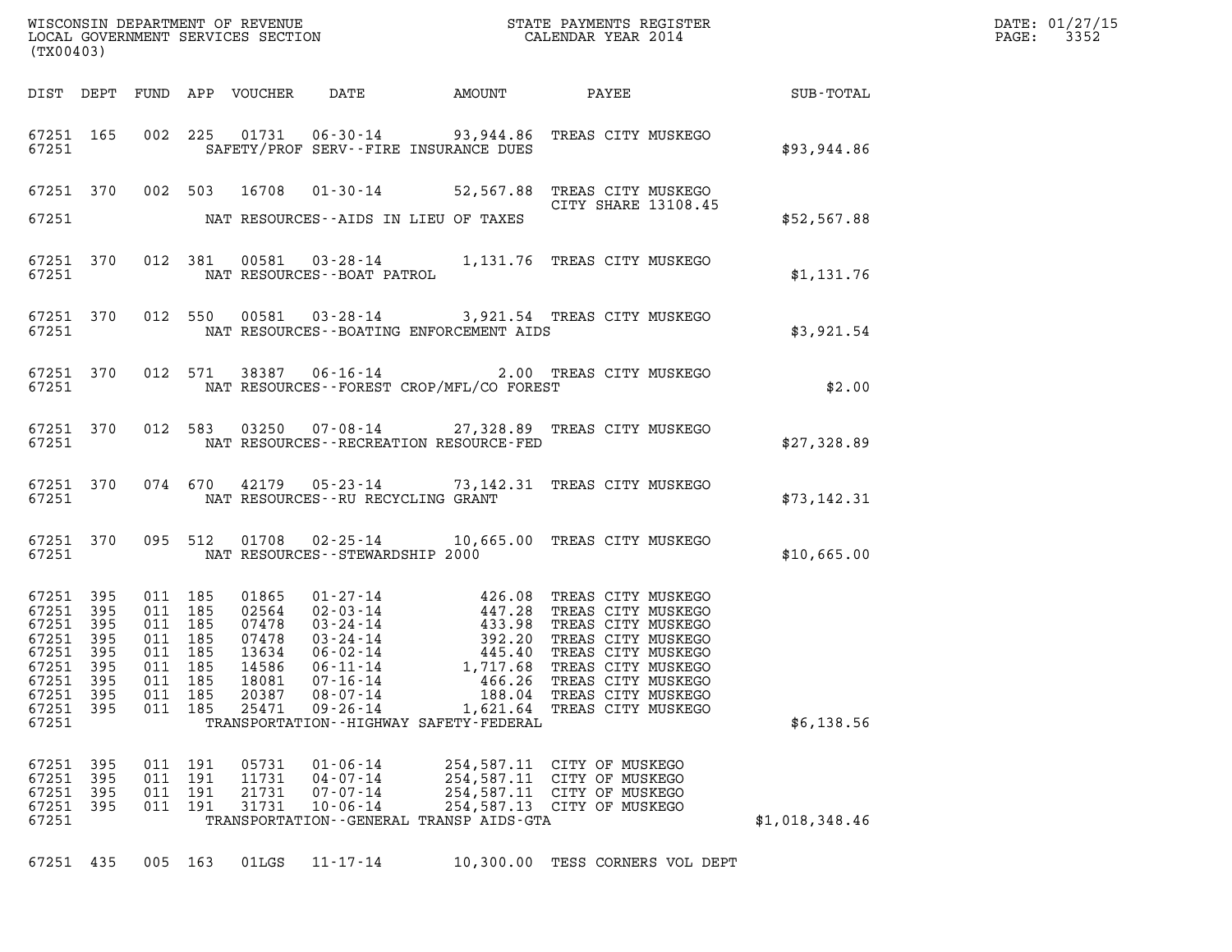| (TX00403)                                                                                                          |                            |                                                                                             |            |                                  |                                                                                                                 |                                                      |                                                                                                                                                                                                                                                                                                            |                | DATE: 01/27/15<br>PAGE: 3352 |
|--------------------------------------------------------------------------------------------------------------------|----------------------------|---------------------------------------------------------------------------------------------|------------|----------------------------------|-----------------------------------------------------------------------------------------------------------------|------------------------------------------------------|------------------------------------------------------------------------------------------------------------------------------------------------------------------------------------------------------------------------------------------------------------------------------------------------------------|----------------|------------------------------|
|                                                                                                                    |                            |                                                                                             |            |                                  |                                                                                                                 |                                                      |                                                                                                                                                                                                                                                                                                            |                |                              |
|                                                                                                                    |                            |                                                                                             |            |                                  | 67251 SAFETY/PROF SERV--FIRE INSURANCE DUES                                                                     |                                                      | 67251 165 002 225 01731 06-30-14 93,944.86 TREAS CITY MUSKEGO                                                                                                                                                                                                                                              | \$93,944.86    |                              |
|                                                                                                                    |                            |                                                                                             |            |                                  |                                                                                                                 |                                                      | 67251 370 002 503 16708 01-30-14 52,567.88 TREAS CITY MUSKEGO                                                                                                                                                                                                                                              |                |                              |
|                                                                                                                    |                            |                                                                                             |            |                                  | 67251 NAT RESOURCES--AIDS IN LIEU OF TAXES                                                                      |                                                      |                                                                                                                                                                                                                                                                                                            | \$52,567.88    |                              |
|                                                                                                                    |                            |                                                                                             |            |                                  |                                                                                                                 |                                                      |                                                                                                                                                                                                                                                                                                            | \$1,131.76     |                              |
|                                                                                                                    |                            |                                                                                             |            |                                  | 67251 NAT RESOURCES--BOATING ENFORCEMENT AIDS                                                                   |                                                      | 67251 370 012 550 00581 03-28-14 3,921.54 TREAS CITY MUSKEGO                                                                                                                                                                                                                                               | \$3,921.54     |                              |
|                                                                                                                    |                            |                                                                                             |            |                                  | 67251 NAT RESOURCES--FOREST CROP/MFL/CO FOREST                                                                  |                                                      | $67251$ 370 012 571 38387 06-16-14 2.00 TREAS CITY MUSKEGO                                                                                                                                                                                                                                                 | \$2.00         |                              |
|                                                                                                                    |                            |                                                                                             |            |                                  |                                                                                                                 |                                                      | 67251 370 012 583 03250 07-08-14 27,328.89 TREAS CITY MUSKEGO                                                                                                                                                                                                                                              | \$27,328.89    |                              |
|                                                                                                                    |                            |                                                                                             |            |                                  | 67251 NAT RESOURCES--RU RECYCLING GRANT                                                                         |                                                      | 67251 370 074 670 42179 05-23-14 73,142.31 TREAS CITY MUSKEGO                                                                                                                                                                                                                                              | \$73,142.31    |                              |
|                                                                                                                    |                            |                                                                                             |            |                                  |                                                                                                                 |                                                      | 67251 370 095 512 01708 02-25-14 10,665.00 TREAS CITY MUSKEGO<br>67251 NAT RESOURCES - STEWARDSHIP 2000                                                                                                                                                                                                    | \$10,665.00    |                              |
| 67251 395<br>67251 395<br>67251 395<br>67251 395<br>67251 395<br>67251 395<br>67251<br>67251<br>67251 395<br>67251 | - 395<br>395               | 011 185<br>011 185<br>011 185<br>011 185<br>011 185<br>011 185<br>011<br>011 185<br>011 185 | 185        | 18081<br>20387<br>25471          | $07 - 16 - 14$<br>$08 - 07 - 14$<br>$09 - 26 - 14$<br>TRANSPORTATION - - HIGHWAY SAFETY - FEDERAL               | 466.26<br>188.04<br>1,621.64                         | 01865 01-27-14 426.08 TREAS CITY MUSKEGO<br>02564 02-03-14 447.28 TREAS CITY MUSKEGO<br>07478 03-24-14 433.98 TREAS CITY MUSKEGO<br>07478 03-24-14 392.20 TREAS CITY MUSKEGO<br>13634 06-02-14 445.40 TREAS CITY MUSKEGO<br>14586 06-11-<br>TREAS CITY MUSKEGO<br>TREAS CITY MUSKEGO<br>TREAS CITY MUSKEGO | \$6,138.56     |                              |
| 67251<br>67251<br>67251<br>67251<br>67251                                                                          | 395<br>395<br>395<br>- 395 | 011 191<br>011 191<br>011<br>011                                                            | 191<br>191 | 05731<br>11731<br>21731<br>31731 | $01 - 06 - 14$<br>$04 - 07 - 14$<br>$07 - 07 - 14$<br>$10 - 06 - 14$<br>TRANSPORTATION--GENERAL TRANSP AIDS-GTA | 254,587.11<br>254,587.11<br>254,587.11<br>254,587.13 | CITY OF MUSKEGO<br>CITY OF MUSKEGO<br>CITY OF MUSKEGO<br>CITY OF MUSKEGO                                                                                                                                                                                                                                   | \$1,018,348.46 |                              |
| 67251 435                                                                                                          |                            | 005 163                                                                                     |            | 01LGS                            | $11 - 17 - 14$                                                                                                  |                                                      | 10,300.00 TESS CORNERS VOL DEPT                                                                                                                                                                                                                                                                            |                |                              |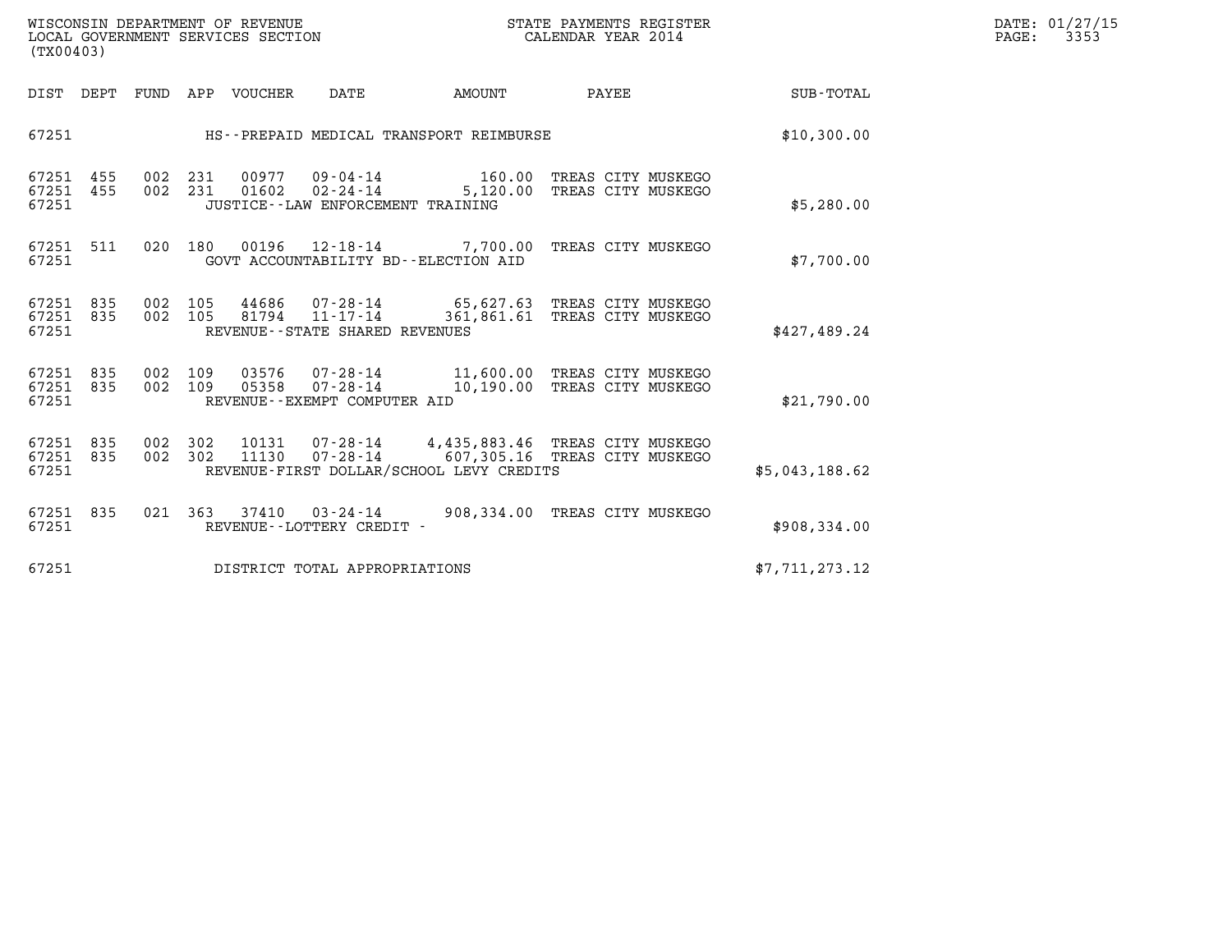| WISCONSIN DEPARTMENT OF REVENUE   | STATE PAYMENTS REGISTER | DATE: 01/27/15 |
|-----------------------------------|-------------------------|----------------|
| LOCAL GOVERNMENT SERVICES SECTION | CALENDAR YEAR 2014      | 3353<br>PAGE:  |

| (TX00403)                                                                                                                                                                   |                                          | e ER de la componentación de la componentación de la componentación de la componentación de la compo<br>En la componentación de la componentación de la componentación de la componentación de la componentación de la | DATE: 01/27/15<br>PAGE: 3353 |
|-----------------------------------------------------------------------------------------------------------------------------------------------------------------------------|------------------------------------------|------------------------------------------------------------------------------------------------------------------------------------------------------------------------------------------------------------------------|------------------------------|
|                                                                                                                                                                             |                                          |                                                                                                                                                                                                                        |                              |
| 67251 HS--PREPAID MEDICAL TRANSPORT REIMBURSE                                                                                                                               |                                          | \$10,300.00                                                                                                                                                                                                            |                              |
| 67251 455 002 231 00977 09-04-14 160.00 TREAS CITY MUSKEGO<br>67251 455 002 231 01602 02-24-14 5,120.00 TREAS CITY MUSKEGO<br>67251<br>JUSTICE - - LAW ENFORCEMENT TRAINING |                                          | \$5,280.00                                                                                                                                                                                                             |                              |
| 67251 511 020 180 00196 12-18-14 7,700.00 TREAS CITY MUSKEGO<br>67251 000                                                                                                   | GOVT ACCOUNTABILITY BD--ELECTION AID     | \$7,700.00                                                                                                                                                                                                             |                              |
| 67251 835 002 105 44686 07-28-14 65,627.63 TREAS CITY MUSKEGO<br>67251 835 002 105 81794 11-17-14 361,861.61 TREAS CITY MUSKEGO<br>67251<br>REVENUE--STATE SHARED REVENUES  |                                          | \$427,489.24                                                                                                                                                                                                           |                              |
| 67251 835 002 109 03576 07-28-14 11,600.00 TREAS CITY MUSKEGO<br>67251 835 002 109 05358 07-28-14 10,190.00 TREAS CITY MUSKEGO<br>67251<br>REVENUE--EXEMPT COMPUTER AID     |                                          | \$21,790.00                                                                                                                                                                                                            |                              |
| 67251 835 002 302 10131 07-28-14 4,435,883.46 TREAS CITY MUSKEGO<br>67251 835 002 302 11130 07-28-14 607,305.16 TREAS CITY MUSKEGO<br>67251                                 | REVENUE-FIRST DOLLAR/SCHOOL LEVY CREDITS | \$5,043,188.62                                                                                                                                                                                                         |                              |
| 67251 835 021 363 37410 03-24-14 908,334.00 TREAS CITY MUSKEGO<br>REVENUE--LOTTERY CREDIT -<br>67251                                                                        |                                          | \$908,334.00                                                                                                                                                                                                           |                              |
| 67251 DISTRICT TOTAL APPROPRIATIONS                                                                                                                                         |                                          | \$7.711.273.12                                                                                                                                                                                                         |                              |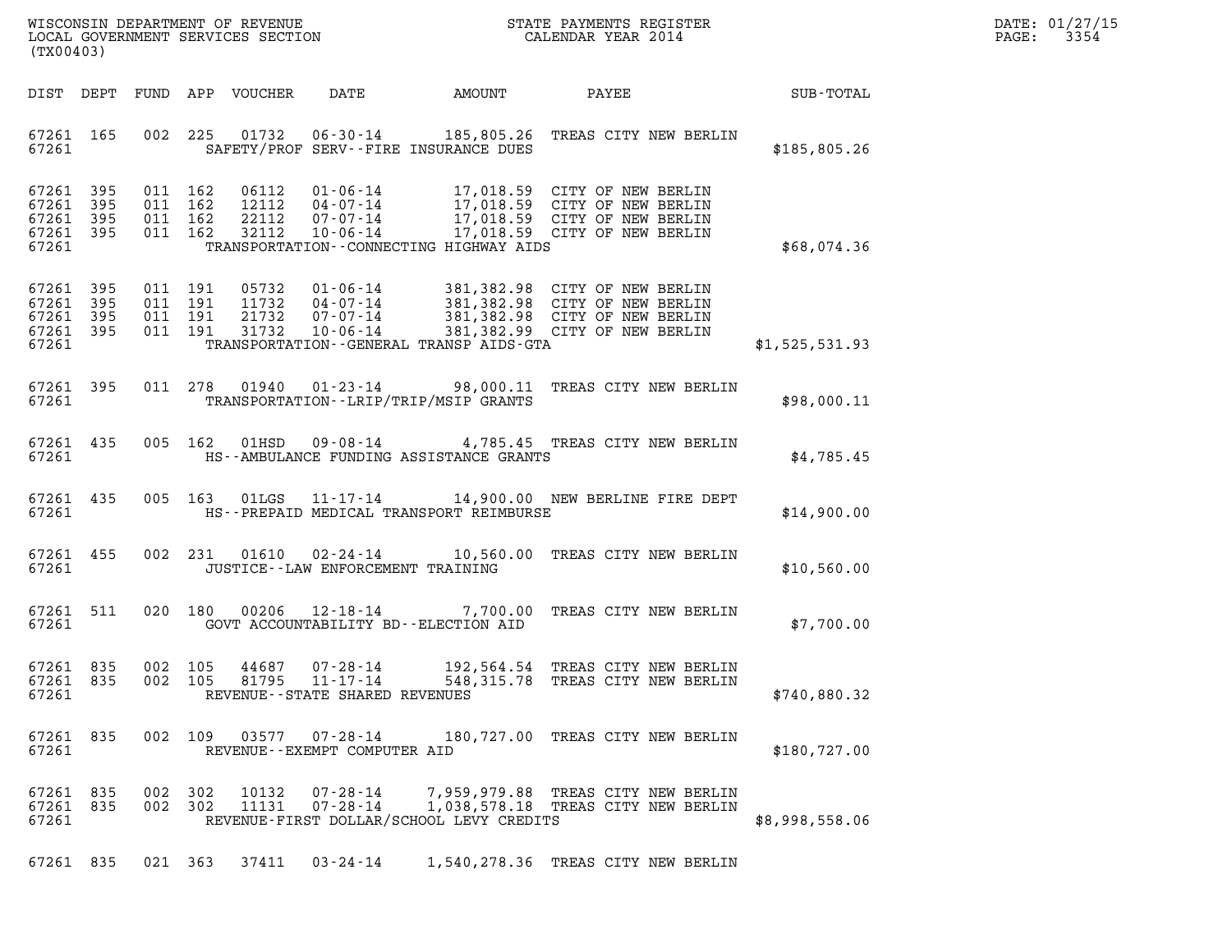| DATE: | 01/27/15 |
|-------|----------|
| PAGE: | 3354     |

| (TX00403)      |                                                  |  |                                          |                                  |                                                          |                                          |                                                                                                                                                                                                          |                |  |
|----------------|--------------------------------------------------|--|------------------------------------------|----------------------------------|----------------------------------------------------------|------------------------------------------|----------------------------------------------------------------------------------------------------------------------------------------------------------------------------------------------------------|----------------|--|
|                | DIST DEPT                                        |  |                                          | FUND APP VOUCHER                 |                                                          |                                          | DATE AMOUNT PAYEE SUB-TOTAL                                                                                                                                                                              |                |  |
| 67261          | 67261 165                                        |  |                                          |                                  |                                                          | SAFETY/PROF SERV--FIRE INSURANCE DUES    | 002 225 01732 06-30-14 185,805.26 TREAS CITY NEW BERLIN                                                                                                                                                  | \$185,805.26   |  |
| 67261<br>67261 | 67261 395<br>395<br>67261 395<br>67261 395       |  | 011 162<br>011 162<br>011 162<br>011 162 | 06112<br>12112<br>22112<br>32112 |                                                          | TRANSPORTATION--CONNECTING HIGHWAY AIDS  | 01-06-14 17,018.59 CITY OF NEW BERLIN<br>04-07-14 17,018.59 CITY OF NEW BERLIN<br>07-07-14 17,018.59 CITY OF NEW BERLIN<br>10-06-14 17,018.59 CITY OF NEW BERLIN                                         | \$68,074.36    |  |
| 67261          | 67261 395<br>67261 395<br>67261 395<br>67261 395 |  | 011 191<br>011 191<br>011 191            | 011 191 31732                    |                                                          | TRANSPORTATION--GENERAL TRANSP AIDS-GTA  | 05732  01-06-14  381,382.98  CITY OF NEW BERLIN<br>11732  04-07-14  381,382.98  CITY OF NEW BERLIN<br>21732  07-07-14  381,382.98  CITY OF NEW BERLIN<br>31732  10-06-14  381,382.99  CITY OF NEW BERLIN | \$1,525,531.93 |  |
| 67261          |                                                  |  |                                          |                                  |                                                          | TRANSPORTATION--LRIP/TRIP/MSIP GRANTS    | 67261 395 011 278 01940 01-23-14 98,000.11 TREAS CITY NEW BERLIN                                                                                                                                         | \$98,000.11    |  |
|                | 67261 2002                                       |  |                                          |                                  |                                                          | HS--AMBULANCE FUNDING ASSISTANCE GRANTS  | 67261 435 005 162 01HSD 09-08-14 4,785.45 TREAS CITY NEW BERLIN                                                                                                                                          | \$4,785.45     |  |
|                | 67261 435<br>67261 2002                          |  |                                          |                                  |                                                          | HS--PREPAID MEDICAL TRANSPORT REIMBURSE  | 005 163 01LGS 11-17-14 14,900.00 NEW BERLINE FIRE DEPT                                                                                                                                                   | \$14,900.00    |  |
|                | 67261 455<br>67261                               |  |                                          |                                  | JUSTICE--LAW ENFORCEMENT TRAINING                        |                                          | 002 231 01610 02-24-14 10,560.00 TREAS CITY NEW BERLIN                                                                                                                                                   | \$10,560.00    |  |
| 67261          | 67261 511                                        |  |                                          |                                  |                                                          | GOVT ACCOUNTABILITY BD--ELECTION AID     | 020 180 00206 12-18-14 7,700.00 TREAS CITY NEW BERLIN                                                                                                                                                    | \$7,700.00     |  |
| 67261          | 67261 835<br>67261 835                           |  |                                          | 002 105 44687                    | 002 105 81795 11-17-14<br>REVENUE--STATE SHARED REVENUES |                                          | 07-28-14 192,564.54 TREAS CITY NEW BERLIN<br>548,315.78 TREAS CITY NEW BERLIN                                                                                                                            | \$740,880.32   |  |
| 67261          | 67261 835                                        |  |                                          |                                  | 002 109 03577 07-28-14<br>REVENUE--EXEMPT COMPUTER AID   |                                          | 180,727.00 TREAS CITY NEW BERLIN                                                                                                                                                                         | \$180,727.00   |  |
| 67261          | 67261 835<br>67261 835                           |  | 002 302<br>002 302                       | 10132                            | 07-28-14                                                 | REVENUE-FIRST DOLLAR/SCHOOL LEVY CREDITS | 7,959,979.88 TREAS CITY NEW BERLIN<br>1,038,578.18 TREAS CITY NEW BERLIN                                                                                                                                 | \$8,998,558.06 |  |
|                |                                                  |  |                                          |                                  |                                                          |                                          | 67261 835 021 363 37411 03-24-14 1,540,278.36 TREAS CITY NEW BERLIN                                                                                                                                      |                |  |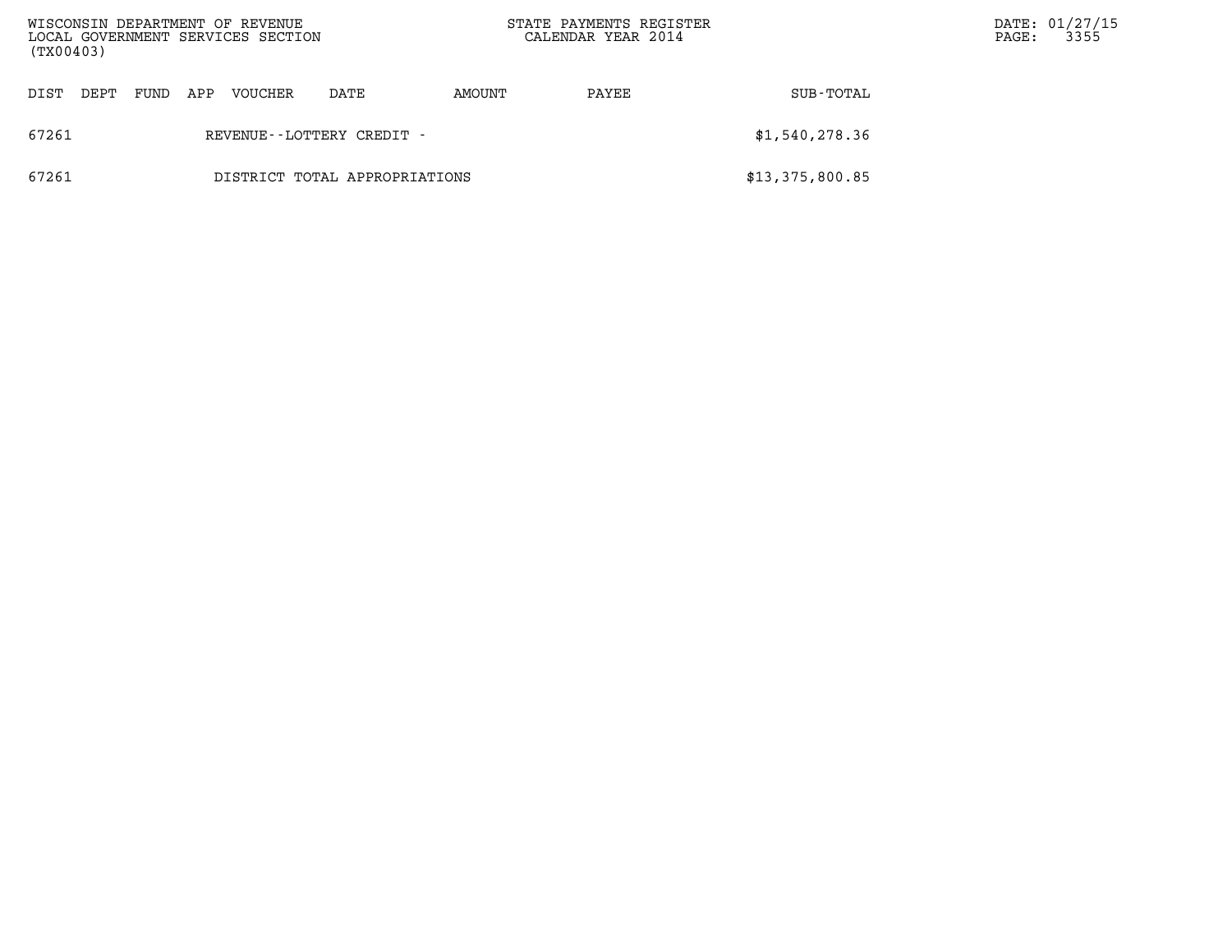| WISCONSIN DEPARTMENT OF REVENUE<br>LOCAL GOVERNMENT SERVICES SECTION<br>(TX00403) |                               |      |     |         |                              | STATE PAYMENTS REGISTER<br>CALENDAR YEAR 2014 |       |                 | $\mathtt{PAGE:}$ | DATE: 01/27/15<br>3355 |
|-----------------------------------------------------------------------------------|-------------------------------|------|-----|---------|------------------------------|-----------------------------------------------|-------|-----------------|------------------|------------------------|
| DIST                                                                              | DEPT                          | FUND | APP | VOUCHER | DATE                         | AMOUNT                                        | PAYEE | SUB-TOTAL       |                  |                        |
| 67261                                                                             |                               |      |     |         | REVENUE - - LOTTERY CREDIT - |                                               |       | \$1,540,278.36  |                  |                        |
| 67261                                                                             | DISTRICT TOTAL APPROPRIATIONS |      |     |         |                              |                                               |       | \$13,375,800.85 |                  |                        |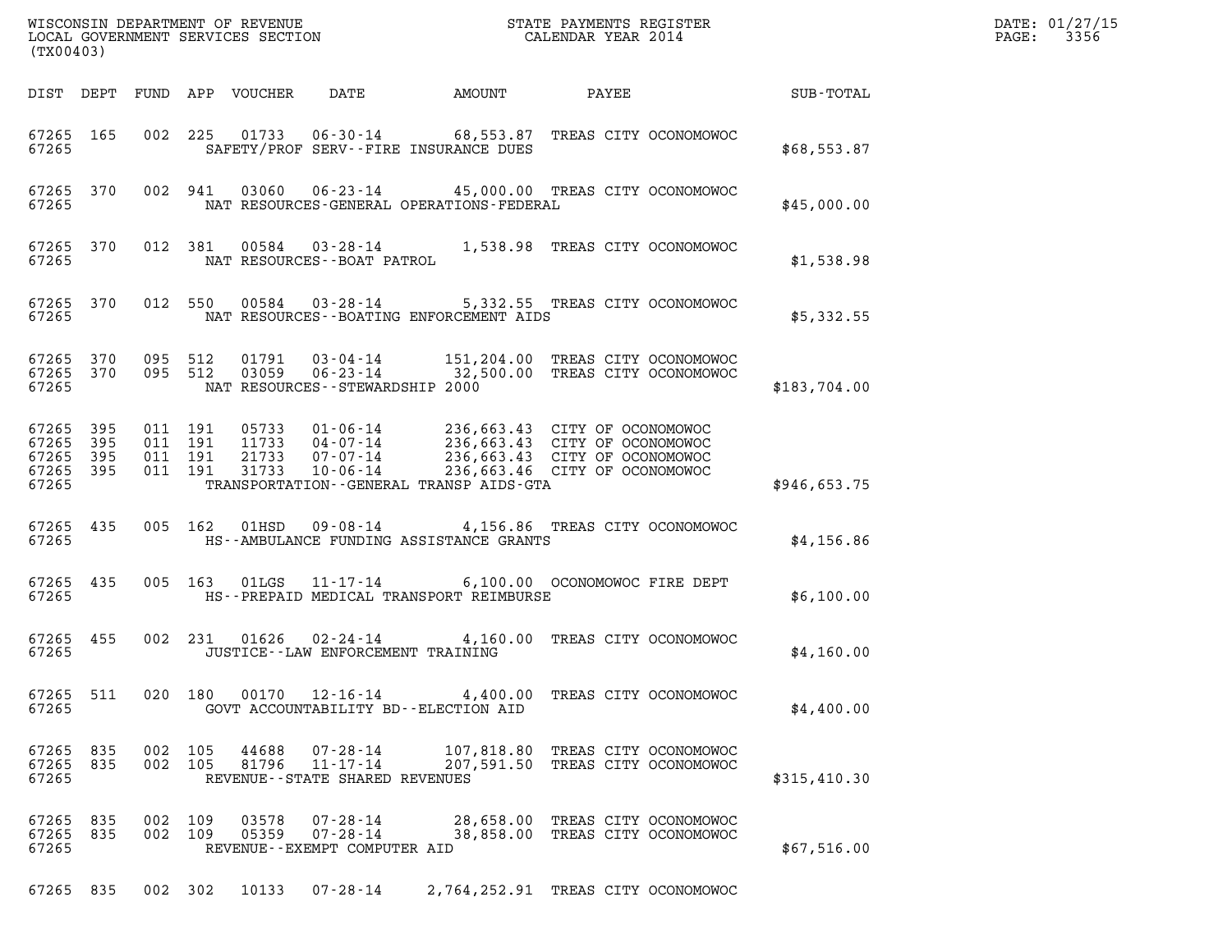| (TX00403)                                     |                   |  |                                          |                  |                                                                 |                                          |                                                                                                                                                                               |              | DATE: 01/27/15<br>3356<br>$\mathtt{PAGE:}$ |
|-----------------------------------------------|-------------------|--|------------------------------------------|------------------|-----------------------------------------------------------------|------------------------------------------|-------------------------------------------------------------------------------------------------------------------------------------------------------------------------------|--------------|--------------------------------------------|
|                                               | DIST DEPT         |  |                                          | FUND APP VOUCHER | DATE                                                            | AMOUNT                                   | PAYEE                                                                                                                                                                         | SUB-TOTAL    |                                            |
| 67265 165<br>67265                            |                   |  | 002 225                                  | 01733            |                                                                 | SAFETY/PROF SERV--FIRE INSURANCE DUES    | 06-30-14 68,553.87 TREAS CITY OCONOMOWOC                                                                                                                                      | \$68,553.87  |                                            |
| 67265                                         | 67265 370         |  | 002 941                                  | 03060            |                                                                 | NAT RESOURCES-GENERAL OPERATIONS-FEDERAL | 06-23-14 45,000.00 TREAS CITY OCONOMOWOC                                                                                                                                      | \$45,000.00  |                                            |
| 67265                                         | 67265 370         |  | 012 381                                  | 00584            | NAT RESOURCES--BOAT PATROL                                      |                                          | 03-28-14 1,538.98 TREAS CITY OCONOMOWOC                                                                                                                                       | \$1,538.98   |                                            |
| 67265                                         | 67265 370         |  | 012 550                                  | 00584            | $03 - 28 - 14$                                                  | NAT RESOURCES--BOATING ENFORCEMENT AIDS  | 5,332.55 TREAS CITY OCONOMOWOC                                                                                                                                                | \$5,332.55   |                                            |
| 67265 370<br>67265                            | 67265 370         |  | 095 512<br>095 512                       | 01791<br>03059   | $03 - 04 - 14$<br>NAT RESOURCES - - STEWARDSHIP 2000            |                                          | 151,204.00 TREAS CITY OCONOMOWOC<br>06-23-14 32,500.00 TREAS CITY OCONOMOWOC                                                                                                  | \$183,704.00 |                                            |
| 67265<br>67265<br>67265<br>67265 395<br>67265 | 395<br>395<br>395 |  | 011 191<br>011 191<br>011 191<br>011 191 | 31733            | 10-06-14                                                        | TRANSPORTATION--GENERAL TRANSP AIDS-GTA  | 05733 01-06-14 236,663.43 CITY OF OCONOMOWOC<br>11733 04-07-14 236,663.43 CITY OF OCONOMOWOC<br>21733 07-07-14 236,663.43 CITY OF OCONOMOWOC<br>236,663.46 CITY OF OCONOMOWOC | \$946,653.75 |                                            |
| 67265 435<br>67265                            |                   |  | 005 162                                  | 01HSD            | 09-08-14                                                        | HS--AMBULANCE FUNDING ASSISTANCE GRANTS  | 4,156.86 TREAS CITY OCONOMOWOC                                                                                                                                                | \$4,156.86   |                                            |
| 67265 435<br>67265                            |                   |  |                                          | 005 163 01LGS    | 11-17-14                                                        | HS--PREPAID MEDICAL TRANSPORT REIMBURSE  | 6,100.00 OCONOMOWOC FIRE DEPT                                                                                                                                                 | \$6,100.00   |                                            |
| 67265 455<br>67265                            |                   |  | 002 231                                  |                  | $01626$ $02 - 24 - 14$<br>JUSTICE - - LAW ENFORCEMENT TRAINING  |                                          | 4,160.00 TREAS CITY OCONOMOWOC                                                                                                                                                | \$4,160.00   |                                            |
| 67265 511<br>67265                            |                   |  |                                          | 020 180 00170    | 12-16-14                                                        | GOVT ACCOUNTABILITY BD--ELECTION AID     | 4,400.00 TREAS CITY OCONOMOWOC                                                                                                                                                | \$4,400.00   |                                            |
| 67265 835<br>67265<br>67265                   | 835               |  | 002 105<br>002 105                       | 44688<br>81796   | 07-28-14<br>$11 - 17 - 14$<br>REVENUE - - STATE SHARED REVENUES |                                          | 107,818.80 TREAS CITY OCONOMOWOC<br>207,591.50 TREAS CITY OCONOMOWOC                                                                                                          | \$315,410.30 |                                            |
| 67265<br>67265 835<br>67265                   | 835               |  | 002 109<br>002 109                       | 03578<br>05359   | 07-28-14<br>$07 - 28 - 14$<br>REVENUE--EXEMPT COMPUTER AID      |                                          | 28,658.00 TREAS CITY OCONOMOWOC<br>38,858.00 TREAS CITY OCONOMOWOC                                                                                                            | \$67,516.00  |                                            |
| 67265 835                                     |                   |  | 002 302                                  | 10133            | 07-28-14                                                        |                                          | 2,764,252.91 TREAS CITY OCONOMOWOC                                                                                                                                            |              |                                            |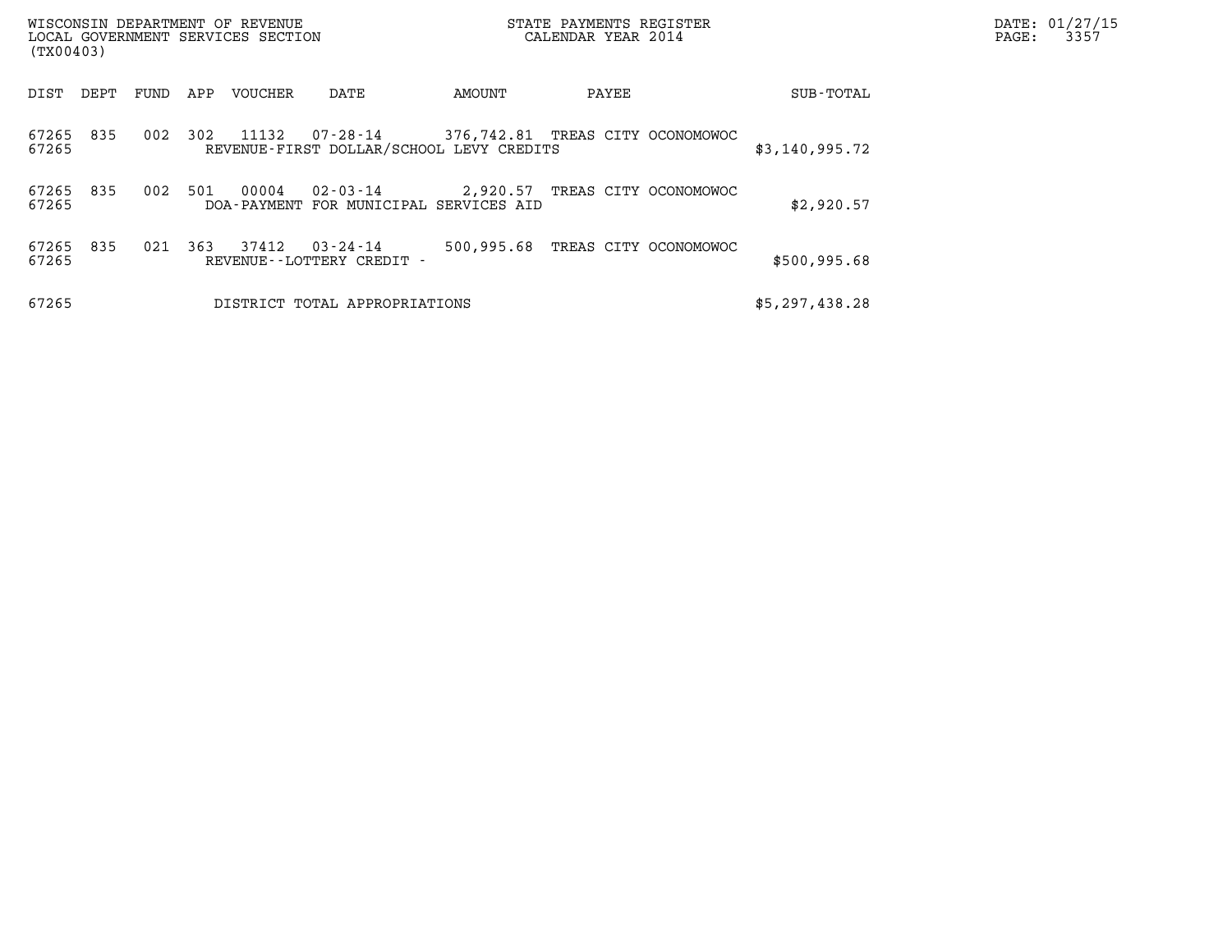| WISCONSIN DEPARTMENT OF REVENUE<br>(TX00403) | LOCAL GOVERNMENT SERVICES SECTION                                        | STATE PAYMENTS REGISTER<br>CALENDAR YEAR 2014 |                | DATE: 01/27/15<br>3357<br>PAGE: |
|----------------------------------------------|--------------------------------------------------------------------------|-----------------------------------------------|----------------|---------------------------------|
| FUND<br>DIST<br>DEPT                         | APP<br>VOUCHER<br>DATE                                                   | AMOUNT<br>PAYEE                               | SUB-TOTAL      |                                 |
| 67265<br>835<br>002<br>67265                 | 11132<br>302<br>07-28-14<br>REVENUE-FIRST DOLLAR/SCHOOL LEVY CREDITS     | 376,742.81 TREAS CITY OCONOMOWOC              | \$3,140,995.72 |                                 |
| 67265<br>835<br>002<br>67265                 | 00004<br>$02 - 03 - 14$<br>501<br>DOA-PAYMENT FOR MUNICIPAL SERVICES AID | 2,920.57 TREAS CITY OCONOMOWOC                | \$2,920.57     |                                 |
| 67265<br>835<br>021<br>67265                 | 37412<br>363<br>03-24-14<br>REVENUE - - LOTTERY CREDIT -                 | 500,995.68<br>TREAS CITY OCONOMOWOC           | \$500,995.68   |                                 |
| 67265                                        | DISTRICT TOTAL APPROPRIATIONS                                            |                                               | \$5,297,438.28 |                                 |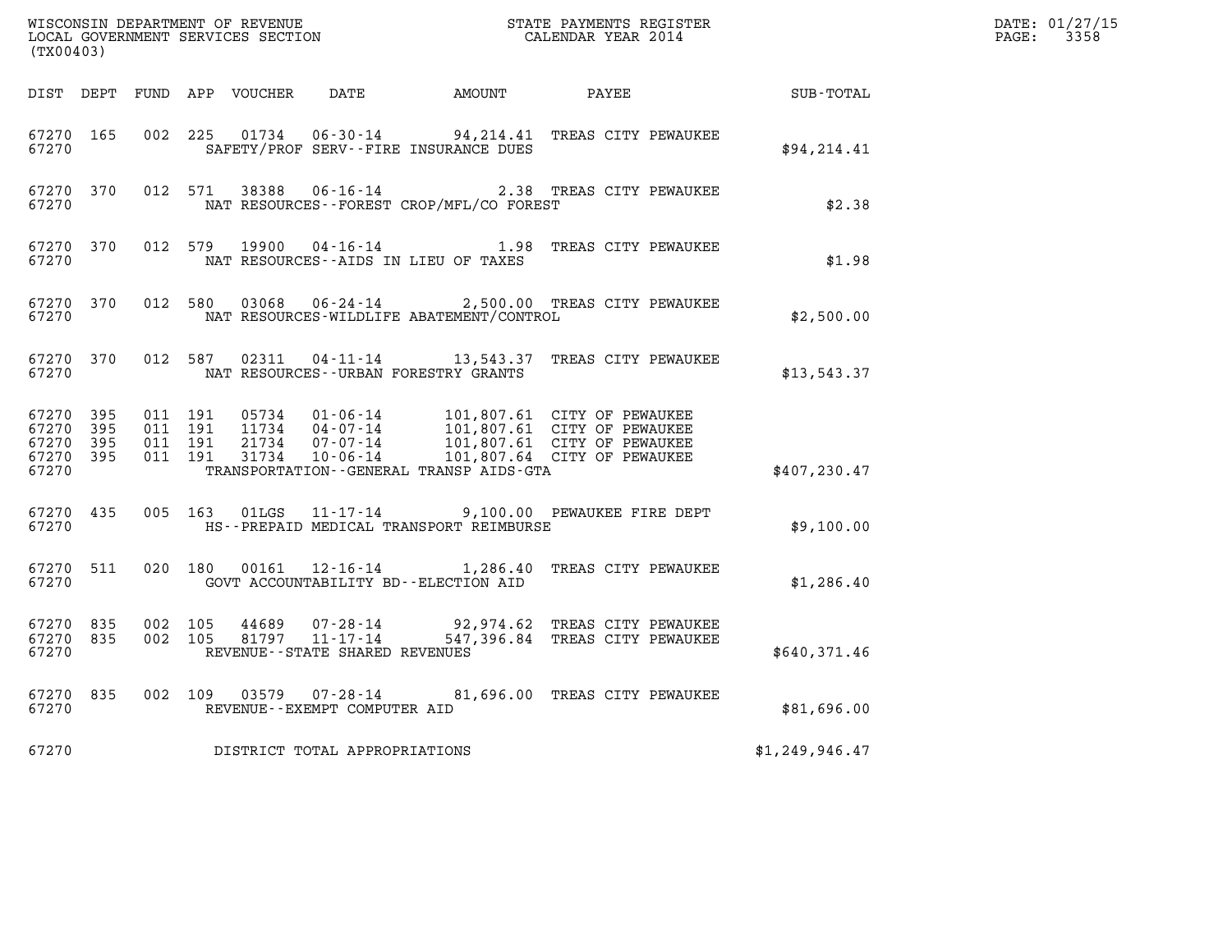| (TX00403)                                     |                       |  |                                          |               |                                |                                          |                                                                                                                                                                                                  |                | DATE: 01/27/15<br>$\mathtt{PAGE:}$<br>3358 |
|-----------------------------------------------|-----------------------|--|------------------------------------------|---------------|--------------------------------|------------------------------------------|--------------------------------------------------------------------------------------------------------------------------------------------------------------------------------------------------|----------------|--------------------------------------------|
|                                               |                       |  |                                          |               |                                |                                          | DIST DEPT FUND APP VOUCHER DATE AMOUNT PAYEE                                                                                                                                                     | SUB-TOTAL      |                                            |
| 67270 165<br>67270                            |                       |  |                                          |               |                                | SAFETY/PROF SERV--FIRE INSURANCE DUES    | 002 225 01734 06-30-14 94, 214.41 TREAS CITY PEWAUKEE                                                                                                                                            | \$94,214.41    |                                            |
| 67270 370<br>67270                            |                       |  |                                          |               |                                | NAT RESOURCES--FOREST CROP/MFL/CO FOREST | 012 571 38388 06-16-14 2.38 TREAS CITY PEWAUKEE                                                                                                                                                  | \$2.38         |                                            |
| 67270 370<br>67270                            |                       |  | 012 579                                  | 19900         |                                | NAT RESOURCES--AIDS IN LIEU OF TAXES     | 04-16-14 1.98 TREAS CITY PEWAUKEE                                                                                                                                                                | \$1.98         |                                            |
| 67270                                         | 67270 370             |  |                                          |               |                                | NAT RESOURCES-WILDLIFE ABATEMENT/CONTROL | 012 580 03068 06-24-14 2,500.00 TREAS CITY PEWAUKEE                                                                                                                                              | \$2,500.00     |                                            |
| 67270 370<br>67270                            |                       |  |                                          | 012 587 02311 |                                | NAT RESOURCES--URBAN FORESTRY GRANTS     | 04-11-14 13,543.37 TREAS CITY PEWAUKEE                                                                                                                                                           | \$13,543.37    |                                            |
| 67270 395<br>67270<br>67270<br>67270<br>67270 | - 395<br>395<br>- 395 |  | 011 191<br>011 191<br>011 191<br>011 191 |               |                                | TRANSPORTATION--GENERAL TRANSP AIDS-GTA  | 05734  01-06-14  101,807.61  CITY OF PEWAUKEE<br>11734  04-07-14  101,807.61  CITY OF PEWAUKEE<br>21734  07-07-14  101,807.61  CITY OF PEWAUKEE<br>31734  10-06-14  101,807.64  CITY OF PEWAUKEE | \$407,230.47   |                                            |
| 67270                                         | 67270 435             |  |                                          |               |                                | HS--PREPAID MEDICAL TRANSPORT REIMBURSE  | 005 163 01LGS 11-17-14 9,100.00 PEWAUKEE FIRE DEPT                                                                                                                                               | \$9,100.00     |                                            |
| 67270 511<br>67270                            |                       |  |                                          |               |                                | GOVT ACCOUNTABILITY BD--ELECTION AID     | 020 180 00161 12-16-14 1,286.40 TREAS CITY PEWAUKEE                                                                                                                                              | \$1,286.40     |                                            |
| 67270 835<br>67270 835<br>67270               |                       |  | 002 105<br>002 105                       |               | REVENUE--STATE SHARED REVENUES |                                          | 44689  07-28-14  92,974.62 TREAS CITY PEWAUKEE<br>81797  11-17-14  547,396.84 TREAS CITY PEWAUKEE                                                                                                | \$640,371.46   |                                            |
| 67270                                         | 67270 835             |  |                                          |               | REVENUE--EXEMPT COMPUTER AID   |                                          | 002 109 03579 07-28-14 81,696.00 TREAS CITY PEWAUKEE                                                                                                                                             | \$81,696.00    |                                            |
| 67270                                         |                       |  |                                          |               | DISTRICT TOTAL APPROPRIATIONS  |                                          |                                                                                                                                                                                                  | \$1,249,946.47 |                                            |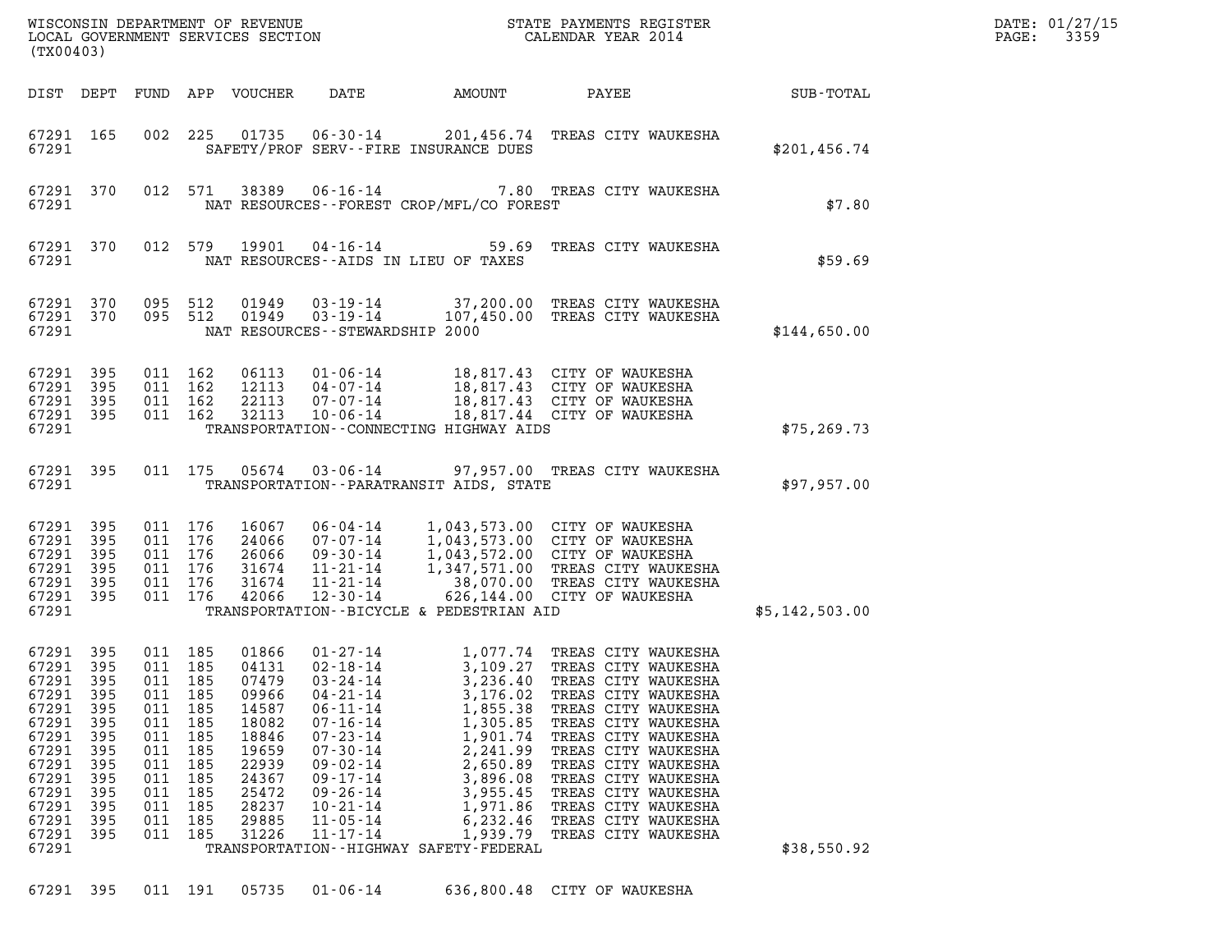| WISCONSIN DEPARTMENT OF REVENUE<br>LOCAL GOVERNMENT SERVICES SECTION<br>LOCAL GOVERNMENT SERVICES SECTION<br>(TX00403)                  |                                                                                         |                                                                                      |                                                                                                 |                                                                                                                            |                                                                                                                                                                                                                                                    |                                                                                                                                                                                             | STATE PAYMENTS REGISTER<br>CALENDAR YEAR 2014                                                                                                                                                                                                                                                                                                    |                | DATE: 01/27/15<br>3359<br>PAGE: |
|-----------------------------------------------------------------------------------------------------------------------------------------|-----------------------------------------------------------------------------------------|--------------------------------------------------------------------------------------|-------------------------------------------------------------------------------------------------|----------------------------------------------------------------------------------------------------------------------------|----------------------------------------------------------------------------------------------------------------------------------------------------------------------------------------------------------------------------------------------------|---------------------------------------------------------------------------------------------------------------------------------------------------------------------------------------------|--------------------------------------------------------------------------------------------------------------------------------------------------------------------------------------------------------------------------------------------------------------------------------------------------------------------------------------------------|----------------|---------------------------------|
| DIST DEPT                                                                                                                               |                                                                                         |                                                                                      |                                                                                                 | FUND APP VOUCHER                                                                                                           | DATE                                                                                                                                                                                                                                               | AMOUNT                                                                                                                                                                                      | PAYEE                                                                                                                                                                                                                                                                                                                                            | SUB-TOTAL      |                                 |
| 67291 165<br>67291                                                                                                                      |                                                                                         |                                                                                      | 002 225                                                                                         |                                                                                                                            |                                                                                                                                                                                                                                                    | SAFETY/PROF SERV--FIRE INSURANCE DUES                                                                                                                                                       | 201,456.74 TREAS CITY WAUKESHA                                                                                                                                                                                                                                                                                                                   | \$201, 456.74  |                                 |
| 67291 370<br>67291                                                                                                                      |                                                                                         |                                                                                      | 012 571                                                                                         | 38389                                                                                                                      | $06 - 16 - 14$                                                                                                                                                                                                                                     | NAT RESOURCES - - FOREST CROP/MFL/CO FOREST                                                                                                                                                 | 7.80 TREAS CITY WAUKESHA                                                                                                                                                                                                                                                                                                                         | \$7.80         |                                 |
| 67291 370<br>67291                                                                                                                      |                                                                                         |                                                                                      | 012 579                                                                                         | 19901                                                                                                                      |                                                                                                                                                                                                                                                    | NAT RESOURCES--AIDS IN LIEU OF TAXES                                                                                                                                                        | 04-16-14 59.69 TREAS CITY WAUKESHA                                                                                                                                                                                                                                                                                                               | \$59.69        |                                 |
| 67291 370<br>67291 370<br>67291                                                                                                         |                                                                                         | 095 512<br>095 512                                                                   |                                                                                                 | 01949<br>01949                                                                                                             | 03-19-14<br>$03 - 19 - 14$<br>NAT RESOURCES - - STEWARDSHIP 2000                                                                                                                                                                                   |                                                                                                                                                                                             | 37,200.00 TREAS CITY WAUKESHA<br>107,450.00 TREAS CITY WAUKESHA                                                                                                                                                                                                                                                                                  | \$144,650.00   |                                 |
| 67291<br>67291<br>67291<br>67291<br>67291                                                                                               | 395<br>395<br>395<br>395                                                                | 011 162<br>011 162<br>011 162<br>011 162                                             |                                                                                                 | 06113<br>12113<br>22113<br>32113                                                                                           | $01 - 06 - 14$<br>04-07-14<br>07-07-14<br>$10 - 06 - 14$                                                                                                                                                                                           | TRANSPORTATION--CONNECTING HIGHWAY AIDS                                                                                                                                                     | 18,817.43 CITY OF WAUKESHA<br>18,817.43 CITY OF WAUKESHA<br>18,817.43 CITY OF WAUKESHA<br>18,817.44 CITY OF WAUKESHA                                                                                                                                                                                                                             | \$75, 269.73   |                                 |
| 67291 395<br>67291                                                                                                                      |                                                                                         |                                                                                      |                                                                                                 | 011 175 05674                                                                                                              | 03-06-14                                                                                                                                                                                                                                           | TRANSPORTATION - - PARATRANSIT AIDS, STATE                                                                                                                                                  | 97,957.00 TREAS CITY WAUKESHA                                                                                                                                                                                                                                                                                                                    | \$97,957.00    |                                 |
| 67291<br>67291<br>67291<br>67291<br>67291<br>67291<br>67291                                                                             | 395<br>395<br>395<br>395<br>395<br>395                                                  | 011 176<br>011 176<br>011 176<br>011 176<br>011 176<br>011 176                       |                                                                                                 | 16067<br>24066<br>26066<br>31674<br>31674<br>42066                                                                         | 06-04-14<br>07-07-14<br>09-30-14<br>11-21-14<br>11-21-14<br>$12 - 30 - 14$                                                                                                                                                                         | TRANSPORTATION--BICYCLE & PEDESTRIAN AID                                                                                                                                                    | 1,043,573.00 CITY OF WAUKESHA<br>1,043,573.00 CITY OF WAUKESHA<br>1,043,572.00 CITY OF WAUKESHA<br>1,347,571.00 TREAS CITY WAUKESHA<br>38,070.00 TREAS CITY WAUKESHA<br>626,144.00 CITY OF WAUKESHA<br>626,144.00 CITY OF WAUKESHA                                                                                                               | \$5,142,503.00 |                                 |
| 67291<br>67291 395<br>67291<br>67291<br>67291<br>67291<br>67291<br>67291<br>67291<br>67291<br>67291<br>67291<br>67291<br>67291<br>67291 | 395<br>395<br>395<br>395<br>395<br>395<br>395<br>395<br>395<br>395<br>395<br>395<br>395 | 011<br>011<br>011<br>011<br>011<br>011<br>011<br>011<br>011<br>011<br>011<br>011 185 | 011 185<br>011 185<br>185<br>185<br>185<br>185<br>185<br>185<br>185<br>185<br>185<br>185<br>185 | 01866<br>04131<br>07479<br>09966<br>14587<br>18082<br>18846<br>19659<br>22939<br>24367<br>25472<br>28237<br>29885<br>31226 | 01-27-14<br>$02 - 18 - 14$<br>$03 - 24 - 14$<br>$04 - 21 - 14$<br>$06 - 11 - 14$<br>$07 - 16 - 14$<br>$07 - 23 - 14$<br>$07 - 30 - 14$<br>$09 - 02 - 14$<br>$09 - 17 - 14$<br>$09 - 26 - 14$<br>$10 - 21 - 14$<br>$11 - 05 - 14$<br>$11 - 17 - 14$ | 3,236.40<br>3,176.02<br>1,855.38<br>1,305.85<br>1,901.74<br>2,241.99<br>2,650.89<br>3,896.08<br>3,955.45<br>1,971.86<br>6,232.46<br>1,939.79<br>TRANSPORTATION - - HIGHWAY SAFETY - FEDERAL | 1,077.74 TREAS CITY WAUKESHA<br>3,109.27 TREAS CITY WAUKESHA<br>TREAS CITY WAUKESHA<br>TREAS CITY WAUKESHA<br>TREAS CITY WAUKESHA<br>TREAS CITY WAUKESHA<br>TREAS CITY WAUKESHA<br>TREAS CITY WAUKESHA<br>TREAS CITY WAUKESHA<br>TREAS CITY WAUKESHA<br>TREAS CITY WAUKESHA<br>TREAS CITY WAUKESHA<br>TREAS CITY WAUKESHA<br>TREAS CITY WAUKESHA | \$38,550.92    |                                 |

67291 395 011 191 05735 01-06-14 636,800.48 CITY OF WAUKESHA